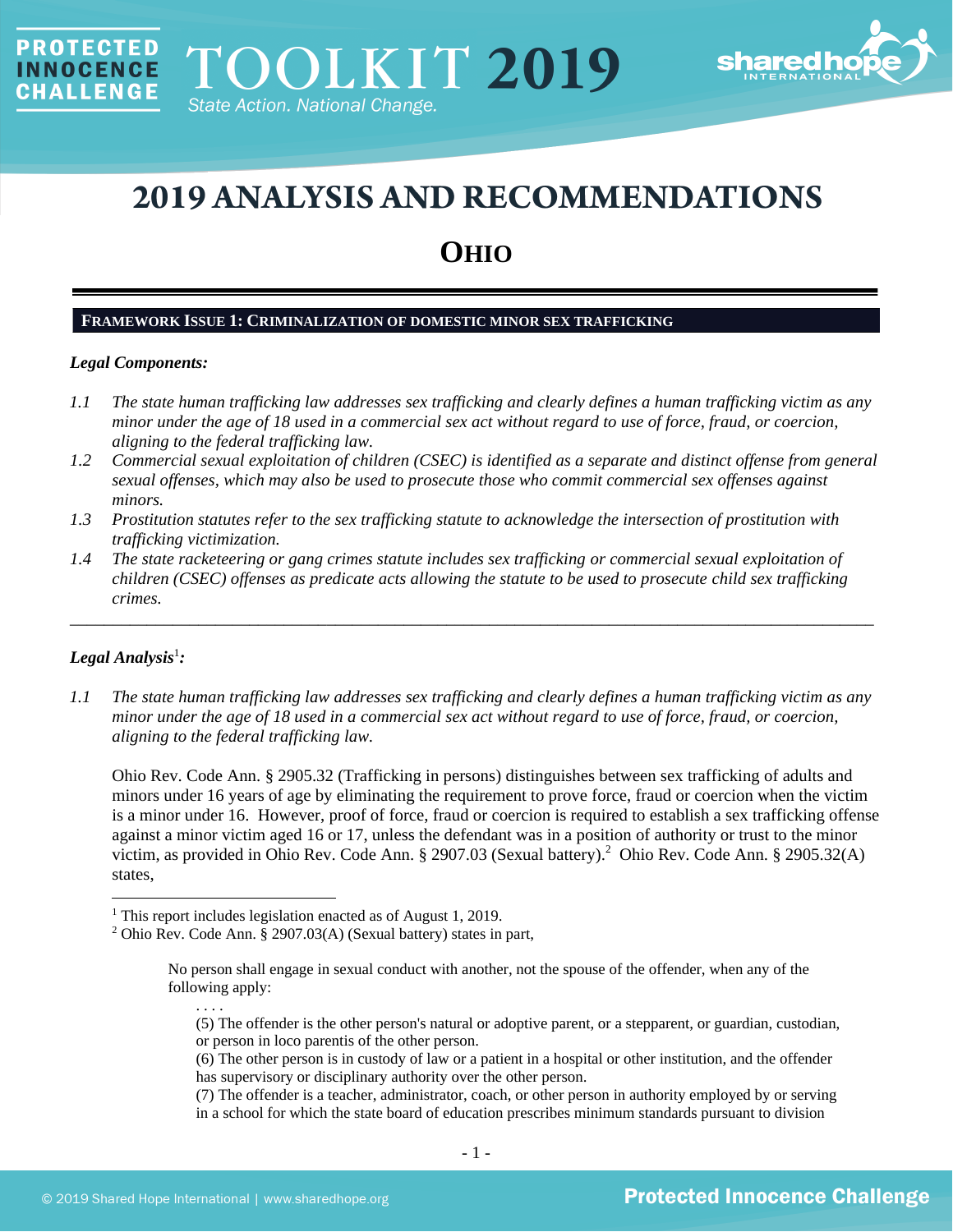

# **2019 ANALYSIS AND RECOMMENDATIONS**

## **OHIO**

## **FRAMEWORK ISSUE 1: CRIMINALIZATION OF DOMESTIC MINOR SEX TRAFFICKING**

## *Legal Components:*

**PROTECTED** 

**INNOCENCE CHALLENGE** 

- *1.1 The state human trafficking law addresses sex trafficking and clearly defines a human trafficking victim as any minor under the age of 18 used in a commercial sex act without regard to use of force, fraud, or coercion, aligning to the federal trafficking law.*
- *1.2 Commercial sexual exploitation of children (CSEC) is identified as a separate and distinct offense from general sexual offenses, which may also be used to prosecute those who commit commercial sex offenses against minors.*
- *1.3 Prostitution statutes refer to the sex trafficking statute to acknowledge the intersection of prostitution with trafficking victimization.*
- *1.4 The state racketeering or gang crimes statute includes sex trafficking or commercial sexual exploitation of children (CSEC) offenses as predicate acts allowing the statute to be used to prosecute child sex trafficking crimes.*

\_\_\_\_\_\_\_\_\_\_\_\_\_\_\_\_\_\_\_\_\_\_\_\_\_\_\_\_\_\_\_\_\_\_\_\_\_\_\_\_\_\_\_\_\_\_\_\_\_\_\_\_\_\_\_\_\_\_\_\_\_\_\_\_\_\_\_\_\_\_\_\_\_\_\_\_\_\_\_\_\_\_\_\_\_\_\_\_\_\_\_\_\_\_

## $Legal$  Analysis<sup>1</sup>:

*1.1 The state human trafficking law addresses sex trafficking and clearly defines a human trafficking victim as any minor under the age of 18 used in a commercial sex act without regard to use of force, fraud, or coercion, aligning to the federal trafficking law.*

Ohio Rev. Code Ann. § 2905.32 (Trafficking in persons) distinguishes between sex trafficking of adults and minors under 16 years of age by eliminating the requirement to prove force, fraud or coercion when the victim is a minor under 16. However, proof of force, fraud or coercion is required to establish a sex trafficking offense against a minor victim aged 16 or 17, unless the defendant was in a position of authority or trust to the minor victim, as provided in Ohio Rev. Code Ann. § 2907.03 (Sexual battery).<sup>2</sup> Ohio Rev. Code Ann. § 2905.32(A) states,

No person shall engage in sexual conduct with another, not the spouse of the offender, when any of the following apply:

- <span id="page-0-0"></span>(5) The offender is the other person's natural or adoptive parent, or a stepparent, or guardian, custodian, or person in loco parentis of the other person.
- (6) The other person is in custody of law or a patient in a hospital or other institution, and the offender has supervisory or disciplinary authority over the other person.
- (7) The offender is a teacher, administrator, coach, or other person in authority employed by or serving in a school for which the state board of education prescribes minimum standards pursuant to division

<sup>1</sup> This report includes legislation enacted as of August 1, 2019.

<sup>2</sup> Ohio Rev. Code Ann. § 2907.03(A) (Sexual battery) states in part,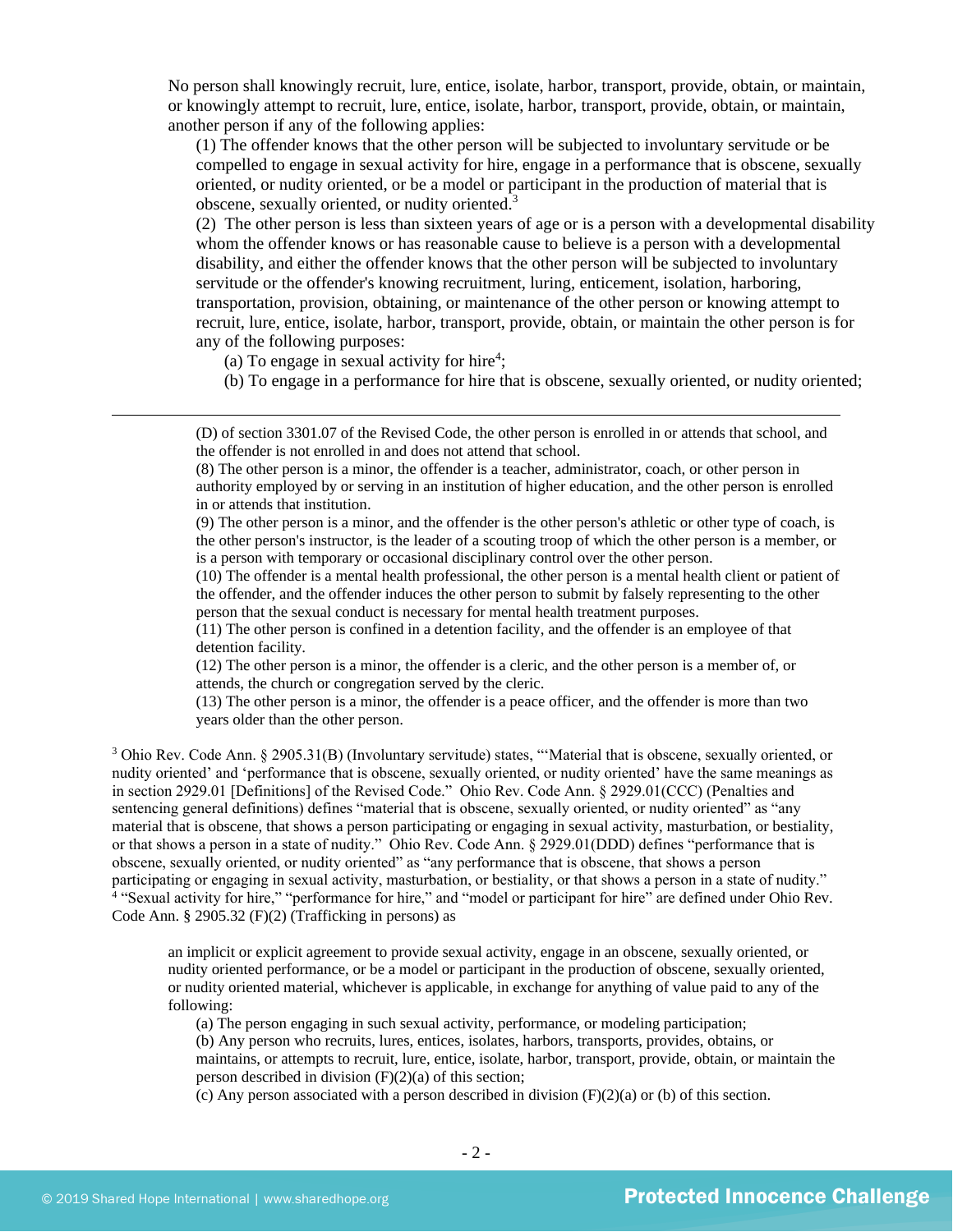No person shall knowingly recruit, lure, entice, isolate, harbor, transport, provide, obtain, or maintain, or knowingly attempt to recruit, lure, entice, isolate, harbor, transport, provide, obtain, or maintain, another person if any of the following applies:

(1) The offender knows that the other person will be subjected to involuntary servitude or be compelled to engage in sexual activity for hire, engage in a performance that is obscene, sexually oriented, or nudity oriented, or be a model or participant in the production of material that is obscene, sexually oriented, or nudity oriented.<sup>3</sup>

(2) The other person is less than sixteen years of age or is a person with a developmental disability whom the offender knows or has reasonable cause to believe is a person with a developmental disability, and either the offender knows that the other person will be subjected to involuntary servitude or the offender's knowing recruitment, luring, enticement, isolation, harboring, transportation, provision, obtaining, or maintenance of the other person or knowing attempt to recruit, lure, entice, isolate, harbor, transport, provide, obtain, or maintain the other person is for any of the following purposes:

(a) To engage in sexual activity for hire<sup>4</sup>;

(b) To engage in a performance for hire that is obscene, sexually oriented, or nudity oriented;

(D) of section 3301.07 of the Revised Code, the other person is enrolled in or attends that school, and the offender is not enrolled in and does not attend that school.

(8) The other person is a minor, the offender is a teacher, administrator, coach, or other person in authority employed by or serving in an institution of higher education, and the other person is enrolled in or attends that institution.

(9) The other person is a minor, and the offender is the other person's athletic or other type of coach, is the other person's instructor, is the leader of a scouting troop of which the other person is a member, or is a person with temporary or occasional disciplinary control over the other person.

(10) The offender is a mental health professional, the other person is a mental health client or patient of the offender, and the offender induces the other person to submit by falsely representing to the other person that the sexual conduct is necessary for mental health treatment purposes.

(11) The other person is confined in a detention facility, and the offender is an employee of that detention facility.

(12) The other person is a minor, the offender is a cleric, and the other person is a member of, or attends, the church or congregation served by the cleric.

(13) The other person is a minor, the offender is a peace officer, and the offender is more than two years older than the other person.

<sup>3</sup> Ohio Rev. Code Ann. § 2905.31(B) (Involuntary servitude) states, "'Material that is obscene, sexually oriented, or nudity oriented' and 'performance that is obscene, sexually oriented, or nudity oriented' have the same meanings as in section 2929.01 [Definitions] of the Revised Code." Ohio Rev. Code Ann. § 2929.01(CCC) (Penalties and sentencing general definitions) defines "material that is obscene, sexually oriented, or nudity oriented" as "any material that is obscene, that shows a person participating or engaging in sexual activity, masturbation, or bestiality, or that shows a person in a state of nudity." Ohio Rev. Code Ann. § 2929.01(DDD) defines "performance that is obscene, sexually oriented, or nudity oriented" as "any performance that is obscene, that shows a person participating or engaging in sexual activity, masturbation, or bestiality, or that shows a person in a state of nudity."<br><sup>4</sup> "Sexual activity for hire," "performance for hire," and "model or participant for hire" are defin Code Ann. § 2905.32 (F)(2) (Trafficking in persons) as

an implicit or explicit agreement to provide sexual activity, engage in an obscene, sexually oriented, or nudity oriented performance, or be a model or participant in the production of obscene, sexually oriented, or nudity oriented material, whichever is applicable, in exchange for anything of value paid to any of the following:

(a) The person engaging in such sexual activity, performance, or modeling participation;

(b) Any person who recruits, lures, entices, isolates, harbors, transports, provides, obtains, or maintains, or attempts to recruit, lure, entice, isolate, harbor, transport, provide, obtain, or maintain the person described in division  $(F)(2)(a)$  of this section;

(c) Any person associated with a person described in division (F)(2)(a) or (b) of this section.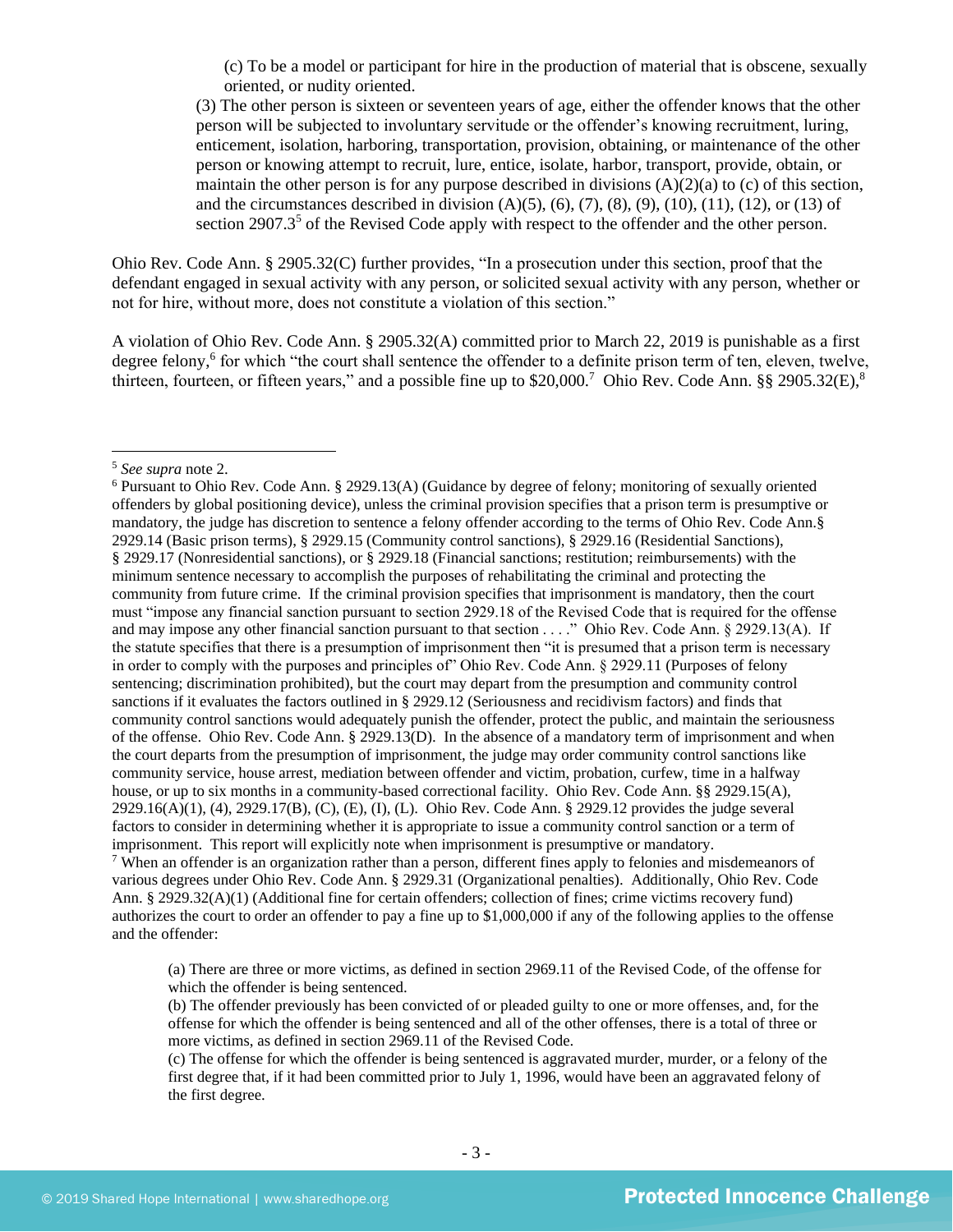<span id="page-2-0"></span>(c) To be a model or participant for hire in the production of material that is obscene, sexually oriented, or nudity oriented.

(3) The other person is sixteen or seventeen years of age, either the offender knows that the other person will be subjected to involuntary servitude or the offender's knowing recruitment, luring, enticement, isolation, harboring, transportation, provision, obtaining, or maintenance of the other person or knowing attempt to recruit, lure, entice, isolate, harbor, transport, provide, obtain, or maintain the other person is for any purpose described in divisions  $(A)(2)(a)$  to (c) of this section, and the circumstances described in division  $(A)(5)$ ,  $(6)$ ,  $(7)$ ,  $(8)$ ,  $(9)$ ,  $(10)$ ,  $(11)$ ,  $(12)$ , or  $(13)$  of section 2907.3<sup>5</sup> of the Revised Code apply with respect to the offender and the other person.

Ohio Rev. Code Ann. § 2905.32(C) further provides, "In a prosecution under this section, proof that the defendant engaged in sexual activity with any person, or solicited sexual activity with any person, whether or not for hire, without more, does not constitute a violation of this section."

A violation of Ohio Rev. Code Ann. § 2905.32(A) committed prior to March 22, 2019 is punishable as a first degree felony,<sup>6</sup> for which "the court shall sentence the offender to a definite prison term of ten, eleven, twelve, thirteen, fourteen, or fifteen years," and a possible fine up to \$20,000.<sup>7</sup> Ohio Rev. Code Ann. §§ 2905.32(E),<sup>8</sup>

(a) There are three or more victims, as defined in section 2969.11 of the Revised Code, of the offense for which the offender is being sentenced.

(b) The offender previously has been convicted of or pleaded guilty to one or more offenses, and, for the offense for which the offender is being sentenced and all of the other offenses, there is a total of three or more victims, as defined in section 2969.11 of the Revised Code.

(c) The offense for which the offender is being sentenced is aggravated murder, murder, or a felony of the first degree that, if it had been committed prior to July 1, 1996, would have been an aggravated felony of the first degree.

<sup>5</sup> *See supra* note [2.](#page-0-0)

<sup>6</sup> Pursuant to Ohio Rev. Code Ann. § 2929.13(A) (Guidance by degree of felony; monitoring of sexually oriented offenders by global positioning device), unless the criminal provision specifies that a prison term is presumptive or mandatory, the judge has discretion to sentence a felony offender according to the terms of Ohio Rev. Code Ann.§ 2929.14 (Basic prison terms), § 2929.15 (Community control sanctions), § 2929.16 (Residential Sanctions), § 2929.17 (Nonresidential sanctions), or § 2929.18 (Financial sanctions; restitution; reimbursements) with the minimum sentence necessary to accomplish the purposes of rehabilitating the criminal and protecting the community from future crime. If the criminal provision specifies that imprisonment is mandatory, then the court must "impose any financial sanction pursuant to section 2929.18 of the Revised Code that is required for the offense and may impose any other financial sanction pursuant to that section . . . ." Ohio Rev. Code Ann. § 2929.13(A). If the statute specifies that there is a presumption of imprisonment then "it is presumed that a prison term is necessary in order to comply with the purposes and principles of" Ohio Rev. Code Ann. § 2929.11 (Purposes of felony sentencing; discrimination prohibited), but the court may depart from the presumption and community control sanctions if it evaluates the factors outlined in § 2929.12 (Seriousness and recidivism factors) and finds that community control sanctions would adequately punish the offender, protect the public, and maintain the seriousness of the offense. Ohio Rev. Code Ann. § 2929.13(D). In the absence of a mandatory term of imprisonment and when the court departs from the presumption of imprisonment, the judge may order community control sanctions like community service, house arrest, mediation between offender and victim, probation, curfew, time in a halfway house, or up to six months in a community-based correctional facility. Ohio Rev. Code Ann. §§ 2929.15(A), 2929.16(A)(1), (4), 2929.17(B), (C), (E), (I), (L). Ohio Rev. Code Ann. § 2929.12 provides the judge several factors to consider in determining whether it is appropriate to issue a community control sanction or a term of imprisonment. This report will explicitly note when imprisonment is presumptive or mandatory. <sup>7</sup> When an offender is an organization rather than a person, different fines apply to felonies and misdemeanors of various degrees under Ohio Rev. Code Ann. § 2929.31 (Organizational penalties). Additionally, Ohio Rev. Code Ann. § 2929.32(A)(1) (Additional fine for certain offenders; collection of fines; crime victims recovery fund) authorizes the court to order an offender to pay a fine up to \$1,000,000 if any of the following applies to the offense and the offender: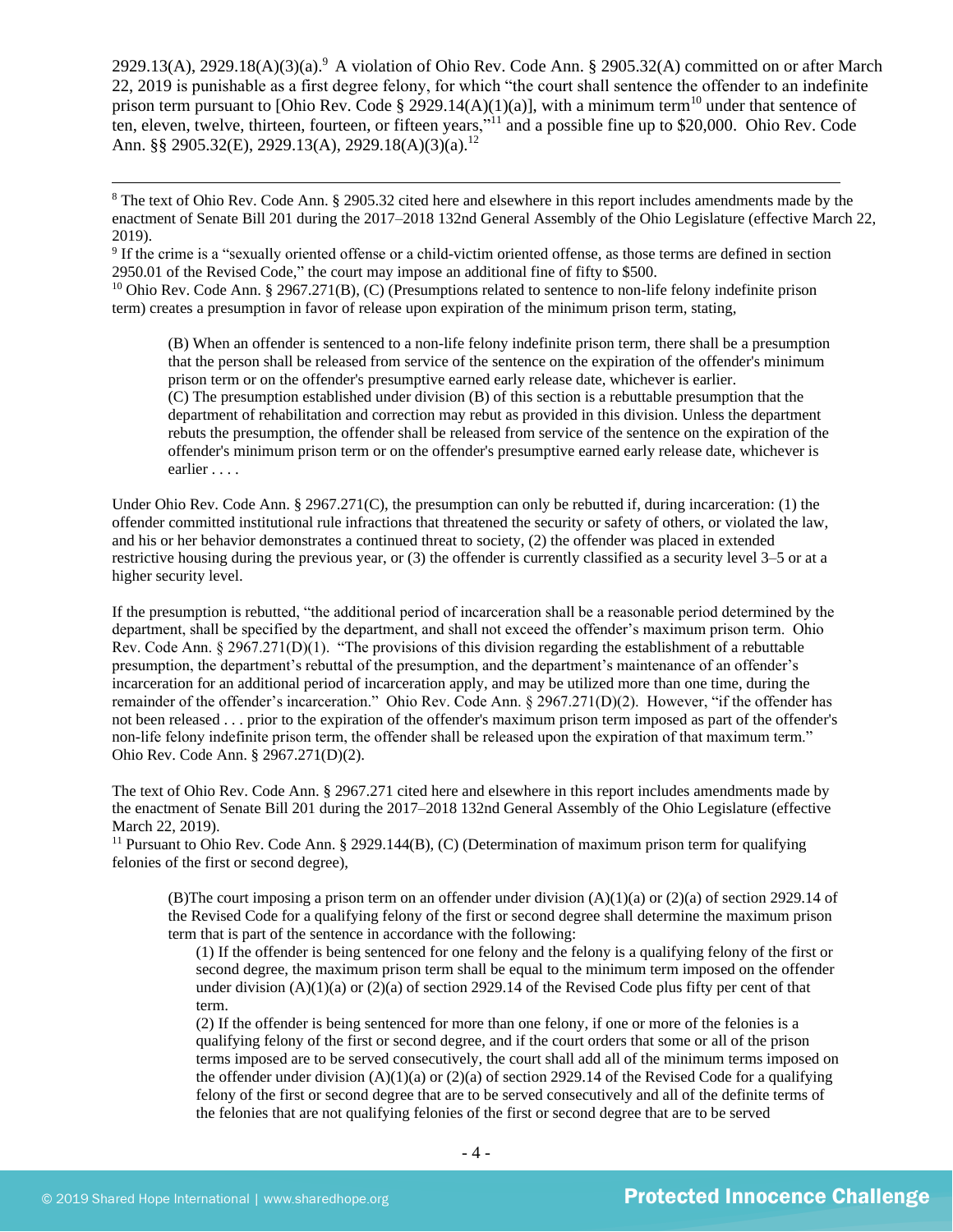<span id="page-3-1"></span>2929.13(A), 2929.18(A)(3)(a).<sup>9</sup> A violation of Ohio Rev. Code Ann. § 2905.32(A) committed on or after March 22, 2019 is punishable as a first degree felony, for which "the court shall sentence the offender to an indefinite prison term pursuant to [Ohio Rev. Code § 2929.14(A)(1)(a)], with a minimum term<sup>10</sup> under that sentence of ten, eleven, twelve, thirteen, fourteen, or fifteen years,"<sup>11</sup> and a possible fine up to \$20,000. Ohio Rev. Code Ann. §§ 2905.32(E), 2929.13(A), 2929.18(A)(3)(a).<sup>12</sup>

9 If the crime is a "sexually oriented offense or a child-victim oriented offense, as those terms are defined in section 2950.01 of the Revised Code," the court may impose an additional fine of fifty to \$500.

<sup>10</sup> Ohio Rev. Code Ann. § 2967.271(B), (C) (Presumptions related to sentence to non-life felony indefinite prison term) creates a presumption in favor of release upon expiration of the minimum prison term, stating,

<span id="page-3-0"></span>(B) When an offender is sentenced to a non-life felony indefinite prison term, there shall be a presumption that the person shall be released from service of the sentence on the expiration of the offender's minimum prison term or on the offender's presumptive earned early release date, whichever is earlier. (C) The presumption established under division (B) of this section is a rebuttable presumption that the department of rehabilitation and correction may rebut as provided in this division. Unless the department

rebuts the presumption, the offender shall be released from service of the sentence on the expiration of the offender's minimum prison term or on the offender's presumptive earned early release date, whichever is earlier . . . .

Under Ohio Rev. Code Ann. § 2967.271(C), the presumption can only be rebutted if, during incarceration: (1) the offender committed institutional rule infractions that threatened the security or safety of others, or violated the law, and his or her behavior demonstrates a continued threat to society, (2) the offender was placed in extended restrictive housing during the previous year, or (3) the offender is currently classified as a security level 3–5 or at a higher security level.

If the presumption is rebutted, "the additional period of incarceration shall be a reasonable period determined by the department, shall be specified by the department, and shall not exceed the offender's maximum prison term. Ohio Rev. Code Ann. § 2967.271(D)(1). "The provisions of this division regarding the establishment of a rebuttable presumption, the department's rebuttal of the presumption, and the department's maintenance of an offender's incarceration for an additional period of incarceration apply, and may be utilized more than one time, during the remainder of the offender's incarceration." Ohio Rev. Code Ann. § 2967.271(D)(2). However, "if the offender has not been released . . . prior to the expiration of the offender's maximum prison term imposed as part of the offender's non-life felony indefinite prison term, the offender shall be released upon the expiration of that maximum term." Ohio Rev. Code Ann. § 2967.271(D)(2).

The text of Ohio Rev. Code Ann. § 2967.271 cited here and elsewhere in this report includes amendments made by the enactment of Senate Bill 201 during the 2017–2018 132nd General Assembly of the Ohio Legislature (effective March 22, 2019).

<sup>11</sup> Pursuant to Ohio Rev. Code Ann. § 2929.144(B), (C) (Determination of maximum prison term for qualifying felonies of the first or second degree),

(B)The court imposing a prison term on an offender under division  $(A)(1)(a)$  or  $(2)(a)$  of section 2929.14 of the Revised Code for a qualifying felony of the first or second degree shall determine the maximum prison term that is part of the sentence in accordance with the following:

(1) If the offender is being sentenced for one felony and the felony is a qualifying felony of the first or second degree, the maximum prison term shall be equal to the minimum term imposed on the offender under division  $(A)(1)(a)$  or  $(2)(a)$  of section 2929.14 of the Revised Code plus fifty per cent of that term.

(2) If the offender is being sentenced for more than one felony, if one or more of the felonies is a qualifying felony of the first or second degree, and if the court orders that some or all of the prison terms imposed are to be served consecutively, the court shall add all of the minimum terms imposed on the offender under division (A)(1)(a) or (2)(a) of section 2929.14 of the Revised Code for a qualifying felony of the first or second degree that are to be served consecutively and all of the definite terms of the felonies that are not qualifying felonies of the first or second degree that are to be served

<sup>8</sup> The text of Ohio Rev. Code Ann. § 2905.32 cited here and elsewhere in this report includes amendments made by the enactment of Senate Bill 201 during the 2017–2018 132nd General Assembly of the Ohio Legislature (effective March 22, 2019).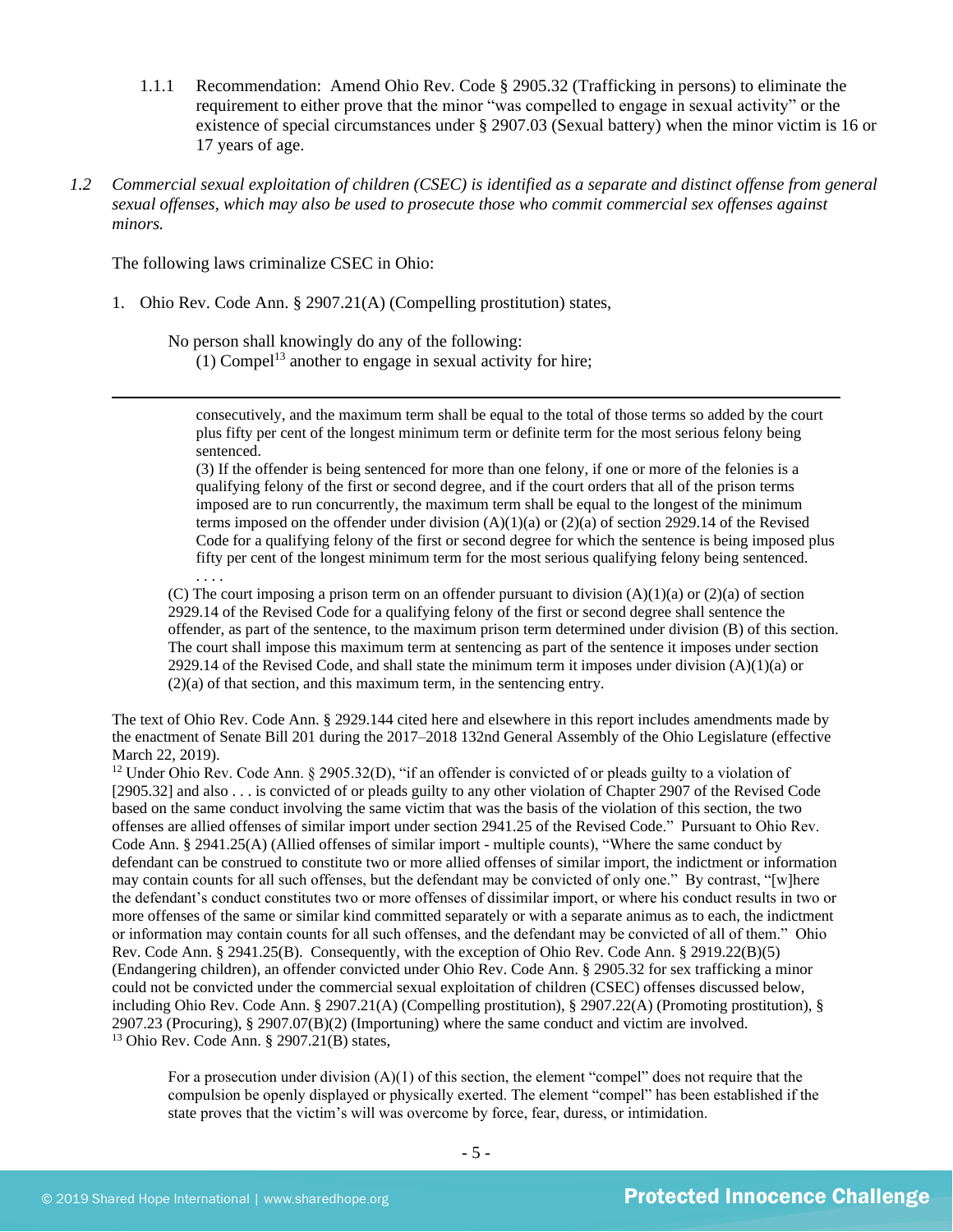- 1.1.1 Recommendation: Amend Ohio Rev. Code § 2905.32 (Trafficking in persons) to eliminate the requirement to either prove that the minor "was compelled to engage in sexual activity" or the existence of special circumstances under § 2907.03 (Sexual battery) when the minor victim is 16 or 17 years of age.
- *1.2 Commercial sexual exploitation of children (CSEC) is identified as a separate and distinct offense from general sexual offenses, which may also be used to prosecute those who commit commercial sex offenses against minors.*

The following laws criminalize CSEC in Ohio:

1. Ohio Rev. Code Ann. § 2907.21(A) (Compelling prostitution) states,

No person shall knowingly do any of the following:  $(1)$  Compel<sup>13</sup> another to engage in sexual activity for hire;

consecutively, and the maximum term shall be equal to the total of those terms so added by the court plus fifty per cent of the longest minimum term or definite term for the most serious felony being sentenced.

(3) If the offender is being sentenced for more than one felony, if one or more of the felonies is a qualifying felony of the first or second degree, and if the court orders that all of the prison terms imposed are to run concurrently, the maximum term shall be equal to the longest of the minimum terms imposed on the offender under division  $(A)(1)(a)$  or  $(2)(a)$  of section 2929.14 of the Revised Code for a qualifying felony of the first or second degree for which the sentence is being imposed plus fifty per cent of the longest minimum term for the most serious qualifying felony being sentenced. . . . .

(C) The court imposing a prison term on an offender pursuant to division  $(A)(1)(a)$  or  $(2)(a)$  of section 2929.14 of the Revised Code for a qualifying felony of the first or second degree shall sentence the offender, as part of the sentence, to the maximum prison term determined under division (B) of this section. The court shall impose this maximum term at sentencing as part of the sentence it imposes under section 2929.14 of the Revised Code, and shall state the minimum term it imposes under division  $(A)(1)(a)$  or (2)(a) of that section, and this maximum term, in the sentencing entry.

The text of Ohio Rev. Code Ann. § 2929.144 cited here and elsewhere in this report includes amendments made by the enactment of Senate Bill 201 during the 2017–2018 132nd General Assembly of the Ohio Legislature (effective March 22, 2019).

<sup>12</sup> Under Ohio Rev. Code Ann. § 2905.32(D), "if an offender is convicted of or pleads guilty to a violation of [2905.32] and also . . . is convicted of or pleads guilty to any other violation of Chapter 2907 of the Revised Code based on the same conduct involving the same victim that was the basis of the violation of this section, the two offenses are allied offenses of similar import under section 2941.25 of the Revised Code." Pursuant to Ohio Rev. Code Ann. § 2941.25(A) (Allied offenses of similar import - multiple counts), "Where the same conduct by defendant can be construed to constitute two or more allied offenses of similar import, the indictment or information may contain counts for all such offenses, but the defendant may be convicted of only one." By contrast, "[w]here the defendant's conduct constitutes two or more offenses of dissimilar import, or where his conduct results in two or more offenses of the same or similar kind committed separately or with a separate animus as to each, the indictment or information may contain counts for all such offenses, and the defendant may be convicted of all of them." Ohio Rev. Code Ann. § 2941.25(B). Consequently, with the exception of Ohio Rev. Code Ann. § 2919.22(B)(5) (Endangering children), an offender convicted under Ohio Rev. Code Ann. § 2905.32 for sex trafficking a minor could not be convicted under the commercial sexual exploitation of children (CSEC) offenses discussed below, including Ohio Rev. Code Ann. § 2907.21(A) (Compelling prostitution), § 2907.22(A) (Promoting prostitution), § 2907.23 (Procuring), § 2907.07(B)(2) (Importuning) where the same conduct and victim are involved. <sup>13</sup> Ohio Rev. Code Ann. § 2907.21(B) states,

For a prosecution under division (A)(1) of this section, the element "compel" does not require that the compulsion be openly displayed or physically exerted. The element "compel" has been established if the state proves that the victim's will was overcome by force, fear, duress, or intimidation.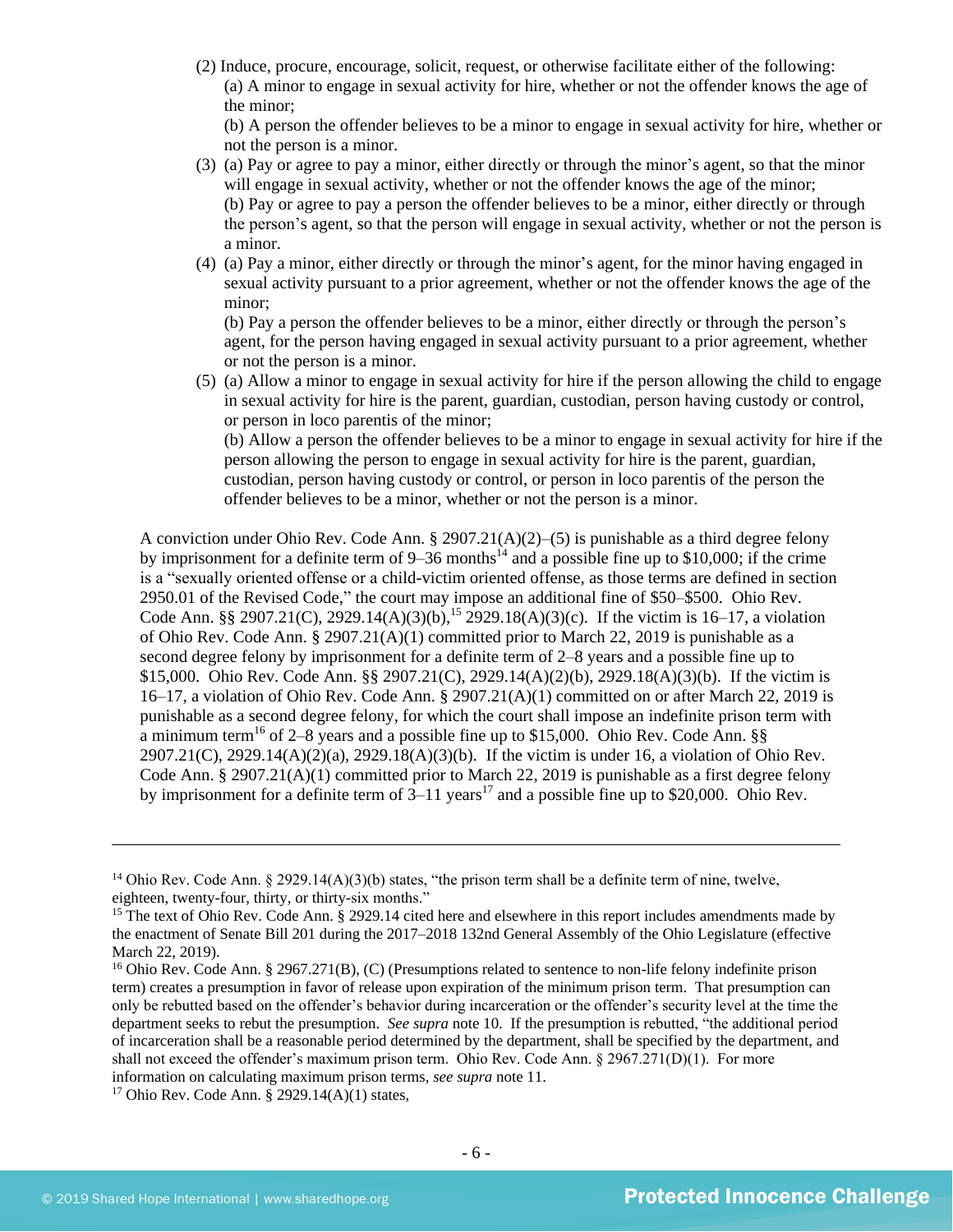(2) Induce, procure, encourage, solicit, request, or otherwise facilitate either of the following: (a) A minor to engage in sexual activity for hire, whether or not the offender knows the age of the minor;

(b) A person the offender believes to be a minor to engage in sexual activity for hire, whether or not the person is a minor.

- (3) (a) Pay or agree to pay a minor, either directly or through the minor's agent, so that the minor will engage in sexual activity, whether or not the offender knows the age of the minor; (b) Pay or agree to pay a person the offender believes to be a minor, either directly or through the person's agent, so that the person will engage in sexual activity, whether or not the person is a minor.
- (4) (a) Pay a minor, either directly or through the minor's agent, for the minor having engaged in sexual activity pursuant to a prior agreement, whether or not the offender knows the age of the minor;

(b) Pay a person the offender believes to be a minor, either directly or through the person's agent, for the person having engaged in sexual activity pursuant to a prior agreement, whether or not the person is a minor.

(5) (a) Allow a minor to engage in sexual activity for hire if the person allowing the child to engage in sexual activity for hire is the parent, guardian, custodian, person having custody or control, or person in loco parentis of the minor;

<span id="page-5-2"></span><span id="page-5-0"></span>(b) Allow a person the offender believes to be a minor to engage in sexual activity for hire if the person allowing the person to engage in sexual activity for hire is the parent, guardian, custodian, person having custody or control, or person in loco parentis of the person the offender believes to be a minor, whether or not the person is a minor.

A conviction under Ohio Rev. Code Ann.  $\S 2907.21(A)(2)$ –(5) is punishable as a third degree felony by imprisonment for a definite term of 9–36 months<sup>14</sup> and a possible fine up to \$10,000; if the crime is a "sexually oriented offense or a child-victim oriented offense, as those terms are defined in section 2950.01 of the Revised Code," the court may impose an additional fine of \$50–\$500. Ohio Rev. Code Ann. §§ 2907.21(C), 2929.14(A)(3)(b),<sup>15</sup> 2929.18(A)(3)(c). If the victim is 16–17, a violation of Ohio Rev. Code Ann. § 2907.21(A)(1) committed prior to March 22, 2019 is punishable as a second degree felony by imprisonment for a definite term of 2–8 years and a possible fine up to \$15,000. Ohio Rev. Code Ann. §§ 2907.21(C), 2929.14(A)(2)(b), 2929.18(A)(3)(b). If the victim is 16–17, a violation of Ohio Rev. Code Ann. § 2907.21(A)(1) committed on or after March 22, 2019 is punishable as a second degree felony, for which the court shall impose an indefinite prison term with a minimum term<sup>16</sup> of 2–8 years and a possible fine up to \$15,000. Ohio Rev. Code Ann.  $\S$ § 2907.21(C), 2929.14(A)(2)(a), 2929.18(A)(3)(b). If the victim is under 16, a violation of Ohio Rev. Code Ann. § 2907.21(A)(1) committed prior to March 22, 2019 is punishable as a first degree felony by imprisonment for a definite term of  $3-11$  years<sup>17</sup> and a possible fine up to \$20,000. Ohio Rev.

<span id="page-5-1"></span><sup>&</sup>lt;sup>14</sup> Ohio Rev. Code Ann. § 2929.14(A)(3)(b) states, "the prison term shall be a definite term of nine, twelve, eighteen, twenty-four, thirty, or thirty-six months."

<sup>&</sup>lt;sup>15</sup> The text of Ohio Rev. Code Ann. § 2929.14 cited here and elsewhere in this report includes amendments made by the enactment of Senate Bill 201 during the 2017–2018 132nd General Assembly of the Ohio Legislature (effective March 22, 2019).

<sup>&</sup>lt;sup>16</sup> Ohio Rev. Code Ann. § 2967.271(B), (C) (Presumptions related to sentence to non-life felony indefinite prison term) creates a presumption in favor of release upon expiration of the minimum prison term. That presumption can only be rebutted based on the offender's behavior during incarceration or the offender's security level at the time the department seeks to rebut the presumption. *See supra* not[e 10.](#page-3-0) If the presumption is rebutted, "the additional period of incarceration shall be a reasonable period determined by the department, shall be specified by the department, and shall not exceed the offender's maximum prison term. Ohio Rev. Code Ann. § 2967.271(D)(1). For more information on calculating maximum prison terms, *see supra* not[e 11.](#page-3-1)

<sup>&</sup>lt;sup>17</sup> Ohio Rev. Code Ann. § 2929.14(A)(1) states,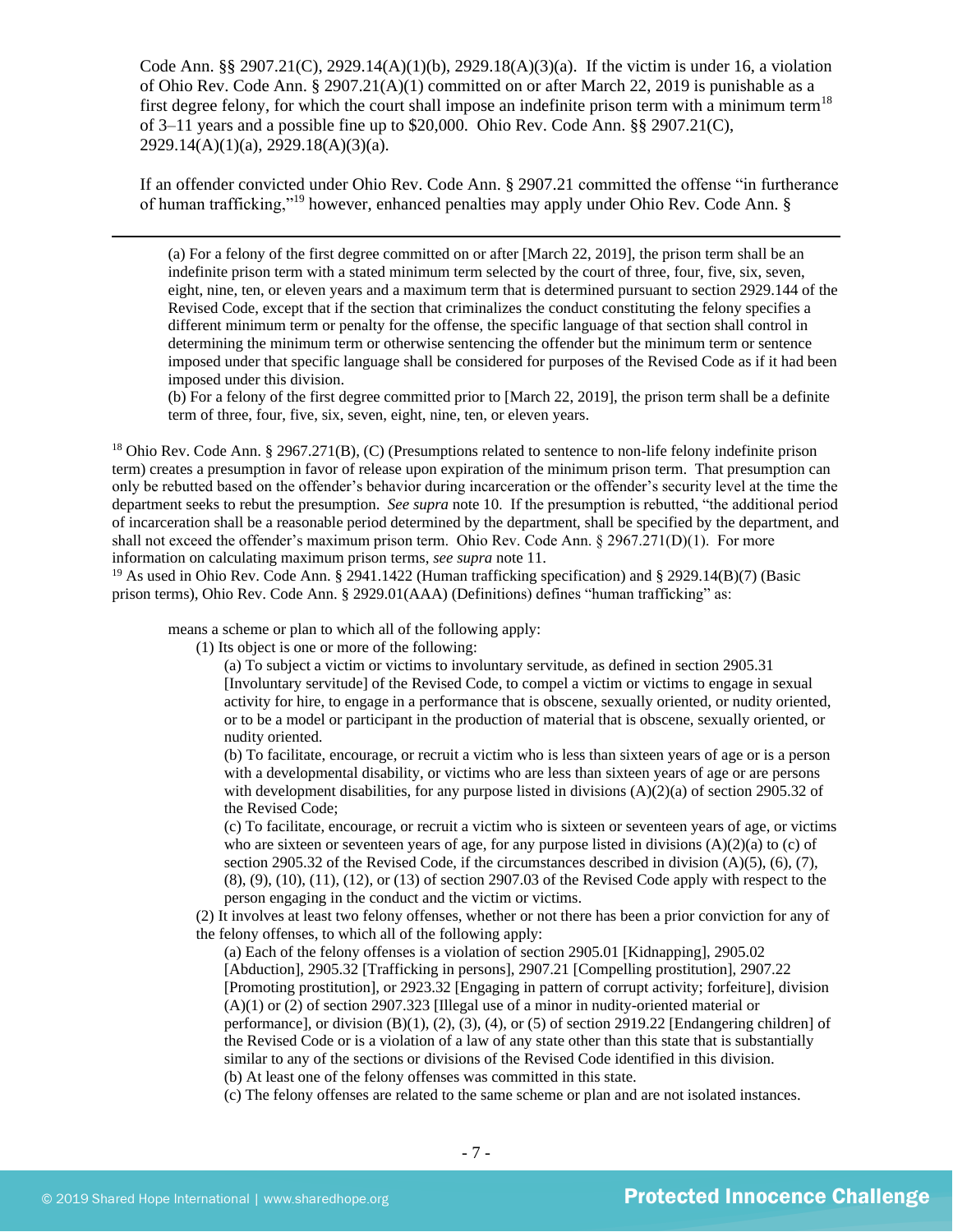Code Ann. §§ 2907.21(C), 2929.14(A)(1)(b), 2929.18(A)(3)(a). If the victim is under 16, a violation of Ohio Rev. Code Ann. § 2907.21(A)(1) committed on or after March 22, 2019 is punishable as a first degree felony, for which the court shall impose an indefinite prison term with a minimum term<sup>18</sup> of 3–11 years and a possible fine up to \$20,000. Ohio Rev. Code Ann. §§ 2907.21(C), 2929.14(A)(1)(a), 2929.18(A)(3)(a).

If an offender convicted under Ohio Rev. Code Ann. § 2907.21 committed the offense "in furtherance of human trafficking,"<sup>19</sup> however, enhanced penalties may apply under Ohio Rev. Code Ann. §

<span id="page-6-0"></span>(a) For a felony of the first degree committed on or after [March 22, 2019], the prison term shall be an indefinite prison term with a stated minimum term selected by the court of three, four, five, six, seven, eight, nine, ten, or eleven years and a maximum term that is determined pursuant to section 2929.144 of the Revised Code, except that if the section that criminalizes the conduct constituting the felony specifies a different minimum term or penalty for the offense, the specific language of that section shall control in determining the minimum term or otherwise sentencing the offender but the minimum term or sentence imposed under that specific language shall be considered for purposes of the Revised Code as if it had been imposed under this division.

(b) For a felony of the first degree committed prior to [March 22, 2019], the prison term shall be a definite term of three, four, five, six, seven, eight, nine, ten, or eleven years.

<sup>18</sup> Ohio Rev. Code Ann. § 2967.271(B), (C) (Presumptions related to sentence to non-life felony indefinite prison term) creates a presumption in favor of release upon expiration of the minimum prison term. That presumption can only be rebutted based on the offender's behavior during incarceration or the offender's security level at the time the department seeks to rebut the presumption. *See supra* not[e 10.](#page-3-0) If the presumption is rebutted, "the additional period of incarceration shall be a reasonable period determined by the department, shall be specified by the department, and shall not exceed the offender's maximum prison term. Ohio Rev. Code Ann. § 2967.271(D)(1). For more information on calculating maximum prison terms, *see supra* not[e 11.](#page-3-1)

<sup>19</sup> As used in Ohio Rev. Code Ann. § 2941.1422 (Human trafficking specification) and § 2929.14(B)(7) (Basic prison terms), Ohio Rev. Code Ann. § 2929.01(AAA) (Definitions) defines "human trafficking" as:

means a scheme or plan to which all of the following apply:

(1) Its object is one or more of the following:

(a) To subject a victim or victims to involuntary servitude, as defined in section 2905.31 [Involuntary servitude] of the Revised Code, to compel a victim or victims to engage in sexual activity for hire, to engage in a performance that is obscene, sexually oriented, or nudity oriented, or to be a model or participant in the production of material that is obscene, sexually oriented, or nudity oriented.

(b) To facilitate, encourage, or recruit a victim who is less than sixteen years of age or is a person with a developmental disability, or victims who are less than sixteen years of age or are persons with development disabilities, for any purpose listed in divisions  $(A)(2)(a)$  of section 2905.32 of the Revised Code;

(c) To facilitate, encourage, or recruit a victim who is sixteen or seventeen years of age, or victims who are sixteen or seventeen years of age, for any purpose listed in divisions  $(A)(2)(a)$  to  $(c)$  of section 2905.32 of the Revised Code, if the circumstances described in division  $(A)(5)$ ,  $(6)$ ,  $(7)$ , (8), (9), (10), (11), (12), or (13) of section 2907.03 of the Revised Code apply with respect to the person engaging in the conduct and the victim or victims.

(2) It involves at least two felony offenses, whether or not there has been a prior conviction for any of the felony offenses, to which all of the following apply:

(a) Each of the felony offenses is a violation of section 2905.01 [Kidnapping], 2905.02 [Abduction], 2905.32 [Trafficking in persons], 2907.21 [Compelling prostitution], 2907.22 [Promoting prostitution], or 2923.32 [Engaging in pattern of corrupt activity; forfeiture], division (A)(1) or (2) of section 2907.323 [Illegal use of a minor in nudity-oriented material or performance], or division  $(B)(1)$ ,  $(2)$ ,  $(3)$ ,  $(4)$ , or  $(5)$  of section 2919.22 [Endangering children] of the Revised Code or is a violation of a law of any state other than this state that is substantially similar to any of the sections or divisions of the Revised Code identified in this division. (b) At least one of the felony offenses was committed in this state.

(c) The felony offenses are related to the same scheme or plan and are not isolated instances.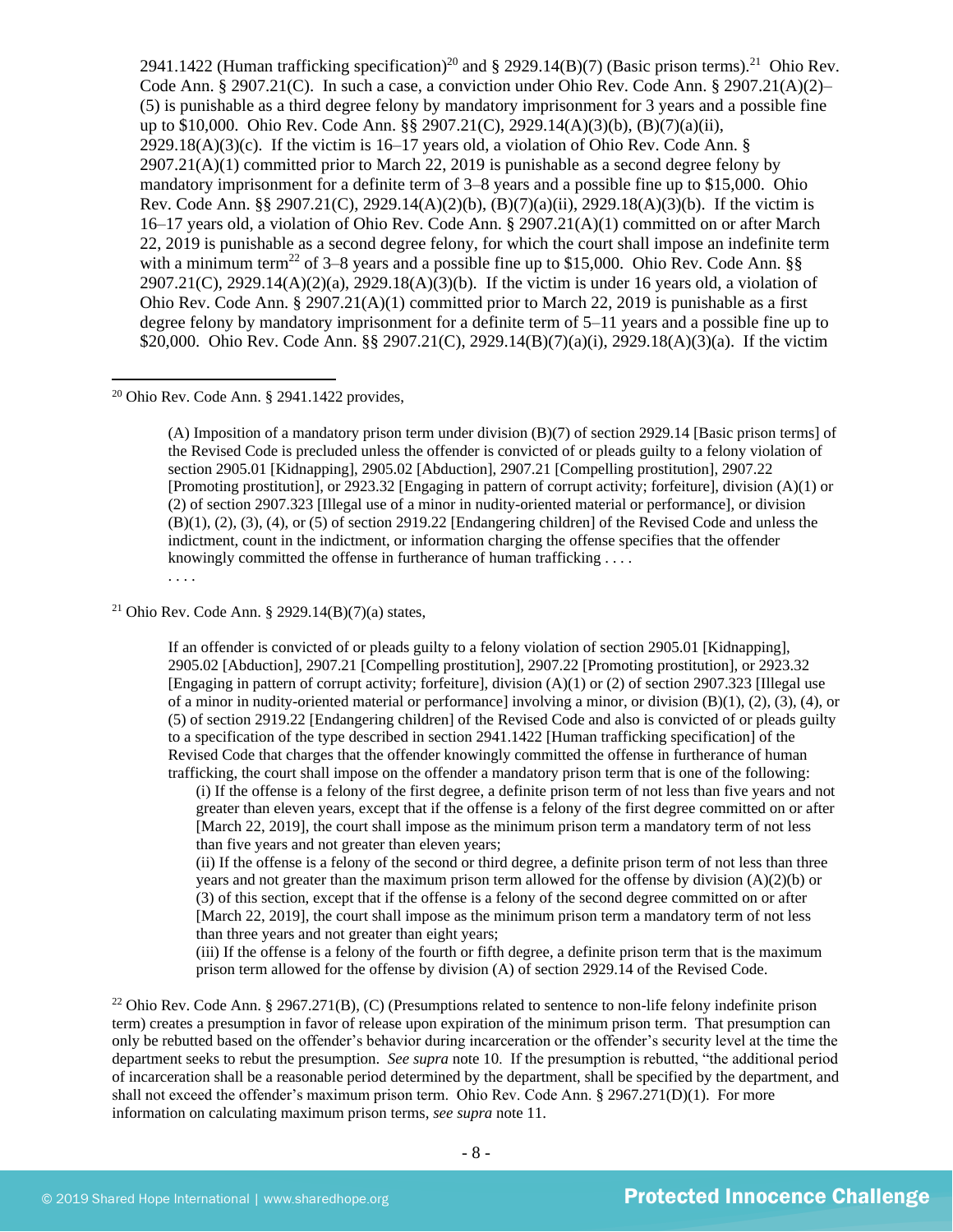2941.1422 (Human trafficking specification)<sup>20</sup> and § 2929.14(B)(7) (Basic prison terms).<sup>21</sup> Ohio Rev. Code Ann. § 2907.21(C). In such a case, a conviction under Ohio Rev. Code Ann. § 2907.21(A)(2)– (5) is punishable as a third degree felony by mandatory imprisonment for 3 years and a possible fine up to \$10,000. Ohio Rev. Code Ann. §§ 2907.21(C), 2929.14(A)(3)(b), (B)(7)(a)(ii),  $2929.18(A)(3)(c)$ . If the victim is 16–17 years old, a violation of Ohio Rev. Code Ann. §  $2907.21(A)(1)$  committed prior to March 22, 2019 is punishable as a second degree felony by mandatory imprisonment for a definite term of 3–8 years and a possible fine up to \$15,000. Ohio Rev. Code Ann. §§ 2907.21(C), 2929.14(A)(2)(b), (B)(7)(a)(ii), 2929.18(A)(3)(b). If the victim is 16–17 years old, a violation of Ohio Rev. Code Ann. § 2907.21(A)(1) committed on or after March 22, 2019 is punishable as a second degree felony, for which the court shall impose an indefinite term with a minimum term<sup>22</sup> of 3–8 years and a possible fine up to \$15,000. Ohio Rev. Code Ann. §§ 2907.21(C), 2929.14(A)(2)(a), 2929.18(A)(3)(b). If the victim is under 16 years old, a violation of Ohio Rev. Code Ann. § 2907.21(A)(1) committed prior to March 22, 2019 is punishable as a first degree felony by mandatory imprisonment for a definite term of 5–11 years and a possible fine up to \$20,000. Ohio Rev. Code Ann. §§ 2907.21(C), 2929.14(B)(7)(a)(i), 2929.18(A)(3)(a). If the victim

<sup>20</sup> Ohio Rev. Code Ann. § 2941.1422 provides,

(A) Imposition of a mandatory prison term under division (B)(7) of section 2929.14 [Basic prison terms] of the Revised Code is precluded unless the offender is convicted of or pleads guilty to a felony violation of section 2905.01 [Kidnapping], 2905.02 [Abduction], 2907.21 [Compelling prostitution], 2907.22 [Promoting prostitution], or 2923.32 [Engaging in pattern of corrupt activity; forfeiture], division (A)(1) or (2) of section 2907.323 [Illegal use of a minor in nudity-oriented material or performance], or division (B)(1), (2), (3), (4), or (5) of section 2919.22 [Endangering children] of the Revised Code and unless the indictment, count in the indictment, or information charging the offense specifies that the offender knowingly committed the offense in furtherance of human trafficking . . . . . . . .

<sup>21</sup> Ohio Rev. Code Ann. § 2929.14(B)(7)(a) states,

If an offender is convicted of or pleads guilty to a felony violation of section 2905.01 [Kidnapping], 2905.02 [Abduction], 2907.21 [Compelling prostitution], 2907.22 [Promoting prostitution], or 2923.32 [Engaging in pattern of corrupt activity; forfeiture], division (A)(1) or (2) of section 2907.323 [Illegal use of a minor in nudity-oriented material or performance] involving a minor, or division (B)(1), (2), (3), (4), or (5) of section 2919.22 [Endangering children] of the Revised Code and also is convicted of or pleads guilty to a specification of the type described in section 2941.1422 [Human trafficking specification] of the Revised Code that charges that the offender knowingly committed the offense in furtherance of human trafficking, the court shall impose on the offender a mandatory prison term that is one of the following:

(i) If the offense is a felony of the first degree, a definite prison term of not less than five years and not greater than eleven years, except that if the offense is a felony of the first degree committed on or after [March 22, 2019], the court shall impose as the minimum prison term a mandatory term of not less than five years and not greater than eleven years;

(ii) If the offense is a felony of the second or third degree, a definite prison term of not less than three years and not greater than the maximum prison term allowed for the offense by division (A)(2)(b) or (3) of this section, except that if the offense is a felony of the second degree committed on or after [March 22, 2019], the court shall impose as the minimum prison term a mandatory term of not less than three years and not greater than eight years;

(iii) If the offense is a felony of the fourth or fifth degree, a definite prison term that is the maximum prison term allowed for the offense by division (A) of section 2929.14 of the Revised Code.

<sup>22</sup> Ohio Rev. Code Ann. § 2967.271(B), (C) (Presumptions related to sentence to non-life felony indefinite prison term) creates a presumption in favor of release upon expiration of the minimum prison term. That presumption can only be rebutted based on the offender's behavior during incarceration or the offender's security level at the time the department seeks to rebut the presumption. *See supra* not[e 10.](#page-3-0) If the presumption is rebutted, "the additional period of incarceration shall be a reasonable period determined by the department, shall be specified by the department, and shall not exceed the offender's maximum prison term. Ohio Rev. Code Ann. § 2967.271(D)(1). For more information on calculating maximum prison terms, *see supra* not[e 11.](#page-3-1)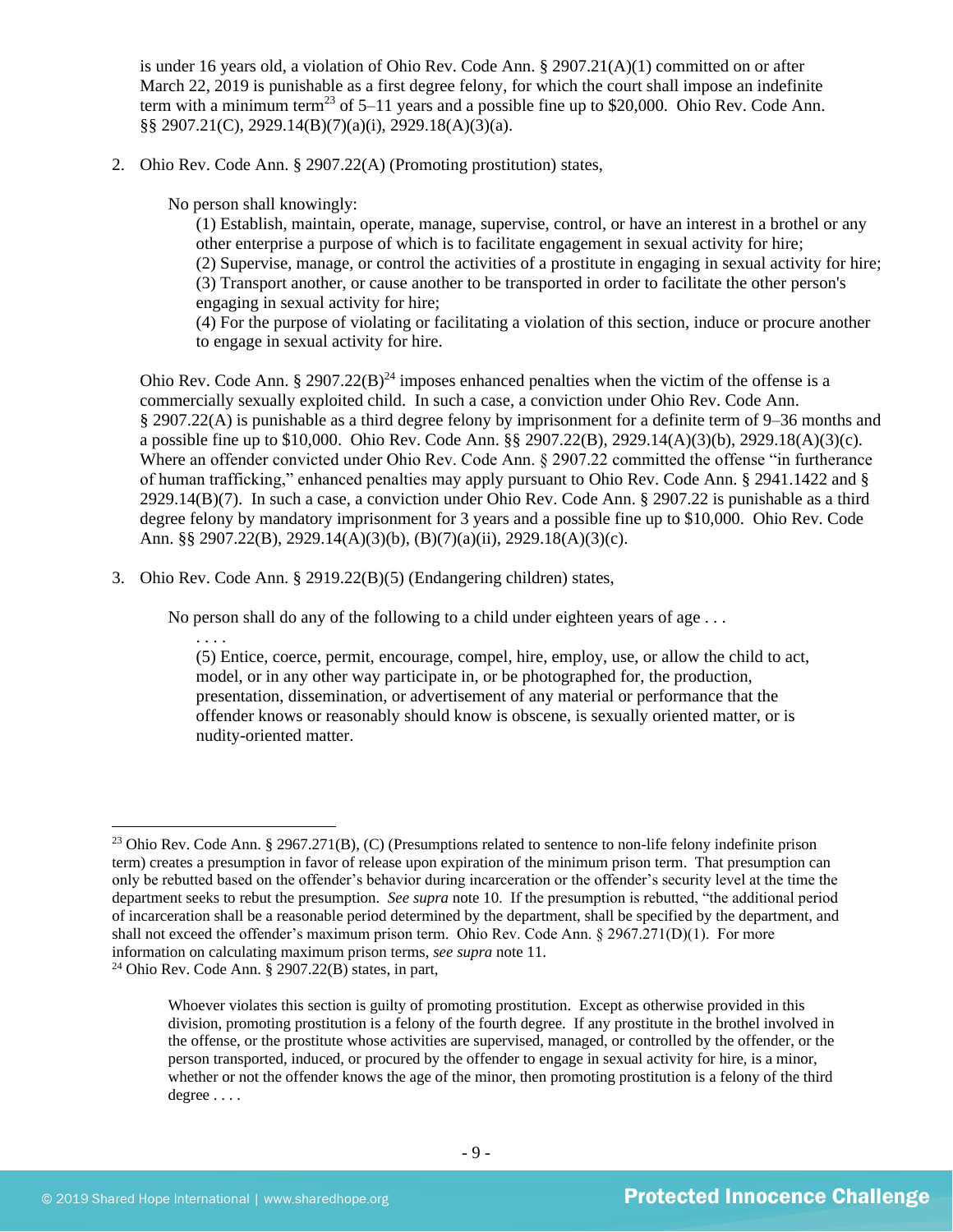is under 16 years old, a violation of Ohio Rev. Code Ann. § 2907.21(A)(1) committed on or after March 22, 2019 is punishable as a first degree felony, for which the court shall impose an indefinite term with a minimum term<sup>23</sup> of 5–11 years and a possible fine up to \$20,000. Ohio Rev. Code Ann. §§ 2907.21(C), 2929.14(B)(7)(a)(i), 2929.18(A)(3)(a).

2. Ohio Rev. Code Ann. § 2907.22(A) (Promoting prostitution) states,

No person shall knowingly:

(1) Establish, maintain, operate, manage, supervise, control, or have an interest in a brothel or any other enterprise a purpose of which is to facilitate engagement in sexual activity for hire; (2) Supervise, manage, or control the activities of a prostitute in engaging in sexual activity for hire; (3) Transport another, or cause another to be transported in order to facilitate the other person's engaging in sexual activity for hire;

<span id="page-8-0"></span>(4) For the purpose of violating or facilitating a violation of this section, induce or procure another to engage in sexual activity for hire.

Ohio Rev. Code Ann. § 2907.22(B)<sup>24</sup> imposes enhanced penalties when the victim of the offense is a commercially sexually exploited child. In such a case, a conviction under Ohio Rev. Code Ann. § 2907.22(A) is punishable as a third degree felony by imprisonment for a definite term of 9–36 months and a possible fine up to \$10,000. Ohio Rev. Code Ann. §§ 2907.22(B), 2929.14(A)(3)(b), 2929.18(A)(3)(c). Where an offender convicted under Ohio Rev. Code Ann. § 2907.22 committed the offense "in furtherance of human trafficking," enhanced penalties may apply pursuant to Ohio Rev. Code Ann. § 2941.1422 and § 2929.14(B)(7). In such a case, a conviction under Ohio Rev. Code Ann. § 2907.22 is punishable as a third degree felony by mandatory imprisonment for 3 years and a possible fine up to \$10,000. Ohio Rev. Code Ann. §§ 2907.22(B), 2929.14(A)(3)(b), (B)(7)(a)(ii), 2929.18(A)(3)(c).

3. Ohio Rev. Code Ann. § 2919.22(B)(5) (Endangering children) states,

No person shall do any of the following to a child under eighteen years of age . . .

. . . .

(5) Entice, coerce, permit, encourage, compel, hire, employ, use, or allow the child to act, model, or in any other way participate in, or be photographed for, the production, presentation, dissemination, or advertisement of any material or performance that the offender knows or reasonably should know is obscene, is sexually oriented matter, or is nudity-oriented matter.

<sup>&</sup>lt;sup>23</sup> Ohio Rev. Code Ann. § 2967.271(B), (C) (Presumptions related to sentence to non-life felony indefinite prison term) creates a presumption in favor of release upon expiration of the minimum prison term. That presumption can only be rebutted based on the offender's behavior during incarceration or the offender's security level at the time the department seeks to rebut the presumption. *See supra* not[e 10.](#page-3-0) If the presumption is rebutted, "the additional period of incarceration shall be a reasonable period determined by the department, shall be specified by the department, and shall not exceed the offender's maximum prison term. Ohio Rev. Code Ann. § 2967.271(D)(1). For more information on calculating maximum prison terms, *see supra* not[e 11.](#page-3-1)

<sup>&</sup>lt;sup>24</sup> Ohio Rev. Code Ann. § 2907.22 $(B)$  states, in part,

Whoever violates this section is guilty of promoting prostitution. Except as otherwise provided in this division, promoting prostitution is a felony of the fourth degree. If any prostitute in the brothel involved in the offense, or the prostitute whose activities are supervised, managed, or controlled by the offender, or the person transported, induced, or procured by the offender to engage in sexual activity for hire, is a minor, whether or not the offender knows the age of the minor, then promoting prostitution is a felony of the third degree . . . .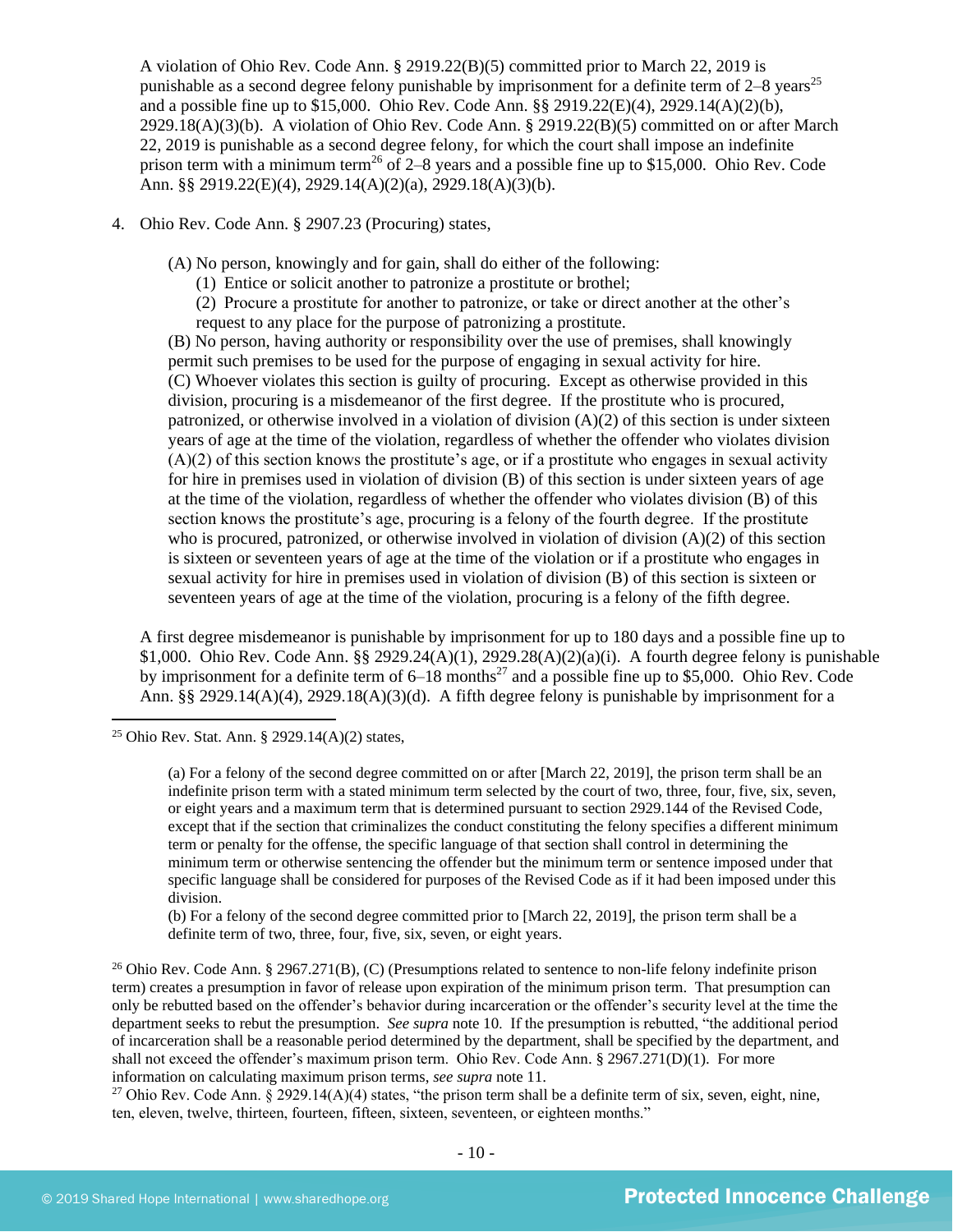A violation of Ohio Rev. Code Ann. § 2919.22(B)(5) committed prior to March 22, 2019 is punishable as a second degree felony punishable by imprisonment for a definite term of  $2-8$  years<sup>25</sup> and a possible fine up to \$15,000. Ohio Rev. Code Ann. §§ 2919.22(E)(4), 2929.14(A)(2)(b), 2929.18(A)(3)(b). A violation of Ohio Rev. Code Ann. § 2919.22(B)(5) committed on or after March 22, 2019 is punishable as a second degree felony, for which the court shall impose an indefinite prison term with a minimum term<sup>26</sup> of 2–8 years and a possible fine up to \$15,000. Ohio Rev. Code Ann. §§ 2919.22(E)(4), 2929.14(A)(2)(a), 2929.18(A)(3)(b).

4. Ohio Rev. Code Ann. § 2907.23 (Procuring) states,

(A) No person, knowingly and for gain, shall do either of the following:

<span id="page-9-1"></span>(1) Entice or solicit another to patronize a prostitute or brothel;

(2) Procure a prostitute for another to patronize, or take or direct another at the other's request to any place for the purpose of patronizing a prostitute.

(B) No person, having authority or responsibility over the use of premises, shall knowingly permit such premises to be used for the purpose of engaging in sexual activity for hire. (C) Whoever violates this section is guilty of procuring. Except as otherwise provided in this division, procuring is a misdemeanor of the first degree. If the prostitute who is procured, patronized, or otherwise involved in a violation of division (A)(2) of this section is under sixteen years of age at the time of the violation, regardless of whether the offender who violates division (A)(2) of this section knows the prostitute's age, or if a prostitute who engages in sexual activity for hire in premises used in violation of division (B) of this section is under sixteen years of age at the time of the violation, regardless of whether the offender who violates division (B) of this section knows the prostitute's age, procuring is a felony of the fourth degree. If the prostitute who is procured, patronized, or otherwise involved in violation of division (A)(2) of this section is sixteen or seventeen years of age at the time of the violation or if a prostitute who engages in sexual activity for hire in premises used in violation of division (B) of this section is sixteen or seventeen years of age at the time of the violation, procuring is a felony of the fifth degree.

A first degree misdemeanor is punishable by imprisonment for up to 180 days and a possible fine up to \$1,000. Ohio Rev. Code Ann. §§ 2929.24(A)(1), 2929.28(A)(2)(a)(i). A fourth degree felony is punishable by imprisonment for a definite term of  $6-18$  months<sup>27</sup> and a possible fine up to \$5,000. Ohio Rev. Code Ann. §§ 2929.14(A)(4), 2929.18(A)(3)(d). A fifth degree felony is punishable by imprisonment for a

<sup>25</sup> Ohio Rev. Stat. Ann. § 2929.14(A)(2) states,

<span id="page-9-0"></span>(a) For a felony of the second degree committed on or after [March 22, 2019], the prison term shall be an indefinite prison term with a stated minimum term selected by the court of two, three, four, five, six, seven, or eight years and a maximum term that is determined pursuant to section 2929.144 of the Revised Code, except that if the section that criminalizes the conduct constituting the felony specifies a different minimum term or penalty for the offense, the specific language of that section shall control in determining the minimum term or otherwise sentencing the offender but the minimum term or sentence imposed under that specific language shall be considered for purposes of the Revised Code as if it had been imposed under this division.

(b) For a felony of the second degree committed prior to [March 22, 2019], the prison term shall be a definite term of two, three, four, five, six, seven, or eight years.

<sup>26</sup> Ohio Rev. Code Ann. § 2967.271(B), (C) (Presumptions related to sentence to non-life felony indefinite prison term) creates a presumption in favor of release upon expiration of the minimum prison term. That presumption can only be rebutted based on the offender's behavior during incarceration or the offender's security level at the time the department seeks to rebut the presumption. *See supra* not[e 10.](#page-3-0) If the presumption is rebutted, "the additional period of incarceration shall be a reasonable period determined by the department, shall be specified by the department, and shall not exceed the offender's maximum prison term. Ohio Rev. Code Ann. § 2967.271(D)(1). For more information on calculating maximum prison terms, *see supra* not[e 11.](#page-3-1)

<sup>27</sup> Ohio Rev. Code Ann. § 2929.14(A)(4) states, "the prison term shall be a definite term of six, seven, eight, nine, ten, eleven, twelve, thirteen, fourteen, fifteen, sixteen, seventeen, or eighteen months."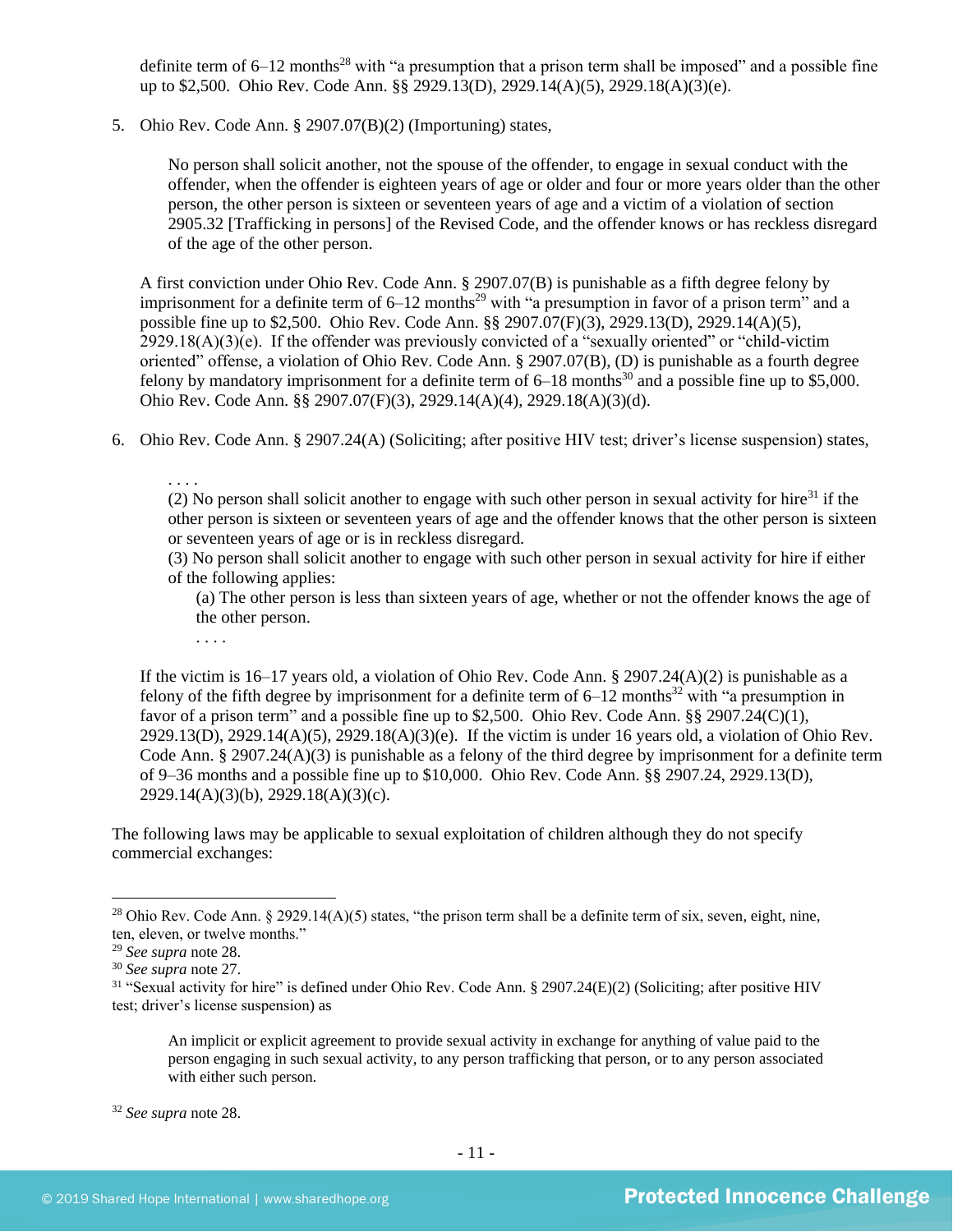<span id="page-10-0"></span>definite term of  $6-12$  months<sup>28</sup> with "a presumption that a prison term shall be imposed" and a possible fine up to \$2,500. Ohio Rev. Code Ann. §§ 2929.13(D), 2929.14(A)(5), 2929.18(A)(3)(e).

5. Ohio Rev. Code Ann. § 2907.07(B)(2) (Importuning) states,

No person shall solicit another, not the spouse of the offender, to engage in sexual conduct with the offender, when the offender is eighteen years of age or older and four or more years older than the other person, the other person is sixteen or seventeen years of age and a victim of a violation of section 2905.32 [Trafficking in persons] of the Revised Code, and the offender knows or has reckless disregard of the age of the other person.

A first conviction under Ohio Rev. Code Ann. § 2907.07(B) is punishable as a fifth degree felony by imprisonment for a definite term of  $6-12$  months<sup>29</sup> with "a presumption in favor of a prison term" and a possible fine up to \$2,500. Ohio Rev. Code Ann. §§ 2907.07(F)(3), 2929.13(D), 2929.14(A)(5),  $2929.18(A)(3)(e)$ . If the offender was previously convicted of a "sexually oriented" or "child-victim oriented" offense, a violation of Ohio Rev. Code Ann. § 2907.07(B), (D) is punishable as a fourth degree felony by mandatory imprisonment for a definite term of  $6-18$  months<sup>30</sup> and a possible fine up to \$5,000. Ohio Rev. Code Ann. §§ 2907.07(F)(3), 2929.14(A)(4), 2929.18(A)(3)(d).

6. Ohio Rev. Code Ann. § 2907.24(A) (Soliciting; after positive HIV test; driver's license suspension) states,

. . . .

(2) No person shall solicit another to engage with such other person in sexual activity for hire $31$  if the other person is sixteen or seventeen years of age and the offender knows that the other person is sixteen or seventeen years of age or is in reckless disregard.

(3) No person shall solicit another to engage with such other person in sexual activity for hire if either of the following applies:

(a) The other person is less than sixteen years of age, whether or not the offender knows the age of the other person.

. . . .

If the victim is 16–17 years old, a violation of Ohio Rev. Code Ann. § 2907.24(A)(2) is punishable as a felony of the fifth degree by imprisonment for a definite term of  $6-12$  months<sup>32</sup> with "a presumption in favor of a prison term" and a possible fine up to \$2,500. Ohio Rev. Code Ann. §§ 2907.24(C)(1), 2929.13(D), 2929.14(A)(5), 2929.18(A)(3)(e). If the victim is under 16 years old, a violation of Ohio Rev. Code Ann. § 2907.24(A)(3) is punishable as a felony of the third degree by imprisonment for a definite term of 9–36 months and a possible fine up to \$10,000. Ohio Rev. Code Ann. §§ 2907.24, 2929.13(D), 2929.14(A)(3)(b), 2929.18(A)(3)(c).

The following laws may be applicable to sexual exploitation of children although they do not specify commercial exchanges:

An implicit or explicit agreement to provide sexual activity in exchange for anything of value paid to the person engaging in such sexual activity, to any person trafficking that person, or to any person associated with either such person.

<sup>&</sup>lt;sup>28</sup> Ohio Rev. Code Ann. § 2929.14(A)(5) states, "the prison term shall be a definite term of six, seven, eight, nine, ten, eleven, or twelve months."

<sup>29</sup> *See supra* note [28.](#page-10-0)

<sup>30</sup> *See supra* note [27.](#page-9-0)

<sup>&</sup>lt;sup>31</sup> "Sexual activity for hire" is defined under Ohio Rev. Code Ann. § 2907.24(E)(2) (Soliciting; after positive HIV test; driver's license suspension) as

<sup>32</sup> *See supra* note [28.](#page-10-0)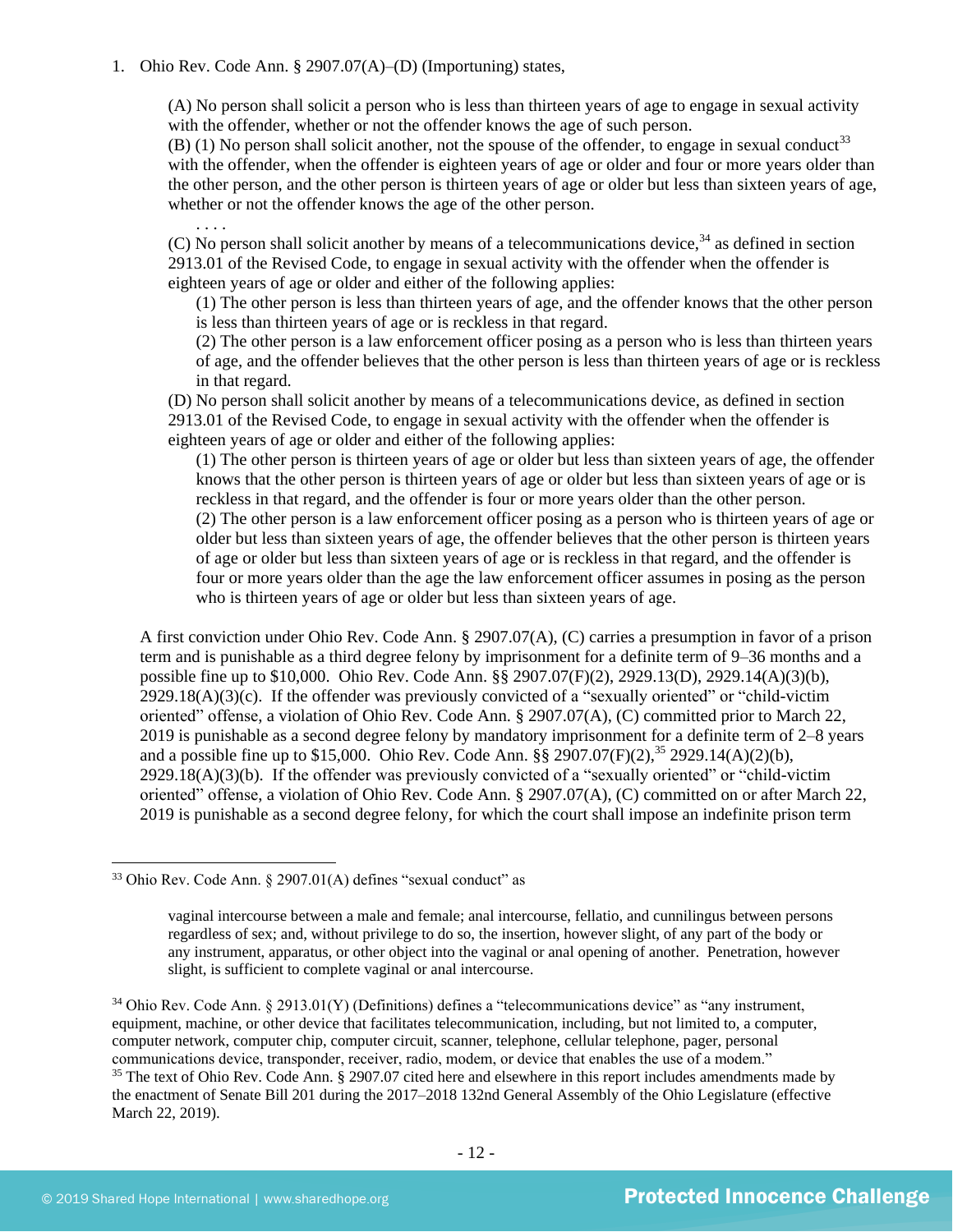#### 1. Ohio Rev. Code Ann. § 2907.07(A)–(D) (Importuning) states,

(A) No person shall solicit a person who is less than thirteen years of age to engage in sexual activity with the offender, whether or not the offender knows the age of such person.

 $(B)$  (1) No person shall solicit another, not the spouse of the offender, to engage in sexual conduct<sup>33</sup> with the offender, when the offender is eighteen years of age or older and four or more years older than the other person, and the other person is thirteen years of age or older but less than sixteen years of age, whether or not the offender knows the age of the other person.

. . . . (C) No person shall solicit another by means of a telecommunications device,  $34$  as defined in section 2913.01 of the Revised Code, to engage in sexual activity with the offender when the offender is eighteen years of age or older and either of the following applies:

(1) The other person is less than thirteen years of age, and the offender knows that the other person is less than thirteen years of age or is reckless in that regard.

(2) The other person is a law enforcement officer posing as a person who is less than thirteen years of age, and the offender believes that the other person is less than thirteen years of age or is reckless in that regard.

(D) No person shall solicit another by means of a telecommunications device, as defined in section 2913.01 of the Revised Code, to engage in sexual activity with the offender when the offender is eighteen years of age or older and either of the following applies:

(1) The other person is thirteen years of age or older but less than sixteen years of age, the offender knows that the other person is thirteen years of age or older but less than sixteen years of age or is reckless in that regard, and the offender is four or more years older than the other person. (2) The other person is a law enforcement officer posing as a person who is thirteen years of age or older but less than sixteen years of age, the offender believes that the other person is thirteen years of age or older but less than sixteen years of age or is reckless in that regard, and the offender is four or more years older than the age the law enforcement officer assumes in posing as the person who is thirteen years of age or older but less than sixteen years of age.

A first conviction under Ohio Rev. Code Ann. § 2907.07(A), (C) carries a presumption in favor of a prison term and is punishable as a third degree felony by imprisonment for a definite term of 9–36 months and a possible fine up to \$10,000. Ohio Rev. Code Ann. §§ 2907.07(F)(2), 2929.13(D), 2929.14(A)(3)(b),  $2929.18(A)(3)(c)$ . If the offender was previously convicted of a "sexually oriented" or "child-victim" oriented" offense, a violation of Ohio Rev. Code Ann. § 2907.07(A), (C) committed prior to March 22, 2019 is punishable as a second degree felony by mandatory imprisonment for a definite term of 2–8 years and a possible fine up to \$15,000. Ohio Rev. Code Ann.  $\S$ § 2907.07(F)(2),<sup>35</sup> 2929.14(A)(2)(b),  $2929.18(A)(3)(b)$ . If the offender was previously convicted of a "sexually oriented" or "child-victim" oriented" offense, a violation of Ohio Rev. Code Ann. § 2907.07(A), (C) committed on or after March 22, 2019 is punishable as a second degree felony, for which the court shall impose an indefinite prison term

 $33$  Ohio Rev. Code Ann. § 2907.01(A) defines "sexual conduct" as

vaginal intercourse between a male and female; anal intercourse, fellatio, and cunnilingus between persons regardless of sex; and, without privilege to do so, the insertion, however slight, of any part of the body or any instrument, apparatus, or other object into the vaginal or anal opening of another. Penetration, however slight, is sufficient to complete vaginal or anal intercourse.

<sup>34</sup> Ohio Rev. Code Ann. § 2913.01(Y) (Definitions) defines a "telecommunications device" as "any instrument, equipment, machine, or other device that facilitates telecommunication, including, but not limited to, a computer, computer network, computer chip, computer circuit, scanner, telephone, cellular telephone, pager, personal communications device, transponder, receiver, radio, modem, or device that enables the use of a modem." <sup>35</sup> The text of Ohio Rev. Code Ann. § 2907.07 cited here and elsewhere in this report includes amendments made by the enactment of Senate Bill 201 during the 2017–2018 132nd General Assembly of the Ohio Legislature (effective March 22, 2019).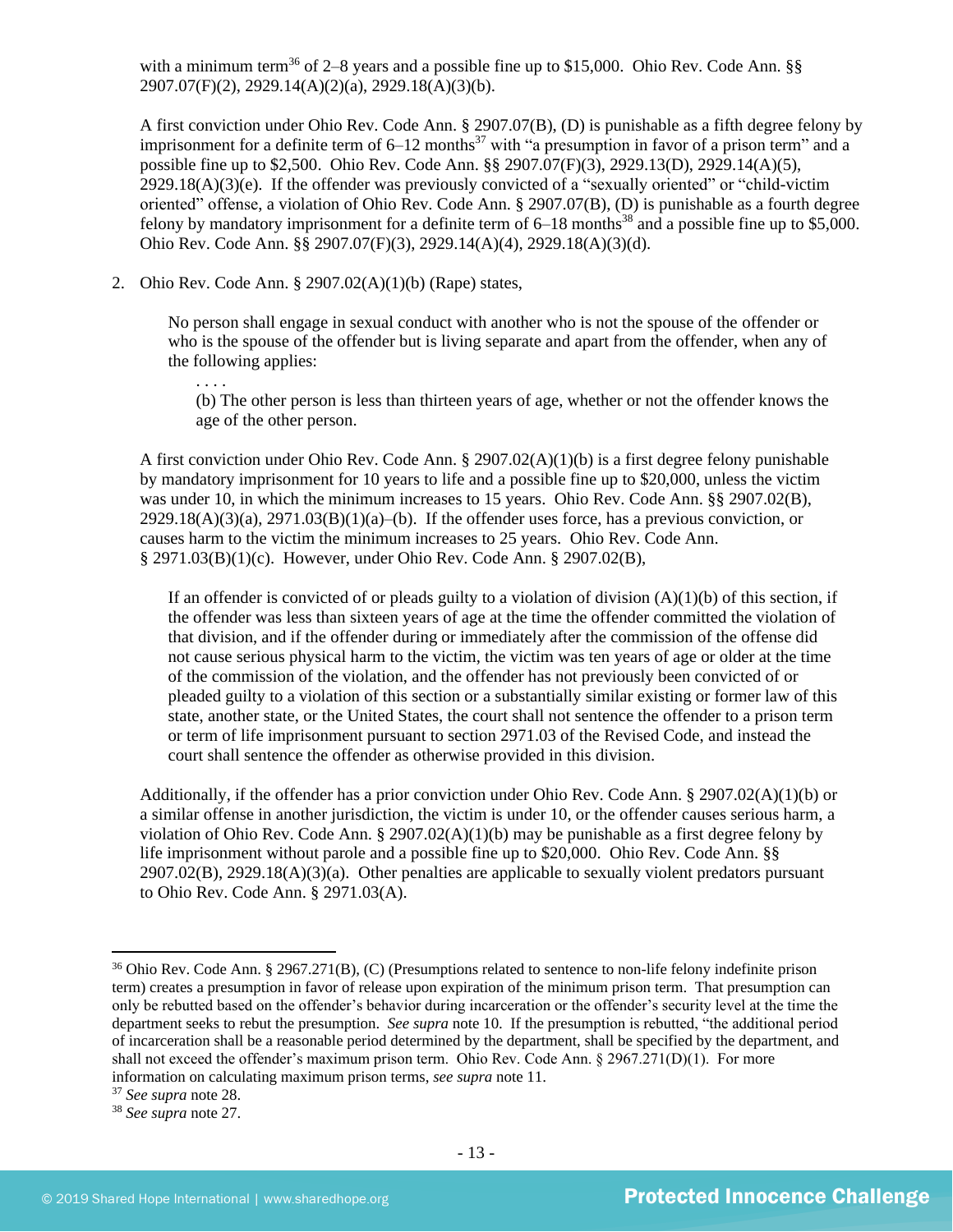with a minimum term<sup>36</sup> of 2–8 years and a possible fine up to \$15,000. Ohio Rev. Code Ann. §§ 2907.07(F)(2), 2929.14(A)(2)(a), 2929.18(A)(3)(b).

A first conviction under Ohio Rev. Code Ann. § 2907.07(B), (D) is punishable as a fifth degree felony by imprisonment for a definite term of  $6-12$  months<sup>37</sup> with "a presumption in favor of a prison term" and a possible fine up to \$2,500. Ohio Rev. Code Ann. §§ 2907.07(F)(3), 2929.13(D), 2929.14(A)(5),  $2929.18(A)(3)(e)$ . If the offender was previously convicted of a "sexually oriented" or "child-victim" oriented" offense, a violation of Ohio Rev. Code Ann. § 2907.07(B), (D) is punishable as a fourth degree felony by mandatory imprisonment for a definite term of  $6-18$  months<sup>38</sup> and a possible fine up to \$5,000. Ohio Rev. Code Ann. §§ 2907.07(F)(3), 2929.14(A)(4), 2929.18(A)(3)(d).

2. Ohio Rev. Code Ann. § 2907.02(A)(1)(b) (Rape) states,

. . . .

No person shall engage in sexual conduct with another who is not the spouse of the offender or who is the spouse of the offender but is living separate and apart from the offender, when any of the following applies:

(b) The other person is less than thirteen years of age, whether or not the offender knows the age of the other person.

A first conviction under Ohio Rev. Code Ann. § 2907.02(A)(1)(b) is a first degree felony punishable by mandatory imprisonment for 10 years to life and a possible fine up to \$20,000, unless the victim was under 10, in which the minimum increases to 15 years. Ohio Rev. Code Ann. §§ 2907.02(B),  $2929.18(A)(3)(a)$ ,  $2971.03(B)(1)(a)$ –(b). If the offender uses force, has a previous conviction, or causes harm to the victim the minimum increases to 25 years. Ohio Rev. Code Ann. § 2971.03(B)(1)(c). However, under Ohio Rev. Code Ann. § 2907.02(B),

If an offender is convicted of or pleads guilty to a violation of division  $(A)(1)(b)$  of this section, if the offender was less than sixteen years of age at the time the offender committed the violation of that division, and if the offender during or immediately after the commission of the offense did not cause serious physical harm to the victim, the victim was ten years of age or older at the time of the commission of the violation, and the offender has not previously been convicted of or pleaded guilty to a violation of this section or a substantially similar existing or former law of this state, another state, or the United States, the court shall not sentence the offender to a prison term or term of life imprisonment pursuant to section 2971.03 of the Revised Code, and instead the court shall sentence the offender as otherwise provided in this division.

Additionally, if the offender has a prior conviction under Ohio Rev. Code Ann. § 2907.02(A)(1)(b) or a similar offense in another jurisdiction, the victim is under 10, or the offender causes serious harm, a violation of Ohio Rev. Code Ann. § 2907.02(A)(1)(b) may be punishable as a first degree felony by life imprisonment without parole and a possible fine up to \$20,000. Ohio Rev. Code Ann. §§ 2907.02(B), 2929.18(A)(3)(a). Other penalties are applicable to sexually violent predators pursuant to Ohio Rev. Code Ann. § 2971.03(A).

<sup>36</sup> Ohio Rev. Code Ann. § 2967.271(B), (C) (Presumptions related to sentence to non-life felony indefinite prison term) creates a presumption in favor of release upon expiration of the minimum prison term. That presumption can only be rebutted based on the offender's behavior during incarceration or the offender's security level at the time the department seeks to rebut the presumption. *See supra* not[e 10.](#page-3-0) If the presumption is rebutted, "the additional period of incarceration shall be a reasonable period determined by the department, shall be specified by the department, and shall not exceed the offender's maximum prison term. Ohio Rev. Code Ann. § 2967.271(D)(1). For more information on calculating maximum prison terms, *see supra* not[e 11.](#page-3-1)

<sup>37</sup> *See supra* note [28.](#page-10-0)

<sup>38</sup> *See supra* note [27.](#page-9-0)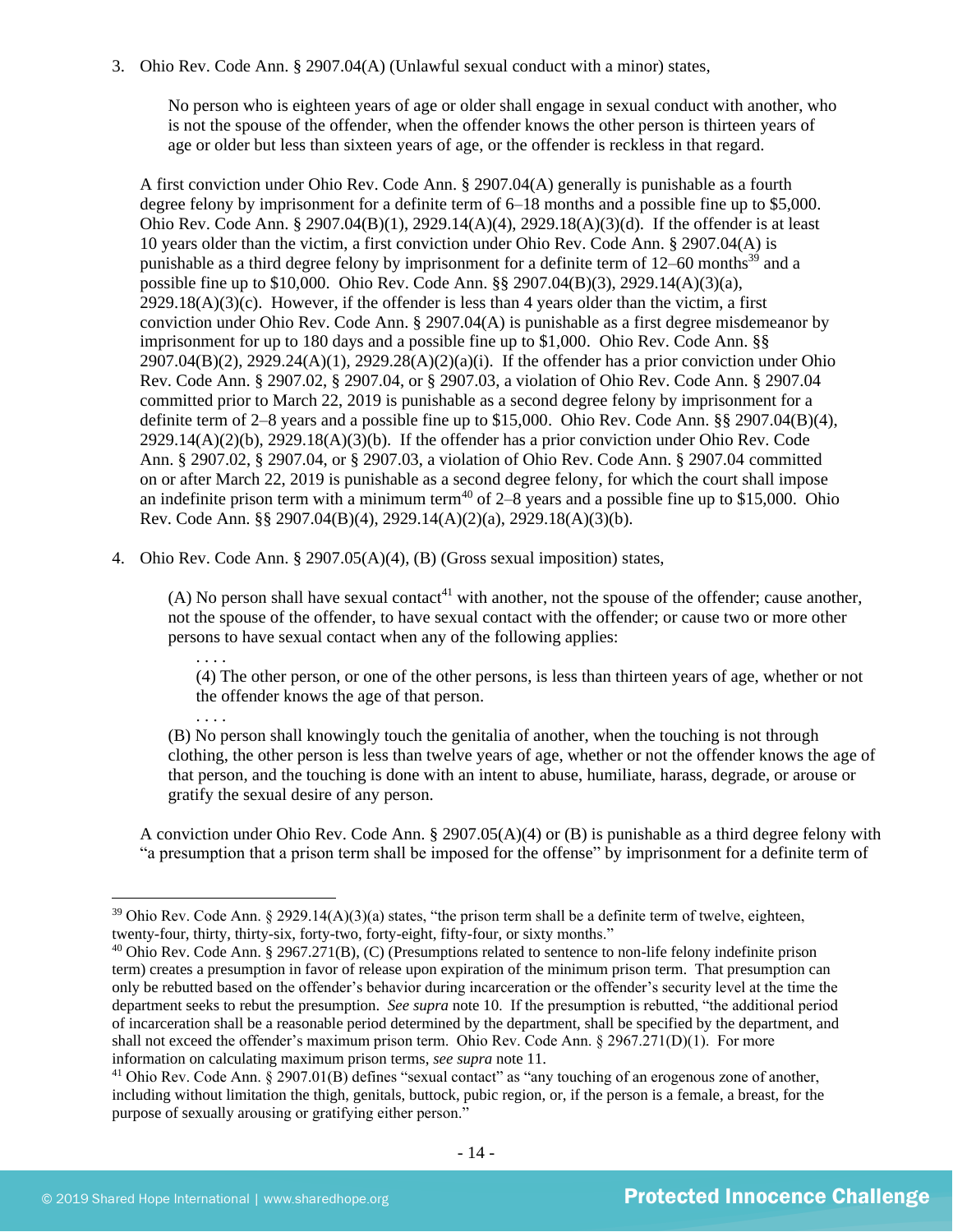3. Ohio Rev. Code Ann. § 2907.04(A) (Unlawful sexual conduct with a minor) states,

No person who is eighteen years of age or older shall engage in sexual conduct with another, who is not the spouse of the offender, when the offender knows the other person is thirteen years of age or older but less than sixteen years of age, or the offender is reckless in that regard.

A first conviction under Ohio Rev. Code Ann. § 2907.04(A) generally is punishable as a fourth degree felony by imprisonment for a definite term of 6–18 months and a possible fine up to \$5,000. Ohio Rev. Code Ann. § 2907.04(B)(1), 2929.14(A)(4), 2929.18(A)(3)(d). If the offender is at least 10 years older than the victim, a first conviction under Ohio Rev. Code Ann. § 2907.04(A) is punishable as a third degree felony by imprisonment for a definite term of  $12-60$  months<sup>39</sup> and a possible fine up to \$10,000. Ohio Rev. Code Ann. §§ 2907.04(B)(3), 2929.14(A)(3)(a),  $2929.18(A)(3)(c)$ . However, if the offender is less than 4 years older than the victim, a first conviction under Ohio Rev. Code Ann. § 2907.04(A) is punishable as a first degree misdemeanor by imprisonment for up to 180 days and a possible fine up to \$1,000. Ohio Rev. Code Ann. §§  $2907.04(B)(2)$ ,  $2929.24(A)(1)$ ,  $2929.28(A)(2)(a)(i)$ . If the offender has a prior conviction under Ohio Rev. Code Ann. § 2907.02, § 2907.04, or § 2907.03, a violation of Ohio Rev. Code Ann. § 2907.04 committed prior to March 22, 2019 is punishable as a second degree felony by imprisonment for a definite term of 2–8 years and a possible fine up to \$15,000. Ohio Rev. Code Ann. §§ 2907.04(B)(4),  $2929.14(A)(2)(b)$ ,  $2929.18(A)(3)(b)$ . If the offender has a prior conviction under Ohio Rev. Code Ann. § 2907.02, § 2907.04, or § 2907.03, a violation of Ohio Rev. Code Ann. § 2907.04 committed on or after March 22, 2019 is punishable as a second degree felony, for which the court shall impose an indefinite prison term with a minimum term<sup>40</sup> of  $2-8$  years and a possible fine up to \$15,000. Ohio Rev. Code Ann. §§ 2907.04(B)(4), 2929.14(A)(2)(a), 2929.18(A)(3)(b).

4. Ohio Rev. Code Ann. § 2907.05(A)(4), (B) (Gross sexual imposition) states,

(A) No person shall have sexual contact<sup>41</sup> with another, not the spouse of the offender; cause another, not the spouse of the offender, to have sexual contact with the offender; or cause two or more other persons to have sexual contact when any of the following applies:

(4) The other person, or one of the other persons, is less than thirteen years of age, whether or not the offender knows the age of that person.

(B) No person shall knowingly touch the genitalia of another, when the touching is not through clothing, the other person is less than twelve years of age, whether or not the offender knows the age of that person, and the touching is done with an intent to abuse, humiliate, harass, degrade, or arouse or gratify the sexual desire of any person.

A conviction under Ohio Rev. Code Ann. § 2907.05(A)(4) or (B) is punishable as a third degree felony with "a presumption that a prison term shall be imposed for the offense" by imprisonment for a definite term of

. . . .

. . . .

<sup>&</sup>lt;sup>39</sup> Ohio Rev. Code Ann. § 2929.14(A)(3)(a) states, "the prison term shall be a definite term of twelve, eighteen, twenty-four, thirty, thirty-six, forty-two, forty-eight, fifty-four, or sixty months."

<sup>40</sup> Ohio Rev. Code Ann. § 2967.271(B), (C) (Presumptions related to sentence to non-life felony indefinite prison term) creates a presumption in favor of release upon expiration of the minimum prison term. That presumption can only be rebutted based on the offender's behavior during incarceration or the offender's security level at the time the department seeks to rebut the presumption. *See supra* not[e 10.](#page-3-0) If the presumption is rebutted, "the additional period of incarceration shall be a reasonable period determined by the department, shall be specified by the department, and shall not exceed the offender's maximum prison term. Ohio Rev. Code Ann. § 2967.271(D)(1). For more information on calculating maximum prison terms, *see supra* not[e 11.](#page-3-1)

<sup>&</sup>lt;sup>41</sup> Ohio Rev. Code Ann. § 2907.01(B) defines "sexual contact" as "any touching of an erogenous zone of another, including without limitation the thigh, genitals, buttock, pubic region, or, if the person is a female, a breast, for the purpose of sexually arousing or gratifying either person."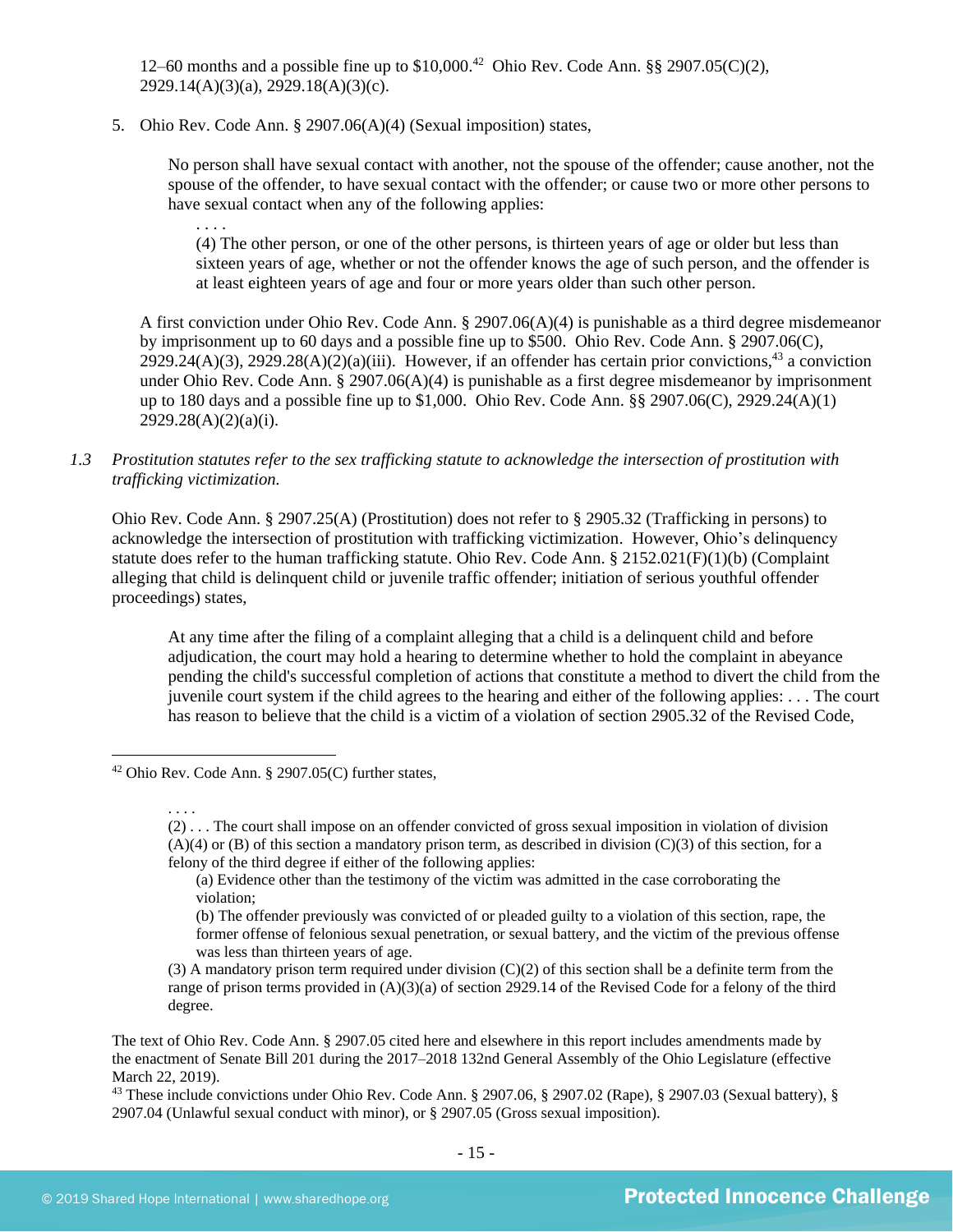12–60 months and a possible fine up to  $$10,000.<sup>42</sup>$  Ohio Rev. Code Ann. §§ 2907.05(C)(2), 2929.14(A)(3)(a), 2929.18(A)(3)(c).

## 5. Ohio Rev. Code Ann. § 2907.06(A)(4) (Sexual imposition) states,

No person shall have sexual contact with another, not the spouse of the offender; cause another, not the spouse of the offender, to have sexual contact with the offender; or cause two or more other persons to have sexual contact when any of the following applies:

. . . . (4) The other person, or one of the other persons, is thirteen years of age or older but less than sixteen years of age, whether or not the offender knows the age of such person, and the offender is at least eighteen years of age and four or more years older than such other person.

A first conviction under Ohio Rev. Code Ann. § 2907.06(A)(4) is punishable as a third degree misdemeanor by imprisonment up to 60 days and a possible fine up to \$500. Ohio Rev. Code Ann. § 2907.06(C), 2929.24(A)(3), 2929.28(A)(2)(a)(iii). However, if an offender has certain prior convictions,<sup>43</sup> a conviction under Ohio Rev. Code Ann. § 2907.06(A)(4) is punishable as a first degree misdemeanor by imprisonment up to 180 days and a possible fine up to \$1,000. Ohio Rev. Code Ann. §§ 2907.06(C), 2929.24(A)(1) 2929.28(A)(2)(a)(i).

*1.3 Prostitution statutes refer to the sex trafficking statute to acknowledge the intersection of prostitution with trafficking victimization.* 

Ohio Rev. Code Ann. § 2907.25(A) (Prostitution) does not refer to § 2905.32 (Trafficking in persons) to acknowledge the intersection of prostitution with trafficking victimization. However, Ohio's delinquency statute does refer to the human trafficking statute. Ohio Rev. Code Ann. § 2152.021(F)(1)(b) (Complaint alleging that child is delinquent child or juvenile traffic offender; initiation of serious youthful offender proceedings) states,

At any time after the filing of a complaint alleging that a child is a delinquent child and before adjudication, the court may hold a hearing to determine whether to hold the complaint in abeyance pending the child's successful completion of actions that constitute a method to divert the child from the juvenile court system if the child agrees to the hearing and either of the following applies: . . . The court has reason to believe that the child is a victim of a violation of section 2905.32 of the Revised Code,

<sup>42</sup> Ohio Rev. Code Ann. § 2907.05(C) further states,

<sup>. . . .</sup> (2) . . . The court shall impose on an offender convicted of gross sexual imposition in violation of division (A)(4) or (B) of this section a mandatory prison term, as described in division (C)(3) of this section, for a felony of the third degree if either of the following applies:

<sup>(</sup>a) Evidence other than the testimony of the victim was admitted in the case corroborating the violation;

<sup>(</sup>b) The offender previously was convicted of or pleaded guilty to a violation of this section, rape, the former offense of felonious sexual penetration, or sexual battery, and the victim of the previous offense was less than thirteen years of age.

<sup>(3)</sup> A mandatory prison term required under division (C)(2) of this section shall be a definite term from the range of prison terms provided in (A)(3)(a) of section 2929.14 of the Revised Code for a felony of the third degree.

The text of Ohio Rev. Code Ann. § 2907.05 cited here and elsewhere in this report includes amendments made by the enactment of Senate Bill 201 during the 2017–2018 132nd General Assembly of the Ohio Legislature (effective March 22, 2019).

<sup>&</sup>lt;sup>43</sup> These include convictions under Ohio Rev. Code Ann. § 2907.06, § 2907.02 (Rape), § 2907.03 (Sexual battery), § 2907.04 (Unlawful sexual conduct with minor), or § 2907.05 (Gross sexual imposition).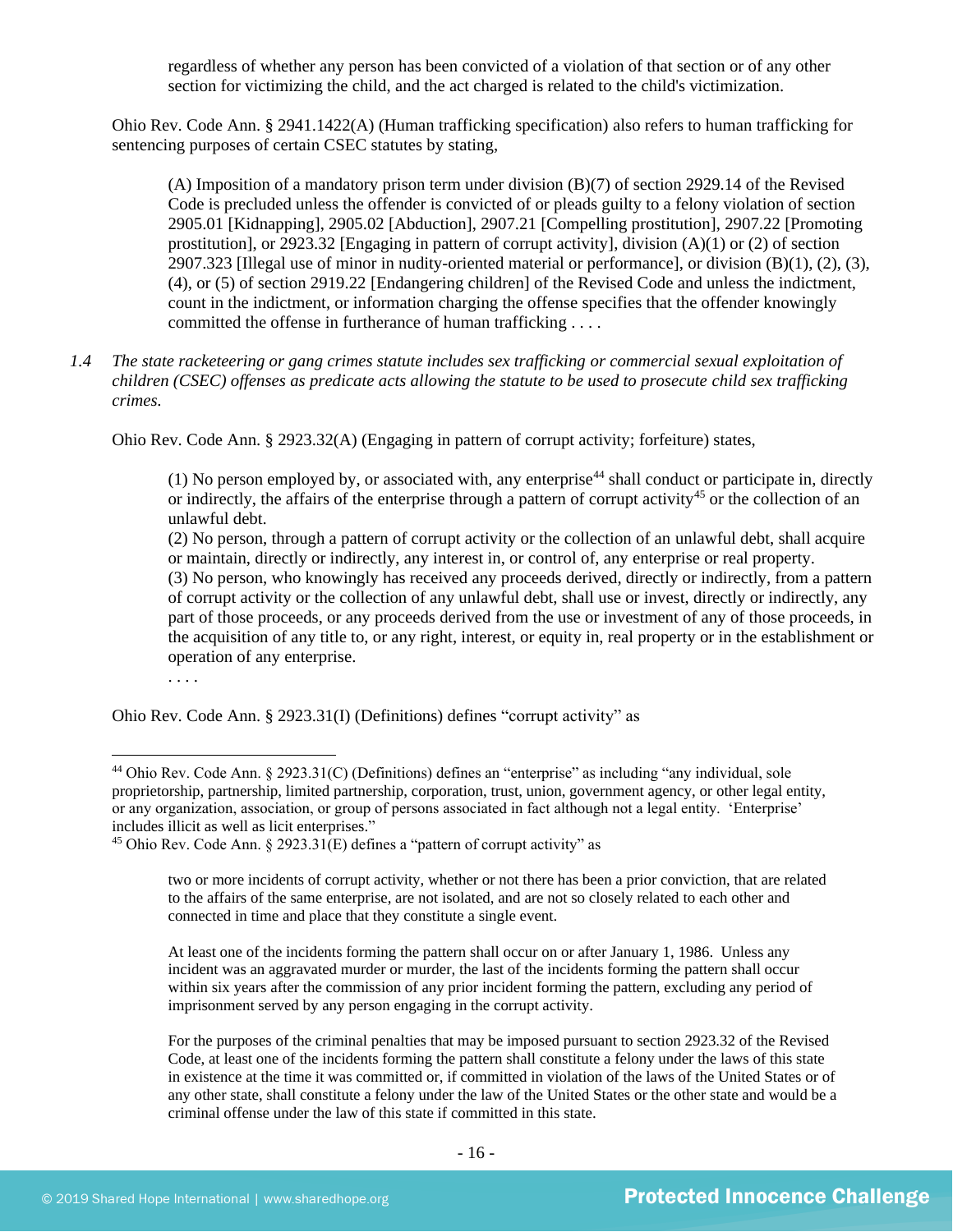regardless of whether any person has been convicted of a violation of that section or of any other section for victimizing the child, and the act charged is related to the child's victimization.

Ohio Rev. Code Ann. § 2941.1422(A) (Human trafficking specification) also refers to human trafficking for sentencing purposes of certain CSEC statutes by stating,

(A) Imposition of a mandatory prison term under division (B)(7) of section 2929.14 of the Revised Code is precluded unless the offender is convicted of or pleads guilty to a felony violation of section 2905.01 [Kidnapping], 2905.02 [Abduction], 2907.21 [Compelling prostitution], 2907.22 [Promoting prostitution], or 2923.32 [Engaging in pattern of corrupt activity], division (A)(1) or (2) of section 2907.323 [Illegal use of minor in nudity-oriented material or performance], or division  $(B)(1)$ ,  $(2)$ ,  $(3)$ , (4), or (5) of section 2919.22 [Endangering children] of the Revised Code and unless the indictment, count in the indictment, or information charging the offense specifies that the offender knowingly committed the offense in furtherance of human trafficking . . . .

*1.4 The state racketeering or gang crimes statute includes sex trafficking or commercial sexual exploitation of children (CSEC) offenses as predicate acts allowing the statute to be used to prosecute child sex trafficking crimes.* 

Ohio Rev. Code Ann. § 2923.32(A) (Engaging in pattern of corrupt activity; forfeiture) states,

(1) No person employed by, or associated with, any enterprise<sup>44</sup> shall conduct or participate in, directly or indirectly, the affairs of the enterprise through a pattern of corrupt activity<sup>45</sup> or the collection of an unlawful debt.

(2) No person, through a pattern of corrupt activity or the collection of an unlawful debt, shall acquire or maintain, directly or indirectly, any interest in, or control of, any enterprise or real property.

(3) No person, who knowingly has received any proceeds derived, directly or indirectly, from a pattern of corrupt activity or the collection of any unlawful debt, shall use or invest, directly or indirectly, any part of those proceeds, or any proceeds derived from the use or investment of any of those proceeds, in the acquisition of any title to, or any right, interest, or equity in, real property or in the establishment or operation of any enterprise.

. . . .

Ohio Rev. Code Ann. § 2923.31(I) (Definitions) defines "corrupt activity" as

At least one of the incidents forming the pattern shall occur on or after January 1, 1986. Unless any incident was an aggravated murder or murder, the last of the incidents forming the pattern shall occur within six years after the commission of any prior incident forming the pattern, excluding any period of imprisonment served by any person engaging in the corrupt activity.

For the purposes of the criminal penalties that may be imposed pursuant to section 2923.32 of the Revised Code, at least one of the incidents forming the pattern shall constitute a felony under the laws of this state in existence at the time it was committed or, if committed in violation of the laws of the United States or of any other state, shall constitute a felony under the law of the United States or the other state and would be a criminal offense under the law of this state if committed in this state.

<sup>44</sup> Ohio Rev. Code Ann. § 2923.31(C) (Definitions) defines an "enterprise" as including "any individual, sole proprietorship, partnership, limited partnership, corporation, trust, union, government agency, or other legal entity, or any organization, association, or group of persons associated in fact although not a legal entity. 'Enterprise' includes illicit as well as licit enterprises."

<sup>45</sup> Ohio Rev. Code Ann. § 2923.31(E) defines a "pattern of corrupt activity" as

two or more incidents of corrupt activity, whether or not there has been a prior conviction, that are related to the affairs of the same enterprise, are not isolated, and are not so closely related to each other and connected in time and place that they constitute a single event.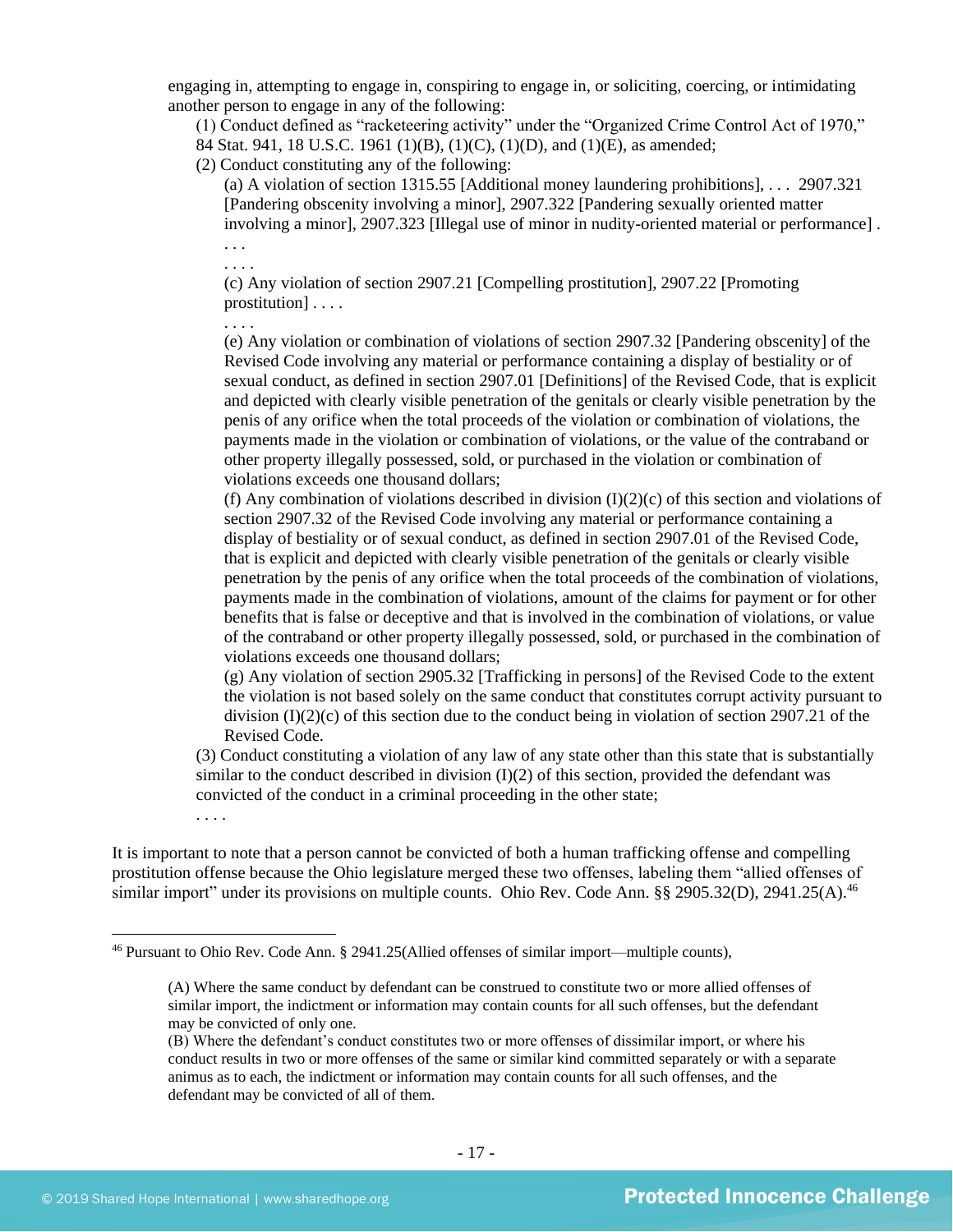engaging in, attempting to engage in, conspiring to engage in, or soliciting, coercing, or intimidating another person to engage in any of the following:

(1) Conduct defined as "racketeering activity" under the "Organized Crime Control Act of 1970," 84 Stat. 941, 18 U.S.C. 1961 (1)(B), (1)(C), (1)(D), and (1)(E), as amended;

(2) Conduct constituting any of the following:

(a) A violation of section 1315.55 [Additional money laundering prohibitions], . . . 2907.321 [Pandering obscenity involving a minor], 2907.322 [Pandering sexually oriented matter involving a minor], 2907.323 [Illegal use of minor in nudity-oriented material or performance] . . . .

. . . .

(c) Any violation of section 2907.21 [Compelling prostitution], 2907.22 [Promoting prostitution] . . . .

. . . .

(e) Any violation or combination of violations of section 2907.32 [Pandering obscenity] of the Revised Code involving any material or performance containing a display of bestiality or of sexual conduct, as defined in section 2907.01 [Definitions] of the Revised Code, that is explicit and depicted with clearly visible penetration of the genitals or clearly visible penetration by the penis of any orifice when the total proceeds of the violation or combination of violations, the payments made in the violation or combination of violations, or the value of the contraband or other property illegally possessed, sold, or purchased in the violation or combination of violations exceeds one thousand dollars;

(f) Any combination of violations described in division (I)(2)(c) of this section and violations of section 2907.32 of the Revised Code involving any material or performance containing a display of bestiality or of sexual conduct, as defined in section 2907.01 of the Revised Code, that is explicit and depicted with clearly visible penetration of the genitals or clearly visible penetration by the penis of any orifice when the total proceeds of the combination of violations, payments made in the combination of violations, amount of the claims for payment or for other benefits that is false or deceptive and that is involved in the combination of violations, or value of the contraband or other property illegally possessed, sold, or purchased in the combination of violations exceeds one thousand dollars;

(g) Any violation of section 2905.32 [Trafficking in persons] of the Revised Code to the extent the violation is not based solely on the same conduct that constitutes corrupt activity pursuant to division  $(I)(2)(c)$  of this section due to the conduct being in violation of section 2907.21 of the Revised Code.

(3) Conduct constituting a violation of any law of any state other than this state that is substantially similar to the conduct described in division  $(I)(2)$  of this section, provided the defendant was convicted of the conduct in a criminal proceeding in the other state;

It is important to note that a person cannot be convicted of both a human trafficking offense and compelling prostitution offense because the Ohio legislature merged these two offenses, labeling them "allied offenses of similar import" under its provisions on multiple counts. Ohio Rev. Code Ann. §§ 2905.32(D), 2941.25(A).<sup>46</sup>

. . . .

<sup>46</sup> Pursuant to Ohio Rev. Code Ann. § 2941.25(Allied offenses of similar import—multiple counts),

<sup>(</sup>A) Where the same conduct by defendant can be construed to constitute two or more allied offenses of similar import, the indictment or information may contain counts for all such offenses, but the defendant may be convicted of only one.

<sup>(</sup>B) Where the defendant's conduct constitutes two or more offenses of dissimilar import, or where his conduct results in two or more offenses of the same or similar kind committed separately or with a separate animus as to each, the indictment or information may contain counts for all such offenses, and the defendant may be convicted of all of them.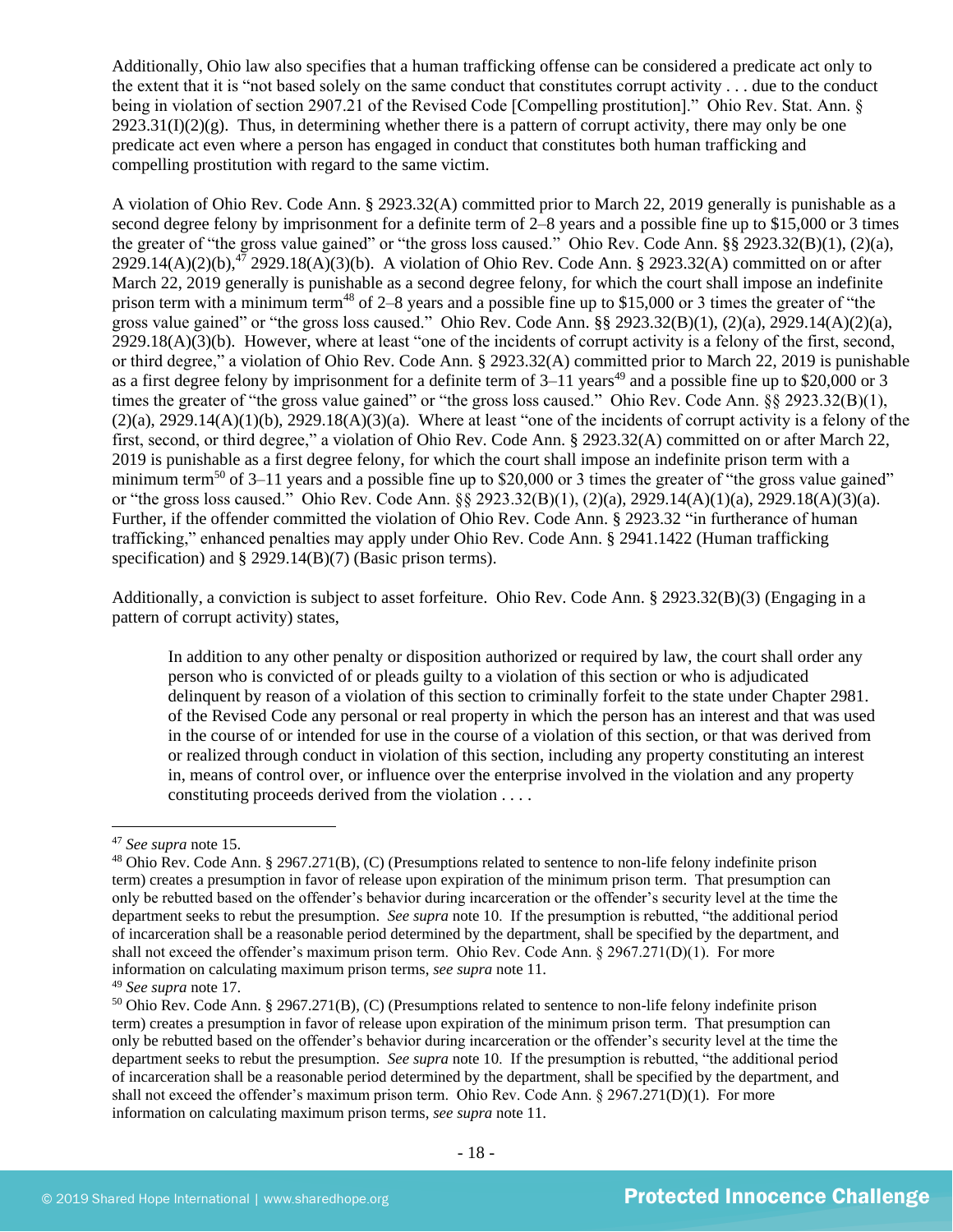Additionally, Ohio law also specifies that a human trafficking offense can be considered a predicate act only to the extent that it is "not based solely on the same conduct that constitutes corrupt activity . . . due to the conduct being in violation of section 2907.21 of the Revised Code [Compelling prostitution]." Ohio Rev. Stat. Ann. §  $2923.31(I)(2)(g)$ . Thus, in determining whether there is a pattern of corrupt activity, there may only be one predicate act even where a person has engaged in conduct that constitutes both human trafficking and compelling prostitution with regard to the same victim.

A violation of Ohio Rev. Code Ann. § 2923.32(A) committed prior to March 22, 2019 generally is punishable as a second degree felony by imprisonment for a definite term of 2–8 years and a possible fine up to \$15,000 or 3 times the greater of "the gross value gained" or "the gross loss caused." Ohio Rev. Code Ann. §§ 2923.32(B)(1), (2)(a), 2929.14(A)(2)(b),<sup>47</sup> 2929.18(A)(3)(b). A violation of Ohio Rev. Code Ann. § 2923.32(A) committed on or after March 22, 2019 generally is punishable as a second degree felony, for which the court shall impose an indefinite prison term with a minimum term<sup>48</sup> of  $2-8$  years and a possible fine up to \$15,000 or 3 times the greater of "the gross value gained" or "the gross loss caused." Ohio Rev. Code Ann. §§ 2923.32(B)(1), (2)(a), 2929.14(A)(2)(a), 2929.18(A)(3)(b). However, where at least "one of the incidents of corrupt activity is a felony of the first, second, or third degree," a violation of Ohio Rev. Code Ann. § 2923.32(A) committed prior to March 22, 2019 is punishable as a first degree felony by imprisonment for a definite term of  $3-11$  years<sup>49</sup> and a possible fine up to \$20,000 or 3 times the greater of "the gross value gained" or "the gross loss caused." Ohio Rev. Code Ann. §§ 2923.32(B)(1),  $(2)(a)$ ,  $2929.14(A)(1)(b)$ ,  $2929.18(A)(3)(a)$ . Where at least "one of the incidents of corrupt activity is a felony of the first, second, or third degree," a violation of Ohio Rev. Code Ann. § 2923.32(A) committed on or after March 22, 2019 is punishable as a first degree felony, for which the court shall impose an indefinite prison term with a minimum term<sup>50</sup> of 3–11 years and a possible fine up to \$20,000 or 3 times the greater of "the gross value gained" or "the gross loss caused." Ohio Rev. Code Ann. §§ 2923.32(B)(1), (2)(a), 2929.14(A)(1)(a), 2929.18(A)(3)(a). Further, if the offender committed the violation of Ohio Rev. Code Ann. § 2923.32 "in furtherance of human trafficking," enhanced penalties may apply under Ohio Rev. Code Ann. § 2941.1422 (Human trafficking specification) and § 2929.14(B)(7) (Basic prison terms).

Additionally, a conviction is subject to asset forfeiture. Ohio Rev. Code Ann. § 2923.32(B)(3) (Engaging in a pattern of corrupt activity) states,

In addition to any other penalty or disposition authorized or required by law, the court shall order any person who is convicted of or pleads guilty to a violation of this section or who is adjudicated delinquent by reason of a violation of this section to criminally forfeit to the state under Chapter 2981. of the Revised Code any personal or real property in which the person has an interest and that was used in the course of or intended for use in the course of a violation of this section, or that was derived from or realized through conduct in violation of this section, including any property constituting an interest in, means of control over, or influence over the enterprise involved in the violation and any property constituting proceeds derived from the violation . . . .

<sup>47</sup> *See supra* note [15.](#page-5-0)

<sup>48</sup> Ohio Rev. Code Ann. § 2967.271(B), (C) (Presumptions related to sentence to non-life felony indefinite prison term) creates a presumption in favor of release upon expiration of the minimum prison term. That presumption can only be rebutted based on the offender's behavior during incarceration or the offender's security level at the time the department seeks to rebut the presumption. *See supra* not[e 10.](#page-3-0) If the presumption is rebutted, "the additional period of incarceration shall be a reasonable period determined by the department, shall be specified by the department, and shall not exceed the offender's maximum prison term. Ohio Rev. Code Ann. § 2967.271(D)(1). For more information on calculating maximum prison terms, *see supra* not[e 11.](#page-3-1)

<sup>49</sup> *See supra* note [17.](#page-5-1)

<sup>50</sup> Ohio Rev. Code Ann. § 2967.271(B), (C) (Presumptions related to sentence to non-life felony indefinite prison term) creates a presumption in favor of release upon expiration of the minimum prison term. That presumption can only be rebutted based on the offender's behavior during incarceration or the offender's security level at the time the department seeks to rebut the presumption. *See supra* not[e 10.](#page-3-0) If the presumption is rebutted, "the additional period of incarceration shall be a reasonable period determined by the department, shall be specified by the department, and shall not exceed the offender's maximum prison term. Ohio Rev. Code Ann. § 2967.271(D)(1). For more information on calculating maximum prison terms, *see supra* not[e 11.](#page-3-1)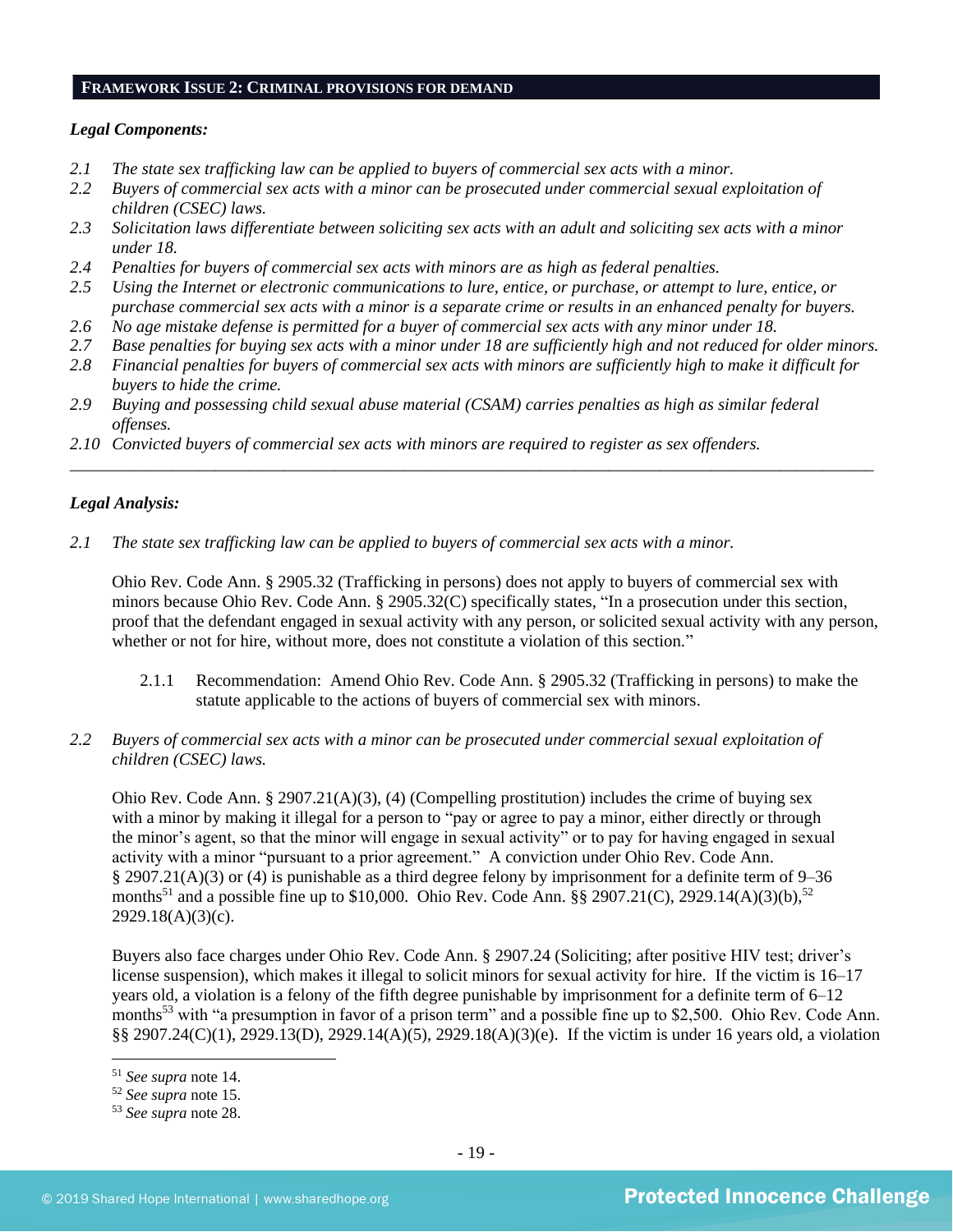#### **FRAMEWORK ISSUE 2: CRIMINAL PROVISIONS FOR DEMAND**

#### *Legal Components:*

- *2.1 The state sex trafficking law can be applied to buyers of commercial sex acts with a minor.*
- *2.2 Buyers of commercial sex acts with a minor can be prosecuted under commercial sexual exploitation of children (CSEC) laws.*
- *2.3 Solicitation laws differentiate between soliciting sex acts with an adult and soliciting sex acts with a minor under 18.*
- *2.4 Penalties for buyers of commercial sex acts with minors are as high as federal penalties.*
- *2.5 Using the Internet or electronic communications to lure, entice, or purchase, or attempt to lure, entice, or purchase commercial sex acts with a minor is a separate crime or results in an enhanced penalty for buyers.*
- *2.6 No age mistake defense is permitted for a buyer of commercial sex acts with any minor under 18.*
- *2.7 Base penalties for buying sex acts with a minor under 18 are sufficiently high and not reduced for older minors.*
- *2.8 Financial penalties for buyers of commercial sex acts with minors are sufficiently high to make it difficult for buyers to hide the crime.*

\_\_\_\_\_\_\_\_\_\_\_\_\_\_\_\_\_\_\_\_\_\_\_\_\_\_\_\_\_\_\_\_\_\_\_\_\_\_\_\_\_\_\_\_\_\_\_\_\_\_\_\_\_\_\_\_\_\_\_\_\_\_\_\_\_\_\_\_\_\_\_\_\_\_\_\_\_\_\_\_\_\_\_\_\_\_\_\_\_\_\_\_\_\_

- *2.9 Buying and possessing child sexual abuse material (CSAM) carries penalties as high as similar federal offenses.*
- *2.10 Convicted buyers of commercial sex acts with minors are required to register as sex offenders.*

## *Legal Analysis:*

*2.1 The state sex trafficking law can be applied to buyers of commercial sex acts with a minor.*

Ohio Rev. Code Ann. § 2905.32 (Trafficking in persons) does not apply to buyers of commercial sex with minors because Ohio Rev. Code Ann. § 2905.32(C) specifically states, "In a prosecution under this section, proof that the defendant engaged in sexual activity with any person, or solicited sexual activity with any person, whether or not for hire, without more, does not constitute a violation of this section."

- 2.1.1 Recommendation: Amend Ohio Rev. Code Ann. § 2905.32 (Trafficking in persons) to make the statute applicable to the actions of buyers of commercial sex with minors.
- *2.2 Buyers of commercial sex acts with a minor can be prosecuted under commercial sexual exploitation of children (CSEC) laws.*

Ohio Rev. Code Ann. § 2907.21(A)(3), (4) (Compelling prostitution) includes the crime of buying sex with a minor by making it illegal for a person to "pay or agree to pay a minor, either directly or through the minor's agent, so that the minor will engage in sexual activity" or to pay for having engaged in sexual activity with a minor "pursuant to a prior agreement." A conviction under Ohio Rev. Code Ann. § 2907.21(A)(3) or (4) is punishable as a third degree felony by imprisonment for a definite term of 9–36 months<sup>51</sup> and a possible fine up to \$10,000. Ohio Rev. Code Ann. §§ 2907.21(C), 2929.14(A)(3)(b),<sup>52</sup> 2929.18(A)(3)(c).

Buyers also face charges under Ohio Rev. Code Ann. § 2907.24 (Soliciting; after positive HIV test; driver's license suspension), which makes it illegal to solicit minors for sexual activity for hire. If the victim is 16–17 years old, a violation is a felony of the fifth degree punishable by imprisonment for a definite term of 6–12 months<sup>53</sup> with "a presumption in favor of a prison term" and a possible fine up to \$2,500. Ohio Rev. Code Ann. §§ 2907.24(C)(1), 2929.13(D), 2929.14(A)(5), 2929.18(A)(3)(e). If the victim is under 16 years old, a violation

<sup>51</sup> *See supra* note [14.](#page-5-2)

<sup>52</sup> *See supra* note [15.](#page-5-0)

<sup>53</sup> *See supra* note [28.](#page-10-0)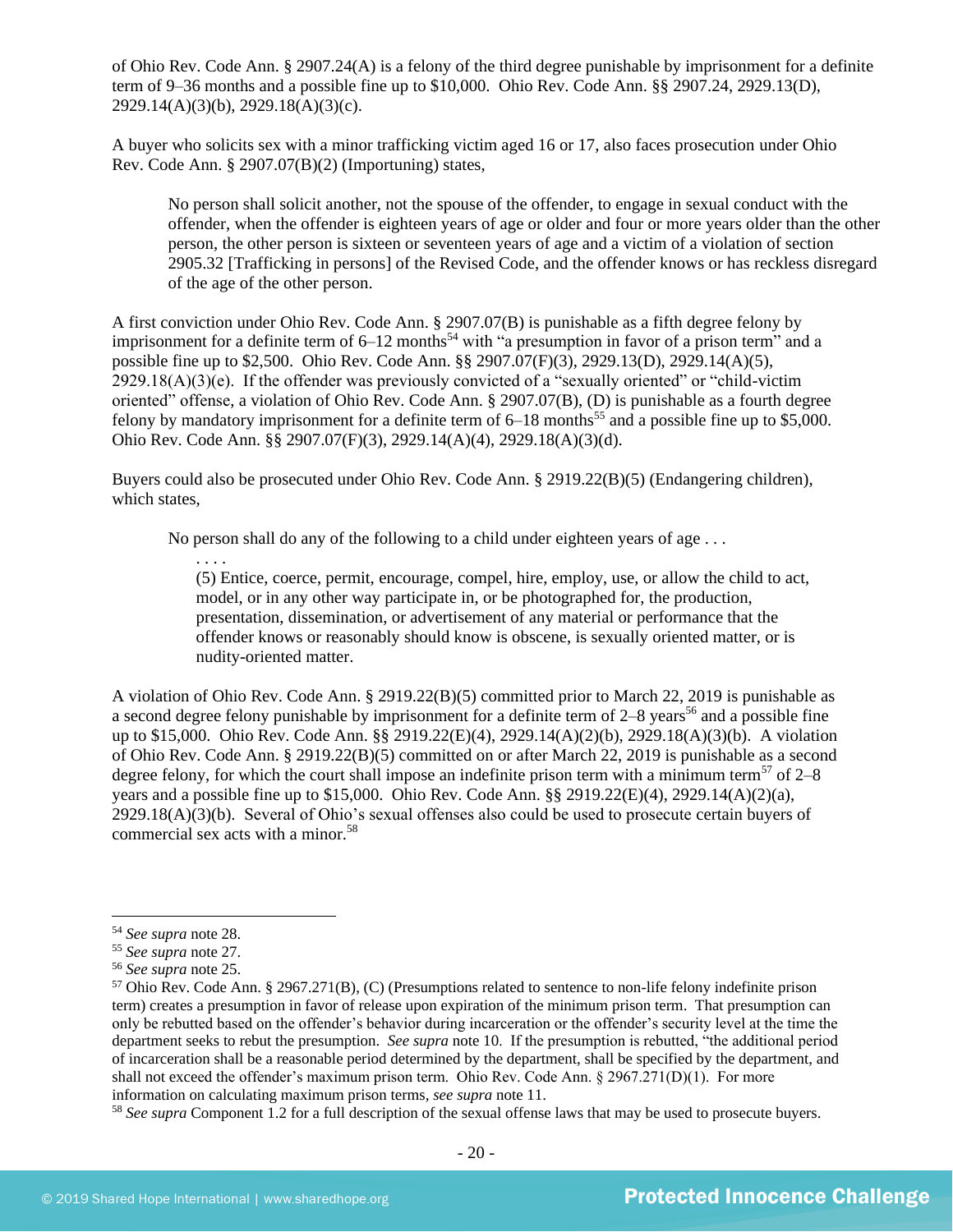of Ohio Rev. Code Ann. § 2907.24(A) is a felony of the third degree punishable by imprisonment for a definite term of 9–36 months and a possible fine up to \$10,000. Ohio Rev. Code Ann. §§ 2907.24, 2929.13(D), 2929.14(A)(3)(b), 2929.18(A)(3)(c).

A buyer who solicits sex with a minor trafficking victim aged 16 or 17, also faces prosecution under Ohio Rev. Code Ann. § 2907.07(B)(2) (Importuning) states,

No person shall solicit another, not the spouse of the offender, to engage in sexual conduct with the offender, when the offender is eighteen years of age or older and four or more years older than the other person, the other person is sixteen or seventeen years of age and a victim of a violation of section 2905.32 [Trafficking in persons] of the Revised Code, and the offender knows or has reckless disregard of the age of the other person.

A first conviction under Ohio Rev. Code Ann. § 2907.07(B) is punishable as a fifth degree felony by imprisonment for a definite term of  $6-12$  months<sup>54</sup> with "a presumption in favor of a prison term" and a possible fine up to \$2,500. Ohio Rev. Code Ann. §§ 2907.07(F)(3), 2929.13(D), 2929.14(A)(5),  $2929.18(A)(3)(e)$ . If the offender was previously convicted of a "sexually oriented" or "child-victim" oriented" offense, a violation of Ohio Rev. Code Ann. § 2907.07(B), (D) is punishable as a fourth degree felony by mandatory imprisonment for a definite term of  $6-18$  months<sup>55</sup> and a possible fine up to \$5,000. Ohio Rev. Code Ann. §§ 2907.07(F)(3), 2929.14(A)(4), 2929.18(A)(3)(d).

Buyers could also be prosecuted under Ohio Rev. Code Ann. § 2919.22(B)(5) (Endangering children), which states,

No person shall do any of the following to a child under eighteen years of age . . .

. . . . (5) Entice, coerce, permit, encourage, compel, hire, employ, use, or allow the child to act, model, or in any other way participate in, or be photographed for, the production, presentation, dissemination, or advertisement of any material or performance that the offender knows or reasonably should know is obscene, is sexually oriented matter, or is nudity-oriented matter.

A violation of Ohio Rev. Code Ann. § 2919.22(B)(5) committed prior to March 22, 2019 is punishable as a second degree felony punishable by imprisonment for a definite term of  $2-8$  years<sup>56</sup> and a possible fine up to \$15,000. Ohio Rev. Code Ann. §§ 2919.22(E)(4), 2929.14(A)(2)(b), 2929.18(A)(3)(b). A violation of Ohio Rev. Code Ann. § 2919.22(B)(5) committed on or after March 22, 2019 is punishable as a second degree felony, for which the court shall impose an indefinite prison term with a minimum term<sup>57</sup> of  $2-8$ years and a possible fine up to \$15,000. Ohio Rev. Code Ann. §§ 2919.22(E)(4), 2929.14(A)(2)(a), 2929.18(A)(3)(b). Several of Ohio's sexual offenses also could be used to prosecute certain buyers of commercial sex acts with a minor.<sup>58</sup>

<sup>58</sup> *See supra* Component 1.2 for a full description of the sexual offense laws that may be used to prosecute buyers.

<sup>54</sup> *See supra* note [28.](#page-10-0)

<sup>55</sup> *See supra* note [27.](#page-9-0)

<sup>56</sup> *See supra* note [25.](#page-9-1)

<sup>57</sup> Ohio Rev. Code Ann. § 2967.271(B), (C) (Presumptions related to sentence to non-life felony indefinite prison term) creates a presumption in favor of release upon expiration of the minimum prison term. That presumption can only be rebutted based on the offender's behavior during incarceration or the offender's security level at the time the department seeks to rebut the presumption. *See supra* not[e 10.](#page-3-0) If the presumption is rebutted, "the additional period of incarceration shall be a reasonable period determined by the department, shall be specified by the department, and shall not exceed the offender's maximum prison term. Ohio Rev. Code Ann. § 2967.271(D)(1). For more information on calculating maximum prison terms, *see supra* not[e 11.](#page-3-1)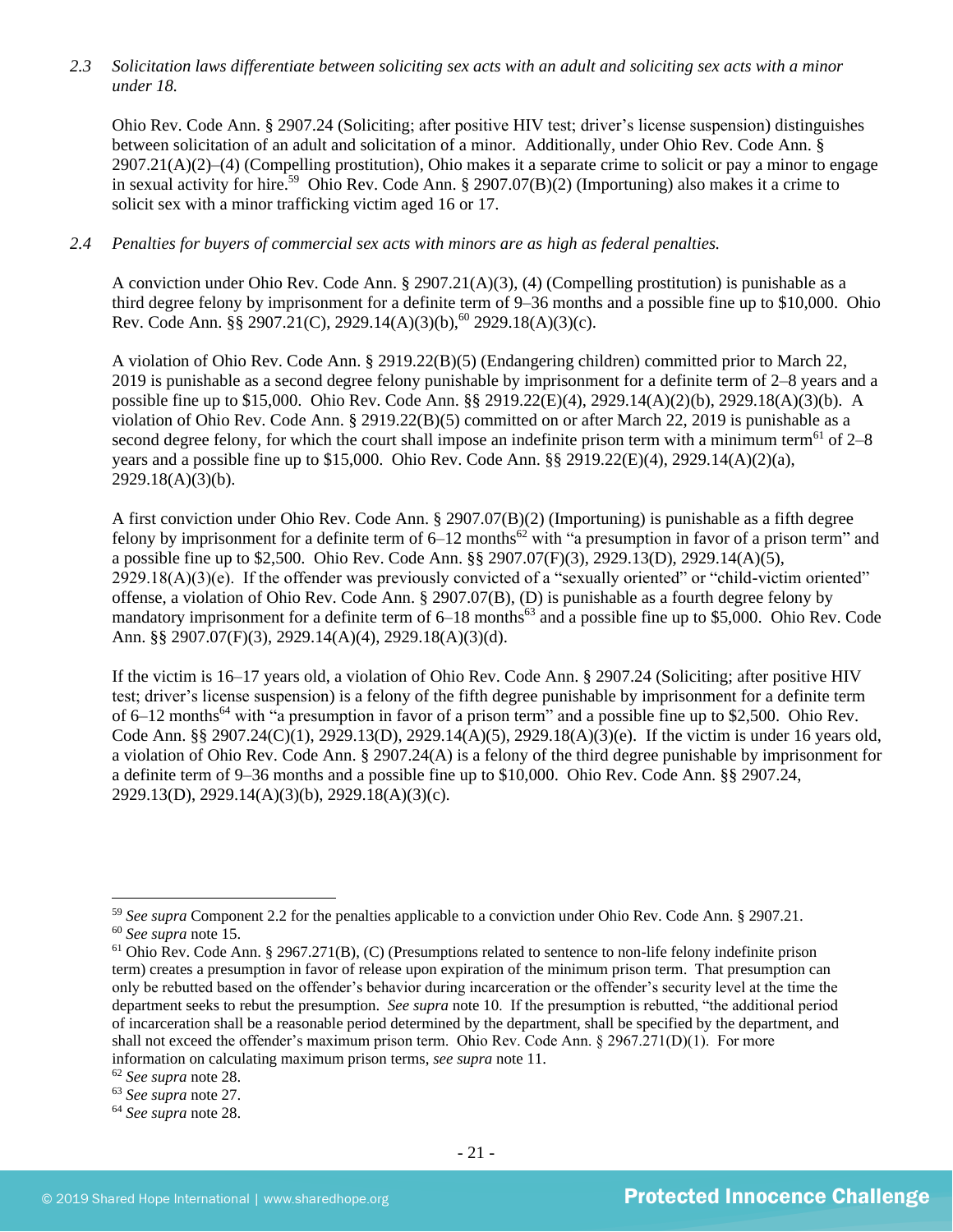*2.3 Solicitation laws differentiate between soliciting sex acts with an adult and soliciting sex acts with a minor under 18.*

Ohio Rev. Code Ann. § 2907.24 (Soliciting; after positive HIV test; driver's license suspension) distinguishes between solicitation of an adult and solicitation of a minor. Additionally, under Ohio Rev. Code Ann. §  $2907.21(A)(2)$ –(4) (Compelling prostitution). Ohio makes it a separate crime to solicit or pay a minor to engage in sexual activity for hire.<sup>59</sup> Ohio Rev. Code Ann. § 2907.07(B)(2) (Importuning) also makes it a crime to solicit sex with a minor trafficking victim aged 16 or 17.

#### *2.4 Penalties for buyers of commercial sex acts with minors are as high as federal penalties.*

A conviction under Ohio Rev. Code Ann. § 2907.21(A)(3), (4) (Compelling prostitution) is punishable as a third degree felony by imprisonment for a definite term of 9–36 months and a possible fine up to \$10,000. Ohio Rev. Code Ann. §§ 2907.21(C), 2929.14(A)(3)(b),<sup>60</sup> 2929.18(A)(3)(c).

A violation of Ohio Rev. Code Ann. § 2919.22(B)(5) (Endangering children) committed prior to March 22, 2019 is punishable as a second degree felony punishable by imprisonment for a definite term of 2–8 years and a possible fine up to \$15,000. Ohio Rev. Code Ann. §§ 2919.22(E)(4), 2929.14(A)(2)(b), 2929.18(A)(3)(b). A violation of Ohio Rev. Code Ann. § 2919.22(B)(5) committed on or after March 22, 2019 is punishable as a second degree felony, for which the court shall impose an indefinite prison term with a minimum term<sup>61</sup> of  $2-8$ years and a possible fine up to \$15,000. Ohio Rev. Code Ann. §§ 2919.22(E)(4), 2929.14(A)(2)(a),  $2929.18(A)(3)(b)$ .

A first conviction under Ohio Rev. Code Ann. § 2907.07(B)(2) (Importuning) is punishable as a fifth degree felony by imprisonment for a definite term of  $6-12$  months<sup>62</sup> with "a presumption in favor of a prison term" and a possible fine up to \$2,500. Ohio Rev. Code Ann. §§ 2907.07(F)(3), 2929.13(D), 2929.14(A)(5),  $2929.18(A)(3)(e)$ . If the offender was previously convicted of a "sexually oriented" or "child-victim oriented" offense, a violation of Ohio Rev. Code Ann. § 2907.07(B), (D) is punishable as a fourth degree felony by mandatory imprisonment for a definite term of  $6-18$  months<sup>63</sup> and a possible fine up to \$5,000. Ohio Rev. Code Ann. §§ 2907.07(F)(3), 2929.14(A)(4), 2929.18(A)(3)(d).

If the victim is 16–17 years old, a violation of Ohio Rev. Code Ann. § 2907.24 (Soliciting; after positive HIV test; driver's license suspension) is a felony of the fifth degree punishable by imprisonment for a definite term of 6–12 months<sup>64</sup> with "a presumption in favor of a prison term" and a possible fine up to \$2,500. Ohio Rev. Code Ann. §§ 2907.24(C)(1), 2929.13(D), 2929.14(A)(5), 2929.18(A)(3)(e). If the victim is under 16 years old, a violation of Ohio Rev. Code Ann. § 2907.24(A) is a felony of the third degree punishable by imprisonment for a definite term of 9–36 months and a possible fine up to \$10,000. Ohio Rev. Code Ann. §§ 2907.24, 2929.13(D), 2929.14(A)(3)(b), 2929.18(A)(3)(c).

<sup>59</sup> *See supra* Component 2.2 for the penalties applicable to a conviction under Ohio Rev. Code Ann. § 2907.21.

<sup>60</sup> *See supra* note [15.](#page-5-0)

 $<sup>61</sup>$  Ohio Rev. Code Ann. § 2967.271(B), (C) (Presumptions related to sentence to non-life felony indefinite prison</sup> term) creates a presumption in favor of release upon expiration of the minimum prison term. That presumption can only be rebutted based on the offender's behavior during incarceration or the offender's security level at the time the department seeks to rebut the presumption. *See supra* not[e 10.](#page-3-0) If the presumption is rebutted, "the additional period of incarceration shall be a reasonable period determined by the department, shall be specified by the department, and shall not exceed the offender's maximum prison term. Ohio Rev. Code Ann. § 2967.271(D)(1). For more information on calculating maximum prison terms, *see supra* not[e 11.](#page-3-1)

<sup>62</sup> *See supra* note [28.](#page-10-0)

<sup>63</sup> *See supra* note [27.](#page-9-0)

<sup>64</sup> *See supra* note [28.](#page-10-0)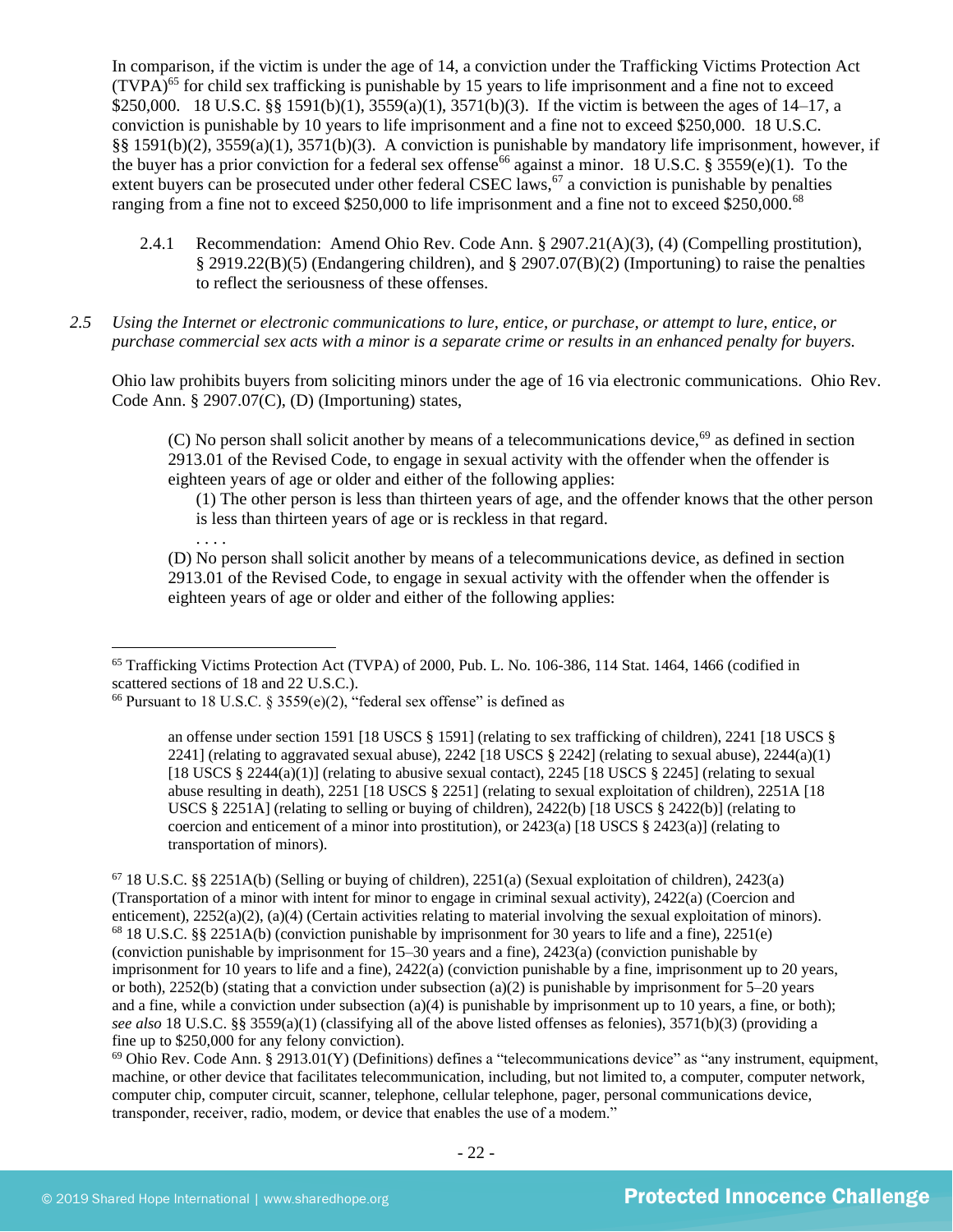<span id="page-21-0"></span>In comparison, if the victim is under the age of 14, a conviction under the Trafficking Victims Protection Act (TVPA) <sup>65</sup> for child sex trafficking is punishable by 15 years to life imprisonment and a fine not to exceed \$250,000. 18 U.S.C. §§ 1591(b)(1), 3559(a)(1), 3571(b)(3). If the victim is between the ages of 14–17, a conviction is punishable by 10 years to life imprisonment and a fine not to exceed \$250,000. 18 U.S.C. §§ 1591(b)(2), 3559(a)(1), 3571(b)(3). A conviction is punishable by mandatory life imprisonment, however, if the buyer has a prior conviction for a federal sex offense<sup>66</sup> against a minor. 18 U.S.C. § 3559(e)(1). To the extent buyers can be prosecuted under other federal CSEC laws,  $\frac{67}{9}$  a conviction is punishable by penalties ranging from a fine not to exceed \$250,000 to life imprisonment and a fine not to exceed \$250,000.<sup>68</sup>

- <span id="page-21-1"></span>2.4.1 Recommendation: Amend Ohio Rev. Code Ann. § 2907.21(A)(3), (4) (Compelling prostitution), § 2919.22(B)(5) (Endangering children), and § 2907.07(B)(2) (Importuning) to raise the penalties to reflect the seriousness of these offenses.
- *2.5 Using the Internet or electronic communications to lure, entice, or purchase, or attempt to lure, entice, or purchase commercial sex acts with a minor is a separate crime or results in an enhanced penalty for buyers.*

Ohio law prohibits buyers from soliciting minors under the age of 16 via electronic communications. Ohio Rev. Code Ann. § 2907.07(C), (D) (Importuning) states,

(C) No person shall solicit another by means of a telecommunications device,  $69$  as defined in section 2913.01 of the Revised Code, to engage in sexual activity with the offender when the offender is eighteen years of age or older and either of the following applies:

(1) The other person is less than thirteen years of age, and the offender knows that the other person is less than thirteen years of age or is reckless in that regard. . . . .

(D) No person shall solicit another by means of a telecommunications device, as defined in section 2913.01 of the Revised Code, to engage in sexual activity with the offender when the offender is eighteen years of age or older and either of the following applies:

an offense under section 1591 [18 USCS § 1591] (relating to sex trafficking of children), 2241 [18 USCS § 2241] (relating to aggravated sexual abuse), 2242 [18 USCS  $\S$  2242] (relating to sexual abuse), 2244(a)(1) [18 USCS § 2244(a)(1)] (relating to abusive sexual contact), 2245 [18 USCS § 2245] (relating to sexual abuse resulting in death), 2251 [18 USCS § 2251] (relating to sexual exploitation of children), 2251A [18 USCS § 2251A] (relating to selling or buying of children), 2422(b) [18 USCS § 2422(b)] (relating to coercion and enticement of a minor into prostitution), or 2423(a) [18 USCS § 2423(a)] (relating to transportation of minors).

 $67$  18 U.S.C. §§ 2251A(b) (Selling or buying of children), 2251(a) (Sexual exploitation of children), 2423(a) (Transportation of a minor with intent for minor to engage in criminal sexual activity), 2422(a) (Coercion and enticement), 2252(a)(2), (a)(4) (Certain activities relating to material involving the sexual exploitation of minors).  $68$  18 U.S.C. §§ 2251A(b) (conviction punishable by imprisonment for 30 years to life and a fine), 2251(e) (conviction punishable by imprisonment for 15–30 years and a fine), 2423(a) (conviction punishable by imprisonment for 10 years to life and a fine), 2422(a) (conviction punishable by a fine, imprisonment up to 20 years, or both), 2252(b) (stating that a conviction under subsection (a)(2) is punishable by imprisonment for  $5-20$  years and a fine, while a conviction under subsection (a)(4) is punishable by imprisonment up to 10 years, a fine, or both); *see also* 18 U.S.C. §§ 3559(a)(1) (classifying all of the above listed offenses as felonies), 3571(b)(3) (providing a fine up to \$250,000 for any felony conviction).

 $^{69}$  Ohio Rev. Code Ann. § 2913.01(Y) (Definitions) defines a "telecommunications device" as "any instrument, equipment, machine, or other device that facilitates telecommunication, including, but not limited to, a computer, computer network, computer chip, computer circuit, scanner, telephone, cellular telephone, pager, personal communications device, transponder, receiver, radio, modem, or device that enables the use of a modem."

<sup>65</sup> Trafficking Victims Protection Act (TVPA) of 2000, Pub. L. No. 106-386, 114 Stat. 1464, 1466 (codified in scattered sections of 18 and 22 U.S.C.).

<sup>&</sup>lt;sup>66</sup> Pursuant to 18 U.S.C. § 3559(e)(2), "federal sex offense" is defined as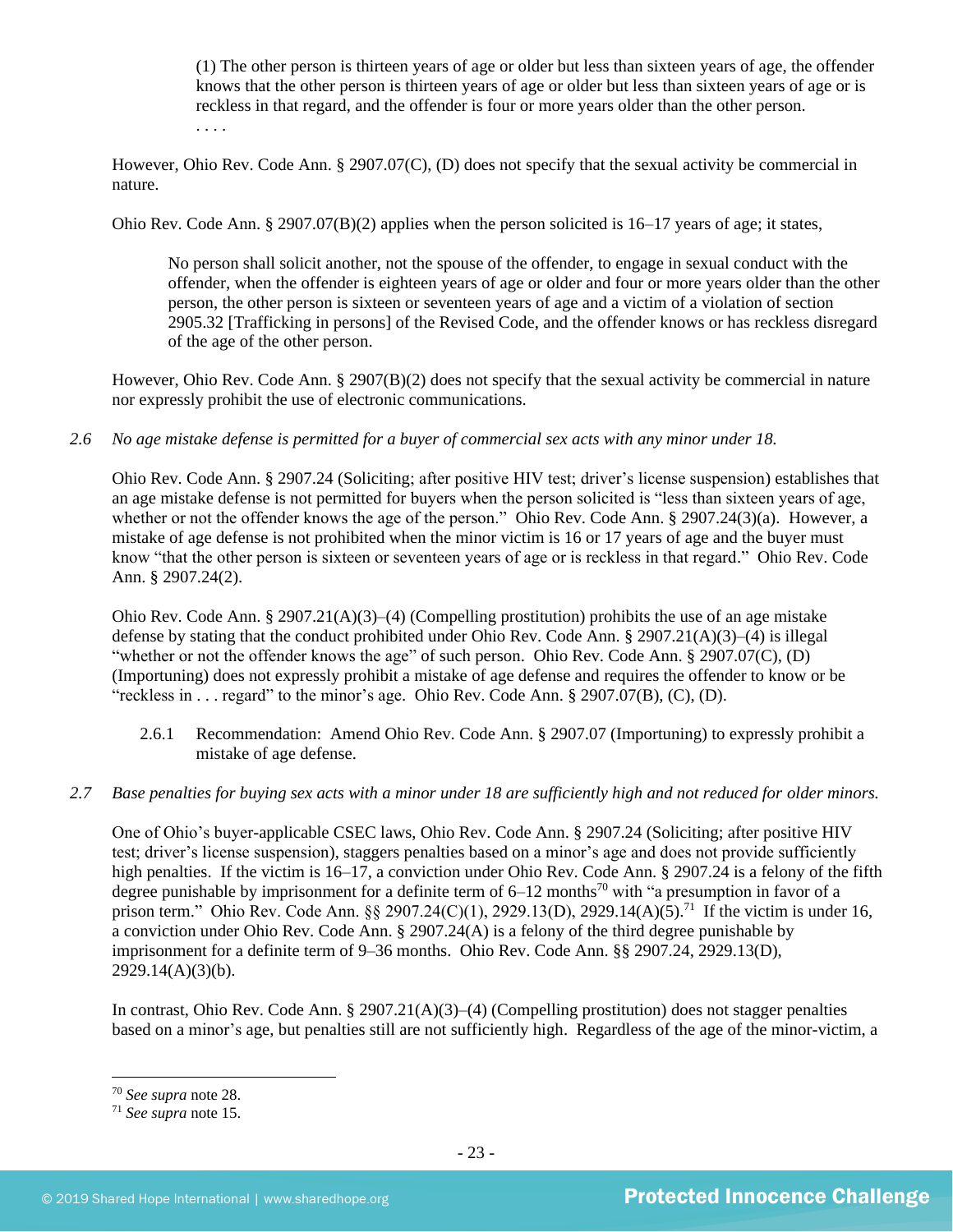(1) The other person is thirteen years of age or older but less than sixteen years of age, the offender knows that the other person is thirteen years of age or older but less than sixteen years of age or is reckless in that regard, and the offender is four or more years older than the other person. . . . .

However, Ohio Rev. Code Ann. § 2907.07(C), (D) does not specify that the sexual activity be commercial in nature.

Ohio Rev. Code Ann. § 2907.07(B)(2) applies when the person solicited is  $16-17$  years of age; it states,

No person shall solicit another, not the spouse of the offender, to engage in sexual conduct with the offender, when the offender is eighteen years of age or older and four or more years older than the other person, the other person is sixteen or seventeen years of age and a victim of a violation of section 2905.32 [Trafficking in persons] of the Revised Code, and the offender knows or has reckless disregard of the age of the other person.

However, Ohio Rev. Code Ann.  $\S$  2907(B)(2) does not specify that the sexual activity be commercial in nature nor expressly prohibit the use of electronic communications.

## *2.6 No age mistake defense is permitted for a buyer of commercial sex acts with any minor under 18.*

Ohio Rev. Code Ann. § 2907.24 (Soliciting; after positive HIV test; driver's license suspension) establishes that an age mistake defense is not permitted for buyers when the person solicited is "less than sixteen years of age, whether or not the offender knows the age of the person." Ohio Rev. Code Ann. § 2907.24(3)(a). However, a mistake of age defense is not prohibited when the minor victim is 16 or 17 years of age and the buyer must know "that the other person is sixteen or seventeen years of age or is reckless in that regard." Ohio Rev. Code Ann. § 2907.24(2).

Ohio Rev. Code Ann. § 2907.21(A)(3)–(4) (Compelling prostitution) prohibits the use of an age mistake defense by stating that the conduct prohibited under Ohio Rev. Code Ann. § 2907.21(A)(3)–(4) is illegal "whether or not the offender knows the age" of such person. Ohio Rev. Code Ann. § 2907.07(C), (D) (Importuning) does not expressly prohibit a mistake of age defense and requires the offender to know or be "reckless in . . . regard" to the minor's age. Ohio Rev. Code Ann.  $\S 2907.07(B)$ , (C), (D).

- 2.6.1 Recommendation: Amend Ohio Rev. Code Ann. § 2907.07 (Importuning) to expressly prohibit a mistake of age defense.
- *2.7 Base penalties for buying sex acts with a minor under 18 are sufficiently high and not reduced for older minors.*

One of Ohio's buyer-applicable CSEC laws, Ohio Rev. Code Ann. § 2907.24 (Soliciting; after positive HIV test; driver's license suspension), staggers penalties based on a minor's age and does not provide sufficiently high penalties. If the victim is 16–17, a conviction under Ohio Rev. Code Ann. § 2907.24 is a felony of the fifth degree punishable by imprisonment for a definite term of  $6-12$  months<sup>70</sup> with "a presumption in favor of a prison term." Ohio Rev. Code Ann.  $\S$  2907.24(C)(1), 2929.13(D), 2929.14(A)(5).<sup>71</sup> If the victim is under 16, a conviction under Ohio Rev. Code Ann. § 2907.24(A) is a felony of the third degree punishable by imprisonment for a definite term of 9–36 months. Ohio Rev. Code Ann. §§ 2907.24, 2929.13(D), 2929.14(A)(3)(b).

In contrast, Ohio Rev. Code Ann. § 2907.21(A)(3)–(4) (Compelling prostitution) does not stagger penalties based on a minor's age, but penalties still are not sufficiently high. Regardless of the age of the minor-victim, a

<sup>70</sup> *See supra* note [28.](#page-10-0)

<sup>71</sup> *See supra* note [15.](#page-5-0)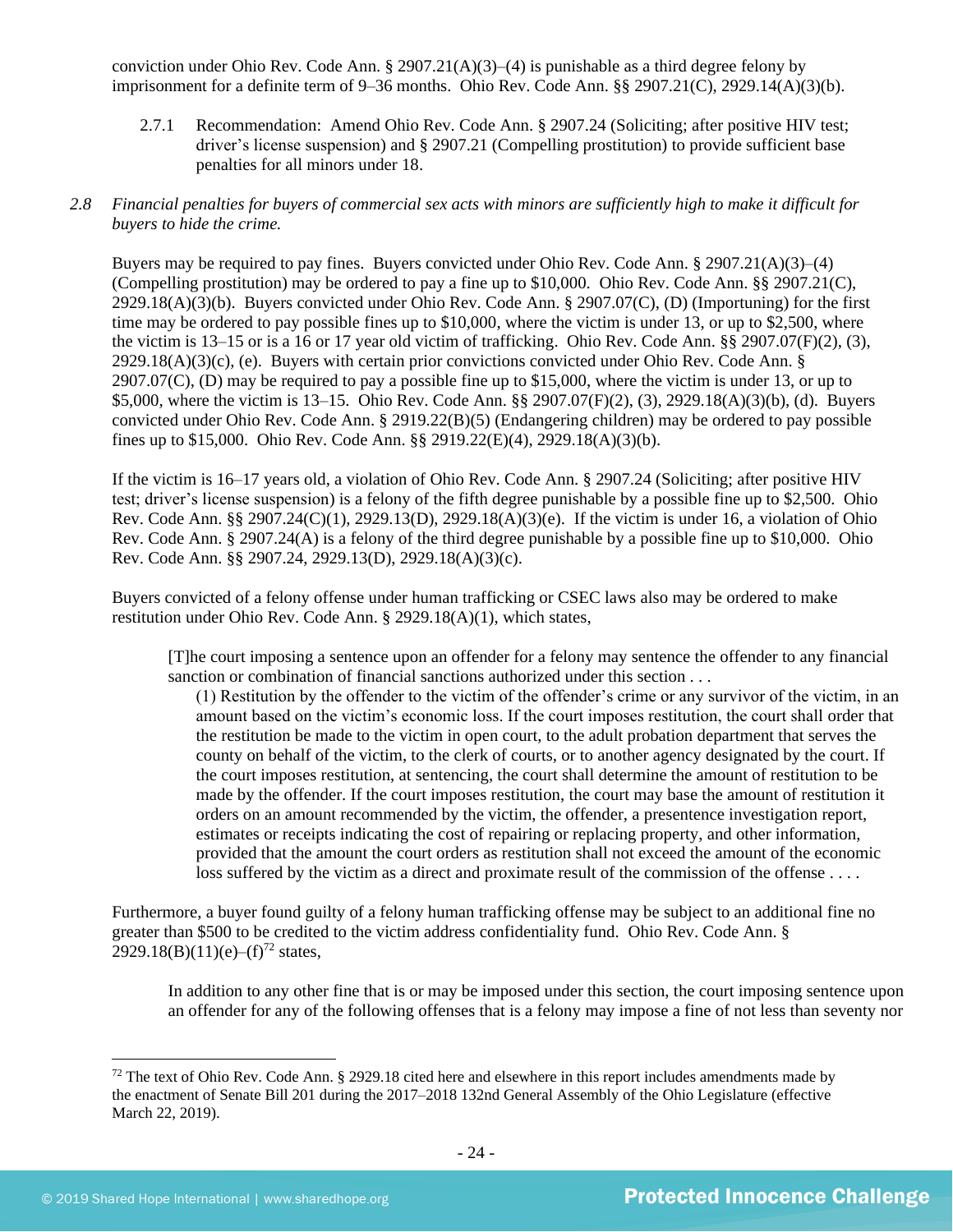conviction under Ohio Rev. Code Ann.  $\S 2907.21(A)(3)–(4)$  is punishable as a third degree felony by imprisonment for a definite term of 9–36 months. Ohio Rev. Code Ann. §§ 2907.21(C), 2929.14(A)(3)(b).

2.7.1 Recommendation: Amend Ohio Rev. Code Ann. § 2907.24 (Soliciting; after positive HIV test; driver's license suspension) and § 2907.21 (Compelling prostitution) to provide sufficient base penalties for all minors under 18.

## *2.8 Financial penalties for buyers of commercial sex acts with minors are sufficiently high to make it difficult for buyers to hide the crime.*

Buyers may be required to pay fines. Buyers convicted under Ohio Rev. Code Ann. § 2907.21(A)(3)–(4) (Compelling prostitution) may be ordered to pay a fine up to \$10,000. Ohio Rev. Code Ann. §§ 2907.21(C), 2929.18(A)(3)(b). Buyers convicted under Ohio Rev. Code Ann. § 2907.07(C), (D) (Importuning) for the first time may be ordered to pay possible fines up to \$10,000, where the victim is under 13, or up to \$2,500, where the victim is 13–15 or is a 16 or 17 year old victim of trafficking. Ohio Rev. Code Ann. §§ 2907.07(F)(2), (3), 2929.18(A)(3)(c), (e). Buyers with certain prior convictions convicted under Ohio Rev. Code Ann. § 2907.07(C), (D) may be required to pay a possible fine up to \$15,000, where the victim is under 13, or up to \$5,000, where the victim is 13–15. Ohio Rev. Code Ann. §§ 2907.07(F)(2), (3), 2929.18(A)(3)(b), (d). Buyers convicted under Ohio Rev. Code Ann. § 2919.22(B)(5) (Endangering children) may be ordered to pay possible fines up to \$15,000. Ohio Rev. Code Ann. §§ 2919.22(E)(4), 2929.18(A)(3)(b).

If the victim is 16–17 years old, a violation of Ohio Rev. Code Ann. § 2907.24 (Soliciting; after positive HIV test; driver's license suspension) is a felony of the fifth degree punishable by a possible fine up to \$2,500. Ohio Rev. Code Ann. §§ 2907.24(C)(1), 2929.13(D), 2929.18(A)(3)(e). If the victim is under 16, a violation of Ohio Rev. Code Ann. § 2907.24(A) is a felony of the third degree punishable by a possible fine up to \$10,000. Ohio Rev. Code Ann. §§ 2907.24, 2929.13(D), 2929.18(A)(3)(c).

Buyers convicted of a felony offense under human trafficking or CSEC laws also may be ordered to make restitution under Ohio Rev. Code Ann. § 2929.18(A)(1), which states,

[T]he court imposing a sentence upon an offender for a felony may sentence the offender to any financial sanction or combination of financial sanctions authorized under this section . . .

(1) Restitution by the offender to the victim of the offender's crime or any survivor of the victim, in an amount based on the victim's economic loss. If the court imposes restitution, the court shall order that the restitution be made to the victim in open court, to the adult probation department that serves the county on behalf of the victim, to the clerk of courts, or to another agency designated by the court. If the court imposes restitution, at sentencing, the court shall determine the amount of restitution to be made by the offender. If the court imposes restitution, the court may base the amount of restitution it orders on an amount recommended by the victim, the offender, a presentence investigation report, estimates or receipts indicating the cost of repairing or replacing property, and other information, provided that the amount the court orders as restitution shall not exceed the amount of the economic loss suffered by the victim as a direct and proximate result of the commission of the offense . . . .

Furthermore, a buyer found guilty of a felony human trafficking offense may be subject to an additional fine no greater than \$500 to be credited to the victim address confidentiality fund. Ohio Rev. Code Ann. § 2929.18(B)(11)(e)–(f)<sup>72</sup> states,

<span id="page-23-0"></span>In addition to any other fine that is or may be imposed under this section, the court imposing sentence upon an offender for any of the following offenses that is a felony may impose a fine of not less than seventy nor

<sup>&</sup>lt;sup>72</sup> The text of Ohio Rev. Code Ann. § 2929.18 cited here and elsewhere in this report includes amendments made by the enactment of Senate Bill 201 during the 2017–2018 132nd General Assembly of the Ohio Legislature (effective March 22, 2019).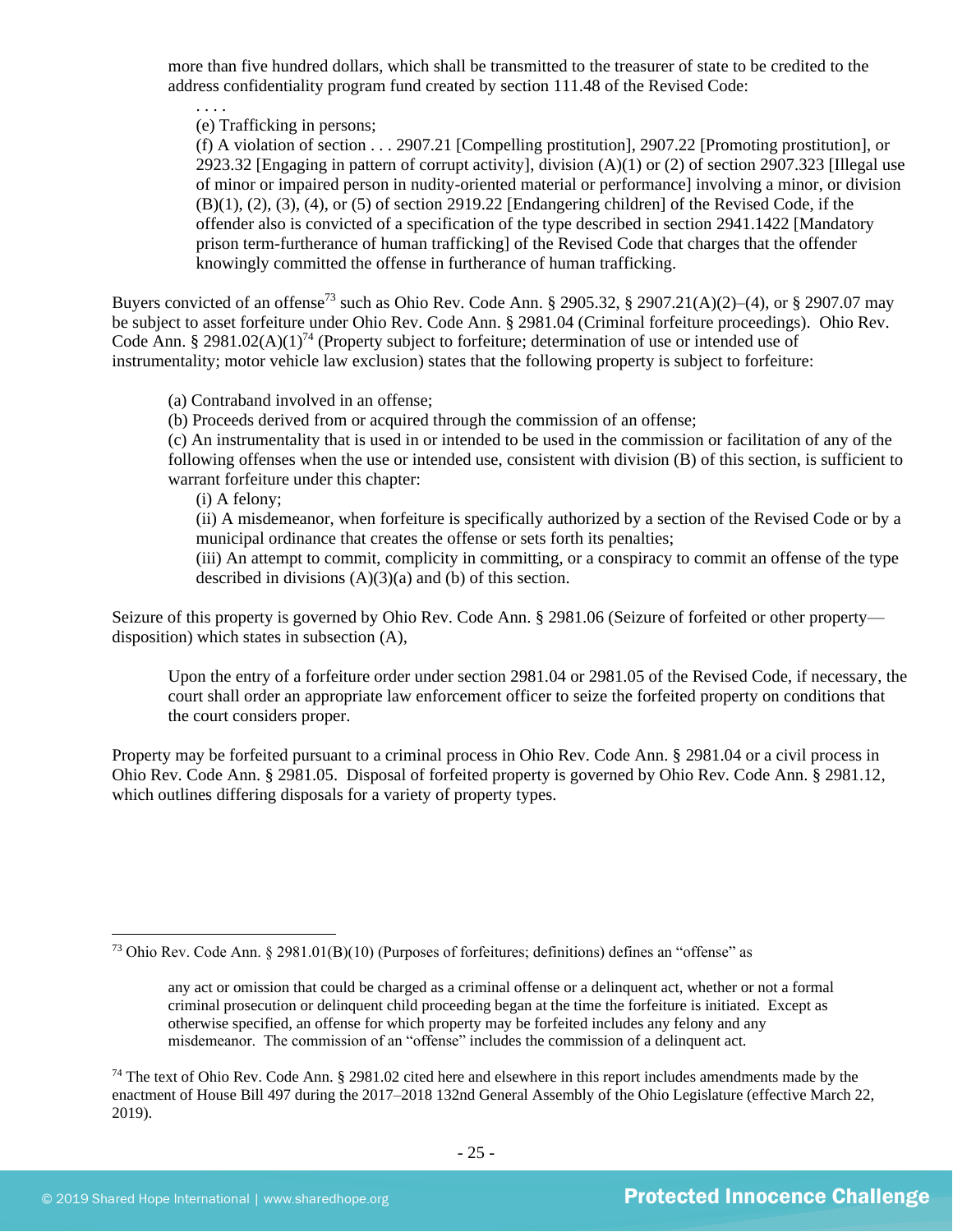more than five hundred dollars, which shall be transmitted to the treasurer of state to be credited to the address confidentiality program fund created by section 111.48 of the Revised Code:

. . . .

(e) Trafficking in persons;

(f) A violation of section . . . 2907.21 [Compelling prostitution], 2907.22 [Promoting prostitution], or 2923.32 [Engaging in pattern of corrupt activity], division (A)(1) or (2) of section 2907.323 [Illegal use of minor or impaired person in nudity-oriented material or performance] involving a minor, or division  $(B)(1), (2), (3), (4),$  or  $(5)$  of section 2919.22 [Endangering children] of the Revised Code, if the offender also is convicted of a specification of the type described in section 2941.1422 [Mandatory prison term-furtherance of human trafficking] of the Revised Code that charges that the offender knowingly committed the offense in furtherance of human trafficking.

Buyers convicted of an offense<sup>73</sup> such as Ohio Rev. Code Ann. § 2905.32, § 2907.21(A)(2)–(4), or § 2907.07 may be subject to asset forfeiture under Ohio Rev. Code Ann. § 2981.04 (Criminal forfeiture proceedings). Ohio Rev. Code Ann. § 2981.02(A)(1)<sup>74</sup> (Property subject to forfeiture; determination of use or intended use of instrumentality; motor vehicle law exclusion) states that the following property is subject to forfeiture:

<span id="page-24-1"></span><span id="page-24-0"></span>(a) Contraband involved in an offense;

(b) Proceeds derived from or acquired through the commission of an offense;

(c) An instrumentality that is used in or intended to be used in the commission or facilitation of any of the following offenses when the use or intended use, consistent with division (B) of this section, is sufficient to warrant forfeiture under this chapter:

(i) A felony;

(ii) A misdemeanor, when forfeiture is specifically authorized by a section of the Revised Code or by a municipal ordinance that creates the offense or sets forth its penalties;

(iii) An attempt to commit, complicity in committing, or a conspiracy to commit an offense of the type described in divisions (A)(3)(a) and (b) of this section.

Seizure of this property is governed by Ohio Rev. Code Ann. § 2981.06 (Seizure of forfeited or other property disposition) which states in subsection (A),

Upon the entry of a forfeiture order under section 2981.04 or 2981.05 of the Revised Code, if necessary, the court shall order an appropriate law enforcement officer to seize the forfeited property on conditions that the court considers proper.

Property may be forfeited pursuant to a criminal process in Ohio Rev. Code Ann. § 2981.04 or a civil process in Ohio Rev. Code Ann. § 2981.05. Disposal of forfeited property is governed by Ohio Rev. Code Ann. § 2981.12, which outlines differing disposals for a variety of property types.

<sup>&</sup>lt;sup>73</sup> Ohio Rev. Code Ann. § 2981.01(B)(10) (Purposes of forfeitures; definitions) defines an "offense" as

any act or omission that could be charged as a criminal offense or a delinquent act, whether or not a formal criminal prosecution or delinquent child proceeding began at the time the forfeiture is initiated. Except as otherwise specified, an offense for which property may be forfeited includes any felony and any misdemeanor. The commission of an "offense" includes the commission of a delinquent act.

<sup>&</sup>lt;sup>74</sup> The text of Ohio Rev. Code Ann. § 2981.02 cited here and elsewhere in this report includes amendments made by the enactment of House Bill 497 during the 2017–2018 132nd General Assembly of the Ohio Legislature (effective March 22, 2019).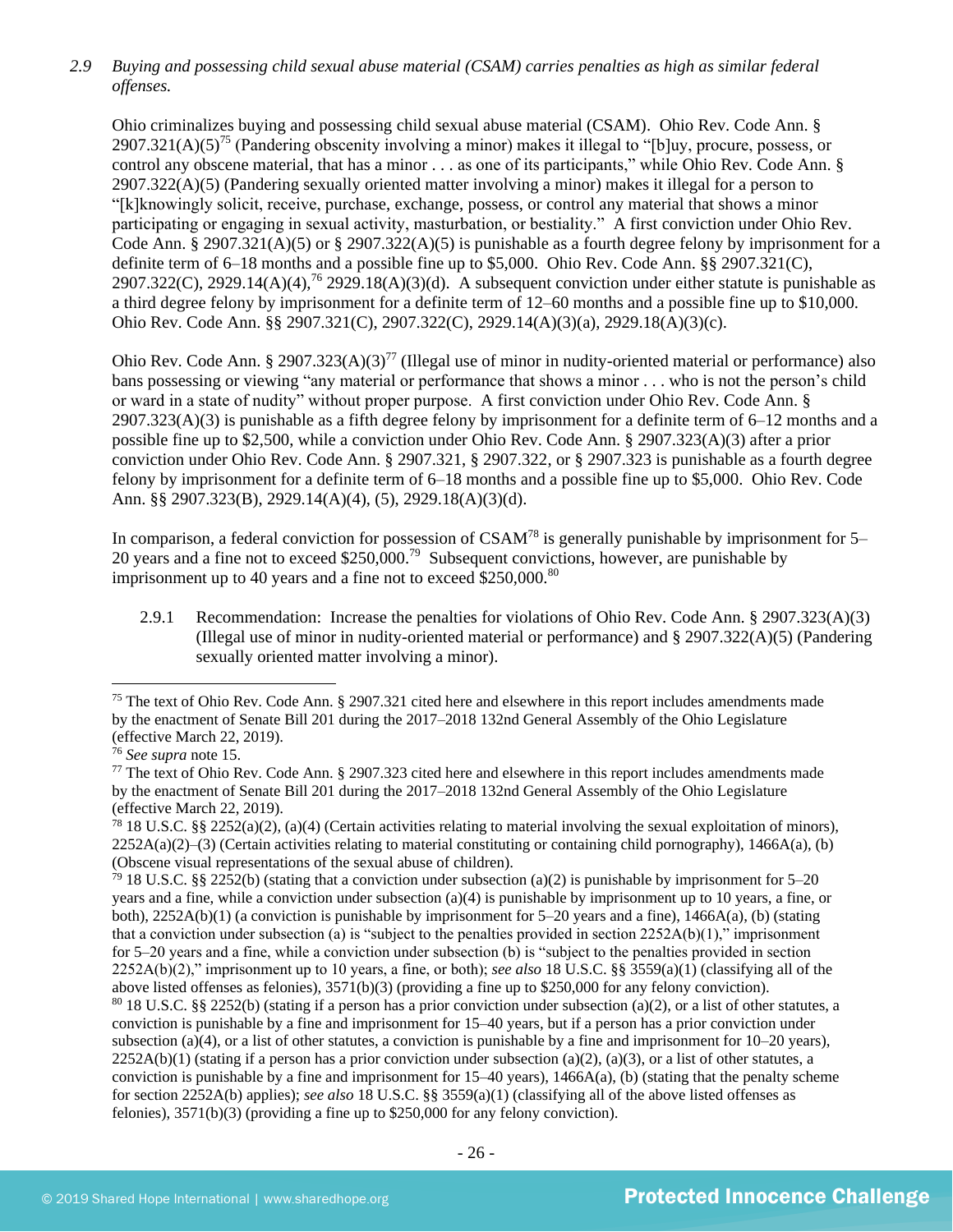*2.9 Buying and possessing child sexual abuse material (CSAM) carries penalties as high as similar federal offenses.*

<span id="page-25-0"></span>Ohio criminalizes buying and possessing child sexual abuse material (CSAM). Ohio Rev. Code Ann. §  $2907.321(A)(5)^{75}$  (Pandering obscenity involving a minor) makes it illegal to "[b]uy, procure, possess, or control any obscene material, that has a minor . . . as one of its participants," while Ohio Rev. Code Ann. § 2907.322(A)(5) (Pandering sexually oriented matter involving a minor) makes it illegal for a person to "[k]knowingly solicit, receive, purchase, exchange, possess, or control any material that shows a minor participating or engaging in sexual activity, masturbation, or bestiality." A first conviction under Ohio Rev. Code Ann. § 2907.321(A)(5) or § 2907.322(A)(5) is punishable as a fourth degree felony by imprisonment for a definite term of 6–18 months and a possible fine up to \$5,000. Ohio Rev. Code Ann. §§ 2907.321(C), 2907.322(C), 2929.14(A)(4),<sup>76</sup> 2929.18(A)(3)(d). A subsequent conviction under either statute is punishable as a third degree felony by imprisonment for a definite term of 12–60 months and a possible fine up to \$10,000. Ohio Rev. Code Ann. §§ 2907.321(C), 2907.322(C), 2929.14(A)(3)(a), 2929.18(A)(3)(c).

<span id="page-25-1"></span>Ohio Rev. Code Ann. § 2907.323(A)(3)<sup>77</sup> (Illegal use of minor in nudity-oriented material or performance) also bans possessing or viewing "any material or performance that shows a minor . . . who is not the person's child or ward in a state of nudity" without proper purpose. A first conviction under Ohio Rev. Code Ann. §  $2907.323(A)(3)$  is punishable as a fifth degree felony by imprisonment for a definite term of 6–12 months and a possible fine up to \$2,500, while a conviction under Ohio Rev. Code Ann. § 2907.323(A)(3) after a prior conviction under Ohio Rev. Code Ann. § 2907.321, § 2907.322, or § 2907.323 is punishable as a fourth degree felony by imprisonment for a definite term of 6–18 months and a possible fine up to \$5,000. Ohio Rev. Code Ann. §§ 2907.323(B), 2929.14(A)(4), (5), 2929.18(A)(3)(d).

In comparison, a federal conviction for possession of  $CSAM^{78}$  is generally punishable by imprisonment for 5– 20 years and a fine not to exceed \$250,000.<sup>79</sup> Subsequent convictions, however, are punishable by imprisonment up to 40 years and a fine not to exceed  $$250,000$ .<sup>80</sup>

2.9.1 Recommendation: Increase the penalties for violations of Ohio Rev. Code Ann. § 2907.323(A)(3) (Illegal use of minor in nudity-oriented material or performance) and § 2907.322(A)(5) (Pandering sexually oriented matter involving a minor).

<sup>79</sup> 18 U.S.C. §§ 2252(b) (stating that a conviction under subsection (a)(2) is punishable by imprisonment for 5–20 years and a fine, while a conviction under subsection (a)(4) is punishable by imprisonment up to 10 years, a fine, or both), 2252A(b)(1) (a conviction is punishable by imprisonment for 5–20 years and a fine), 1466A(a), (b) (stating that a conviction under subsection (a) is "subject to the penalties provided in section  $2252A(b)(1)$ ," imprisonment for 5–20 years and a fine, while a conviction under subsection (b) is "subject to the penalties provided in section 2252A(b)(2)," imprisonment up to 10 years, a fine, or both); *see also* 18 U.S.C. §§ 3559(a)(1) (classifying all of the above listed offenses as felonies), 3571(b)(3) (providing a fine up to \$250,000 for any felony conviction). <sup>80</sup> 18 U.S.C. §§ 2252(b) (stating if a person has a prior conviction under subsection (a)(2), or a list of other statutes, a conviction is punishable by a fine and imprisonment for 15–40 years, but if a person has a prior conviction under subsection (a)(4), or a list of other statutes, a conviction is punishable by a fine and imprisonment for  $10-20$  years),  $2252A(b)(1)$  (stating if a person has a prior conviction under subsection (a)(2), (a)(3), or a list of other statutes, a conviction is punishable by a fine and imprisonment for 15–40 years), 1466A(a), (b) (stating that the penalty scheme for section 2252A(b) applies); *see also* 18 U.S.C. §§ 3559(a)(1) (classifying all of the above listed offenses as felonies), 3571(b)(3) (providing a fine up to \$250,000 for any felony conviction).

<sup>75</sup> The text of Ohio Rev. Code Ann. § 2907.321 cited here and elsewhere in this report includes amendments made by the enactment of Senate Bill 201 during the 2017–2018 132nd General Assembly of the Ohio Legislature (effective March 22, 2019).

<sup>76</sup> *See supra* note [15.](#page-5-0)

<sup>&</sup>lt;sup>77</sup> The text of Ohio Rev. Code Ann. § 2907.323 cited here and elsewhere in this report includes amendments made by the enactment of Senate Bill 201 during the 2017–2018 132nd General Assembly of the Ohio Legislature (effective March 22, 2019).

 $^{78}$  18 U.S.C. §§ 2252(a)(2), (a)(4) (Certain activities relating to material involving the sexual exploitation of minors),  $2252A(a)(2)$ –(3) (Certain activities relating to material constituting or containing child pornography), 1466A(a), (b) (Obscene visual representations of the sexual abuse of children).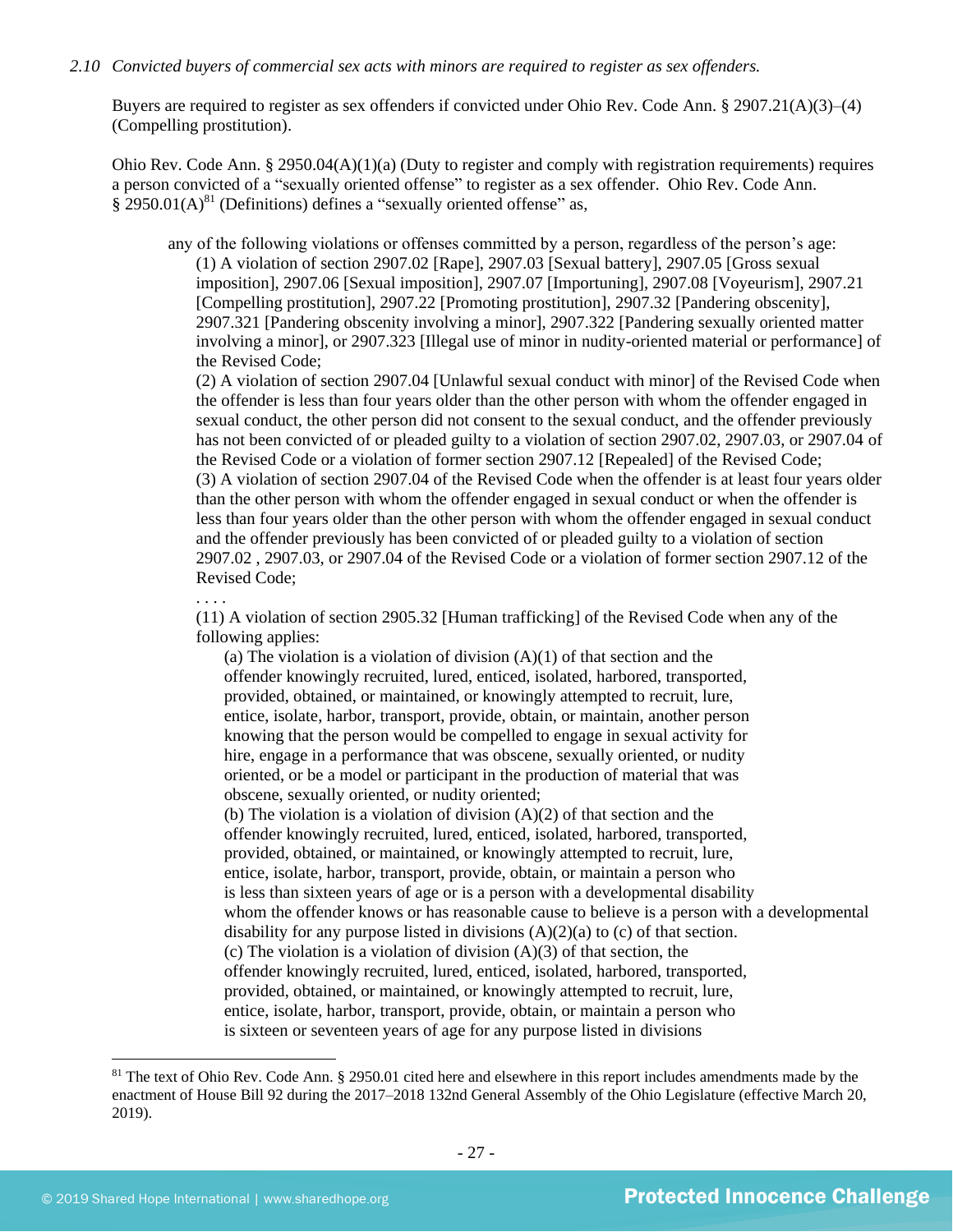#### *2.10 Convicted buyers of commercial sex acts with minors are required to register as sex offenders.*

Buyers are required to register as sex offenders if convicted under Ohio Rev. Code Ann. § 2907.21(A)(3)–(4) (Compelling prostitution).

Ohio Rev. Code Ann. § 2950.04(A)(1)(a) (Duty to register and comply with registration requirements) requires a person convicted of a "sexually oriented offense" to register as a sex offender. Ohio Rev. Code Ann.  $\S$  2950.01(A)<sup>81</sup> (Definitions) defines a "sexually oriented offense" as,

any of the following violations or offenses committed by a person, regardless of the person's age: (1) A violation of section 2907.02 [Rape], 2907.03 [Sexual battery], 2907.05 [Gross sexual imposition], 2907.06 [Sexual imposition], 2907.07 [Importuning], 2907.08 [Voyeurism], 2907.21 [Compelling prostitution], 2907.22 [Promoting prostitution], 2907.32 [Pandering obscenity], 2907.321 [Pandering obscenity involving a minor], 2907.322 [Pandering sexually oriented matter involving a minor], or 2907.323 [Illegal use of minor in nudity-oriented material or performance] of the Revised Code;

(2) A violation of section 2907.04 [Unlawful sexual conduct with minor] of the Revised Code when the offender is less than four years older than the other person with whom the offender engaged in sexual conduct, the other person did not consent to the sexual conduct, and the offender previously has not been convicted of or pleaded guilty to a violation of section 2907.02, 2907.03, or 2907.04 of the Revised Code or a violation of former section 2907.12 [Repealed] of the Revised Code; (3) A violation of section 2907.04 of the Revised Code when the offender is at least four years older than the other person with whom the offender engaged in sexual conduct or when the offender is less than four years older than the other person with whom the offender engaged in sexual conduct and the offender previously has been convicted of or pleaded guilty to a violation of section 2907.02 , 2907.03, or 2907.04 of the Revised Code or a violation of former section 2907.12 of the Revised Code;

(11) A violation of section 2905.32 [Human trafficking] of the Revised Code when any of the following applies:

(a) The violation is a violation of division  $(A)(1)$  of that section and the offender knowingly recruited, lured, enticed, isolated, harbored, transported, provided, obtained, or maintained, or knowingly attempted to recruit, lure, entice, isolate, harbor, transport, provide, obtain, or maintain, another person knowing that the person would be compelled to engage in sexual activity for hire, engage in a performance that was obscene, sexually oriented, or nudity oriented, or be a model or participant in the production of material that was obscene, sexually oriented, or nudity oriented; (b) The violation is a violation of division  $(A)(2)$  of that section and the offender knowingly recruited, lured, enticed, isolated, harbored, transported, provided, obtained, or maintained, or knowingly attempted to recruit, lure, entice, isolate, harbor, transport, provide, obtain, or maintain a person who is less than sixteen years of age or is a person with a developmental disability whom the offender knows or has reasonable cause to believe is a person with a developmental disability for any purpose listed in divisions  $(A)(2)(a)$  to  $(c)$  of that section. (c) The violation is a violation of division  $(A)(3)$  of that section, the offender knowingly recruited, lured, enticed, isolated, harbored, transported, provided, obtained, or maintained, or knowingly attempted to recruit, lure, entice, isolate, harbor, transport, provide, obtain, or maintain a person who is sixteen or seventeen years of age for any purpose listed in divisions

. . . .

<sup>&</sup>lt;sup>81</sup> The text of Ohio Rev. Code Ann. § 2950.01 cited here and elsewhere in this report includes amendments made by the enactment of House Bill 92 during the 2017–2018 132nd General Assembly of the Ohio Legislature (effective March 20, 2019).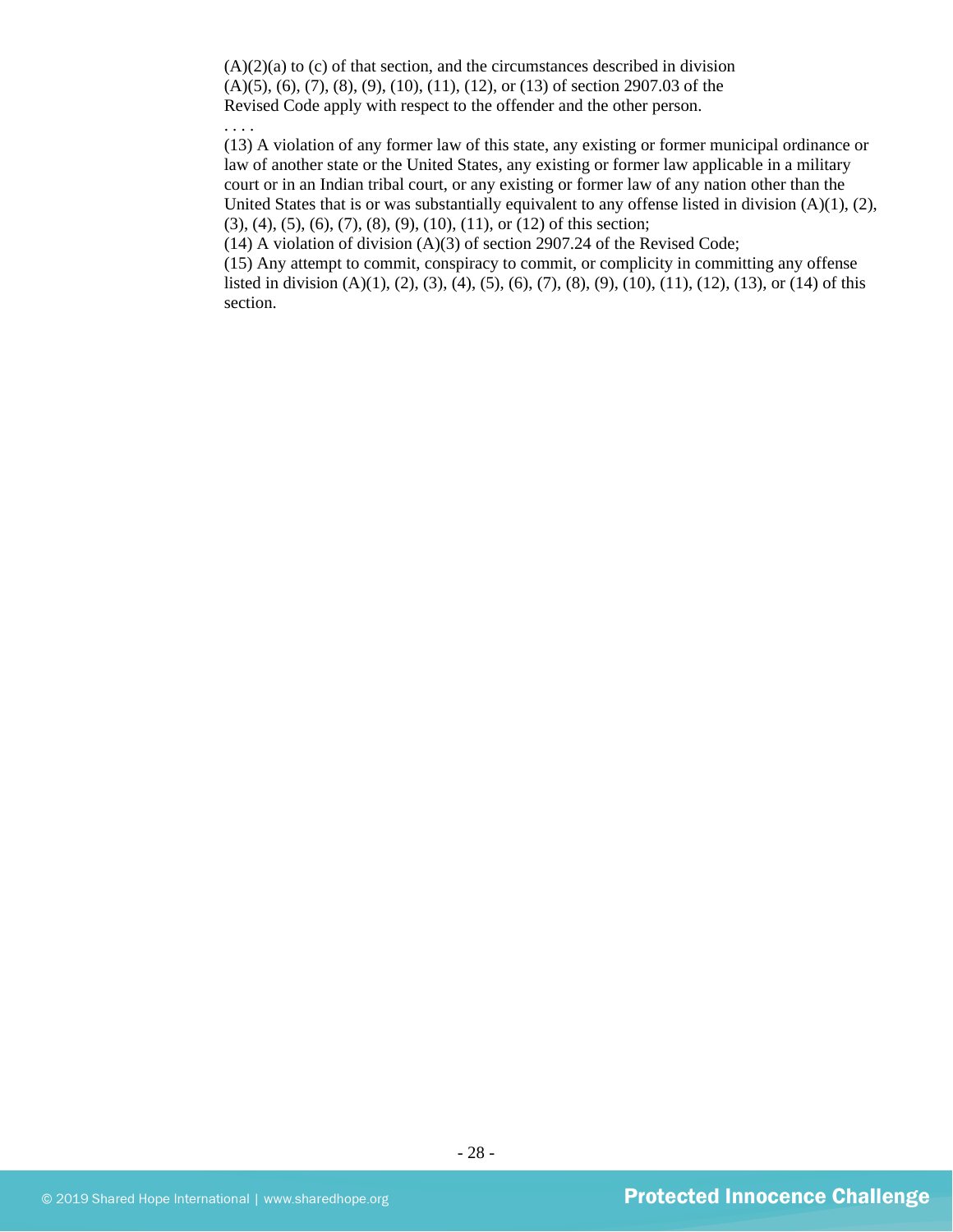$(A)(2)(a)$  to  $(c)$  of that section, and the circumstances described in division (A)(5), (6), (7), (8), (9), (10), (11), (12), or (13) of section 2907.03 of the Revised Code apply with respect to the offender and the other person.

. . . .

(13) A violation of any former law of this state, any existing or former municipal ordinance or law of another state or the United States, any existing or former law applicable in a military court or in an Indian tribal court, or any existing or former law of any nation other than the United States that is or was substantially equivalent to any offense listed in division  $(A)(1), (2),$ (3), (4), (5), (6), (7), (8), (9), (10), (11), or (12) of this section;

(14) A violation of division (A)(3) of section 2907.24 of the Revised Code;

(15) Any attempt to commit, conspiracy to commit, or complicity in committing any offense listed in division  $(A)(1)$ ,  $(2)$ ,  $(3)$ ,  $(4)$ ,  $(5)$ ,  $(6)$ ,  $(7)$ ,  $(8)$ ,  $(9)$ ,  $(10)$ ,  $(11)$ ,  $(12)$ ,  $(13)$ , or  $(14)$  of this section.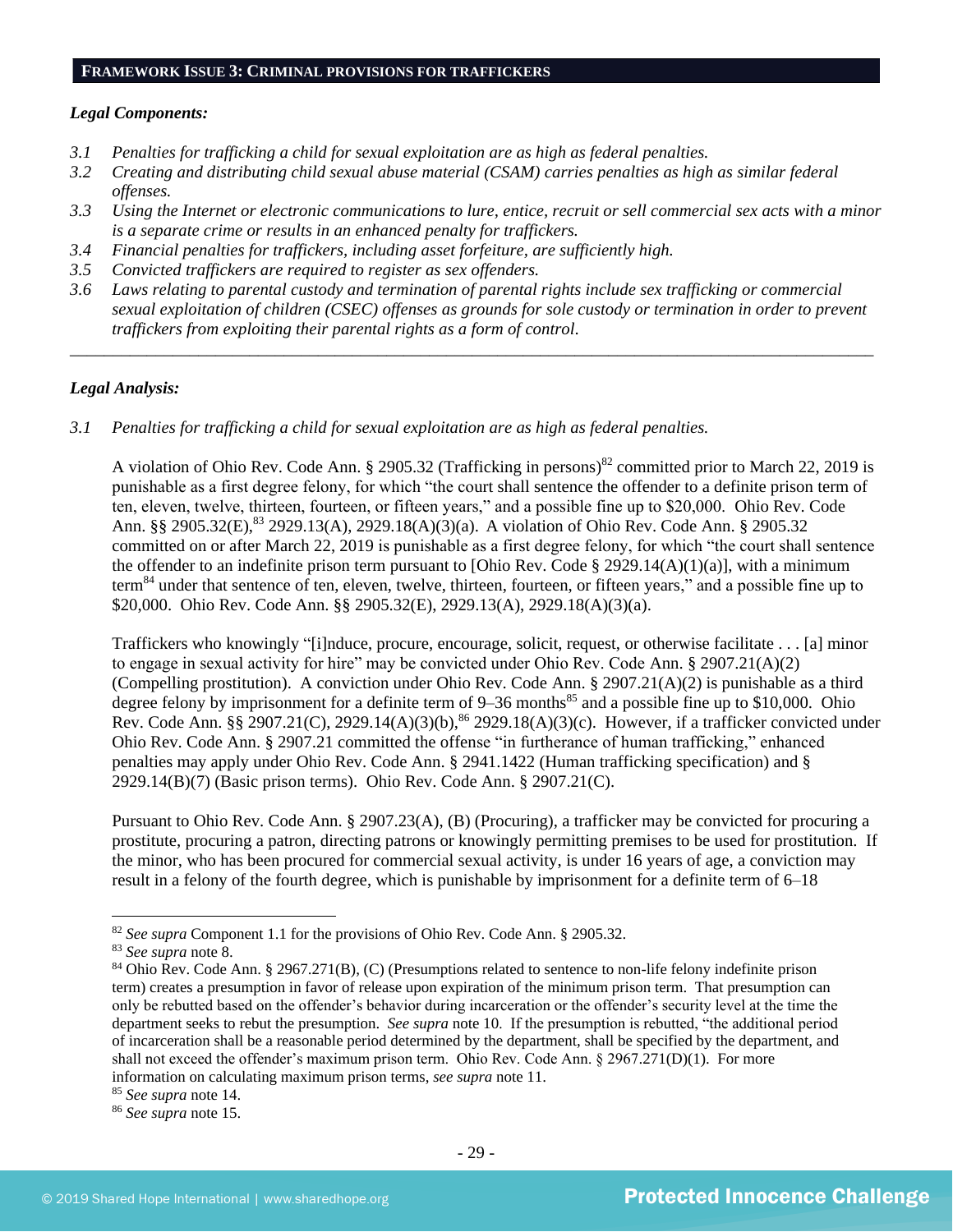#### **FRAMEWORK ISSUE 3: CRIMINAL PROVISIONS FOR TRAFFICKERS**

#### *Legal Components:*

- *3.1 Penalties for trafficking a child for sexual exploitation are as high as federal penalties.*
- *3.2 Creating and distributing child sexual abuse material (CSAM) carries penalties as high as similar federal offenses.*
- *3.3 Using the Internet or electronic communications to lure, entice, recruit or sell commercial sex acts with a minor is a separate crime or results in an enhanced penalty for traffickers.*
- *3.4 Financial penalties for traffickers, including asset forfeiture, are sufficiently high.*
- *3.5 Convicted traffickers are required to register as sex offenders.*
- *3.6 Laws relating to parental custody and termination of parental rights include sex trafficking or commercial sexual exploitation of children (CSEC) offenses as grounds for sole custody or termination in order to prevent traffickers from exploiting their parental rights as a form of control.*

*\_\_\_\_\_\_\_\_\_\_\_\_\_\_\_\_\_\_\_\_\_\_\_\_\_\_\_\_\_\_\_\_\_\_\_\_\_\_\_\_\_\_\_\_\_\_\_\_\_\_\_\_\_\_\_\_\_\_\_\_\_\_\_\_\_\_\_\_\_\_\_\_\_\_\_\_\_\_\_\_\_\_\_\_\_\_\_\_\_\_\_\_\_\_*

## *Legal Analysis:*

*3.1 Penalties for trafficking a child for sexual exploitation are as high as federal penalties.* 

A violation of Ohio Rev. Code Ann. § 2905.32 (Trafficking in persons)<sup>82</sup> committed prior to March 22, 2019 is punishable as a first degree felony, for which "the court shall sentence the offender to a definite prison term of ten, eleven, twelve, thirteen, fourteen, or fifteen years," and a possible fine up to \$20,000. Ohio Rev. Code Ann. §§ 2905.32(E),<sup>83</sup> 2929.13(A), 2929.18(A)(3)(a). A violation of Ohio Rev. Code Ann. § 2905.32 committed on or after March 22, 2019 is punishable as a first degree felony, for which "the court shall sentence the offender to an indefinite prison term pursuant to [Ohio Rev. Code  $\S$  2929.14(A)(1)(a)], with a minimum term<sup>84</sup> under that sentence of ten, eleven, twelve, thirteen, fourteen, or fifteen years," and a possible fine up to \$20,000. Ohio Rev. Code Ann. §§ 2905.32(E), 2929.13(A), 2929.18(A)(3)(a).

Traffickers who knowingly "[i]nduce, procure, encourage, solicit, request, or otherwise facilitate . . . [a] minor to engage in sexual activity for hire" may be convicted under Ohio Rev. Code Ann. § 2907.21(A)(2) (Compelling prostitution). A conviction under Ohio Rev. Code Ann. § 2907.21(A)(2) is punishable as a third degree felony by imprisonment for a definite term of  $9-36$  months<sup>85</sup> and a possible fine up to \$10,000. Ohio Rev. Code Ann. §§ 2907.21(C), 2929.14(A)(3)(b),<sup>86</sup> 2929.18(A)(3)(c). However, if a trafficker convicted under Ohio Rev. Code Ann. § 2907.21 committed the offense "in furtherance of human trafficking," enhanced penalties may apply under Ohio Rev. Code Ann. § 2941.1422 (Human trafficking specification) and § 2929.14(B)(7) (Basic prison terms). Ohio Rev. Code Ann. § 2907.21(C).

Pursuant to Ohio Rev. Code Ann. § 2907.23(A), (B) (Procuring), a trafficker may be convicted for procuring a prostitute, procuring a patron, directing patrons or knowingly permitting premises to be used for prostitution. If the minor, who has been procured for commercial sexual activity, is under 16 years of age, a conviction may result in a felony of the fourth degree, which is punishable by imprisonment for a definite term of 6–18

<sup>&</sup>lt;sup>82</sup> *See supra* Component 1.1 for the provisions of Ohio Rev. Code Ann. § 2905.32.

<sup>83</sup> *See supra* note [8.](#page-2-0)

<sup>84</sup> Ohio Rev. Code Ann. § 2967.271(B), (C) (Presumptions related to sentence to non-life felony indefinite prison term) creates a presumption in favor of release upon expiration of the minimum prison term. That presumption can only be rebutted based on the offender's behavior during incarceration or the offender's security level at the time the department seeks to rebut the presumption. *See supra* note [10.](#page-3-0) If the presumption is rebutted, "the additional period of incarceration shall be a reasonable period determined by the department, shall be specified by the department, and shall not exceed the offender's maximum prison term. Ohio Rev. Code Ann. § 2967.271(D)(1). For more information on calculating maximum prison terms, *see supra* not[e 11.](#page-3-1)

<sup>85</sup> *See supra* note [14.](#page-5-2)

<sup>86</sup> *See supra* note [15.](#page-5-0)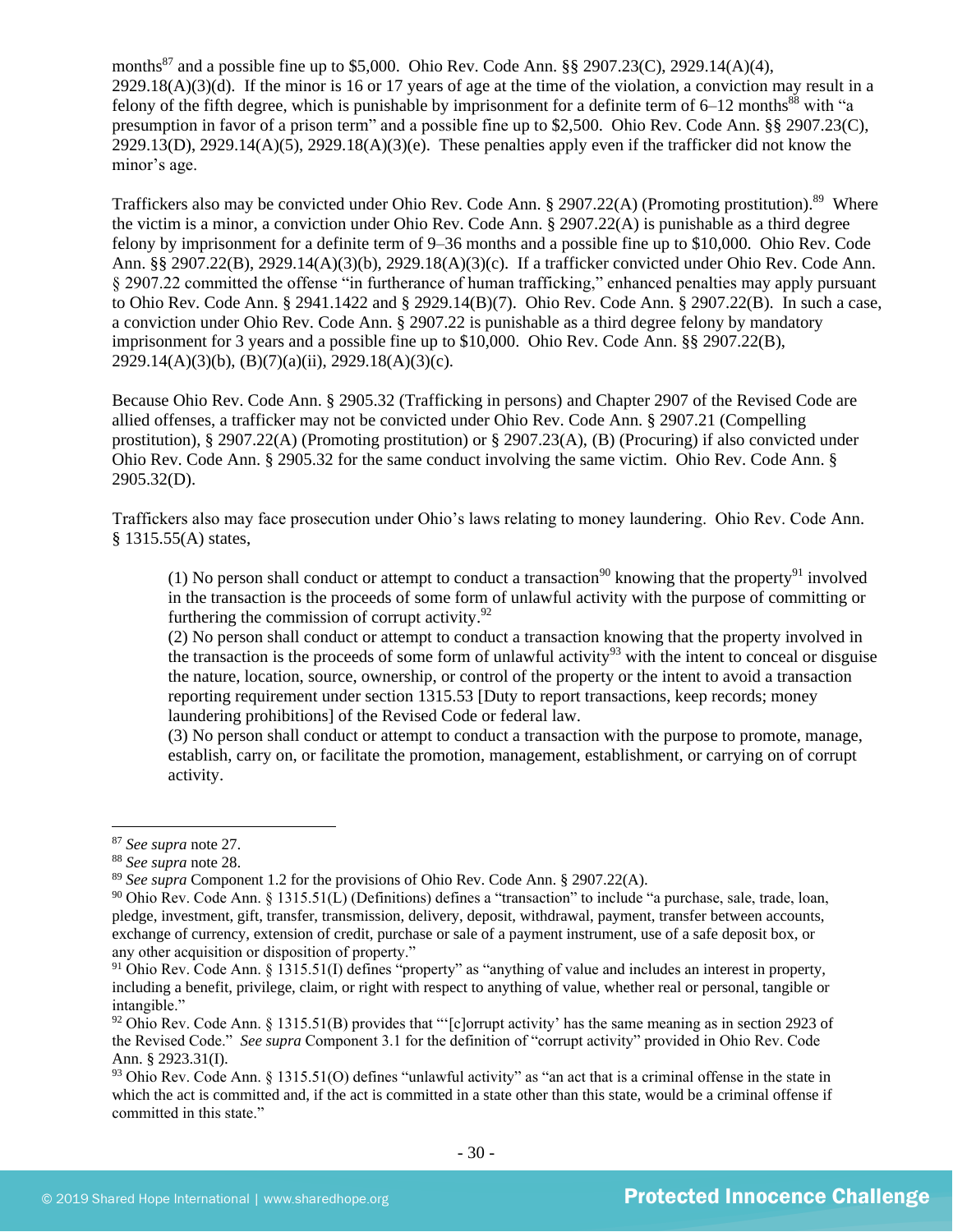months<sup>87</sup> and a possible fine up to \$5,000. Ohio Rev. Code Ann. §§ 2907.23(C), 2929.14(A)(4),  $2929.18(A)(3)(d)$ . If the minor is 16 or 17 years of age at the time of the violation, a conviction may result in a felony of the fifth degree, which is punishable by imprisonment for a definite term of  $6-12$  months<sup>88</sup> with "a presumption in favor of a prison term" and a possible fine up to \$2,500. Ohio Rev. Code Ann. §§ 2907.23(C),  $2929.13(D)$ ,  $2929.14(A)(5)$ ,  $2929.18(A)(3)(e)$ . These penalties apply even if the trafficker did not know the minor's age.

Traffickers also may be convicted under Ohio Rev. Code Ann. § 2907.22(A) (Promoting prostitution).<sup>89</sup> Where the victim is a minor, a conviction under Ohio Rev. Code Ann. § 2907.22(A) is punishable as a third degree felony by imprisonment for a definite term of 9–36 months and a possible fine up to \$10,000. Ohio Rev. Code Ann. §§ 2907.22(B), 2929.14(A)(3)(b), 2929.18(A)(3)(c). If a trafficker convicted under Ohio Rev. Code Ann. § 2907.22 committed the offense "in furtherance of human trafficking," enhanced penalties may apply pursuant to Ohio Rev. Code Ann. § 2941.1422 and § 2929.14(B)(7). Ohio Rev. Code Ann. § 2907.22(B). In such a case, a conviction under Ohio Rev. Code Ann. § 2907.22 is punishable as a third degree felony by mandatory imprisonment for 3 years and a possible fine up to \$10,000. Ohio Rev. Code Ann. §§ 2907.22(B),  $2929.14(A)(3)(b)$ ,  $(B)(7)(a)(ii)$ ,  $2929.18(A)(3)(c)$ .

Because Ohio Rev. Code Ann. § 2905.32 (Trafficking in persons) and Chapter 2907 of the Revised Code are allied offenses, a trafficker may not be convicted under Ohio Rev. Code Ann. § 2907.21 (Compelling prostitution), § 2907.22(A) (Promoting prostitution) or § 2907.23(A), (B) (Procuring) if also convicted under Ohio Rev. Code Ann. § 2905.32 for the same conduct involving the same victim. Ohio Rev. Code Ann. § 2905.32(D).

Traffickers also may face prosecution under Ohio's laws relating to money laundering. Ohio Rev. Code Ann. § 1315.55(A) states,

(1) No person shall conduct or attempt to conduct a transaction<sup>90</sup> knowing that the property<sup>91</sup> involved in the transaction is the proceeds of some form of unlawful activity with the purpose of committing or furthering the commission of corrupt activity.<sup>92</sup>

(2) No person shall conduct or attempt to conduct a transaction knowing that the property involved in the transaction is the proceeds of some form of unlawful activity<sup>93</sup> with the intent to conceal or disguise the nature, location, source, ownership, or control of the property or the intent to avoid a transaction reporting requirement under section 1315.53 [Duty to report transactions, keep records; money laundering prohibitions] of the Revised Code or federal law.

(3) No person shall conduct or attempt to conduct a transaction with the purpose to promote, manage, establish, carry on, or facilitate the promotion, management, establishment, or carrying on of corrupt activity.

<sup>87</sup> *See supra* note [27.](#page-9-0)

<sup>88</sup> *See supra* note [28.](#page-10-0)

<sup>89</sup> *See supra* Component 1.2 for the provisions of Ohio Rev. Code Ann. § 2907.22(A).

<sup>&</sup>lt;sup>90</sup> Ohio Rev. Code Ann. § 1315.51(L) (Definitions) defines a "transaction" to include "a purchase, sale, trade, loan, pledge, investment, gift, transfer, transmission, delivery, deposit, withdrawal, payment, transfer between accounts, exchange of currency, extension of credit, purchase or sale of a payment instrument, use of a safe deposit box, or any other acquisition or disposition of property."

<sup>&</sup>lt;sup>91</sup> Ohio Rev. Code Ann. § 1315.51(I) defines "property" as "anything of value and includes an interest in property, including a benefit, privilege, claim, or right with respect to anything of value, whether real or personal, tangible or intangible."

 $92$  Ohio Rev. Code Ann. § 1315.51(B) provides that "'[c]orrupt activity' has the same meaning as in section 2923 of the Revised Code." *See supra* Component 3.1 for the definition of "corrupt activity" provided in Ohio Rev. Code Ann. § 2923.31(I).

<sup>93</sup> Ohio Rev. Code Ann. § 1315.51(O) defines "unlawful activity" as "an act that is a criminal offense in the state in which the act is committed and, if the act is committed in a state other than this state, would be a criminal offense if committed in this state."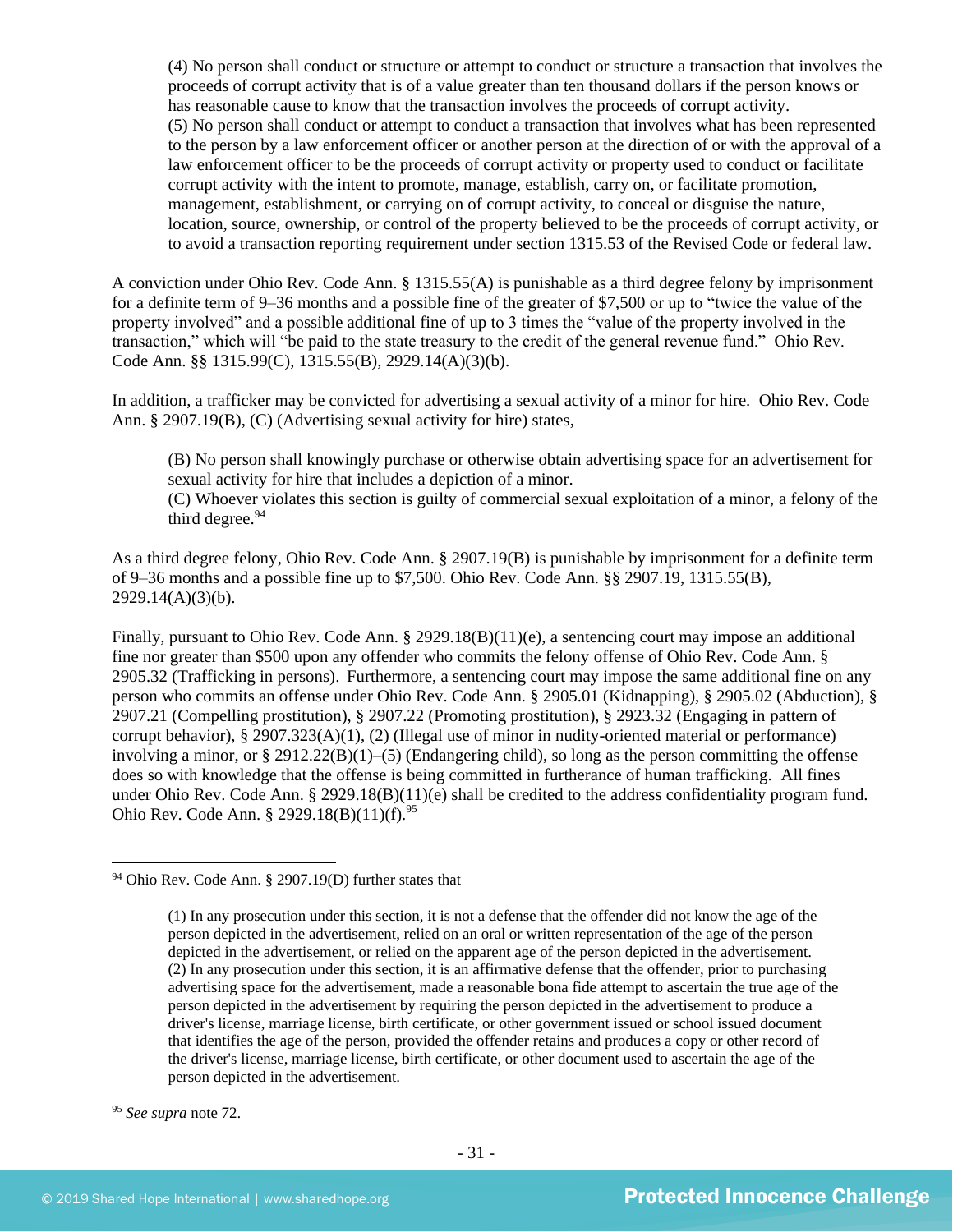(4) No person shall conduct or structure or attempt to conduct or structure a transaction that involves the proceeds of corrupt activity that is of a value greater than ten thousand dollars if the person knows or has reasonable cause to know that the transaction involves the proceeds of corrupt activity. (5) No person shall conduct or attempt to conduct a transaction that involves what has been represented to the person by a law enforcement officer or another person at the direction of or with the approval of a law enforcement officer to be the proceeds of corrupt activity or property used to conduct or facilitate corrupt activity with the intent to promote, manage, establish, carry on, or facilitate promotion, management, establishment, or carrying on of corrupt activity, to conceal or disguise the nature, location, source, ownership, or control of the property believed to be the proceeds of corrupt activity, or to avoid a transaction reporting requirement under section 1315.53 of the Revised Code or federal law.

A conviction under Ohio Rev. Code Ann. § 1315.55(A) is punishable as a third degree felony by imprisonment for a definite term of 9–36 months and a possible fine of the greater of \$7,500 or up to "twice the value of the property involved" and a possible additional fine of up to 3 times the "value of the property involved in the transaction," which will "be paid to the state treasury to the credit of the general revenue fund." Ohio Rev. Code Ann. §§ 1315.99(C), 1315.55(B), 2929.14(A)(3)(b).

In addition, a trafficker may be convicted for advertising a sexual activity of a minor for hire. Ohio Rev. Code Ann. § 2907.19(B), (C) (Advertising sexual activity for hire) states,

(B) No person shall knowingly purchase or otherwise obtain advertising space for an advertisement for sexual activity for hire that includes a depiction of a minor.

(C) Whoever violates this section is guilty of commercial sexual exploitation of a minor, a felony of the third degree. $94$ 

As a third degree felony, Ohio Rev. Code Ann. § 2907.19(B) is punishable by imprisonment for a definite term of 9–36 months and a possible fine up to \$7,500. Ohio Rev. Code Ann. §§ 2907.19, 1315.55(B), 2929.14(A)(3)(b).

Finally, pursuant to Ohio Rev. Code Ann. § 2929.18(B)(11)(e), a sentencing court may impose an additional fine nor greater than \$500 upon any offender who commits the felony offense of Ohio Rev. Code Ann. § 2905.32 (Trafficking in persons). Furthermore, a sentencing court may impose the same additional fine on any person who commits an offense under Ohio Rev. Code Ann. § 2905.01 (Kidnapping), § 2905.02 (Abduction), § 2907.21 (Compelling prostitution), § 2907.22 (Promoting prostitution), § 2923.32 (Engaging in pattern of corrupt behavior), § 2907.323(A)(1), (2) (Illegal use of minor in nudity-oriented material or performance) involving a minor, or § 2912.22(B)(1)–(5) (Endangering child), so long as the person committing the offense does so with knowledge that the offense is being committed in furtherance of human trafficking. All fines under Ohio Rev. Code Ann. § 2929.18(B)(11)(e) shall be credited to the address confidentiality program fund. Ohio Rev. Code Ann. § 2929.18(B)(11)(f).<sup>95</sup>

<sup>95</sup> *See supra* note [72.](#page-23-0)

<sup>94</sup> Ohio Rev. Code Ann. § 2907.19(D) further states that

<sup>(1)</sup> In any prosecution under this section, it is not a defense that the offender did not know the age of the person depicted in the advertisement, relied on an oral or written representation of the age of the person depicted in the advertisement, or relied on the apparent age of the person depicted in the advertisement. (2) In any prosecution under this section, it is an affirmative defense that the offender, prior to purchasing advertising space for the advertisement, made a reasonable bona fide attempt to ascertain the true age of the person depicted in the advertisement by requiring the person depicted in the advertisement to produce a driver's license, marriage license, birth certificate, or other government issued or school issued document that identifies the age of the person, provided the offender retains and produces a copy or other record of the driver's license, marriage license, birth certificate, or other document used to ascertain the age of the person depicted in the advertisement.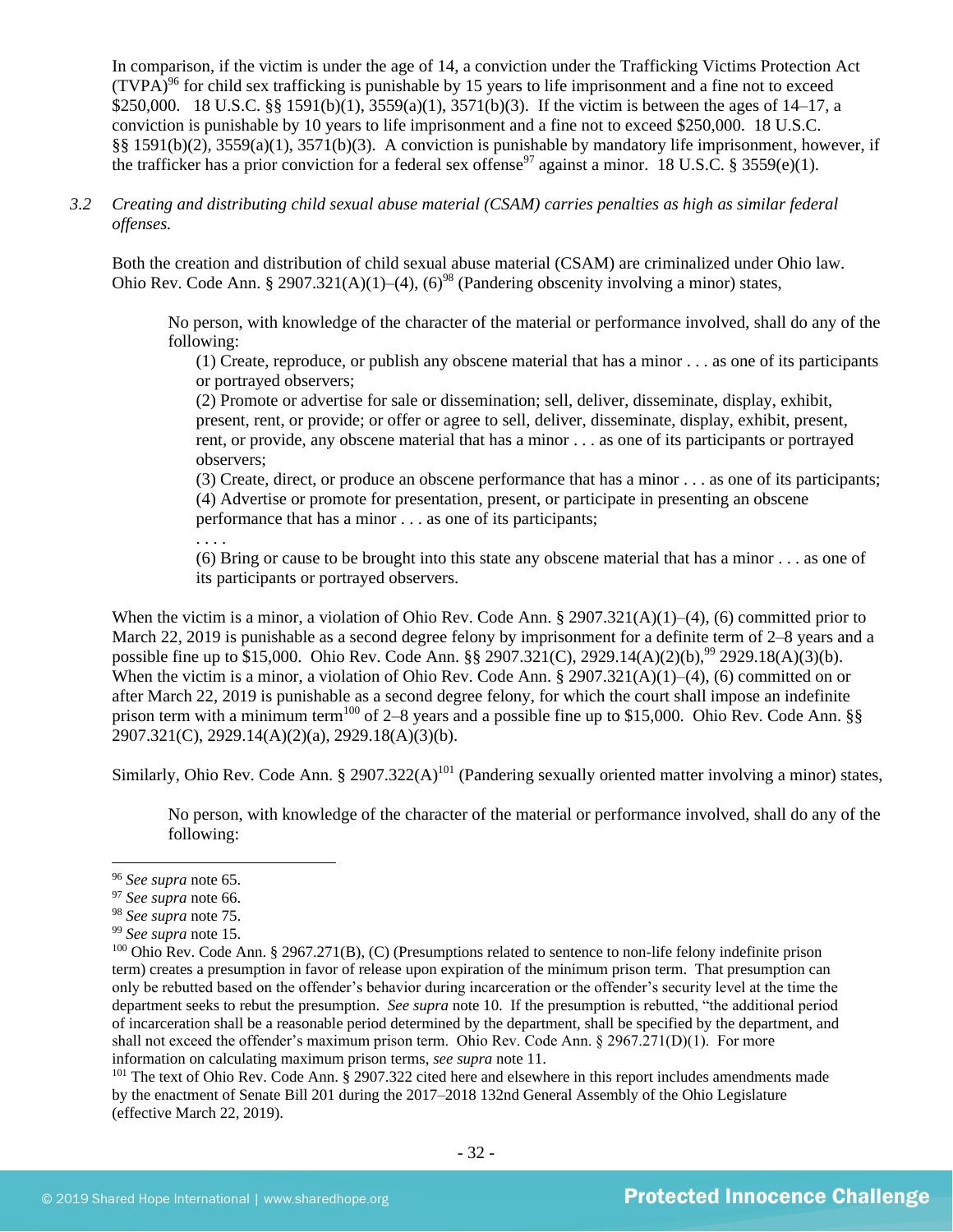In comparison, if the victim is under the age of 14, a conviction under the Trafficking Victims Protection Act  $(TVPA)^{96}$  for child sex trafficking is punishable by 15 years to life imprisonment and a fine not to exceed \$250,000. 18 U.S.C. §§ 1591(b)(1), 3559(a)(1), 3571(b)(3). If the victim is between the ages of 14–17, a conviction is punishable by 10 years to life imprisonment and a fine not to exceed \$250,000. 18 U.S.C. §§ 1591(b)(2), 3559(a)(1), 3571(b)(3). A conviction is punishable by mandatory life imprisonment, however, if the trafficker has a prior conviction for a federal sex offense<sup>97</sup> against a minor. 18 U.S.C. § 3559(e)(1).

*3.2 Creating and distributing child sexual abuse material (CSAM) carries penalties as high as similar federal offenses.*

Both the creation and distribution of child sexual abuse material (CSAM) are criminalized under Ohio law. Ohio Rev. Code Ann. § 2907.321(A)(1)–(4),  $(6)^{98}$  (Pandering obscenity involving a minor) states,

No person, with knowledge of the character of the material or performance involved, shall do any of the following:

(1) Create, reproduce, or publish any obscene material that has a minor . . . as one of its participants or portrayed observers;

(2) Promote or advertise for sale or dissemination; sell, deliver, disseminate, display, exhibit, present, rent, or provide; or offer or agree to sell, deliver, disseminate, display, exhibit, present, rent, or provide, any obscene material that has a minor . . . as one of its participants or portrayed observers;

(3) Create, direct, or produce an obscene performance that has a minor . . . as one of its participants; (4) Advertise or promote for presentation, present, or participate in presenting an obscene performance that has a minor . . . as one of its participants;

. . . .

(6) Bring or cause to be brought into this state any obscene material that has a minor . . . as one of its participants or portrayed observers.

When the victim is a minor, a violation of Ohio Rev. Code Ann.  $\S 2907.321(A)(1)–(4)$ , (6) committed prior to March 22, 2019 is punishable as a second degree felony by imprisonment for a definite term of 2–8 years and a possible fine up to \$15,000. Ohio Rev. Code Ann. §§ 2907.321(C), 2929.14(A)(2)(b),<sup>99</sup> 2929.18(A)(3)(b). When the victim is a minor, a violation of Ohio Rev. Code Ann. § 2907.321(A)(1)–(4), (6) committed on or after March 22, 2019 is punishable as a second degree felony, for which the court shall impose an indefinite prison term with a minimum term<sup>100</sup> of 2–8 years and a possible fine up to \$15,000. Ohio Rev. Code Ann. §§ 2907.321(C), 2929.14(A)(2)(a), 2929.18(A)(3)(b).

Similarly, Ohio Rev. Code Ann. § 2907.322(A)<sup>101</sup> (Pandering sexually oriented matter involving a minor) states,

<span id="page-31-0"></span>No person, with knowledge of the character of the material or performance involved, shall do any of the following:

<sup>96</sup> *See supra* note [65.](#page-21-0)

<sup>97</sup> *See supra* note [66.](#page-21-1) 

<sup>98</sup> *See supra* note [75.](#page-25-0)

<sup>99</sup> *See supra* note [15.](#page-5-0)

<sup>&</sup>lt;sup>100</sup> Ohio Rev. Code Ann. § 2967.271(B), (C) (Presumptions related to sentence to non-life felony indefinite prison term) creates a presumption in favor of release upon expiration of the minimum prison term. That presumption can only be rebutted based on the offender's behavior during incarceration or the offender's security level at the time the department seeks to rebut the presumption. *See supra* not[e 10.](#page-3-0) If the presumption is rebutted, "the additional period of incarceration shall be a reasonable period determined by the department, shall be specified by the department, and shall not exceed the offender's maximum prison term. Ohio Rev. Code Ann. § 2967.271(D)(1). For more information on calculating maximum prison terms, *see supra* not[e 11.](#page-3-1)

<sup>&</sup>lt;sup>101</sup> The text of Ohio Rev. Code Ann. § 2907.322 cited here and elsewhere in this report includes amendments made by the enactment of Senate Bill 201 during the 2017–2018 132nd General Assembly of the Ohio Legislature (effective March 22, 2019).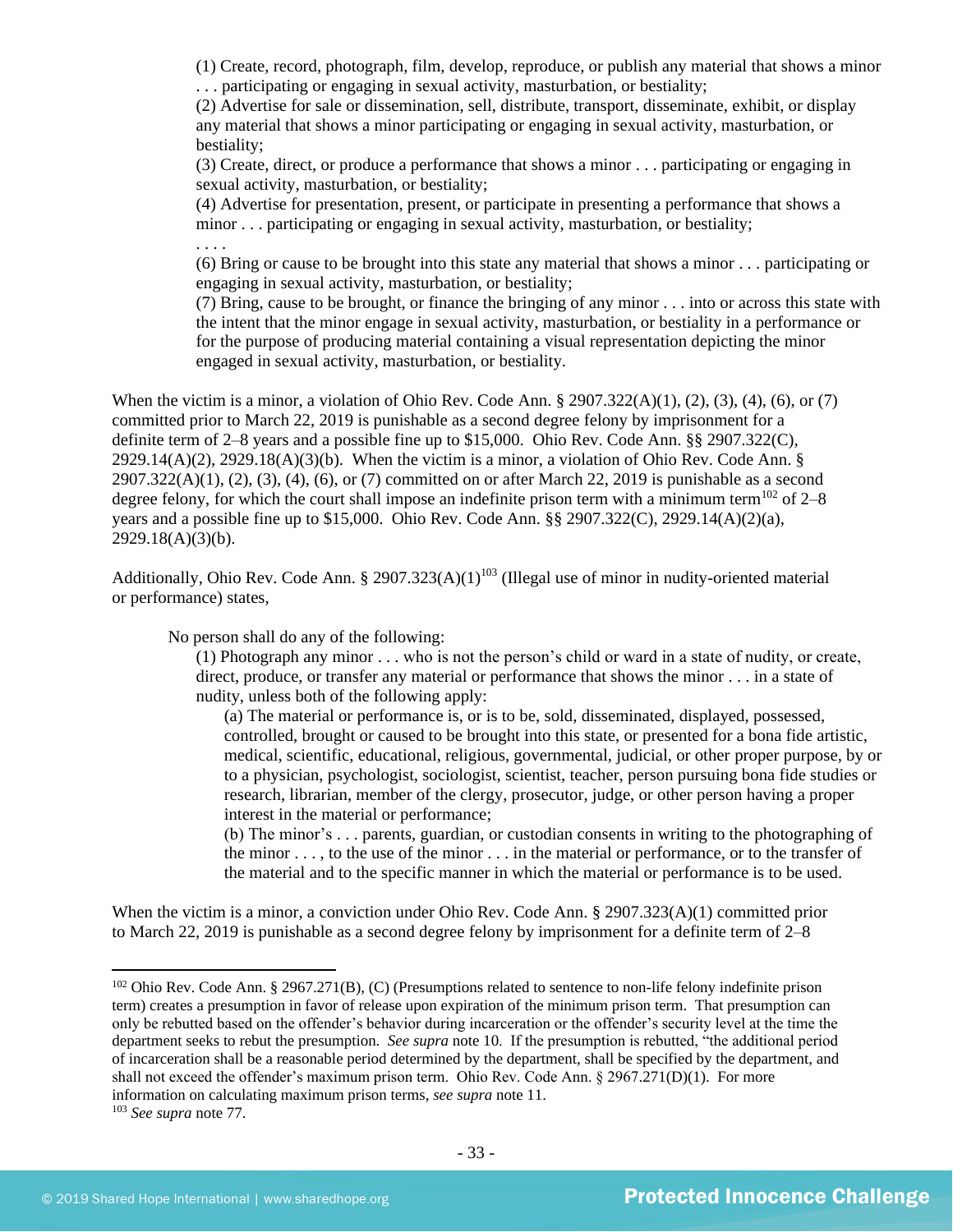(1) Create, record, photograph, film, develop, reproduce, or publish any material that shows a minor . . . participating or engaging in sexual activity, masturbation, or bestiality;

(2) Advertise for sale or dissemination, sell, distribute, transport, disseminate, exhibit, or display any material that shows a minor participating or engaging in sexual activity, masturbation, or bestiality;

(3) Create, direct, or produce a performance that shows a minor . . . participating or engaging in sexual activity, masturbation, or bestiality;

(4) Advertise for presentation, present, or participate in presenting a performance that shows a minor . . . participating or engaging in sexual activity, masturbation, or bestiality; . . . .

(6) Bring or cause to be brought into this state any material that shows a minor . . . participating or engaging in sexual activity, masturbation, or bestiality;

(7) Bring, cause to be brought, or finance the bringing of any minor . . . into or across this state with the intent that the minor engage in sexual activity, masturbation, or bestiality in a performance or for the purpose of producing material containing a visual representation depicting the minor engaged in sexual activity, masturbation, or bestiality.

When the victim is a minor, a violation of Ohio Rev. Code Ann.  $\S 2907.322(A)(1), (2), (3), (4), (6),$  or (7) committed prior to March 22, 2019 is punishable as a second degree felony by imprisonment for a definite term of 2–8 years and a possible fine up to \$15,000. Ohio Rev. Code Ann. §§ 2907.322(C),  $2929.14(A)(2)$ ,  $2929.18(A)(3)(b)$ . When the victim is a minor, a violation of Ohio Rev. Code Ann. §  $2907.322(A)(1)$ ,  $(2)$ ,  $(3)$ ,  $(4)$ ,  $(6)$ , or  $(7)$  committed on or after March 22, 2019 is punishable as a second degree felony, for which the court shall impose an indefinite prison term with a minimum term<sup>102</sup> of  $2-8$ years and a possible fine up to \$15,000. Ohio Rev. Code Ann. §§ 2907.322(C), 2929.14(A)(2)(a), 2929.18(A)(3)(b).

Additionally, Ohio Rev. Code Ann. § 2907.323(A)(1)<sup>103</sup> (Illegal use of minor in nudity-oriented material or performance) states,

No person shall do any of the following:

(1) Photograph any minor . . . who is not the person's child or ward in a state of nudity, or create, direct, produce, or transfer any material or performance that shows the minor . . . in a state of nudity, unless both of the following apply:

(a) The material or performance is, or is to be, sold, disseminated, displayed, possessed, controlled, brought or caused to be brought into this state, or presented for a bona fide artistic, medical, scientific, educational, religious, governmental, judicial, or other proper purpose, by or to a physician, psychologist, sociologist, scientist, teacher, person pursuing bona fide studies or research, librarian, member of the clergy, prosecutor, judge, or other person having a proper interest in the material or performance;

(b) The minor's . . . parents, guardian, or custodian consents in writing to the photographing of the minor . . . , to the use of the minor . . . in the material or performance, or to the transfer of the material and to the specific manner in which the material or performance is to be used.

When the victim is a minor, a conviction under Ohio Rev. Code Ann. § 2907.323(A)(1) committed prior to March 22, 2019 is punishable as a second degree felony by imprisonment for a definite term of 2–8

 $102$  Ohio Rev. Code Ann. § 2967.271(B), (C) (Presumptions related to sentence to non-life felony indefinite prison term) creates a presumption in favor of release upon expiration of the minimum prison term. That presumption can only be rebutted based on the offender's behavior during incarceration or the offender's security level at the time the department seeks to rebut the presumption. *See supra* not[e 10.](#page-3-0) If the presumption is rebutted, "the additional period of incarceration shall be a reasonable period determined by the department, shall be specified by the department, and shall not exceed the offender's maximum prison term. Ohio Rev. Code Ann. § 2967.271(D)(1). For more information on calculating maximum prison terms, *see supra* not[e 11.](#page-3-1)

<sup>103</sup> *See supra* not[e 77.](#page-25-1)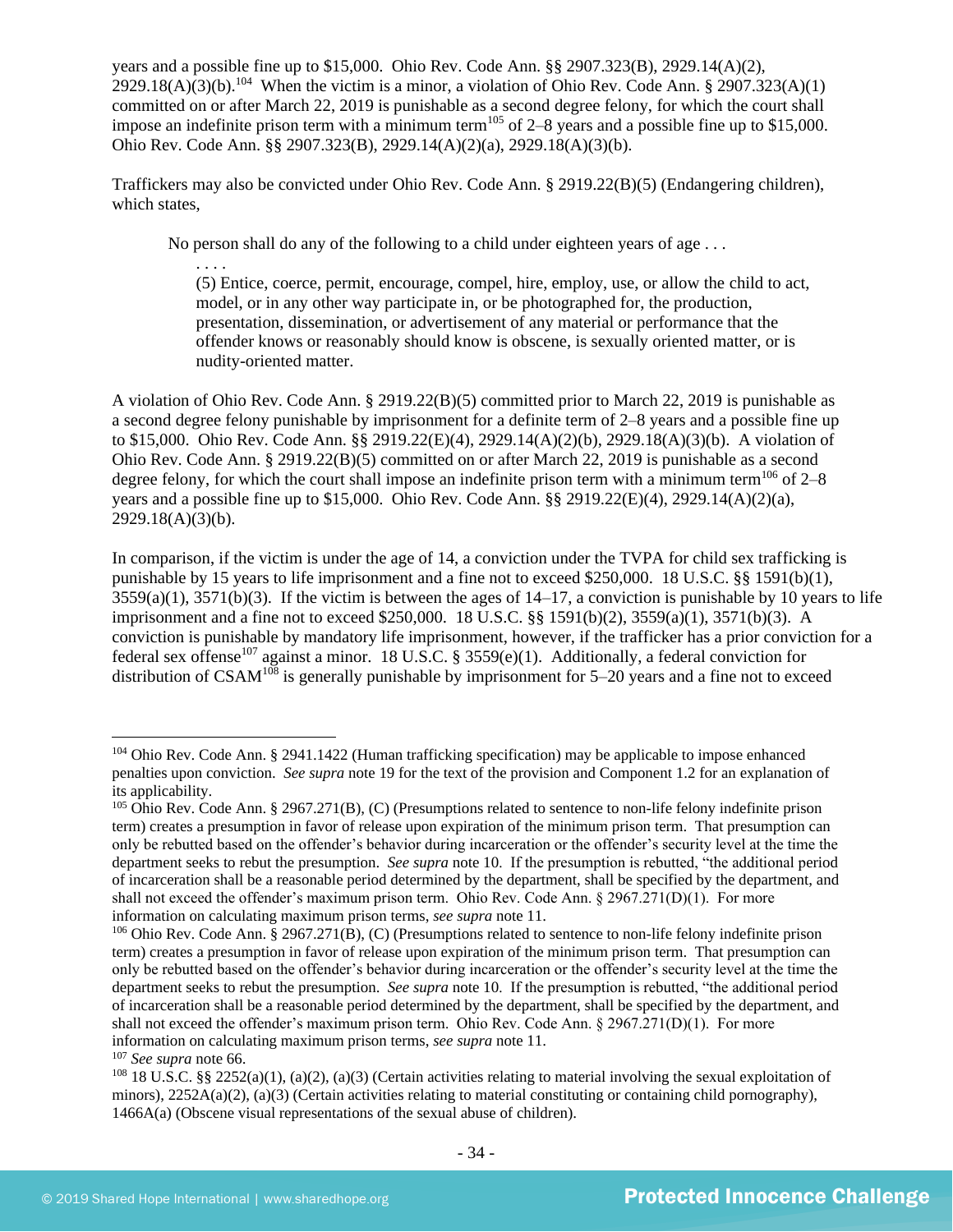years and a possible fine up to \$15,000. Ohio Rev. Code Ann. §§ 2907.323(B), 2929.14(A)(2),  $2929.18(A)(3)(b).^{104}$  When the victim is a minor, a violation of Ohio Rev. Code Ann. § 2907.323(A)(1) committed on or after March 22, 2019 is punishable as a second degree felony, for which the court shall impose an indefinite prison term with a minimum term<sup>105</sup> of 2–8 years and a possible fine up to \$15,000. Ohio Rev. Code Ann. §§ 2907.323(B), 2929.14(A)(2)(a), 2929.18(A)(3)(b).

Traffickers may also be convicted under Ohio Rev. Code Ann. § 2919.22(B)(5) (Endangering children), which states,

No person shall do any of the following to a child under eighteen years of age . . .

. . . . (5) Entice, coerce, permit, encourage, compel, hire, employ, use, or allow the child to act, model, or in any other way participate in, or be photographed for, the production, presentation, dissemination, or advertisement of any material or performance that the offender knows or reasonably should know is obscene, is sexually oriented matter, or is nudity-oriented matter.

A violation of Ohio Rev. Code Ann. § 2919.22(B)(5) committed prior to March 22, 2019 is punishable as a second degree felony punishable by imprisonment for a definite term of 2–8 years and a possible fine up to \$15,000. Ohio Rev. Code Ann. §§ 2919.22(E)(4), 2929.14(A)(2)(b), 2929.18(A)(3)(b). A violation of Ohio Rev. Code Ann. § 2919.22(B)(5) committed on or after March 22, 2019 is punishable as a second degree felony, for which the court shall impose an indefinite prison term with a minimum term<sup>106</sup> of  $2-8$ years and a possible fine up to \$15,000. Ohio Rev. Code Ann. §§ 2919.22(E)(4), 2929.14(A)(2)(a), 2929.18(A)(3)(b).

In comparison, if the victim is under the age of 14, a conviction under the TVPA for child sex trafficking is punishable by 15 years to life imprisonment and a fine not to exceed \$250,000. 18 U.S.C. §§ 1591(b)(1),  $3559(a)(1)$ ,  $3571(b)(3)$ . If the victim is between the ages of  $14-17$ , a conviction is punishable by 10 years to life imprisonment and a fine not to exceed \$250,000. 18 U.S.C. §§ 1591(b)(2), 3559(a)(1), 3571(b)(3). A conviction is punishable by mandatory life imprisonment, however, if the trafficker has a prior conviction for a federal sex offense<sup>107</sup> against a minor. 18 U.S.C. § 3559(e)(1). Additionally, a federal conviction for distribution of  $CSAM^{108}$  is generally punishable by imprisonment for 5–20 years and a fine not to exceed

<sup>104</sup> Ohio Rev. Code Ann. § 2941.1422 (Human trafficking specification) may be applicable to impose enhanced penalties upon conviction. *See supra* not[e 19](#page-6-0) for the text of the provision and Component 1.2 for an explanation of its applicability.

<sup>105</sup> Ohio Rev. Code Ann. § 2967.271(B), (C) (Presumptions related to sentence to non-life felony indefinite prison term) creates a presumption in favor of release upon expiration of the minimum prison term. That presumption can only be rebutted based on the offender's behavior during incarceration or the offender's security level at the time the department seeks to rebut the presumption. *See supra* not[e 10.](#page-3-0) If the presumption is rebutted, "the additional period of incarceration shall be a reasonable period determined by the department, shall be specified by the department, and shall not exceed the offender's maximum prison term. Ohio Rev. Code Ann. § 2967.271(D)(1). For more information on calculating maximum prison terms, *see supra* not[e 11.](#page-3-1)

 $106$  Ohio Rev. Code Ann. § 2967.271(B), (C) (Presumptions related to sentence to non-life felony indefinite prison term) creates a presumption in favor of release upon expiration of the minimum prison term. That presumption can only be rebutted based on the offender's behavior during incarceration or the offender's security level at the time the department seeks to rebut the presumption. *See supra* not[e 10.](#page-3-0) If the presumption is rebutted, "the additional period of incarceration shall be a reasonable period determined by the department, shall be specified by the department, and shall not exceed the offender's maximum prison term. Ohio Rev. Code Ann. § 2967.271(D)(1). For more information on calculating maximum prison terms, *see supra* not[e 11.](#page-3-1)

<sup>107</sup> *See supra* note [66.](#page-21-1)

 $108$  18 U.S.C. §§ 2252(a)(1), (a)(2), (a)(3) (Certain activities relating to material involving the sexual exploitation of minors),  $2252A(a)(2)$ ,  $(a)(3)$  (Certain activities relating to material constituting or containing child pornography), 1466A(a) (Obscene visual representations of the sexual abuse of children).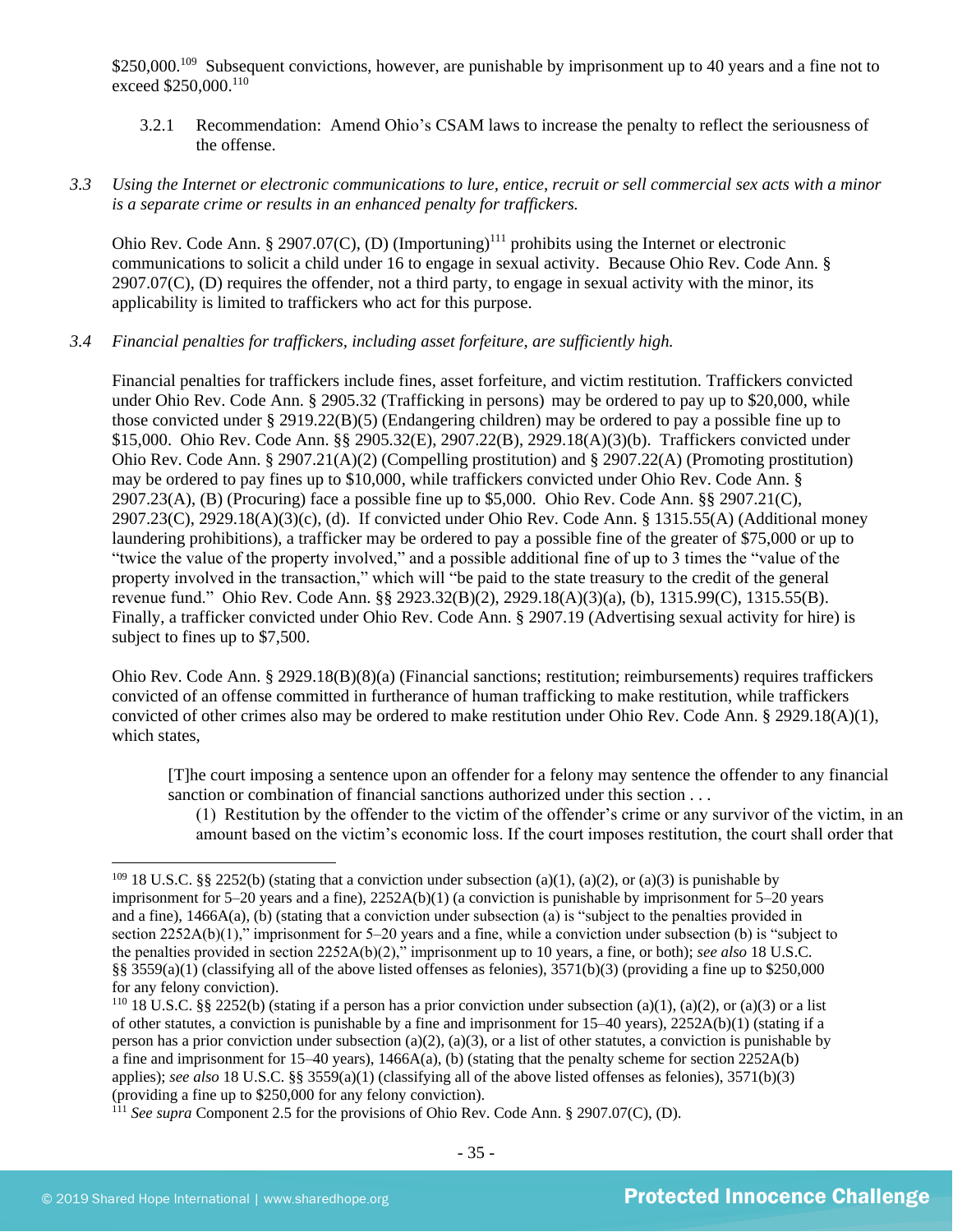\$250,000.<sup>109</sup> Subsequent convictions, however, are punishable by imprisonment up to 40 years and a fine not to exceed \$250,000.<sup>110</sup>

3.2.1 Recommendation: Amend Ohio's CSAM laws to increase the penalty to reflect the seriousness of the offense.

## *3.3 Using the Internet or electronic communications to lure, entice, recruit or sell commercial sex acts with a minor is a separate crime or results in an enhanced penalty for traffickers.*

Ohio Rev. Code Ann. § 2907.07(C), (D) (Importuning)<sup>111</sup> prohibits using the Internet or electronic communications to solicit a child under 16 to engage in sexual activity. Because Ohio Rev. Code Ann. §  $2907.07(C)$ , (D) requires the offender, not a third party, to engage in sexual activity with the minor, its applicability is limited to traffickers who act for this purpose.

## *3.4 Financial penalties for traffickers, including asset forfeiture, are sufficiently high.*

Financial penalties for traffickers include fines, asset forfeiture, and victim restitution. Traffickers convicted under Ohio Rev. Code Ann. § 2905.32 (Trafficking in persons) may be ordered to pay up to \$20,000, while those convicted under § 2919.22(B)(5) (Endangering children) may be ordered to pay a possible fine up to \$15,000. Ohio Rev. Code Ann. §§ 2905.32(E), 2907.22(B), 2929.18(A)(3)(b). Traffickers convicted under Ohio Rev. Code Ann. § 2907.21(A)(2) (Compelling prostitution) and § 2907.22(A) (Promoting prostitution) may be ordered to pay fines up to \$10,000, while traffickers convicted under Ohio Rev. Code Ann. § 2907.23(A), (B) (Procuring) face a possible fine up to \$5,000. Ohio Rev. Code Ann. §§ 2907.21(C), 2907.23(C), 2929.18(A)(3)(c), (d). If convicted under Ohio Rev. Code Ann. § 1315.55(A) (Additional money laundering prohibitions), a trafficker may be ordered to pay a possible fine of the greater of \$75,000 or up to "twice the value of the property involved," and a possible additional fine of up to 3 times the "value of the property involved in the transaction," which will "be paid to the state treasury to the credit of the general revenue fund." Ohio Rev. Code Ann. §§ 2923.32(B)(2), 2929.18(A)(3)(a), (b), 1315.99(C), 1315.55(B). Finally, a trafficker convicted under Ohio Rev. Code Ann. § 2907.19 (Advertising sexual activity for hire) is subject to fines up to \$7,500.

Ohio Rev. Code Ann. § 2929.18(B)(8)(a) (Financial sanctions; restitution; reimbursements) requires traffickers convicted of an offense committed in furtherance of human trafficking to make restitution, while traffickers convicted of other crimes also may be ordered to make restitution under Ohio Rev. Code Ann. § 2929.18(A)(1), which states,

[T]he court imposing a sentence upon an offender for a felony may sentence the offender to any financial sanction or combination of financial sanctions authorized under this section . . .

(1) Restitution by the offender to the victim of the offender's crime or any survivor of the victim, in an amount based on the victim's economic loss. If the court imposes restitution, the court shall order that

 $109$  18 U.S.C. §§ 2252(b) (stating that a conviction under subsection (a)(1), (a)(2), or (a)(3) is punishable by imprisonment for 5–20 years and a fine), 2252A(b)(1) (a conviction is punishable by imprisonment for 5–20 years and a fine), 1466A(a), (b) (stating that a conviction under subsection (a) is "subject to the penalties provided in section 2252A(b)(1)," imprisonment for 5–20 years and a fine, while a conviction under subsection (b) is "subject to the penalties provided in section 2252A(b)(2)," imprisonment up to 10 years, a fine, or both); *see also* 18 U.S.C. §§ 3559(a)(1) (classifying all of the above listed offenses as felonies),  $3571(b)(3)$  (providing a fine up to \$250,000 for any felony conviction).

<sup>&</sup>lt;sup>110</sup> 18 U.S.C. §§ 2252(b) (stating if a person has a prior conviction under subsection (a)(1), (a)(2), or (a)(3) or a list of other statutes, a conviction is punishable by a fine and imprisonment for  $15-40$  years),  $2252A(b)(1)$  (stating if a person has a prior conviction under subsection (a)(2), (a)(3), or a list of other statutes, a conviction is punishable by a fine and imprisonment for  $15-40$  years),  $1466A(a)$ , (b) (stating that the penalty scheme for section  $2252A(b)$ applies); *see also* 18 U.S.C. §§ 3559(a)(1) (classifying all of the above listed offenses as felonies), 3571(b)(3) (providing a fine up to \$250,000 for any felony conviction).

<sup>111</sup> *See supra* Component 2.5 for the provisions of Ohio Rev. Code Ann. § 2907.07(C), (D).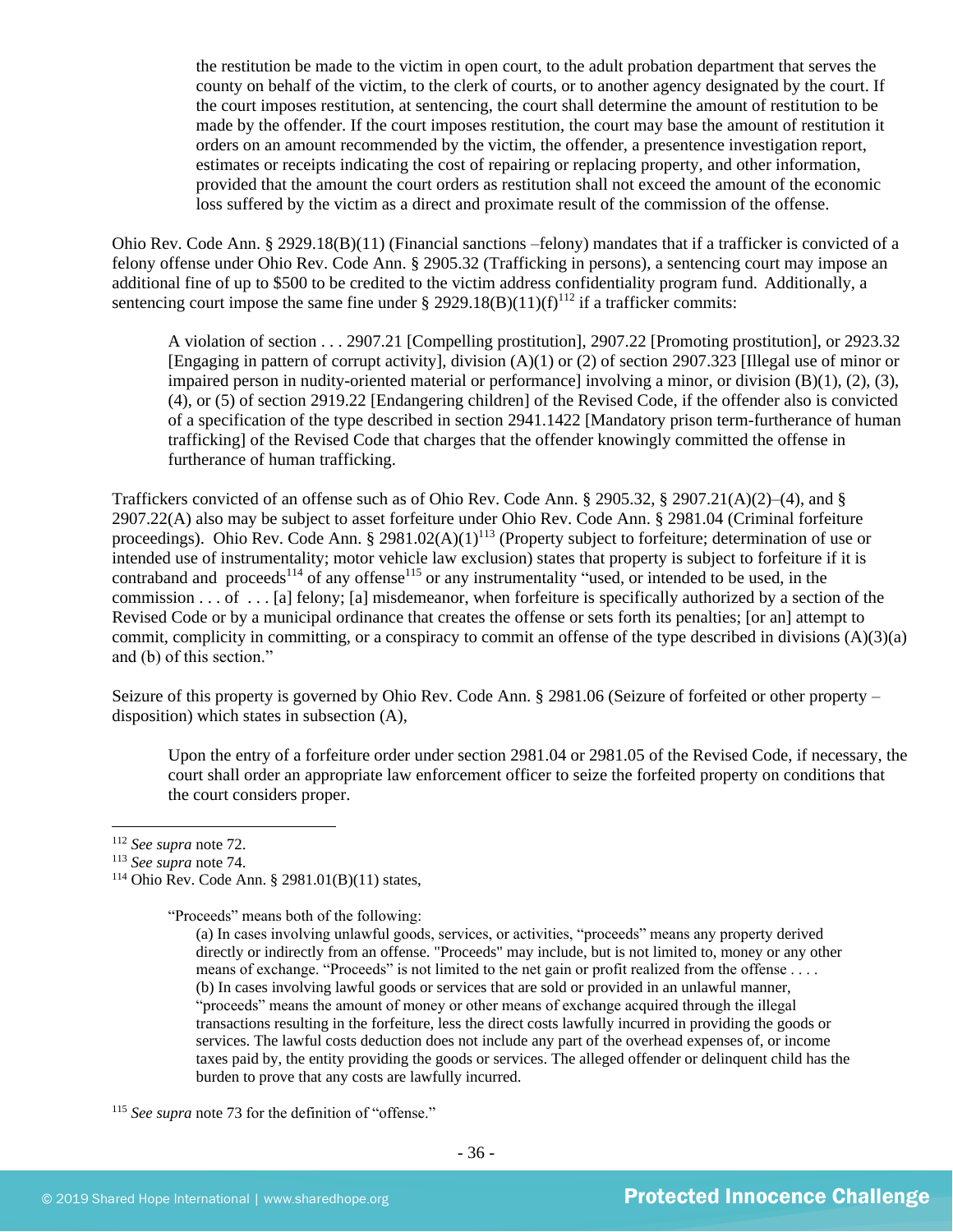the restitution be made to the victim in open court, to the adult probation department that serves the county on behalf of the victim, to the clerk of courts, or to another agency designated by the court. If the court imposes restitution, at sentencing, the court shall determine the amount of restitution to be made by the offender. If the court imposes restitution, the court may base the amount of restitution it orders on an amount recommended by the victim, the offender, a presentence investigation report, estimates or receipts indicating the cost of repairing or replacing property, and other information, provided that the amount the court orders as restitution shall not exceed the amount of the economic loss suffered by the victim as a direct and proximate result of the commission of the offense.

Ohio Rev. Code Ann. § 2929.18(B)(11) (Financial sanctions –felony) mandates that if a trafficker is convicted of a felony offense under Ohio Rev. Code Ann. § 2905.32 (Trafficking in persons), a sentencing court may impose an additional fine of up to \$500 to be credited to the victim address confidentiality program fund. Additionally, a sentencing court impose the same fine under § 2929.18(B)(11)(f)<sup>112</sup> if a trafficker commits:

A violation of section . . . 2907.21 [Compelling prostitution], 2907.22 [Promoting prostitution], or 2923.32 [Engaging in pattern of corrupt activity], division (A)(1) or (2) of section 2907.323 [Illegal use of minor or impaired person in nudity-oriented material or performance] involving a minor, or division  $(B)(1)$ ,  $(2)$ ,  $(3)$ , (4), or (5) of section 2919.22 [Endangering children] of the Revised Code, if the offender also is convicted of a specification of the type described in section 2941.1422 [Mandatory prison term-furtherance of human trafficking] of the Revised Code that charges that the offender knowingly committed the offense in furtherance of human trafficking.

<span id="page-35-0"></span>Traffickers convicted of an offense such as of Ohio Rev. Code Ann. § 2905.32, § 2907.21(A)(2)–(4), and § 2907.22(A) also may be subject to asset forfeiture under Ohio Rev. Code Ann. § 2981.04 (Criminal forfeiture proceedings). Ohio Rev. Code Ann. § 2981.02(A)(1)<sup>113</sup> (Property subject to forfeiture; determination of use or intended use of instrumentality; motor vehicle law exclusion) states that property is subject to forfeiture if it is contraband and proceeds<sup>114</sup> of any offense<sup>115</sup> or any instrumentality "used, or intended to be used, in the commission . . . of . . . [a] felony; [a] misdemeanor, when forfeiture is specifically authorized by a section of the Revised Code or by a municipal ordinance that creates the offense or sets forth its penalties; [or an] attempt to commit, complicity in committing, or a conspiracy to commit an offense of the type described in divisions (A)(3)(a) and (b) of this section."

Seizure of this property is governed by Ohio Rev. Code Ann. § 2981.06 (Seizure of forfeited or other property – disposition) which states in subsection (A),

Upon the entry of a forfeiture order under section 2981.04 or 2981.05 of the Revised Code, if necessary, the court shall order an appropriate law enforcement officer to seize the forfeited property on conditions that the court considers proper.

"Proceeds" means both of the following:

<sup>112</sup> *See supra* not[e 72.](#page-23-0)

<sup>113</sup> *See supra* not[e 74.](#page-24-0)

<sup>114</sup> Ohio Rev. Code Ann. § 2981.01(B)(11) states,

<sup>(</sup>a) In cases involving unlawful goods, services, or activities, "proceeds" means any property derived directly or indirectly from an offense. "Proceeds" may include, but is not limited to, money or any other means of exchange. "Proceeds" is not limited to the net gain or profit realized from the offense . . . . (b) In cases involving lawful goods or services that are sold or provided in an unlawful manner, "proceeds" means the amount of money or other means of exchange acquired through the illegal transactions resulting in the forfeiture, less the direct costs lawfully incurred in providing the goods or services. The lawful costs deduction does not include any part of the overhead expenses of, or income taxes paid by, the entity providing the goods or services. The alleged offender or delinquent child has the burden to prove that any costs are lawfully incurred.

<sup>115</sup> *See supra* not[e 73](#page-24-1) for the definition of "offense."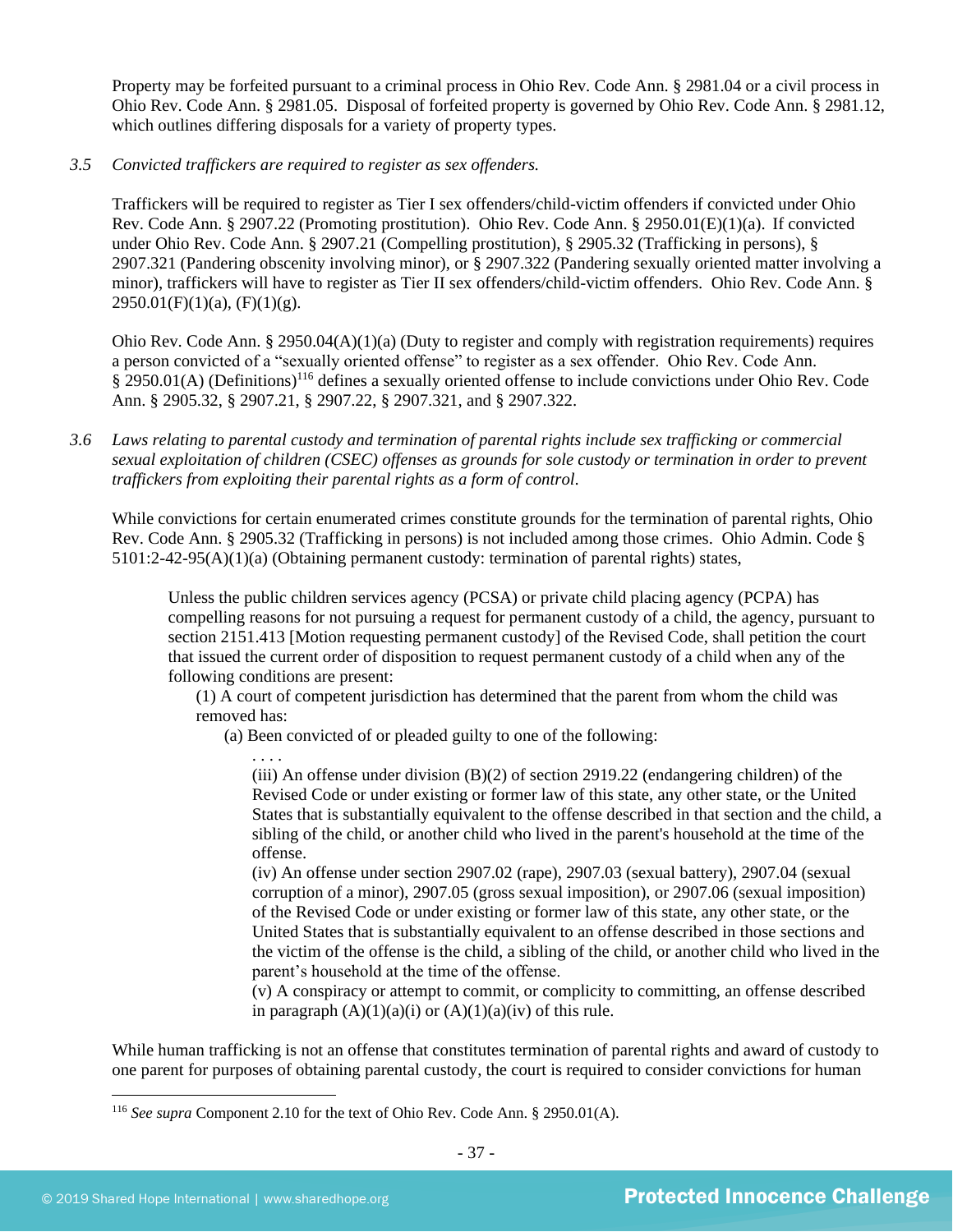Property may be forfeited pursuant to a criminal process in Ohio Rev. Code Ann. § 2981.04 or a civil process in Ohio Rev. Code Ann. § 2981.05. Disposal of forfeited property is governed by Ohio Rev. Code Ann. § 2981.12, which outlines differing disposals for a variety of property types.

*3.5 Convicted traffickers are required to register as sex offenders.*

Traffickers will be required to register as Tier I sex offenders/child-victim offenders if convicted under Ohio Rev. Code Ann. § 2907.22 (Promoting prostitution). Ohio Rev. Code Ann. § 2950.01(E)(1)(a). If convicted under Ohio Rev. Code Ann. § 2907.21 (Compelling prostitution), § 2905.32 (Trafficking in persons), § 2907.321 (Pandering obscenity involving minor), or § 2907.322 (Pandering sexually oriented matter involving a minor), traffickers will have to register as Tier II sex offenders/child-victim offenders. Ohio Rev. Code Ann. §  $2950.01(F)(1)(a)$ ,  $(F)(1)(g)$ .

Ohio Rev. Code Ann. § 2950.04(A)(1)(a) (Duty to register and comply with registration requirements) requires a person convicted of a "sexually oriented offense" to register as a sex offender. Ohio Rev. Code Ann. § 2950.01(A) (Definitions)<sup>116</sup> defines a sexually oriented offense to include convictions under Ohio Rev. Code Ann. § 2905.32, § 2907.21, § 2907.22, § 2907.321, and § 2907.322.

*3.6 Laws relating to parental custody and termination of parental rights include sex trafficking or commercial sexual exploitation of children (CSEC) offenses as grounds for sole custody or termination in order to prevent traffickers from exploiting their parental rights as a form of control.* 

While convictions for certain enumerated crimes constitute grounds for the termination of parental rights, Ohio Rev. Code Ann. § 2905.32 (Trafficking in persons) is not included among those crimes. Ohio Admin. Code § 5101:2-42-95(A)(1)(a) (Obtaining permanent custody: termination of parental rights) states,

Unless the public children services agency (PCSA) or private child placing agency (PCPA) has compelling reasons for not pursuing a request for permanent custody of a child, the agency, pursuant to section 2151.413 [Motion requesting permanent custody] of the Revised Code, shall petition the court that issued the current order of disposition to request permanent custody of a child when any of the following conditions are present:

(1) A court of competent jurisdiction has determined that the parent from whom the child was removed has:

(a) Been convicted of or pleaded guilty to one of the following:

(iii) An offense under division  $(B)(2)$  of section 2919.22 (endangering children) of the Revised Code or under existing or former law of this state, any other state, or the United States that is substantially equivalent to the offense described in that section and the child, a sibling of the child, or another child who lived in the parent's household at the time of the offense.

(iv) An offense under section 2907.02 (rape), 2907.03 (sexual battery), 2907.04 (sexual corruption of a minor), 2907.05 (gross sexual imposition), or 2907.06 (sexual imposition) of the Revised Code or under existing or former law of this state, any other state, or the United States that is substantially equivalent to an offense described in those sections and the victim of the offense is the child, a sibling of the child, or another child who lived in the parent's household at the time of the offense.

(v) A conspiracy or attempt to commit, or complicity to committing, an offense described in paragraph  $(A)(1)(a)(i)$  or  $(A)(1)(a)(iv)$  of this rule.

While human trafficking is not an offense that constitutes termination of parental rights and award of custody to one parent for purposes of obtaining parental custody, the court is required to consider convictions for human

. . . .

<sup>116</sup> *See supra* Component 2.10 for the text of Ohio Rev. Code Ann. § 2950.01(A).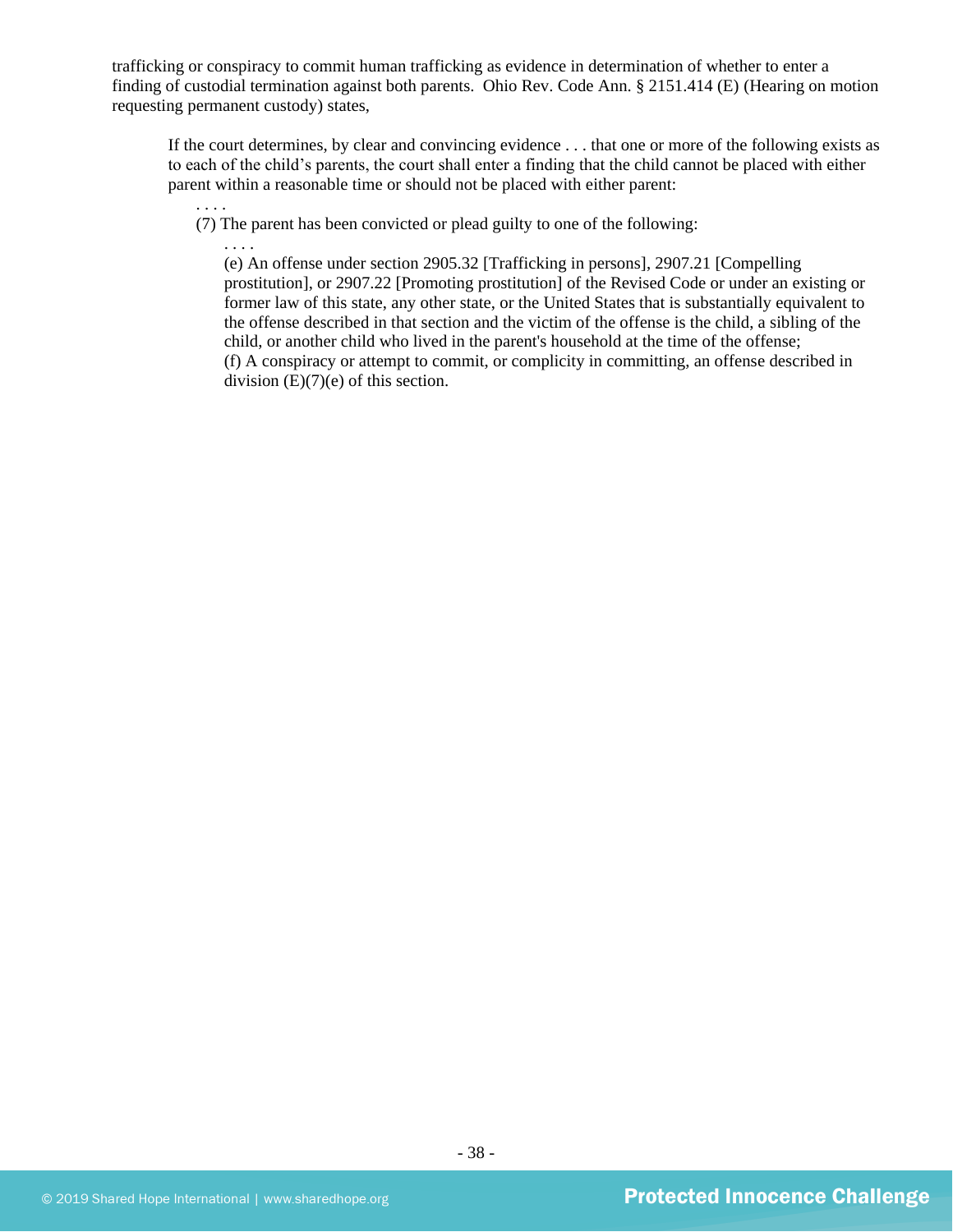trafficking or conspiracy to commit human trafficking as evidence in determination of whether to enter a finding of custodial termination against both parents. Ohio Rev. Code Ann. § 2151.414 (E) (Hearing on motion requesting permanent custody) states,

If the court determines, by clear and convincing evidence . . . that one or more of the following exists as to each of the child's parents, the court shall enter a finding that the child cannot be placed with either parent within a reasonable time or should not be placed with either parent:

(7) The parent has been convicted or plead guilty to one of the following:

. . . .

. . . .

(e) An offense under section 2905.32 [Trafficking in persons], 2907.21 [Compelling prostitution], or 2907.22 [Promoting prostitution] of the Revised Code or under an existing or former law of this state, any other state, or the United States that is substantially equivalent to the offense described in that section and the victim of the offense is the child, a sibling of the child, or another child who lived in the parent's household at the time of the offense; (f) A conspiracy or attempt to commit, or complicity in committing, an offense described in division  $(E)(7)(e)$  of this section.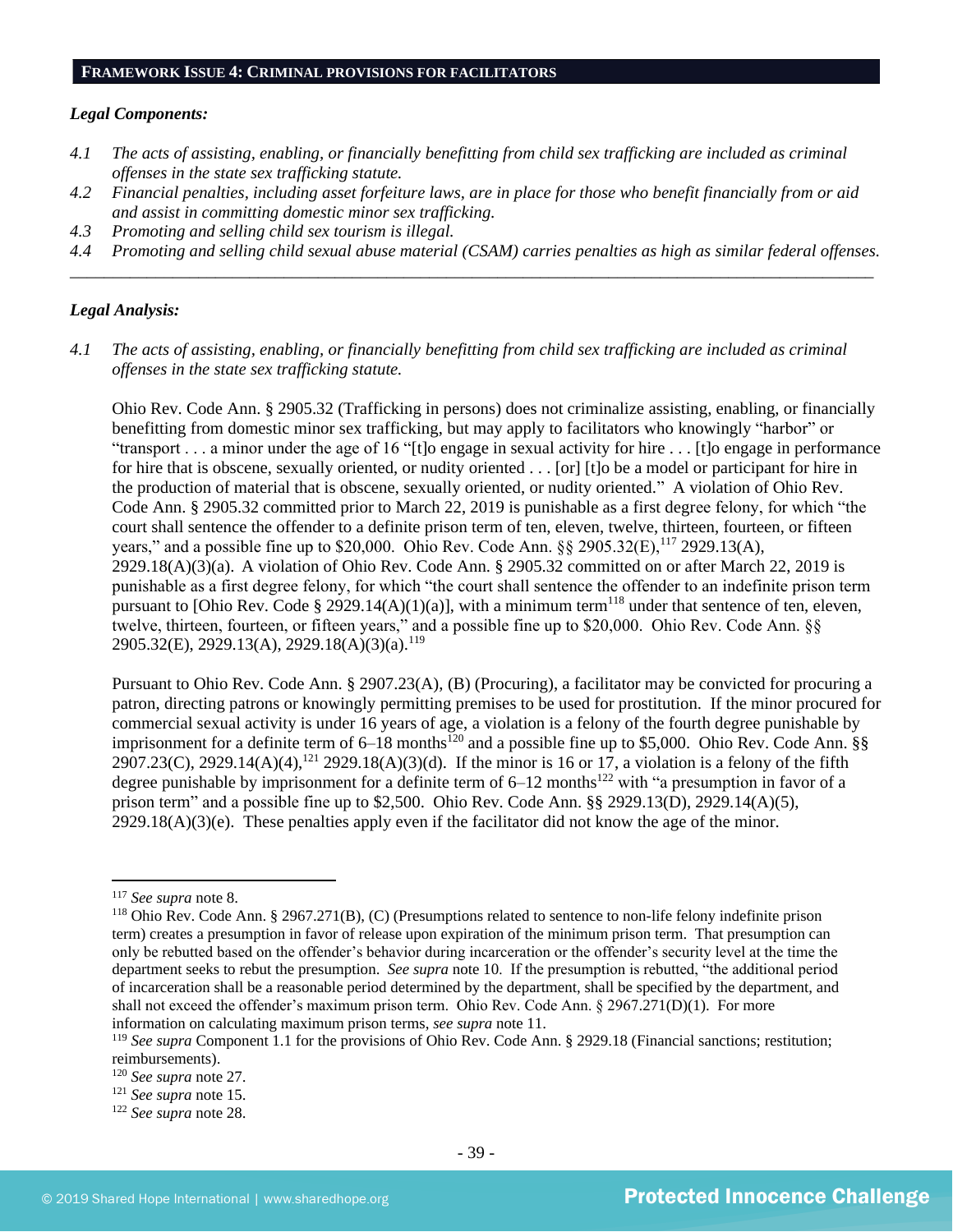#### **FRAMEWORK ISSUE 4: CRIMINAL PROVISIONS FOR FACILITATORS**

#### *Legal Components:*

- *4.1 The acts of assisting, enabling, or financially benefitting from child sex trafficking are included as criminal offenses in the state sex trafficking statute.*
- *4.2 Financial penalties, including asset forfeiture laws, are in place for those who benefit financially from or aid and assist in committing domestic minor sex trafficking.*
- *4.3 Promoting and selling child sex tourism is illegal.*
- *4.4 Promoting and selling child sexual abuse material (CSAM) carries penalties as high as similar federal offenses. \_\_\_\_\_\_\_\_\_\_\_\_\_\_\_\_\_\_\_\_\_\_\_\_\_\_\_\_\_\_\_\_\_\_\_\_\_\_\_\_\_\_\_\_\_\_\_\_\_\_\_\_\_\_\_\_\_\_\_\_\_\_\_\_\_\_\_\_\_\_\_\_\_\_\_\_\_\_\_\_\_\_\_\_\_\_\_\_\_\_\_\_\_\_*

## *Legal Analysis:*

*4.1 The acts of assisting, enabling, or financially benefitting from child sex trafficking are included as criminal offenses in the state sex trafficking statute.*

Ohio Rev. Code Ann. § 2905.32 (Trafficking in persons) does not criminalize assisting, enabling, or financially benefitting from domestic minor sex trafficking, but may apply to facilitators who knowingly "harbor" or "transport . . . a minor under the age of 16 "[t]o engage in sexual activity for hire . . . [t]o engage in performance for hire that is obscene, sexually oriented, or nudity oriented . . . [or] [t]o be a model or participant for hire in the production of material that is obscene, sexually oriented, or nudity oriented." A violation of Ohio Rev. Code Ann. § 2905.32 committed prior to March 22, 2019 is punishable as a first degree felony, for which "the court shall sentence the offender to a definite prison term of ten, eleven, twelve, thirteen, fourteen, or fifteen years," and a possible fine up to \$20,000. Ohio Rev. Code Ann.  $\S$ § 2905.32(E),<sup>117</sup> 2929.13(A), 2929.18(A)(3)(a). A violation of Ohio Rev. Code Ann. § 2905.32 committed on or after March 22, 2019 is punishable as a first degree felony, for which "the court shall sentence the offender to an indefinite prison term pursuant to [Ohio Rev. Code § 2929.14(A)(1)(a)], with a minimum term<sup>118</sup> under that sentence of ten, eleven, twelve, thirteen, fourteen, or fifteen years," and a possible fine up to \$20,000. Ohio Rev. Code Ann. §§ 2905.32(E), 2929.13(A), 2929.18(A)(3)(a).<sup>119</sup>

Pursuant to Ohio Rev. Code Ann. § 2907.23(A), (B) (Procuring), a facilitator may be convicted for procuring a patron, directing patrons or knowingly permitting premises to be used for prostitution. If the minor procured for commercial sexual activity is under 16 years of age, a violation is a felony of the fourth degree punishable by imprisonment for a definite term of  $6-18$  months<sup>120</sup> and a possible fine up to \$5,000. Ohio Rev. Code Ann. §§ 2907.23(C), 2929.14(A)(4),<sup>121</sup> 2929.18(A)(3)(d). If the minor is 16 or 17, a violation is a felony of the fifth degree punishable by imprisonment for a definite term of  $6-12$  months<sup>122</sup> with "a presumption in favor of a prison term" and a possible fine up to \$2,500. Ohio Rev. Code Ann. §§ 2929.13(D), 2929.14(A)(5),  $2929.18(A)(3)(e)$ . These penalties apply even if the facilitator did not know the age of the minor.

<sup>117</sup> *See supra* not[e 8.](#page-2-0)

<sup>118</sup> Ohio Rev. Code Ann. § 2967.271(B), (C) (Presumptions related to sentence to non-life felony indefinite prison term) creates a presumption in favor of release upon expiration of the minimum prison term. That presumption can only be rebutted based on the offender's behavior during incarceration or the offender's security level at the time the department seeks to rebut the presumption. *See supra* not[e 10.](#page-3-0) If the presumption is rebutted, "the additional period of incarceration shall be a reasonable period determined by the department, shall be specified by the department, and shall not exceed the offender's maximum prison term. Ohio Rev. Code Ann. § 2967.271(D)(1). For more information on calculating maximum prison terms, *see supra* not[e 11.](#page-3-1)

<sup>&</sup>lt;sup>119</sup> *See supra* Component 1.1 for the provisions of Ohio Rev. Code Ann. § 2929.18 (Financial sanctions; restitution; reimbursements).

<sup>120</sup> *See supra* not[e 27.](#page-9-0)

<sup>121</sup> *See supra* not[e 15.](#page-5-0)

<sup>122</sup> *See supra* not[e 28.](#page-10-0)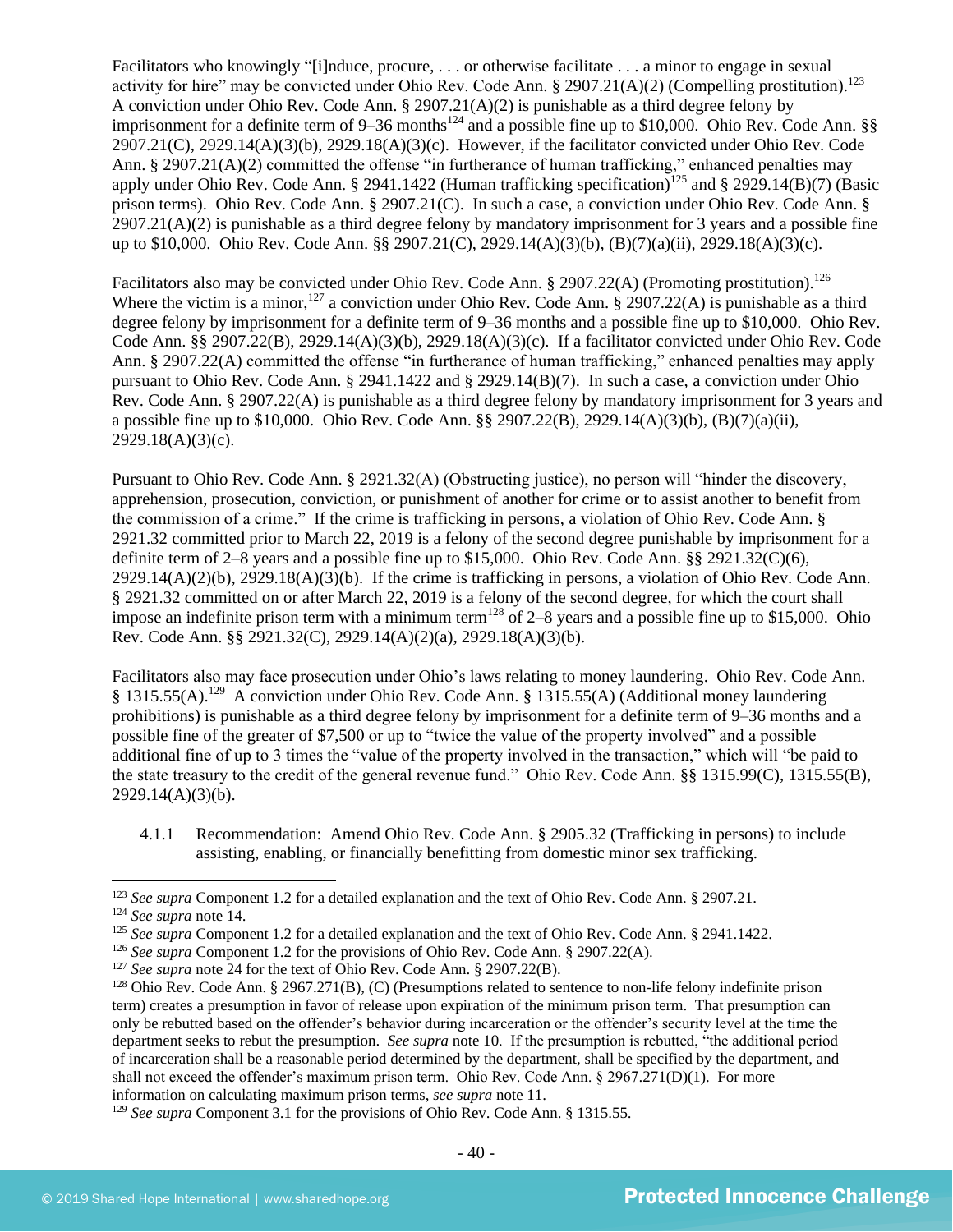Facilitators who knowingly "[i]nduce, procure, . . . or otherwise facilitate . . . a minor to engage in sexual activity for hire" may be convicted under Ohio Rev. Code Ann.  $\S 2907.21(A)(2)$  (Compelling prostitution).<sup>123</sup> A conviction under Ohio Rev. Code Ann. § 2907.21(A)(2) is punishable as a third degree felony by imprisonment for a definite term of 9–36 months<sup>124</sup> and a possible fine up to \$10,000. Ohio Rev. Code Ann. §§ 2907.21(C), 2929.14(A)(3)(b), 2929.18(A)(3)(c). However, if the facilitator convicted under Ohio Rev. Code Ann. § 2907.21(A)(2) committed the offense "in furtherance of human trafficking," enhanced penalties may apply under Ohio Rev. Code Ann. § 2941.1422 (Human trafficking specification)<sup>125</sup> and § 2929.14(B)(7) (Basic prison terms). Ohio Rev. Code Ann. § 2907.21(C). In such a case, a conviction under Ohio Rev. Code Ann. §  $2907.21(A)(2)$  is punishable as a third degree felony by mandatory imprisonment for 3 years and a possible fine up to \$10,000. Ohio Rev. Code Ann. §§ 2907.21(C), 2929.14(A)(3)(b), (B)(7)(a)(ii), 2929.18(A)(3)(c).

Facilitators also may be convicted under Ohio Rev. Code Ann. § 2907.22(A) (Promoting prostitution).<sup>126</sup> Where the victim is a minor,<sup>127</sup> a conviction under Ohio Rev. Code Ann. § 2907.22(A) is punishable as a third degree felony by imprisonment for a definite term of 9–36 months and a possible fine up to \$10,000. Ohio Rev. Code Ann. §§ 2907.22(B), 2929.14(A)(3)(b), 2929.18(A)(3)(c). If a facilitator convicted under Ohio Rev. Code Ann. § 2907.22(A) committed the offense "in furtherance of human trafficking," enhanced penalties may apply pursuant to Ohio Rev. Code Ann. § 2941.1422 and § 2929.14(B)(7). In such a case, a conviction under Ohio Rev. Code Ann. § 2907.22(A) is punishable as a third degree felony by mandatory imprisonment for 3 years and a possible fine up to \$10,000. Ohio Rev. Code Ann. §§ 2907.22(B), 2929.14(A)(3)(b), (B)(7)(a)(ii),  $2929.18(A)(3)(c)$ .

Pursuant to Ohio Rev. Code Ann. § 2921.32(A) (Obstructing justice), no person will "hinder the discovery, apprehension, prosecution, conviction, or punishment of another for crime or to assist another to benefit from the commission of a crime." If the crime is trafficking in persons, a violation of Ohio Rev. Code Ann. § 2921.32 committed prior to March 22, 2019 is a felony of the second degree punishable by imprisonment for a definite term of 2–8 years and a possible fine up to \$15,000. Ohio Rev. Code Ann. §§ 2921.32(C)(6), 2929.14(A)(2)(b), 2929.18(A)(3)(b). If the crime is trafficking in persons, a violation of Ohio Rev. Code Ann. § 2921.32 committed on or after March 22, 2019 is a felony of the second degree, for which the court shall impose an indefinite prison term with a minimum term<sup>128</sup> of 2–8 years and a possible fine up to \$15,000. Ohio Rev. Code Ann. §§ 2921.32(C), 2929.14(A)(2)(a), 2929.18(A)(3)(b).

Facilitators also may face prosecution under Ohio's laws relating to money laundering. Ohio Rev. Code Ann. § 1315.55(A).<sup>129</sup> A conviction under Ohio Rev. Code Ann. § 1315.55(A) (Additional money laundering prohibitions) is punishable as a third degree felony by imprisonment for a definite term of 9–36 months and a possible fine of the greater of \$7,500 or up to "twice the value of the property involved" and a possible additional fine of up to 3 times the "value of the property involved in the transaction," which will "be paid to the state treasury to the credit of the general revenue fund." Ohio Rev. Code Ann. §§ 1315.99(C), 1315.55(B), 2929.14(A)(3)(b).

4.1.1 Recommendation: Amend Ohio Rev. Code Ann. § 2905.32 (Trafficking in persons) to include assisting, enabling, or financially benefitting from domestic minor sex trafficking.

<sup>123</sup> *See supra* Component 1.2 for a detailed explanation and the text of Ohio Rev. Code Ann. § 2907.21.

<sup>124</sup> *See supra* not[e 14.](#page-5-2)

<sup>125</sup> *See supra* Component 1.2 for a detailed explanation and the text of Ohio Rev. Code Ann. § 2941.1422.

<sup>126</sup> *See supra* Component 1.2 for the provisions of Ohio Rev. Code Ann. § 2907.22(A).

<sup>127</sup> *See supra* not[e 24](#page-8-0) for the text of Ohio Rev. Code Ann. § 2907.22(B).

<sup>&</sup>lt;sup>128</sup> Ohio Rev. Code Ann. § 2967.271(B), (C) (Presumptions related to sentence to non-life felony indefinite prison term) creates a presumption in favor of release upon expiration of the minimum prison term. That presumption can only be rebutted based on the offender's behavior during incarceration or the offender's security level at the time the department seeks to rebut the presumption. *See supra* not[e 10.](#page-3-0) If the presumption is rebutted, "the additional period of incarceration shall be a reasonable period determined by the department, shall be specified by the department, and shall not exceed the offender's maximum prison term. Ohio Rev. Code Ann. § 2967.271(D)(1). For more information on calculating maximum prison terms, *see supra* not[e 11.](#page-3-1)

<sup>129</sup> *See supra* Component 3.1 for the provisions of Ohio Rev. Code Ann. § 1315.55.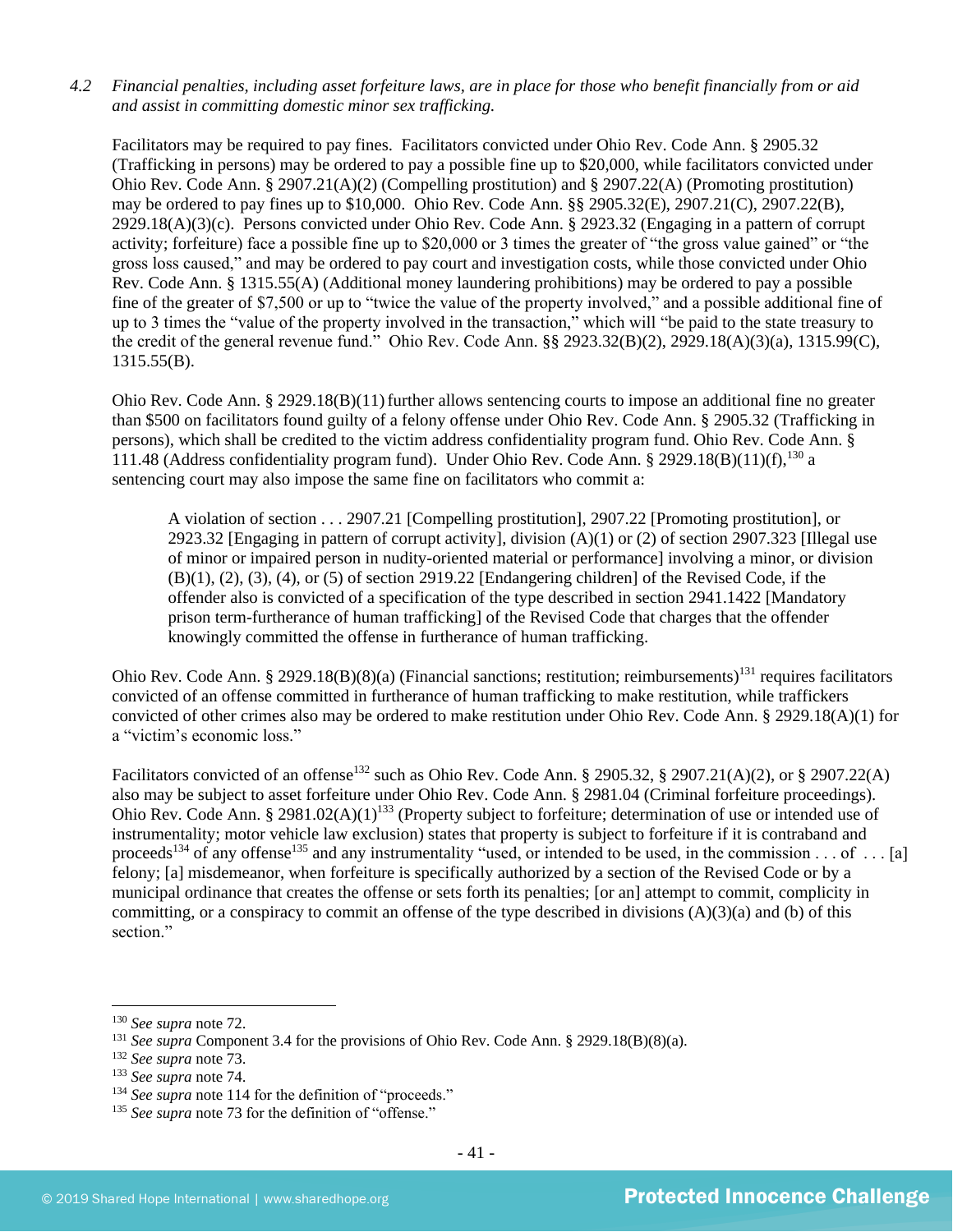## *4.2 Financial penalties, including asset forfeiture laws, are in place for those who benefit financially from or aid and assist in committing domestic minor sex trafficking.*

Facilitators may be required to pay fines. Facilitators convicted under Ohio Rev. Code Ann. § 2905.32 (Trafficking in persons) may be ordered to pay a possible fine up to \$20,000, while facilitators convicted under Ohio Rev. Code Ann. § 2907.21(A)(2) (Compelling prostitution) and § 2907.22(A) (Promoting prostitution) may be ordered to pay fines up to \$10,000. Ohio Rev. Code Ann. §§ 2905.32(E), 2907.21(C), 2907.22(B), 2929.18(A)(3)(c). Persons convicted under Ohio Rev. Code Ann. § 2923.32 (Engaging in a pattern of corrupt activity; forfeiture) face a possible fine up to \$20,000 or 3 times the greater of "the gross value gained" or "the gross loss caused," and may be ordered to pay court and investigation costs, while those convicted under Ohio Rev. Code Ann. § 1315.55(A) (Additional money laundering prohibitions) may be ordered to pay a possible fine of the greater of \$7,500 or up to "twice the value of the property involved," and a possible additional fine of up to 3 times the "value of the property involved in the transaction," which will "be paid to the state treasury to the credit of the general revenue fund." Ohio Rev. Code Ann. §§ 2923.32(B)(2), 2929.18(A)(3)(a), 1315.99(C), 1315.55(B).

Ohio Rev. Code Ann. § 2929.18(B)(11)further allows sentencing courts to impose an additional fine no greater than \$500 on facilitators found guilty of a felony offense under Ohio Rev. Code Ann. § 2905.32 (Trafficking in persons), which shall be credited to the victim address confidentiality program fund. Ohio Rev. Code Ann. § 111.48 (Address confidentiality program fund). Under Ohio Rev. Code Ann. § 2929.18(B)(11)(f),<sup>130</sup> a sentencing court may also impose the same fine on facilitators who commit a:

A violation of section . . . 2907.21 [Compelling prostitution], 2907.22 [Promoting prostitution], or 2923.32 [Engaging in pattern of corrupt activity], division (A)(1) or (2) of section 2907.323 [Illegal use of minor or impaired person in nudity-oriented material or performance] involving a minor, or division (B)(1), (2), (3), (4), or (5) of section 2919.22 [Endangering children] of the Revised Code, if the offender also is convicted of a specification of the type described in section 2941.1422 [Mandatory prison term-furtherance of human trafficking] of the Revised Code that charges that the offender knowingly committed the offense in furtherance of human trafficking.

Ohio Rev. Code Ann. § 2929.18(B)(8)(a) (Financial sanctions; restitution; reimbursements)<sup>131</sup> requires facilitators convicted of an offense committed in furtherance of human trafficking to make restitution, while traffickers convicted of other crimes also may be ordered to make restitution under Ohio Rev. Code Ann. § 2929.18(A)(1) for a "victim's economic loss."

Facilitators convicted of an offense<sup>132</sup> such as Ohio Rev. Code Ann. § 2905.32, § 2907.21(A)(2), or § 2907.22(A) also may be subject to asset forfeiture under Ohio Rev. Code Ann. § 2981.04 (Criminal forfeiture proceedings). Ohio Rev. Code Ann. § 2981.02(A)(1)<sup>133</sup> (Property subject to forfeiture; determination of use or intended use of instrumentality; motor vehicle law exclusion) states that property is subject to forfeiture if it is contraband and proceeds<sup>134</sup> of any offense<sup>135</sup> and any instrumentality "used, or intended to be used, in the commission . . . of . . . [a] felony; [a] misdemeanor, when forfeiture is specifically authorized by a section of the Revised Code or by a municipal ordinance that creates the offense or sets forth its penalties; [or an] attempt to commit, complicity in committing, or a conspiracy to commit an offense of the type described in divisions  $(A)(3)(a)$  and (b) of this section."

<sup>130</sup> *See supra* not[e 72.](#page-23-0)

<sup>131</sup> *See supra* Component 3.4 for the provisions of Ohio Rev. Code Ann. § 2929.18(B)(8)(a).

<sup>132</sup> *See supra* note [73.](#page-24-1)

<sup>133</sup> *See supra* not[e 74.](#page-24-0)

<sup>&</sup>lt;sup>134</sup> See supra not[e 114](#page-35-0) for the definition of "proceeds."

<sup>&</sup>lt;sup>135</sup> See supra not[e 73](#page-24-1) for the definition of "offense."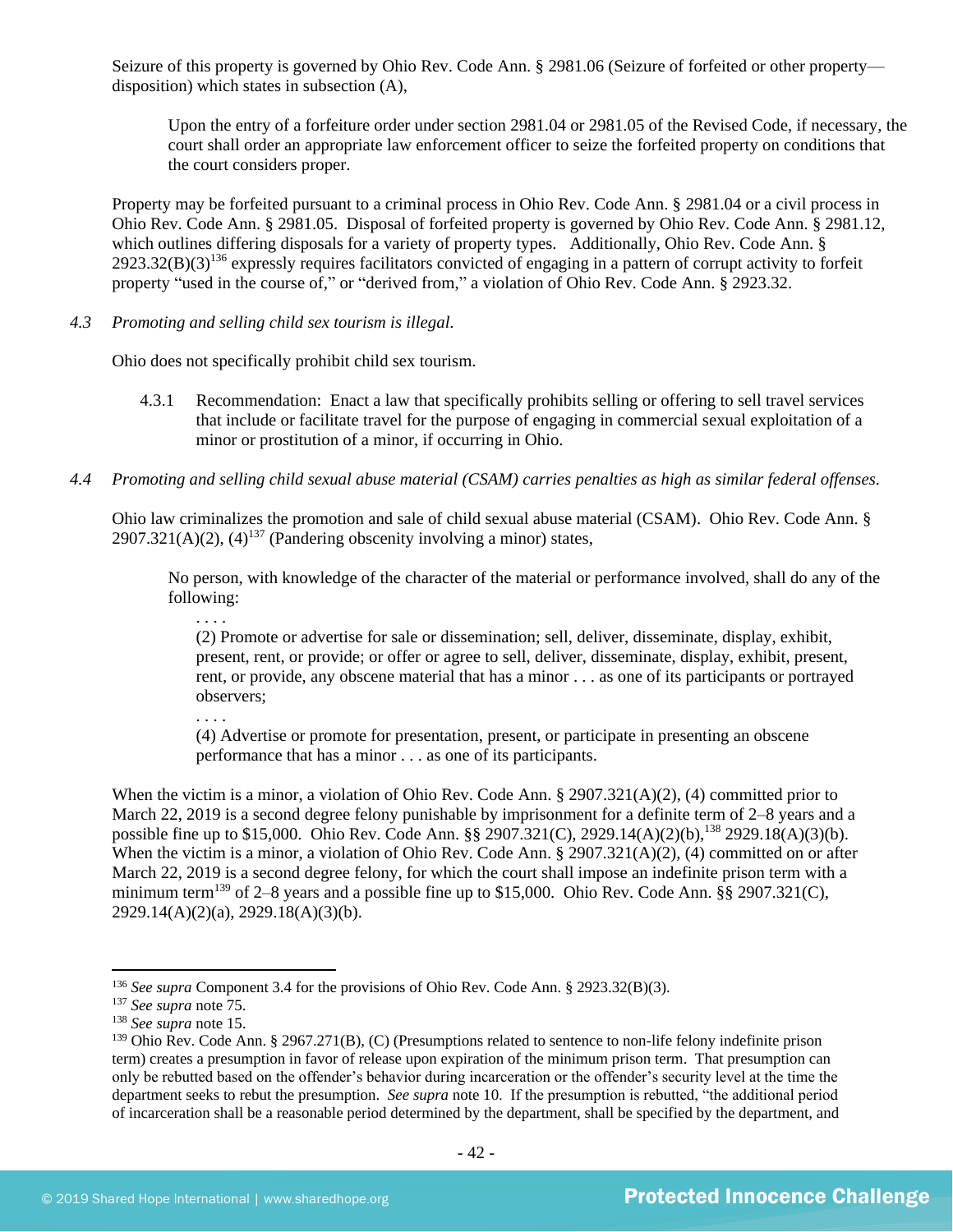Seizure of this property is governed by Ohio Rev. Code Ann. § 2981.06 (Seizure of forfeited or other property disposition) which states in subsection (A),

Upon the entry of a forfeiture order under section 2981.04 or 2981.05 of the Revised Code, if necessary, the court shall order an appropriate law enforcement officer to seize the forfeited property on conditions that the court considers proper.

Property may be forfeited pursuant to a criminal process in Ohio Rev. Code Ann. § 2981.04 or a civil process in Ohio Rev. Code Ann. § 2981.05. Disposal of forfeited property is governed by Ohio Rev. Code Ann. § 2981.12, which outlines differing disposals for a variety of property types. Additionally, Ohio Rev. Code Ann. §  $2923.32(B)(3)^{136}$  expressly requires facilitators convicted of engaging in a pattern of corrupt activity to forfeit property "used in the course of," or "derived from," a violation of Ohio Rev. Code Ann. § 2923.32.

*4.3 Promoting and selling child sex tourism is illegal.*

Ohio does not specifically prohibit child sex tourism.

- 4.3.1 Recommendation: Enact a law that specifically prohibits selling or offering to sell travel services that include or facilitate travel for the purpose of engaging in commercial sexual exploitation of a minor or prostitution of a minor, if occurring in Ohio.
- *4.4 Promoting and selling child sexual abuse material (CSAM) carries penalties as high as similar federal offenses.*

Ohio law criminalizes the promotion and sale of child sexual abuse material (CSAM). Ohio Rev. Code Ann. §  $2907.321(A)(2)$ ,  $(4)^{137}$  (Pandering obscenity involving a minor) states,

No person, with knowledge of the character of the material or performance involved, shall do any of the following:

. . . .

(2) Promote or advertise for sale or dissemination; sell, deliver, disseminate, display, exhibit, present, rent, or provide; or offer or agree to sell, deliver, disseminate, display, exhibit, present, rent, or provide, any obscene material that has a minor . . . as one of its participants or portrayed observers;

. . . .

(4) Advertise or promote for presentation, present, or participate in presenting an obscene performance that has a minor . . . as one of its participants.

When the victim is a minor, a violation of Ohio Rev. Code Ann. § 2907.321(A)(2), (4) committed prior to March 22, 2019 is a second degree felony punishable by imprisonment for a definite term of 2–8 years and a possible fine up to \$15,000. Ohio Rev. Code Ann. §§ 2907.321(C), 2929.14(A)(2)(b),<sup>138</sup> 2929.18(A)(3)(b). When the victim is a minor, a violation of Ohio Rev. Code Ann. § 2907.321(A)(2), (4) committed on or after March 22, 2019 is a second degree felony, for which the court shall impose an indefinite prison term with a minimum term<sup>139</sup> of 2–8 years and a possible fine up to \$15,000. Ohio Rev. Code Ann.  $\S$ § 2907.321(C), 2929.14(A)(2)(a), 2929.18(A)(3)(b).

<sup>136</sup> *See supra* Component 3.4 for the provisions of Ohio Rev. Code Ann. § 2923.32(B)(3).

<sup>137</sup> *See supra* not[e 75.](#page-25-0)

<sup>138</sup> *See supra* not[e 15.](#page-5-0)

 $139$  Ohio Rev. Code Ann. § 2967.271(B), (C) (Presumptions related to sentence to non-life felony indefinite prison term) creates a presumption in favor of release upon expiration of the minimum prison term. That presumption can only be rebutted based on the offender's behavior during incarceration or the offender's security level at the time the department seeks to rebut the presumption. *See supra* not[e 10.](#page-3-0) If the presumption is rebutted, "the additional period of incarceration shall be a reasonable period determined by the department, shall be specified by the department, and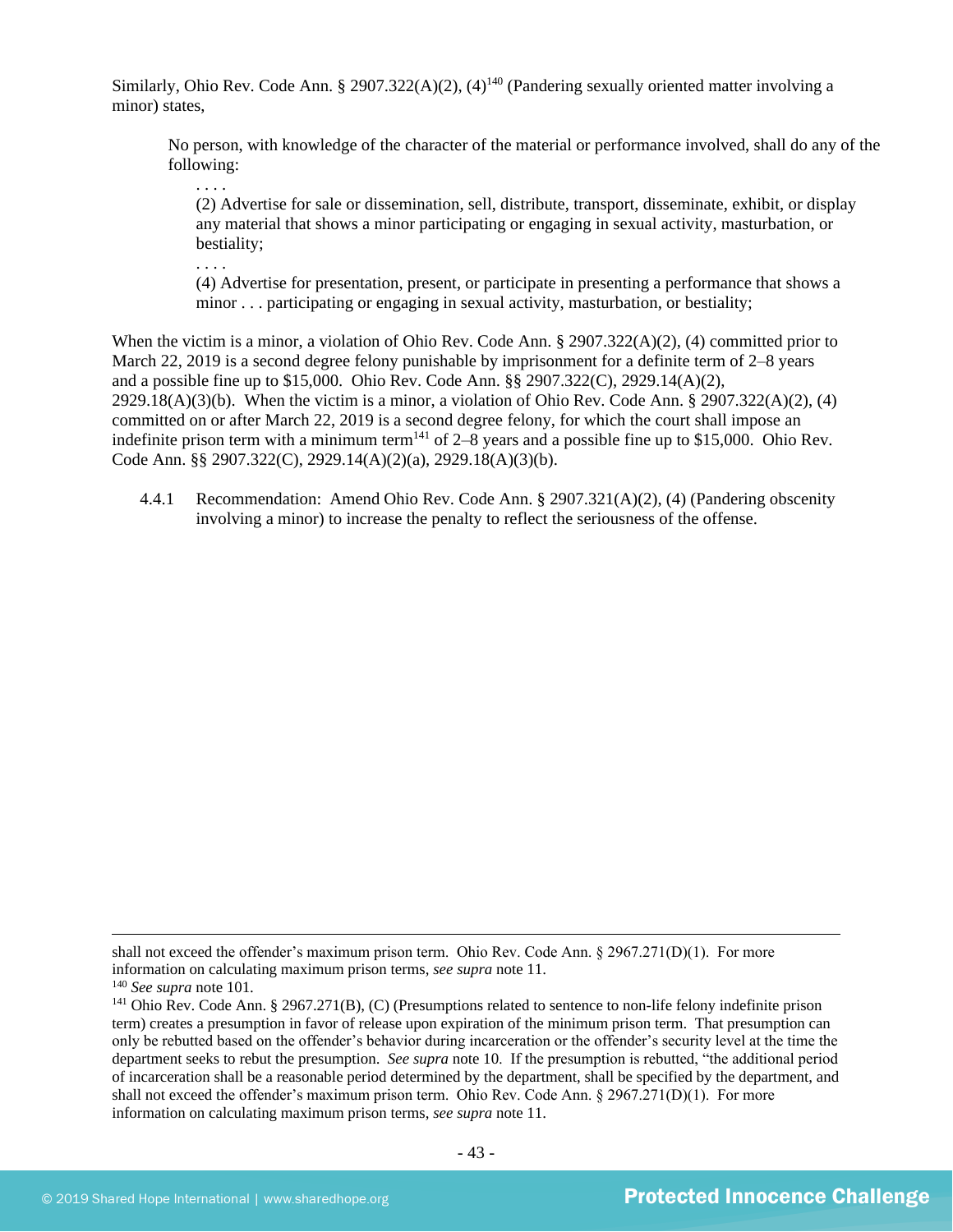Similarly, Ohio Rev. Code Ann. § 2907.322(A)(2),  $(4)^{140}$  (Pandering sexually oriented matter involving a minor) states,

No person, with knowledge of the character of the material or performance involved, shall do any of the following:

(2) Advertise for sale or dissemination, sell, distribute, transport, disseminate, exhibit, or display any material that shows a minor participating or engaging in sexual activity, masturbation, or bestiality;

. . . .

. . . .

(4) Advertise for presentation, present, or participate in presenting a performance that shows a minor . . . participating or engaging in sexual activity, masturbation, or bestiality;

When the victim is a minor, a violation of Ohio Rev. Code Ann. § 2907.322(A)(2), (4) committed prior to March 22, 2019 is a second degree felony punishable by imprisonment for a definite term of 2–8 years and a possible fine up to \$15,000. Ohio Rev. Code Ann. §§ 2907.322(C), 2929.14(A)(2),  $2929.18(A)(3)(b)$ . When the victim is a minor, a violation of Ohio Rev. Code Ann. §  $2907.322(A)(2)$ , (4) committed on or after March 22, 2019 is a second degree felony, for which the court shall impose an indefinite prison term with a minimum term<sup>141</sup> of  $2-8$  years and a possible fine up to \$15,000. Ohio Rev. Code Ann. §§ 2907.322(C), 2929.14(A)(2)(a), 2929.18(A)(3)(b).

4.4.1 Recommendation: Amend Ohio Rev. Code Ann. § 2907.321(A)(2), (4) (Pandering obscenity involving a minor) to increase the penalty to reflect the seriousness of the offense.

shall not exceed the offender's maximum prison term. Ohio Rev. Code Ann. § 2967.271(D)(1). For more information on calculating maximum prison terms, *see supra* not[e 11.](#page-3-1)

<sup>140</sup> *See supra* not[e 101.](#page-31-0)

<sup>&</sup>lt;sup>141</sup> Ohio Rev. Code Ann. § 2967.271(B), (C) (Presumptions related to sentence to non-life felony indefinite prison term) creates a presumption in favor of release upon expiration of the minimum prison term. That presumption can only be rebutted based on the offender's behavior during incarceration or the offender's security level at the time the department seeks to rebut the presumption. *See supra* not[e 10.](#page-3-0) If the presumption is rebutted, "the additional period of incarceration shall be a reasonable period determined by the department, shall be specified by the department, and shall not exceed the offender's maximum prison term. Ohio Rev. Code Ann. § 2967.271(D)(1). For more information on calculating maximum prison terms, *see supra* not[e 11.](#page-3-1)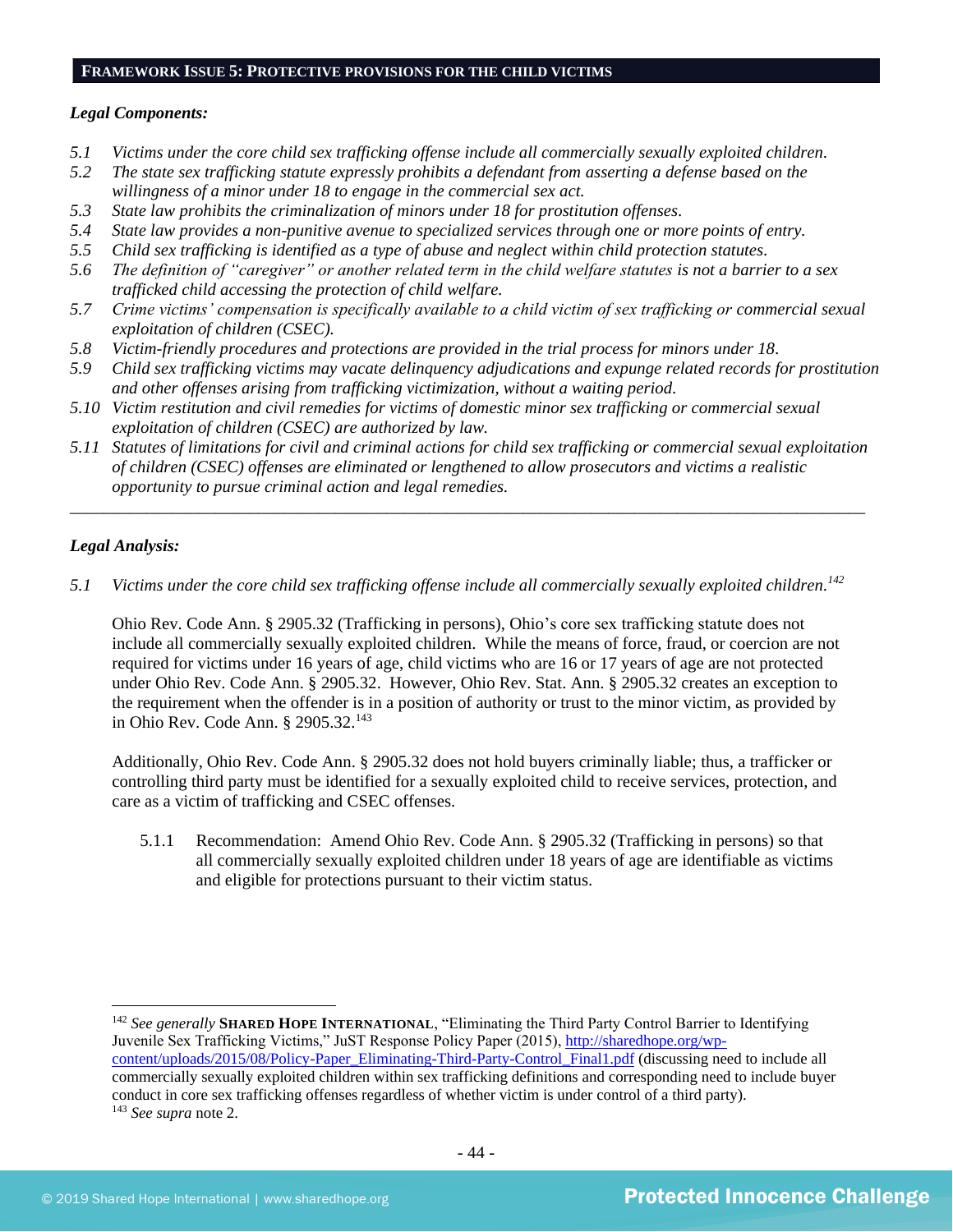#### **FRAMEWORK ISSUE 5: PROTECTIVE PROVISIONS FOR THE CHILD VICTIMS**

#### *Legal Components:*

- *5.1 Victims under the core child sex trafficking offense include all commercially sexually exploited children.*
- *5.2 The state sex trafficking statute expressly prohibits a defendant from asserting a defense based on the willingness of a minor under 18 to engage in the commercial sex act.*
- *5.3 State law prohibits the criminalization of minors under 18 for prostitution offenses.*
- *5.4 State law provides a non-punitive avenue to specialized services through one or more points of entry.*
- *5.5 Child sex trafficking is identified as a type of abuse and neglect within child protection statutes.*
- *5.6 The definition of "caregiver" or another related term in the child welfare statutes is not a barrier to a sex trafficked child accessing the protection of child welfare.*
- *5.7 Crime victims' compensation is specifically available to a child victim of sex trafficking or commercial sexual exploitation of children (CSEC).*
- *5.8 Victim-friendly procedures and protections are provided in the trial process for minors under 18.*
- *5.9 Child sex trafficking victims may vacate delinquency adjudications and expunge related records for prostitution and other offenses arising from trafficking victimization, without a waiting period.*
- *5.10 Victim restitution and civil remedies for victims of domestic minor sex trafficking or commercial sexual exploitation of children (CSEC) are authorized by law.*
- *5.11 Statutes of limitations for civil and criminal actions for child sex trafficking or commercial sexual exploitation of children (CSEC) offenses are eliminated or lengthened to allow prosecutors and victims a realistic opportunity to pursue criminal action and legal remedies.*

*\_\_\_\_\_\_\_\_\_\_\_\_\_\_\_\_\_\_\_\_\_\_\_\_\_\_\_\_\_\_\_\_\_\_\_\_\_\_\_\_\_\_\_\_\_\_\_\_\_\_\_\_\_\_\_\_\_\_\_\_\_\_\_\_\_\_\_\_\_\_\_\_\_\_\_\_\_\_\_\_\_\_\_\_\_\_\_\_\_\_\_\_\_*

## *Legal Analysis:*

*5.1 Victims under the core child sex trafficking offense include all commercially sexually exploited children. 142*

Ohio Rev. Code Ann. § 2905.32 (Trafficking in persons), Ohio's core sex trafficking statute does not include all commercially sexually exploited children. While the means of force, fraud, or coercion are not required for victims under 16 years of age, child victims who are 16 or 17 years of age are not protected under Ohio Rev. Code Ann. § 2905.32. However, Ohio Rev. Stat. Ann. § 2905.32 creates an exception to the requirement when the offender is in a position of authority or trust to the minor victim, as provided by in Ohio Rev. Code Ann. § 2905.32.<sup>143</sup>

Additionally, Ohio Rev. Code Ann. § 2905.32 does not hold buyers criminally liable; thus, a trafficker or controlling third party must be identified for a sexually exploited child to receive services, protection, and care as a victim of trafficking and CSEC offenses.

5.1.1 Recommendation: Amend Ohio Rev. Code Ann. § 2905.32 (Trafficking in persons) so that all commercially sexually exploited children under 18 years of age are identifiable as victims and eligible for protections pursuant to their victim status.

<sup>142</sup> *See generally* **SHARED HOPE INTERNATIONAL**, "Eliminating the Third Party Control Barrier to Identifying Juvenile Sex Trafficking Victims," JuST Response Policy Paper (2015), [http://sharedhope.org/wp](http://sharedhope.org/wp-content/uploads/2015/08/Policy-Paper_Eliminating-Third-Party-Control_Final1.pdf)[content/uploads/2015/08/Policy-Paper\\_Eliminating-Third-Party-Control\\_Final1.pdf](http://sharedhope.org/wp-content/uploads/2015/08/Policy-Paper_Eliminating-Third-Party-Control_Final1.pdf) (discussing need to include all commercially sexually exploited children within sex trafficking definitions and corresponding need to include buyer conduct in core sex trafficking offenses regardless of whether victim is under control of a third party). <sup>143</sup> *See supra* not[e 2.](#page-0-0)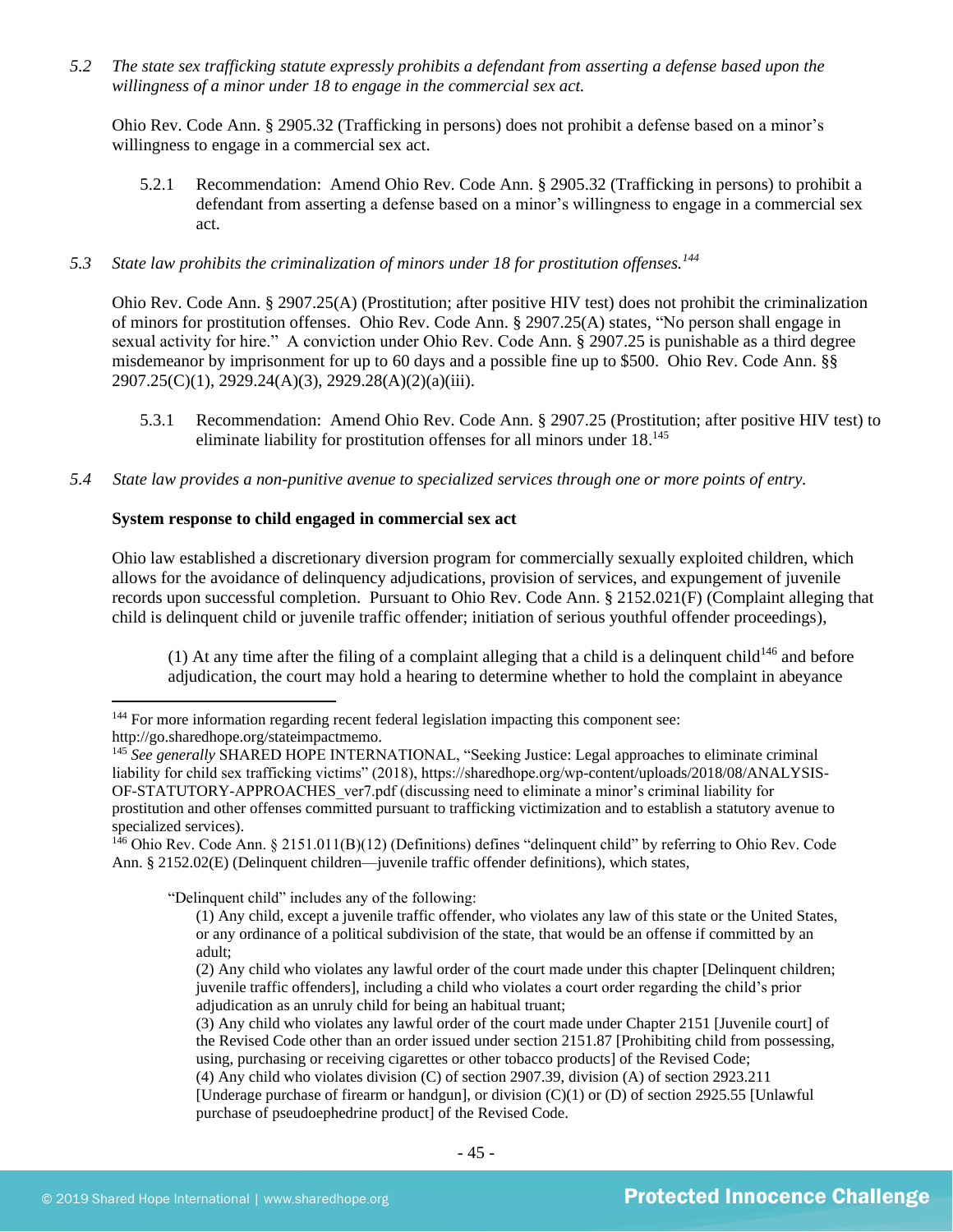*5.2 The state sex trafficking statute expressly prohibits a defendant from asserting a defense based upon the willingness of a minor under 18 to engage in the commercial sex act.* 

Ohio Rev. Code Ann. § 2905.32 (Trafficking in persons) does not prohibit a defense based on a minor's willingness to engage in a commercial sex act.

- 5.2.1 Recommendation: Amend Ohio Rev. Code Ann. § 2905.32 (Trafficking in persons) to prohibit a defendant from asserting a defense based on a minor's willingness to engage in a commercial sex act.
- *5.3 State law prohibits the criminalization of minors under 18 for prostitution offenses.<sup>144</sup>*

Ohio Rev. Code Ann. § 2907.25(A) (Prostitution; after positive HIV test) does not prohibit the criminalization of minors for prostitution offenses. Ohio Rev. Code Ann. § 2907.25(A) states, "No person shall engage in sexual activity for hire." A conviction under Ohio Rev. Code Ann. § 2907.25 is punishable as a third degree misdemeanor by imprisonment for up to 60 days and a possible fine up to \$500. Ohio Rev. Code Ann. §§ 2907.25(C)(1), 2929.24(A)(3), 2929.28(A)(2)(a)(iii).

- 5.3.1 Recommendation: Amend Ohio Rev. Code Ann. § 2907.25 (Prostitution; after positive HIV test) to eliminate liability for prostitution offenses for all minors under 18.<sup>145</sup>
- *5.4 State law provides a non-punitive avenue to specialized services through one or more points of entry.*

#### **System response to child engaged in commercial sex act**

Ohio law established a discretionary diversion program for commercially sexually exploited children, which allows for the avoidance of delinquency adjudications, provision of services, and expungement of juvenile records upon successful completion. Pursuant to Ohio Rev. Code Ann. § 2152.021(F) (Complaint alleging that child is delinquent child or juvenile traffic offender; initiation of serious youthful offender proceedings),

(1) At any time after the filing of a complaint alleging that a child is a delinquent child<sup>146</sup> and before adjudication, the court may hold a hearing to determine whether to hold the complaint in abeyance

<sup>146</sup> Ohio Rev. Code Ann. § 2151.011(B)(12) (Definitions) defines "delinquent child" by referring to Ohio Rev. Code Ann. § 2152.02(E) (Delinquent children—juvenile traffic offender definitions), which states,

"Delinquent child" includes any of the following:

<sup>&</sup>lt;sup>144</sup> For more information regarding recent federal legislation impacting this component see: http://go.sharedhope.org/stateimpactmemo.

<sup>145</sup> *See generally* SHARED HOPE INTERNATIONAL, "Seeking Justice: Legal approaches to eliminate criminal liability for child sex trafficking victims" (2018), https://sharedhope.org/wp-content/uploads/2018/08/ANALYSIS-OF-STATUTORY-APPROACHES\_ver7.pdf (discussing need to eliminate a minor's criminal liability for prostitution and other offenses committed pursuant to trafficking victimization and to establish a statutory avenue to specialized services).

<sup>(1)</sup> Any child, except a juvenile traffic offender, who violates any law of this state or the United States, or any ordinance of a political subdivision of the state, that would be an offense if committed by an adult;

<sup>(2)</sup> Any child who violates any lawful order of the court made under this chapter [Delinquent children; juvenile traffic offenders], including a child who violates a court order regarding the child's prior adjudication as an unruly child for being an habitual truant;

<sup>(3)</sup> Any child who violates any lawful order of the court made under Chapter 2151 [Juvenile court] of the Revised Code other than an order issued under section 2151.87 [Prohibiting child from possessing, using, purchasing or receiving cigarettes or other tobacco products] of the Revised Code;

<sup>(4)</sup> Any child who violates division (C) of section 2907.39, division (A) of section 2923.211

<sup>[</sup>Underage purchase of firearm or handgun], or division (C)(1) or (D) of section 2925.55 [Unlawful purchase of pseudoephedrine product] of the Revised Code.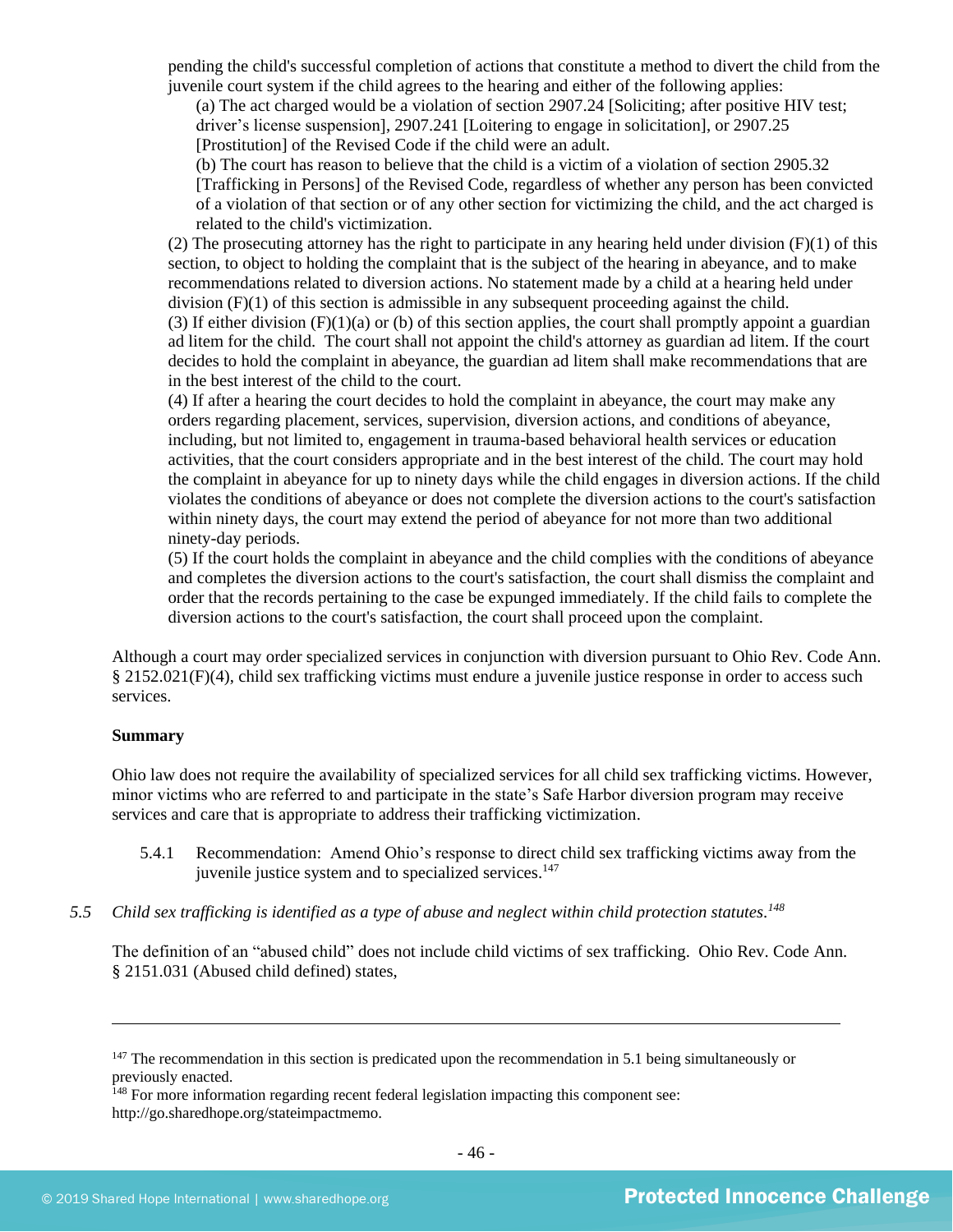pending the child's successful completion of actions that constitute a method to divert the child from the juvenile court system if the child agrees to the hearing and either of the following applies:

(a) The act charged would be a violation of section 2907.24 [Soliciting; after positive HIV test; driver's license suspension], 2907.241 [Loitering to engage in solicitation], or 2907.25 [Prostitution] of the Revised Code if the child were an adult.

(b) The court has reason to believe that the child is a victim of a violation of section 2905.32

[Trafficking in Persons] of the Revised Code, regardless of whether any person has been convicted of a violation of that section or of any other section for victimizing the child, and the act charged is related to the child's victimization.

(2) The prosecuting attorney has the right to participate in any hearing held under division  $(F)(1)$  of this section, to object to holding the complaint that is the subject of the hearing in abeyance, and to make recommendations related to diversion actions. No statement made by a child at a hearing held under division  $(F)(1)$  of this section is admissible in any subsequent proceeding against the child.

(3) If either division  $(F)(1)(a)$  or (b) of this section applies, the court shall promptly appoint a guardian ad litem for the child. The court shall not appoint the child's attorney as guardian ad litem. If the court decides to hold the complaint in abeyance, the guardian ad litem shall make recommendations that are in the best interest of the child to the court.

(4) If after a hearing the court decides to hold the complaint in abeyance, the court may make any orders regarding placement, services, supervision, diversion actions, and conditions of abeyance, including, but not limited to, engagement in trauma-based behavioral health services or education activities, that the court considers appropriate and in the best interest of the child. The court may hold the complaint in abeyance for up to ninety days while the child engages in diversion actions. If the child violates the conditions of abeyance or does not complete the diversion actions to the court's satisfaction within ninety days, the court may extend the period of abeyance for not more than two additional ninety-day periods.

(5) If the court holds the complaint in abeyance and the child complies with the conditions of abeyance and completes the diversion actions to the court's satisfaction, the court shall dismiss the complaint and order that the records pertaining to the case be expunged immediately. If the child fails to complete the diversion actions to the court's satisfaction, the court shall proceed upon the complaint.

Although a court may order specialized services in conjunction with diversion pursuant to Ohio Rev. Code Ann. § 2152.021(F)(4), child sex trafficking victims must endure a juvenile justice response in order to access such services.

## **Summary**

Ohio law does not require the availability of specialized services for all child sex trafficking victims. However, minor victims who are referred to and participate in the state's Safe Harbor diversion program may receive services and care that is appropriate to address their trafficking victimization.

- 5.4.1 Recommendation: Amend Ohio's response to direct child sex trafficking victims away from the juvenile justice system and to specialized services.<sup>147</sup>
- *5.5 Child sex trafficking is identified as a type of abuse and neglect within child protection statutes. 148*

The definition of an "abused child" does not include child victims of sex trafficking. Ohio Rev. Code Ann. § 2151.031 (Abused child defined) states,

<sup>148</sup> For more information regarding recent federal legislation impacting this component see: http://go.sharedhope.org/stateimpactmemo.

<sup>&</sup>lt;sup>147</sup> The recommendation in this section is predicated upon the recommendation in 5.1 being simultaneously or previously enacted.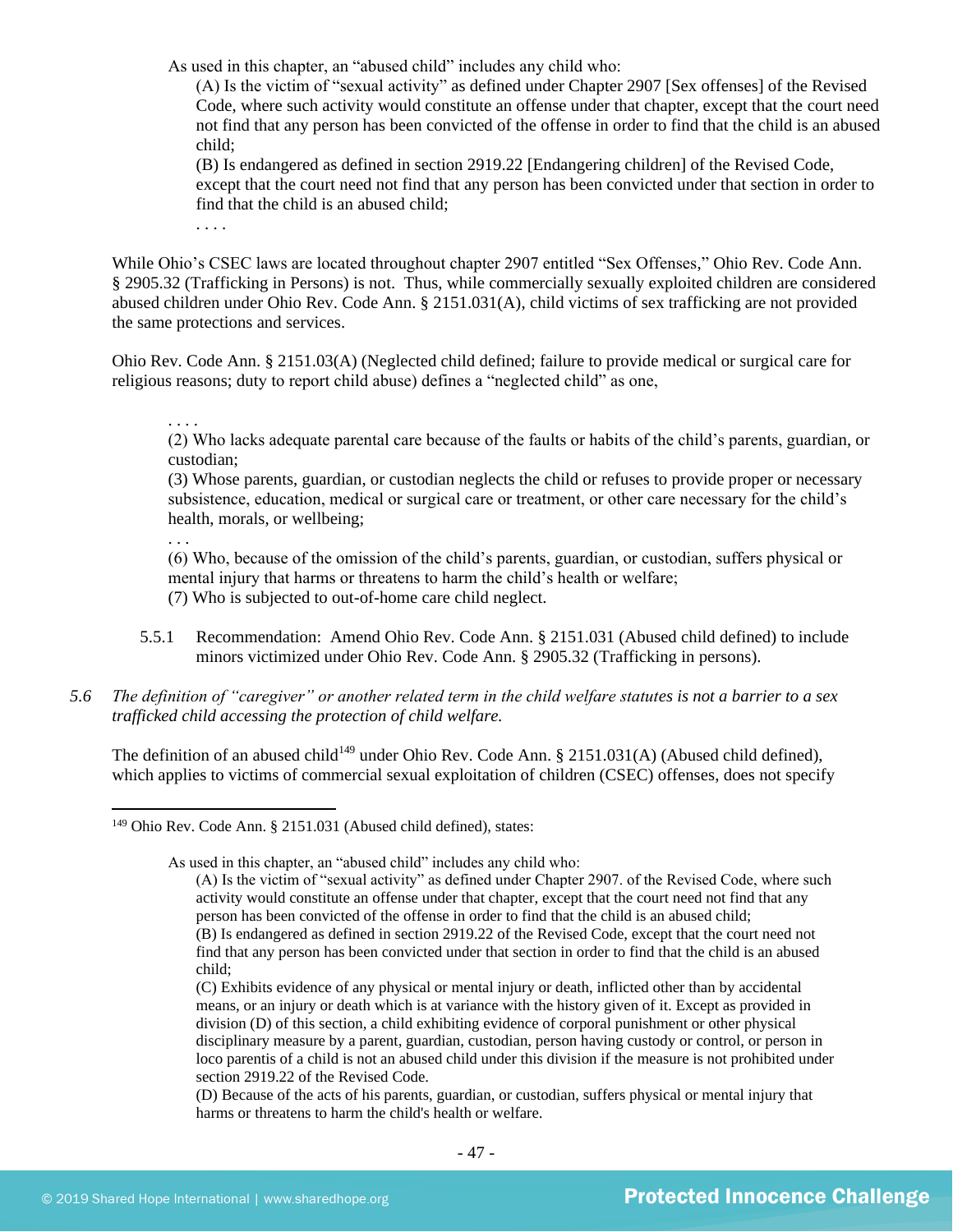As used in this chapter, an "abused child" includes any child who:

(A) Is the victim of "sexual activity" as defined under Chapter 2907 [Sex offenses] of the Revised Code, where such activity would constitute an offense under that chapter, except that the court need not find that any person has been convicted of the offense in order to find that the child is an abused child;

(B) Is endangered as defined in section 2919.22 [Endangering children] of the Revised Code, except that the court need not find that any person has been convicted under that section in order to find that the child is an abused child;

. . . .

While Ohio's CSEC laws are located throughout chapter 2907 entitled "Sex Offenses," Ohio Rev. Code Ann. § 2905.32 (Trafficking in Persons) is not. Thus, while commercially sexually exploited children are considered abused children under Ohio Rev. Code Ann. § 2151.031(A), child victims of sex trafficking are not provided the same protections and services.

Ohio Rev. Code Ann. § 2151.03(A) (Neglected child defined; failure to provide medical or surgical care for religious reasons; duty to report child abuse) defines a "neglected child" as one,

(2) Who lacks adequate parental care because of the faults or habits of the child's parents, guardian, or custodian;

(3) Whose parents, guardian, or custodian neglects the child or refuses to provide proper or necessary subsistence, education, medical or surgical care or treatment, or other care necessary for the child's health, morals, or wellbeing;

. . .

. . . .

(6) Who, because of the omission of the child's parents, guardian, or custodian, suffers physical or mental injury that harms or threatens to harm the child's health or welfare; (7) Who is subjected to out-of-home care child neglect.

- 5.5.1 Recommendation: Amend Ohio Rev. Code Ann. § 2151.031 (Abused child defined) to include minors victimized under Ohio Rev. Code Ann. § 2905.32 (Trafficking in persons).
- *5.6 The definition of "caregiver" or another related term in the child welfare statutes is not a barrier to a sex trafficked child accessing the protection of child welfare.*

The definition of an abused child<sup>149</sup> under Ohio Rev. Code Ann. § 2151.031(A) (Abused child defined), which applies to victims of commercial sexual exploitation of children (CSEC) offenses, does not specify

<sup>149</sup> Ohio Rev. Code Ann. § 2151.031 (Abused child defined), states:

As used in this chapter, an "abused child" includes any child who:

<sup>(</sup>A) Is the victim of "sexual activity" as defined under Chapter 2907. of the Revised Code, where such activity would constitute an offense under that chapter, except that the court need not find that any person has been convicted of the offense in order to find that the child is an abused child; (B) Is endangered as defined in section 2919.22 of the Revised Code, except that the court need not find that any person has been convicted under that section in order to find that the child is an abused child;

<sup>(</sup>C) Exhibits evidence of any physical or mental injury or death, inflicted other than by accidental means, or an injury or death which is at variance with the history given of it. Except as provided in division (D) of this section, a child exhibiting evidence of corporal punishment or other physical disciplinary measure by a parent, guardian, custodian, person having custody or control, or person in loco parentis of a child is not an abused child under this division if the measure is not prohibited under section 2919.22 of the Revised Code.

<sup>(</sup>D) Because of the acts of his parents, guardian, or custodian, suffers physical or mental injury that harms or threatens to harm the child's health or welfare.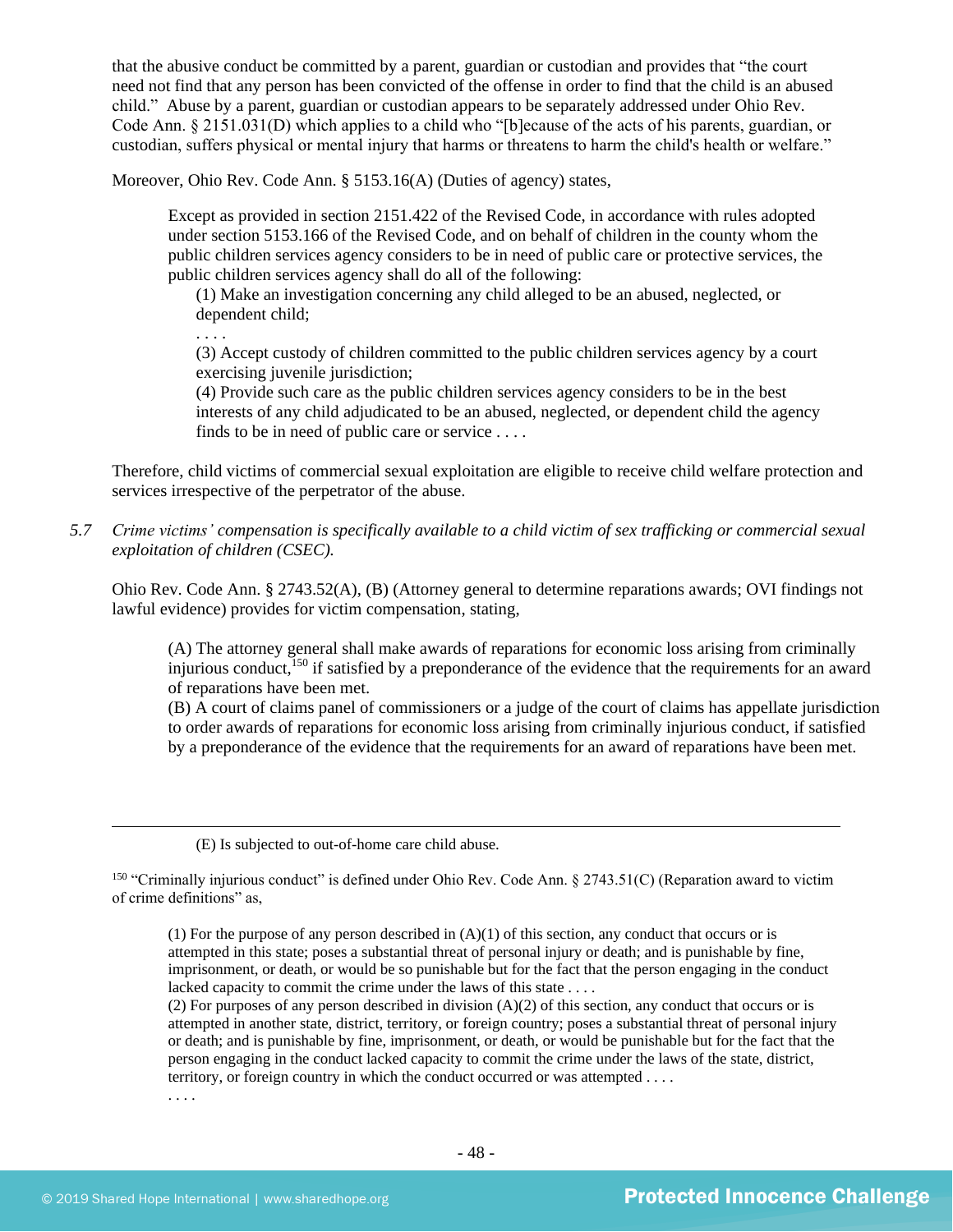that the abusive conduct be committed by a parent, guardian or custodian and provides that "the court need not find that any person has been convicted of the offense in order to find that the child is an abused child." Abuse by a parent, guardian or custodian appears to be separately addressed under Ohio Rev. Code Ann. § 2151.031(D) which applies to a child who "[b]ecause of the acts of his parents, guardian, or custodian, suffers physical or mental injury that harms or threatens to harm the child's health or welfare."

Moreover, Ohio Rev. Code Ann. § 5153.16(A) (Duties of agency) states,

Except as provided in section 2151.422 of the Revised Code, in accordance with rules adopted under section 5153.166 of the Revised Code, and on behalf of children in the county whom the public children services agency considers to be in need of public care or protective services, the public children services agency shall do all of the following:

(1) Make an investigation concerning any child alleged to be an abused, neglected, or dependent child;

. . . .

(3) Accept custody of children committed to the public children services agency by a court exercising juvenile jurisdiction;

(4) Provide such care as the public children services agency considers to be in the best interests of any child adjudicated to be an abused, neglected, or dependent child the agency finds to be in need of public care or service . . . .

Therefore, child victims of commercial sexual exploitation are eligible to receive child welfare protection and services irrespective of the perpetrator of the abuse.

*5.7 Crime victims' compensation is specifically available to a child victim of sex trafficking or commercial sexual exploitation of children (CSEC).* 

Ohio Rev. Code Ann. § 2743.52(A), (B) (Attorney general to determine reparations awards; OVI findings not lawful evidence) provides for victim compensation, stating,

(A) The attorney general shall make awards of reparations for economic loss arising from criminally injurious conduct,<sup>150</sup> if satisfied by a preponderance of the evidence that the requirements for an award of reparations have been met.

(B) A court of claims panel of commissioners or a judge of the court of claims has appellate jurisdiction to order awards of reparations for economic loss arising from criminally injurious conduct, if satisfied by a preponderance of the evidence that the requirements for an award of reparations have been met.

(E) Is subjected to out-of-home care child abuse.

(2) For purposes of any person described in division  $(A)(2)$  of this section, any conduct that occurs or is attempted in another state, district, territory, or foreign country; poses a substantial threat of personal injury or death; and is punishable by fine, imprisonment, or death, or would be punishable but for the fact that the person engaging in the conduct lacked capacity to commit the crime under the laws of the state, district, territory, or foreign country in which the conduct occurred or was attempted . . . .

. . . .

<sup>&</sup>lt;sup>150</sup> "Criminally injurious conduct" is defined under Ohio Rev. Code Ann. § 2743.51(C) (Reparation award to victim of crime definitions" as,

<sup>(1)</sup> For the purpose of any person described in  $(A)(1)$  of this section, any conduct that occurs or is attempted in this state; poses a substantial threat of personal injury or death; and is punishable by fine, imprisonment, or death, or would be so punishable but for the fact that the person engaging in the conduct lacked capacity to commit the crime under the laws of this state . . . .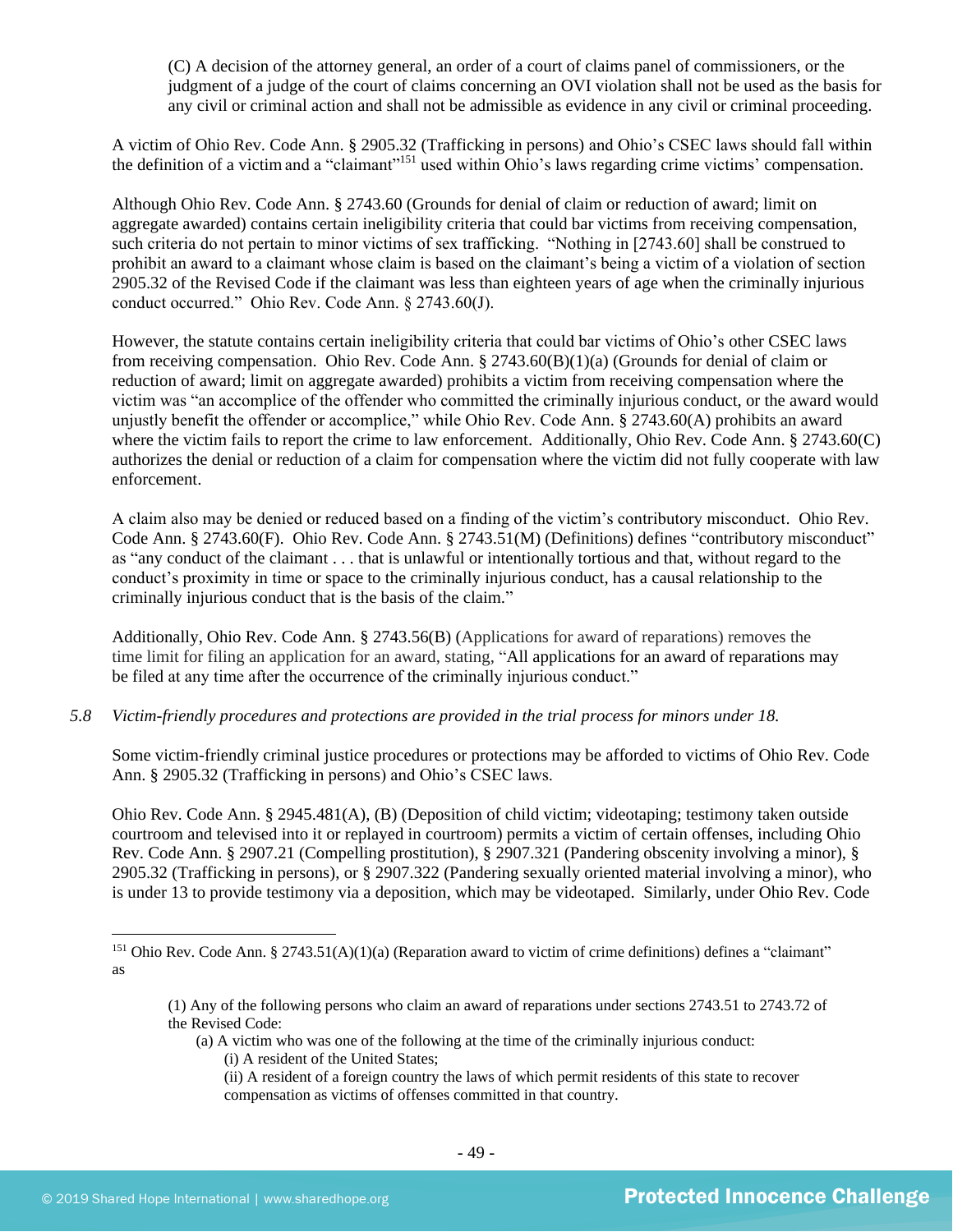(C) A decision of the attorney general, an order of a court of claims panel of commissioners, or the judgment of a judge of the court of claims concerning an OVI violation shall not be used as the basis for any civil or criminal action and shall not be admissible as evidence in any civil or criminal proceeding.

A victim of Ohio Rev. Code Ann. § 2905.32 (Trafficking in persons) and Ohio's CSEC laws should fall within the definition of a victim and a "claimant"<sup>151</sup> used within Ohio's laws regarding crime victims' compensation.

Although Ohio Rev. Code Ann. § 2743.60 (Grounds for denial of claim or reduction of award; limit on aggregate awarded) contains certain ineligibility criteria that could bar victims from receiving compensation, such criteria do not pertain to minor victims of sex trafficking. "Nothing in [2743.60] shall be construed to prohibit an award to a claimant whose claim is based on the claimant's being a victim of a violation of section 2905.32 of the Revised Code if the claimant was less than eighteen years of age when the criminally injurious conduct occurred." Ohio Rev. Code Ann. § 2743.60(J).

However, the statute contains certain ineligibility criteria that could bar victims of Ohio's other CSEC laws from receiving compensation. Ohio Rev. Code Ann. § 2743.60(B)(1)(a) (Grounds for denial of claim or reduction of award; limit on aggregate awarded) prohibits a victim from receiving compensation where the victim was "an accomplice of the offender who committed the criminally injurious conduct, or the award would unjustly benefit the offender or accomplice," while Ohio Rev. Code Ann. § 2743.60(A) prohibits an award where the victim fails to report the crime to law enforcement. Additionally, Ohio Rev. Code Ann. § 2743.60(C) authorizes the denial or reduction of a claim for compensation where the victim did not fully cooperate with law enforcement.

A claim also may be denied or reduced based on a finding of the victim's contributory misconduct. Ohio Rev. Code Ann. § 2743.60(F). Ohio Rev. Code Ann. § 2743.51(M) (Definitions) defines "contributory misconduct" as "any conduct of the claimant . . . that is unlawful or intentionally tortious and that, without regard to the conduct's proximity in time or space to the criminally injurious conduct, has a causal relationship to the criminally injurious conduct that is the basis of the claim."

Additionally, Ohio Rev. Code Ann. § 2743.56(B) (Applications for award of reparations) removes the time limit for filing an application for an award, stating, "All applications for an award of reparations may be filed at any time after the occurrence of the criminally injurious conduct."

## *5.8 Victim-friendly procedures and protections are provided in the trial process for minors under 18.*

Some victim-friendly criminal justice procedures or protections may be afforded to victims of Ohio Rev. Code Ann. § 2905.32 (Trafficking in persons) and Ohio's CSEC laws.

Ohio Rev. Code Ann. § 2945.481(A), (B) (Deposition of child victim; videotaping; testimony taken outside courtroom and televised into it or replayed in courtroom) permits a victim of certain offenses, including Ohio Rev. Code Ann. § 2907.21 (Compelling prostitution), § 2907.321 (Pandering obscenity involving a minor), § 2905.32 (Trafficking in persons), or § 2907.322 (Pandering sexually oriented material involving a minor), who is under 13 to provide testimony via a deposition, which may be videotaped. Similarly, under Ohio Rev. Code

<sup>&</sup>lt;sup>151</sup> Ohio Rev. Code Ann. § 2743.51(A)(1)(a) (Reparation award to victim of crime definitions) defines a "claimant" as

<sup>(1)</sup> Any of the following persons who claim an award of reparations under sections 2743.51 to 2743.72 of the Revised Code:

<sup>(</sup>a) A victim who was one of the following at the time of the criminally injurious conduct:

<sup>(</sup>i) A resident of the United States;

<sup>(</sup>ii) A resident of a foreign country the laws of which permit residents of this state to recover compensation as victims of offenses committed in that country.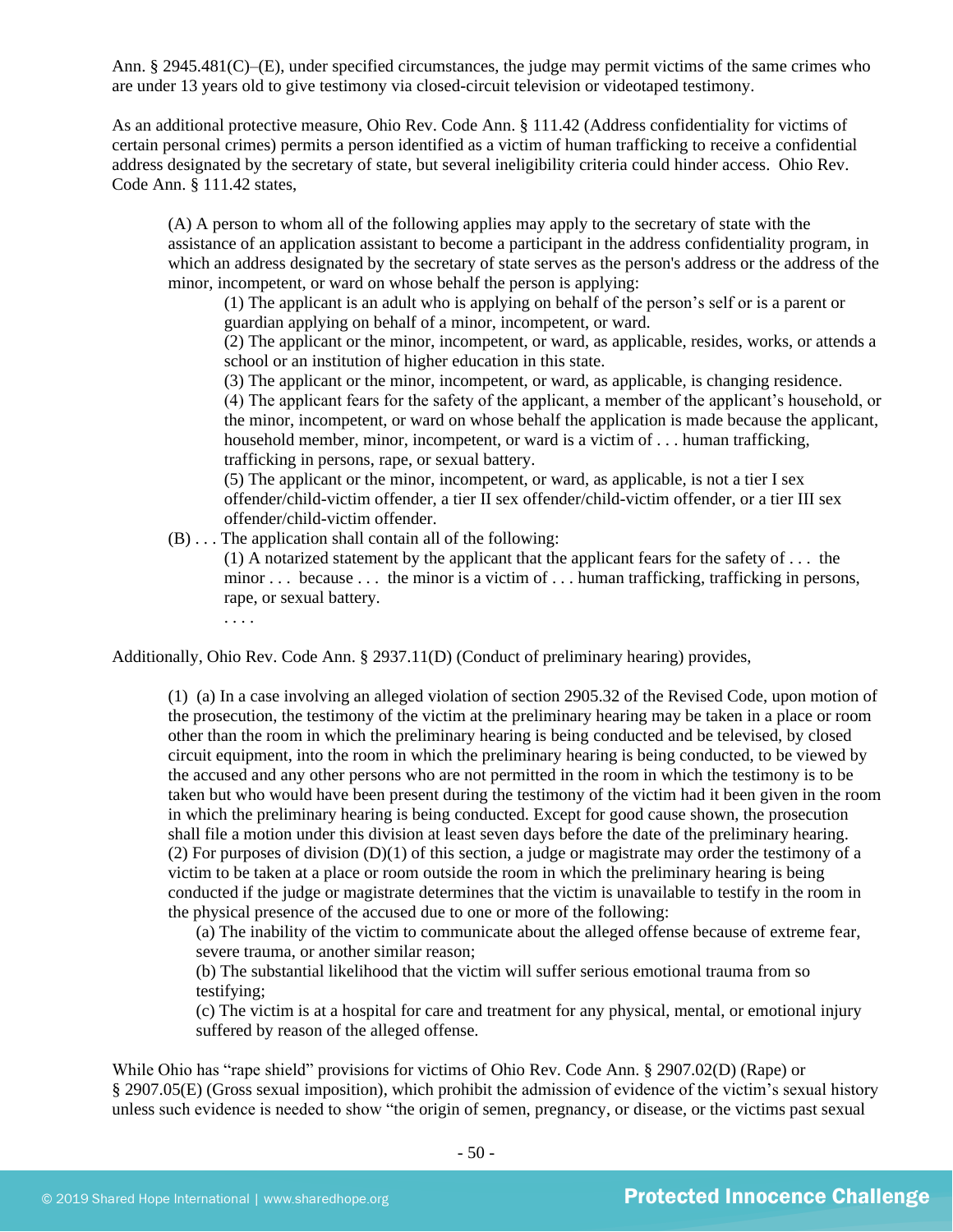Ann. § 2945.481(C)–(E), under specified circumstances, the judge may permit victims of the same crimes who are under 13 years old to give testimony via closed-circuit television or videotaped testimony.

As an additional protective measure, Ohio Rev. Code Ann. § 111.42 (Address confidentiality for victims of certain personal crimes) permits a person identified as a victim of human trafficking to receive a confidential address designated by the secretary of state, but several ineligibility criteria could hinder access. Ohio Rev. Code Ann. § 111.42 states,

(A) A person to whom all of the following applies may apply to the secretary of state with the assistance of an application assistant to become a participant in the address confidentiality program, in which an address designated by the secretary of state serves as the person's address or the address of the minor, incompetent, or ward on whose behalf the person is applying:

(1) The applicant is an adult who is applying on behalf of the person's self or is a parent or guardian applying on behalf of a minor, incompetent, or ward.

(2) The applicant or the minor, incompetent, or ward, as applicable, resides, works, or attends a school or an institution of higher education in this state.

(3) The applicant or the minor, incompetent, or ward, as applicable, is changing residence. (4) The applicant fears for the safety of the applicant, a member of the applicant's household, or the minor, incompetent, or ward on whose behalf the application is made because the applicant, household member, minor, incompetent, or ward is a victim of . . . human trafficking, trafficking in persons, rape, or sexual battery.

(5) The applicant or the minor, incompetent, or ward, as applicable, is not a tier I sex offender/child-victim offender, a tier II sex offender/child-victim offender, or a tier III sex offender/child-victim offender.

(B) . . . The application shall contain all of the following:

(1) A notarized statement by the applicant that the applicant fears for the safety of . . . the minor . . . because . . . the minor is a victim of . . . human trafficking, trafficking in persons, rape, or sexual battery.

. . . .

Additionally, Ohio Rev. Code Ann. § 2937.11(D) (Conduct of preliminary hearing) provides,

(1) (a) In a case involving an alleged violation of section 2905.32 of the Revised Code, upon motion of the prosecution, the testimony of the victim at the preliminary hearing may be taken in a place or room other than the room in which the preliminary hearing is being conducted and be televised, by closed circuit equipment, into the room in which the preliminary hearing is being conducted, to be viewed by the accused and any other persons who are not permitted in the room in which the testimony is to be taken but who would have been present during the testimony of the victim had it been given in the room in which the preliminary hearing is being conducted. Except for good cause shown, the prosecution shall file a motion under this division at least seven days before the date of the preliminary hearing. (2) For purposes of division (D)(1) of this section, a judge or magistrate may order the testimony of a victim to be taken at a place or room outside the room in which the preliminary hearing is being conducted if the judge or magistrate determines that the victim is unavailable to testify in the room in the physical presence of the accused due to one or more of the following:

(a) The inability of the victim to communicate about the alleged offense because of extreme fear, severe trauma, or another similar reason;

(b) The substantial likelihood that the victim will suffer serious emotional trauma from so testifying;

(c) The victim is at a hospital for care and treatment for any physical, mental, or emotional injury suffered by reason of the alleged offense.

While Ohio has "rape shield" provisions for victims of Ohio Rev. Code Ann. § 2907.02(D) (Rape) or § 2907.05(E) (Gross sexual imposition), which prohibit the admission of evidence of the victim's sexual history unless such evidence is needed to show "the origin of semen, pregnancy, or disease, or the victims past sexual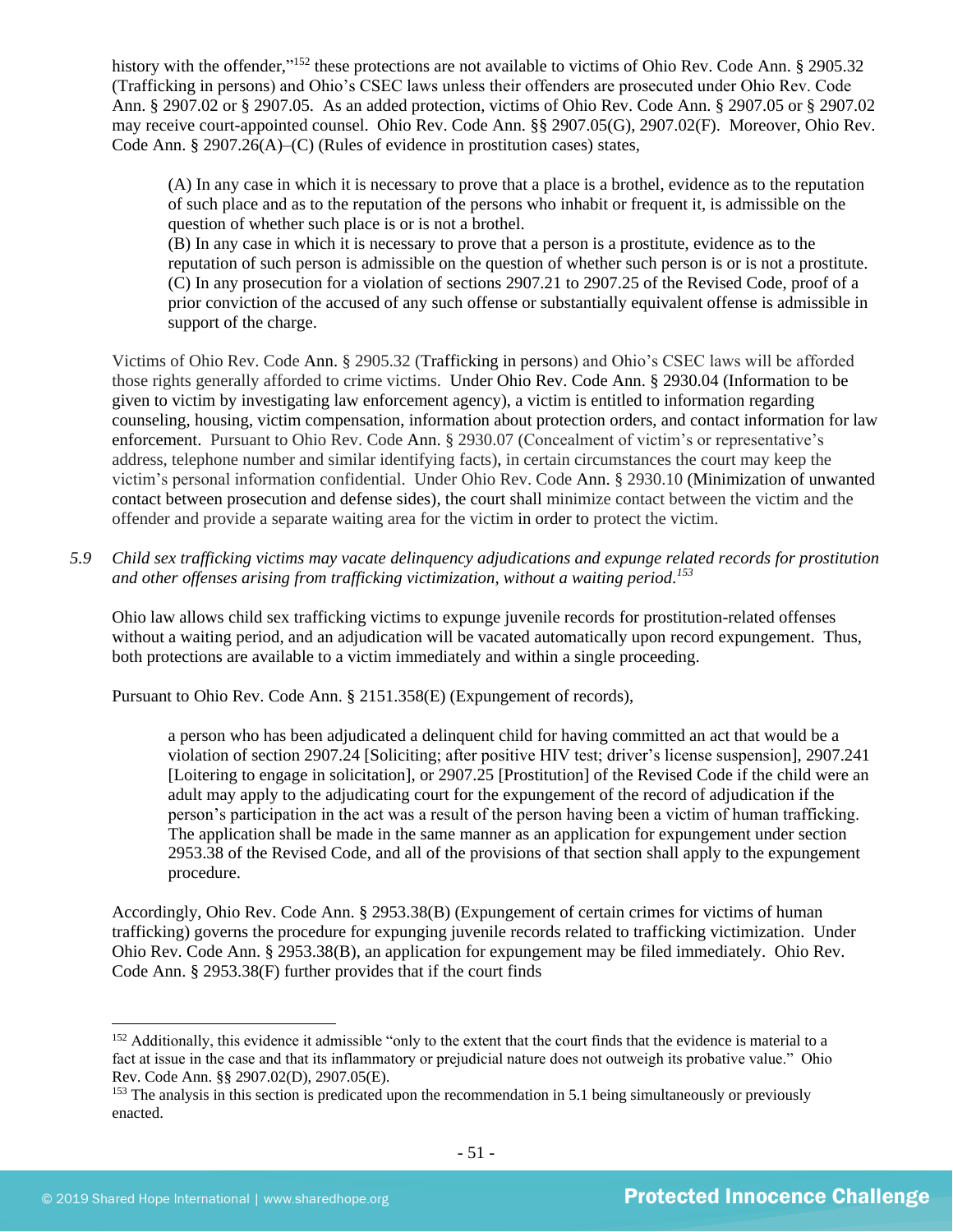history with the offender,"<sup>152</sup> these protections are not available to victims of Ohio Rev. Code Ann. § 2905.32 (Trafficking in persons) and Ohio's CSEC laws unless their offenders are prosecuted under Ohio Rev. Code Ann. § 2907.02 or § 2907.05. As an added protection, victims of Ohio Rev. Code Ann. § 2907.05 or § 2907.02 may receive court-appointed counsel. Ohio Rev. Code Ann. §§ 2907.05(G), 2907.02(F). Moreover, Ohio Rev. Code Ann. § 2907.26(A)–(C) (Rules of evidence in prostitution cases) states,

(A) In any case in which it is necessary to prove that a place is a brothel, evidence as to the reputation of such place and as to the reputation of the persons who inhabit or frequent it, is admissible on the question of whether such place is or is not a brothel.

(B) In any case in which it is necessary to prove that a person is a prostitute, evidence as to the reputation of such person is admissible on the question of whether such person is or is not a prostitute. (C) In any prosecution for a violation of sections 2907.21 to 2907.25 of the Revised Code, proof of a prior conviction of the accused of any such offense or substantially equivalent offense is admissible in support of the charge.

Victims of Ohio Rev. Code Ann. § 2905.32 (Trafficking in persons) and Ohio's CSEC laws will be afforded those rights generally afforded to crime victims. Under Ohio Rev. Code Ann. § 2930.04 (Information to be given to victim by investigating law enforcement agency), a victim is entitled to information regarding counseling, housing, victim compensation, information about protection orders, and contact information for law enforcement. Pursuant to Ohio Rev. Code Ann. § 2930.07 (Concealment of victim's or representative's address, telephone number and similar identifying facts), in certain circumstances the court may keep the victim's personal information confidential. Under Ohio Rev. Code Ann. § 2930.10 (Minimization of unwanted contact between prosecution and defense sides), the court shall minimize contact between the victim and the offender and provide a separate waiting area for the victim in order to protect the victim.

*5.9 Child sex trafficking victims may vacate delinquency adjudications and expunge related records for prostitution and other offenses arising from trafficking victimization, without a waiting period. 153*

Ohio law allows child sex trafficking victims to expunge juvenile records for prostitution-related offenses without a waiting period, and an adjudication will be vacated automatically upon record expungement. Thus, both protections are available to a victim immediately and within a single proceeding.

Pursuant to Ohio Rev. Code Ann. § 2151.358(E) (Expungement of records),

a person who has been adjudicated a delinquent child for having committed an act that would be a violation of section 2907.24 [Soliciting; after positive HIV test; driver's license suspension], 2907.241 [Loitering to engage in solicitation], or 2907.25 [Prostitution] of the Revised Code if the child were an adult may apply to the adjudicating court for the expungement of the record of adjudication if the person's participation in the act was a result of the person having been a victim of human trafficking. The application shall be made in the same manner as an application for expungement under section 2953.38 of the Revised Code, and all of the provisions of that section shall apply to the expungement procedure.

Accordingly, Ohio Rev. Code Ann. § 2953.38(B) (Expungement of certain crimes for victims of human trafficking) governs the procedure for expunging juvenile records related to trafficking victimization. Under Ohio Rev. Code Ann. § 2953.38(B), an application for expungement may be filed immediately. Ohio Rev. Code Ann. § 2953.38(F) further provides that if the court finds

<sup>&</sup>lt;sup>152</sup> Additionally, this evidence it admissible "only to the extent that the court finds that the evidence is material to a fact at issue in the case and that its inflammatory or prejudicial nature does not outweigh its probative value." Ohio Rev. Code Ann. §§ 2907.02(D), 2907.05(E).

 $153$  The analysis in this section is predicated upon the recommendation in 5.1 being simultaneously or previously enacted.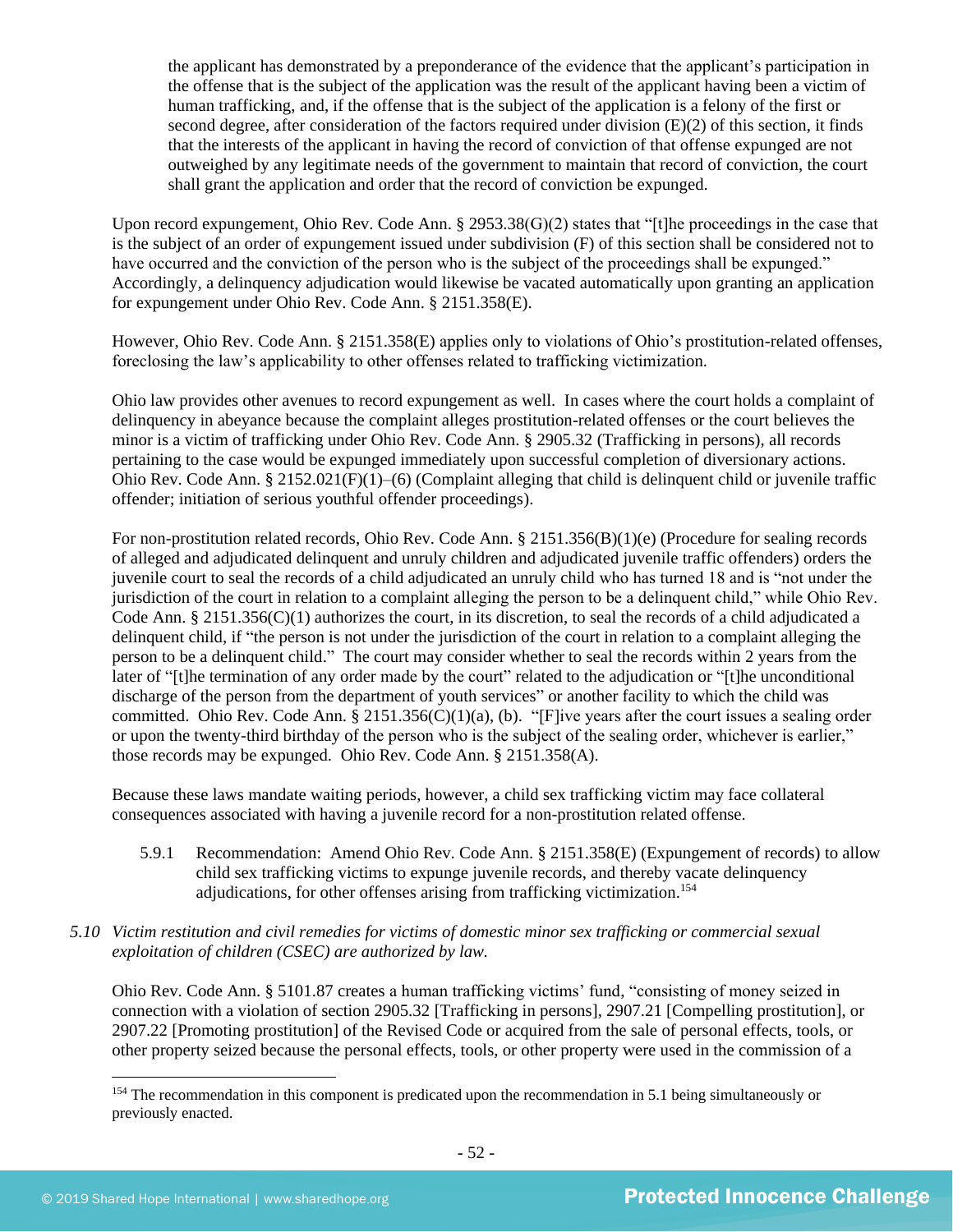the applicant has demonstrated by a preponderance of the evidence that the applicant's participation in the offense that is the subject of the application was the result of the applicant having been a victim of human trafficking, and, if the offense that is the subject of the application is a felony of the first or second degree, after consideration of the factors required under division  $(E)(2)$  of this section, it finds that the interests of the applicant in having the record of conviction of that offense expunged are not outweighed by any legitimate needs of the government to maintain that record of conviction, the court shall grant the application and order that the record of conviction be expunged.

Upon record expungement, Ohio Rev. Code Ann. § 2953.38(G)(2) states that "[t]he proceedings in the case that is the subject of an order of expungement issued under subdivision (F) of this section shall be considered not to have occurred and the conviction of the person who is the subject of the proceedings shall be expunged." Accordingly, a delinquency adjudication would likewise be vacated automatically upon granting an application for expungement under Ohio Rev. Code Ann. § 2151.358(E).

However, Ohio Rev. Code Ann. § 2151.358(E) applies only to violations of Ohio's prostitution-related offenses, foreclosing the law's applicability to other offenses related to trafficking victimization.

Ohio law provides other avenues to record expungement as well. In cases where the court holds a complaint of delinquency in abeyance because the complaint alleges prostitution-related offenses or the court believes the minor is a victim of trafficking under Ohio Rev. Code Ann. § 2905.32 (Trafficking in persons), all records pertaining to the case would be expunged immediately upon successful completion of diversionary actions. Ohio Rev. Code Ann. § 2152.021(F)(1)–(6) (Complaint alleging that child is delinquent child or juvenile traffic offender; initiation of serious youthful offender proceedings).

For non-prostitution related records, Ohio Rev. Code Ann. § 2151.356(B)(1)(e) (Procedure for sealing records of alleged and adjudicated delinquent and unruly children and adjudicated juvenile traffic offenders) orders the juvenile court to seal the records of a child adjudicated an unruly child who has turned 18 and is "not under the jurisdiction of the court in relation to a complaint alleging the person to be a delinquent child," while Ohio Rev. Code Ann.  $\S 2151.356(C)(1)$  authorizes the court, in its discretion, to seal the records of a child adjudicated a delinquent child, if "the person is not under the jurisdiction of the court in relation to a complaint alleging the person to be a delinquent child." The court may consider whether to seal the records within 2 years from the later of "[t]he termination of any order made by the court" related to the adjudication or "[t]he unconditional discharge of the person from the department of youth services" or another facility to which the child was committed. Ohio Rev. Code Ann.  $\S 2151.356(C)(1)(a)$ , (b). "[F]ive years after the court issues a sealing order or upon the twenty-third birthday of the person who is the subject of the sealing order, whichever is earlier," those records may be expunged. Ohio Rev. Code Ann. § 2151.358(A).

Because these laws mandate waiting periods, however, a child sex trafficking victim may face collateral consequences associated with having a juvenile record for a non-prostitution related offense.

- 5.9.1 Recommendation: Amend Ohio Rev. Code Ann. § 2151.358(E) (Expungement of records) to allow child sex trafficking victims to expunge juvenile records, and thereby vacate delinquency adjudications, for other offenses arising from trafficking victimization.<sup>154</sup>
- *5.10 Victim restitution and civil remedies for victims of domestic minor sex trafficking or commercial sexual exploitation of children (CSEC) are authorized by law.*

Ohio Rev. Code Ann. § 5101.87 creates a human trafficking victims' fund, "consisting of money seized in connection with a violation of section 2905.32 [Trafficking in persons], 2907.21 [Compelling prostitution], or 2907.22 [Promoting prostitution] of the Revised Code or acquired from the sale of personal effects, tools, or other property seized because the personal effects, tools, or other property were used in the commission of a

<sup>&</sup>lt;sup>154</sup> The recommendation in this component is predicated upon the recommendation in 5.1 being simultaneously or previously enacted.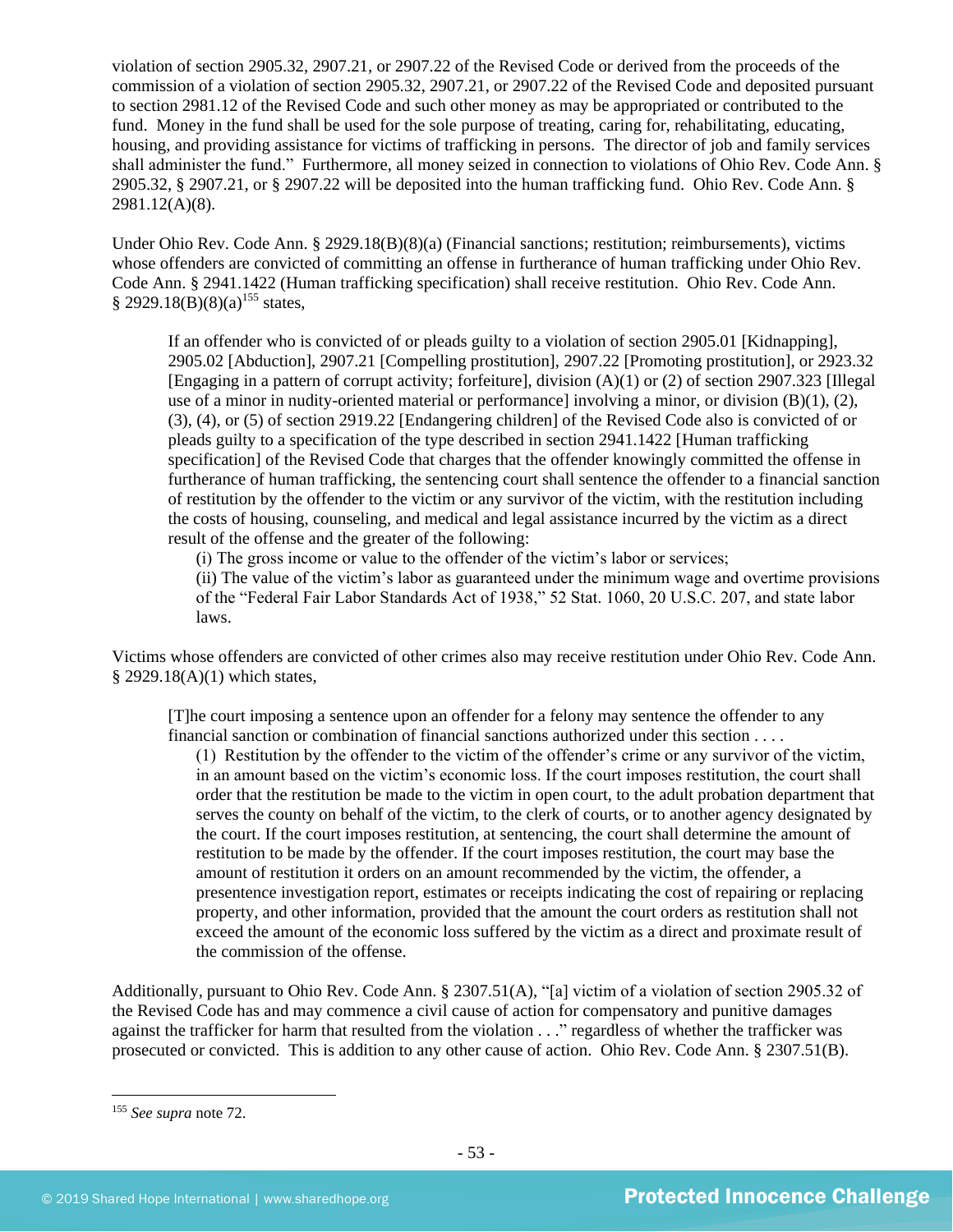violation of section 2905.32, 2907.21, or 2907.22 of the Revised Code or derived from the proceeds of the commission of a violation of section 2905.32, 2907.21, or 2907.22 of the Revised Code and deposited pursuant to section 2981.12 of the Revised Code and such other money as may be appropriated or contributed to the fund. Money in the fund shall be used for the sole purpose of treating, caring for, rehabilitating, educating, housing, and providing assistance for victims of trafficking in persons. The director of job and family services shall administer the fund." Furthermore, all money seized in connection to violations of Ohio Rev. Code Ann. § 2905.32, § 2907.21, or § 2907.22 will be deposited into the human trafficking fund. Ohio Rev. Code Ann. § 2981.12(A)(8).

Under Ohio Rev. Code Ann. § 2929.18(B)(8)(a) (Financial sanctions; restitution; reimbursements), victims whose offenders are convicted of committing an offense in furtherance of human trafficking under Ohio Rev. Code Ann. § 2941.1422 (Human trafficking specification) shall receive restitution. Ohio Rev. Code Ann.  $§$  2929.18(B)(8)(a)<sup>155</sup> states,

If an offender who is convicted of or pleads guilty to a violation of section 2905.01 [Kidnapping], 2905.02 [Abduction], 2907.21 [Compelling prostitution], 2907.22 [Promoting prostitution], or 2923.32 [Engaging in a pattern of corrupt activity; forfeiture], division (A)(1) or (2) of section 2907.323 [Illegal use of a minor in nudity-oriented material or performance] involving a minor, or division (B)(1), (2), (3), (4), or (5) of section 2919.22 [Endangering children] of the Revised Code also is convicted of or pleads guilty to a specification of the type described in section 2941.1422 [Human trafficking specification] of the Revised Code that charges that the offender knowingly committed the offense in furtherance of human trafficking, the sentencing court shall sentence the offender to a financial sanction of restitution by the offender to the victim or any survivor of the victim, with the restitution including the costs of housing, counseling, and medical and legal assistance incurred by the victim as a direct result of the offense and the greater of the following:

(i) The gross income or value to the offender of the victim's labor or services;

(ii) The value of the victim's labor as guaranteed under the minimum wage and overtime provisions of the "Federal Fair Labor Standards Act of 1938," 52 Stat. 1060, 20 U.S.C. 207, and state labor laws.

Victims whose offenders are convicted of other crimes also may receive restitution under Ohio Rev. Code Ann. § 2929.18(A)(1) which states,

[T]he court imposing a sentence upon an offender for a felony may sentence the offender to any financial sanction or combination of financial sanctions authorized under this section . . . .

(1) Restitution by the offender to the victim of the offender's crime or any survivor of the victim, in an amount based on the victim's economic loss. If the court imposes restitution, the court shall order that the restitution be made to the victim in open court, to the adult probation department that serves the county on behalf of the victim, to the clerk of courts, or to another agency designated by the court. If the court imposes restitution, at sentencing, the court shall determine the amount of restitution to be made by the offender. If the court imposes restitution, the court may base the amount of restitution it orders on an amount recommended by the victim, the offender, a presentence investigation report, estimates or receipts indicating the cost of repairing or replacing property, and other information, provided that the amount the court orders as restitution shall not exceed the amount of the economic loss suffered by the victim as a direct and proximate result of the commission of the offense.

Additionally, pursuant to Ohio Rev. Code Ann. § 2307.51(A), "[a] victim of a violation of section 2905.32 of the Revised Code has and may commence a civil cause of action for compensatory and punitive damages against the trafficker for harm that resulted from the violation . . ." regardless of whether the trafficker was prosecuted or convicted. This is addition to any other cause of action. Ohio Rev. Code Ann. § 2307.51(B).

<sup>155</sup> *See supra* not[e 72.](#page-23-0)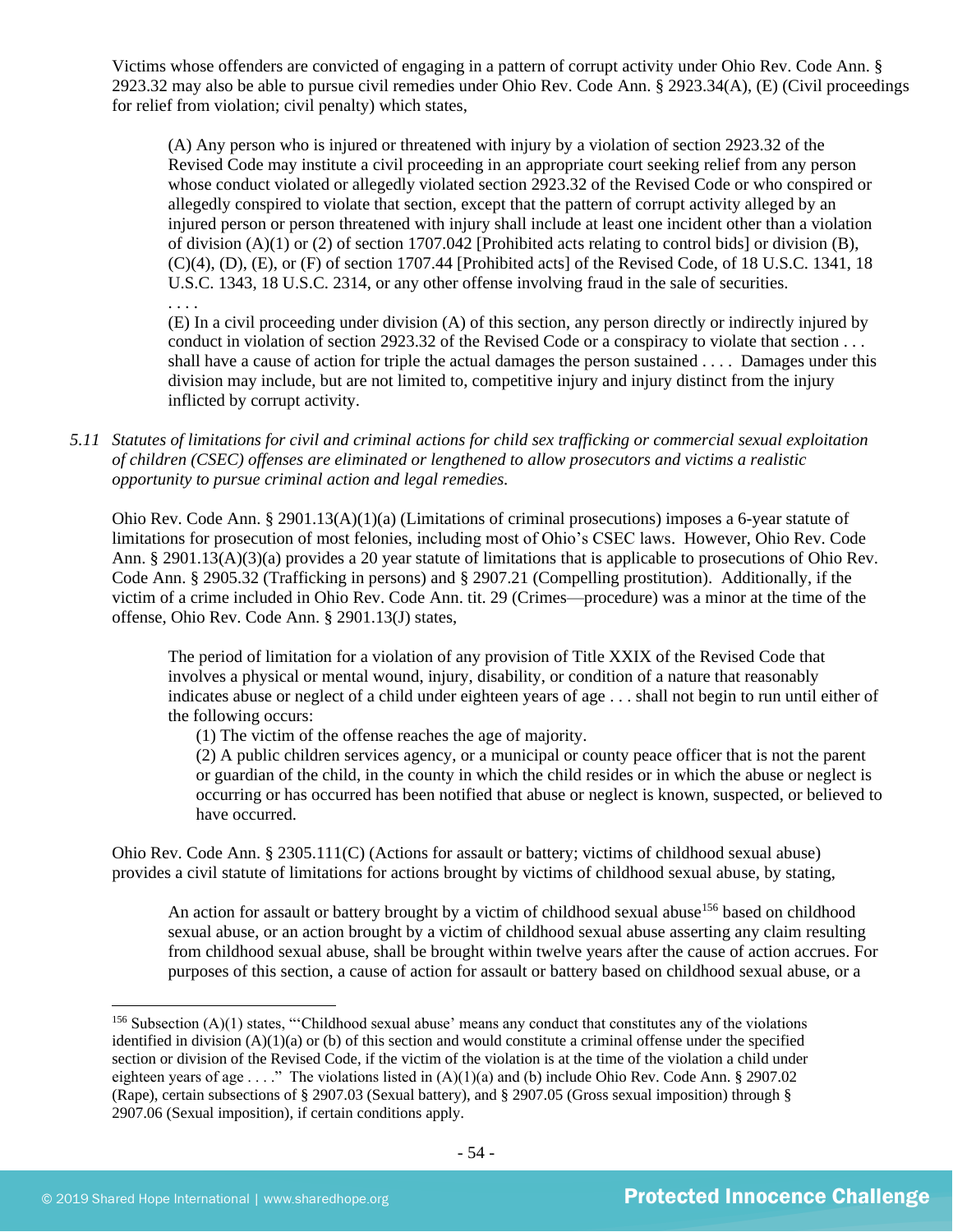Victims whose offenders are convicted of engaging in a pattern of corrupt activity under Ohio Rev. Code Ann. § 2923.32 may also be able to pursue civil remedies under Ohio Rev. Code Ann. § 2923.34(A), (E) (Civil proceedings for relief from violation; civil penalty) which states,

(A) Any person who is injured or threatened with injury by a violation of section 2923.32 of the Revised Code may institute a civil proceeding in an appropriate court seeking relief from any person whose conduct violated or allegedly violated section 2923.32 of the Revised Code or who conspired or allegedly conspired to violate that section, except that the pattern of corrupt activity alleged by an injured person or person threatened with injury shall include at least one incident other than a violation of division (A)(1) or (2) of section 1707.042 [Prohibited acts relating to control bids] or division (B), (C)(4), (D), (E), or (F) of section 1707.44 [Prohibited acts] of the Revised Code, of 18 U.S.C. 1341, 18 U.S.C. 1343, 18 U.S.C. 2314, or any other offense involving fraud in the sale of securities.

(E) In a civil proceeding under division (A) of this section, any person directly or indirectly injured by conduct in violation of section 2923.32 of the Revised Code or a conspiracy to violate that section . . . shall have a cause of action for triple the actual damages the person sustained . . . . Damages under this division may include, but are not limited to, competitive injury and injury distinct from the injury inflicted by corrupt activity.

*5.11 Statutes of limitations for civil and criminal actions for child sex trafficking or commercial sexual exploitation of children (CSEC) offenses are eliminated or lengthened to allow prosecutors and victims a realistic opportunity to pursue criminal action and legal remedies.*

Ohio Rev. Code Ann. § 2901.13(A)(1)(a) (Limitations of criminal prosecutions) imposes a 6-year statute of limitations for prosecution of most felonies, including most of Ohio's CSEC laws. However, Ohio Rev. Code Ann. § 2901.13(A)(3)(a) provides a 20 year statute of limitations that is applicable to prosecutions of Ohio Rev. Code Ann. § 2905.32 (Trafficking in persons) and § 2907.21 (Compelling prostitution). Additionally, if the victim of a crime included in Ohio Rev. Code Ann. tit. 29 (Crimes—procedure) was a minor at the time of the offense, Ohio Rev. Code Ann. § 2901.13(J) states,

The period of limitation for a violation of any provision of Title XXIX of the Revised Code that involves a physical or mental wound, injury, disability, or condition of a nature that reasonably indicates abuse or neglect of a child under eighteen years of age . . . shall not begin to run until either of the following occurs:

(1) The victim of the offense reaches the age of majority.

(2) A public children services agency, or a municipal or county peace officer that is not the parent or guardian of the child, in the county in which the child resides or in which the abuse or neglect is occurring or has occurred has been notified that abuse or neglect is known, suspected, or believed to have occurred.

Ohio Rev. Code Ann. § 2305.111(C) (Actions for assault or battery; victims of childhood sexual abuse) provides a civil statute of limitations for actions brought by victims of childhood sexual abuse, by stating,

An action for assault or battery brought by a victim of childhood sexual abuse<sup>156</sup> based on childhood sexual abuse, or an action brought by a victim of childhood sexual abuse asserting any claim resulting from childhood sexual abuse, shall be brought within twelve years after the cause of action accrues. For purposes of this section, a cause of action for assault or battery based on childhood sexual abuse, or a

. . . .

<sup>&</sup>lt;sup>156</sup> Subsection  $(A)(1)$  states, "'Childhood sexual abuse' means any conduct that constitutes any of the violations identified in division  $(A)(1)(a)$  or (b) of this section and would constitute a criminal offense under the specified section or division of the Revised Code, if the victim of the violation is at the time of the violation a child under eighteen years of age . . . ." The violations listed in (A)(1)(a) and (b) include Ohio Rev. Code Ann. § 2907.02 (Rape), certain subsections of § 2907.03 (Sexual battery), and § 2907.05 (Gross sexual imposition) through § 2907.06 (Sexual imposition), if certain conditions apply.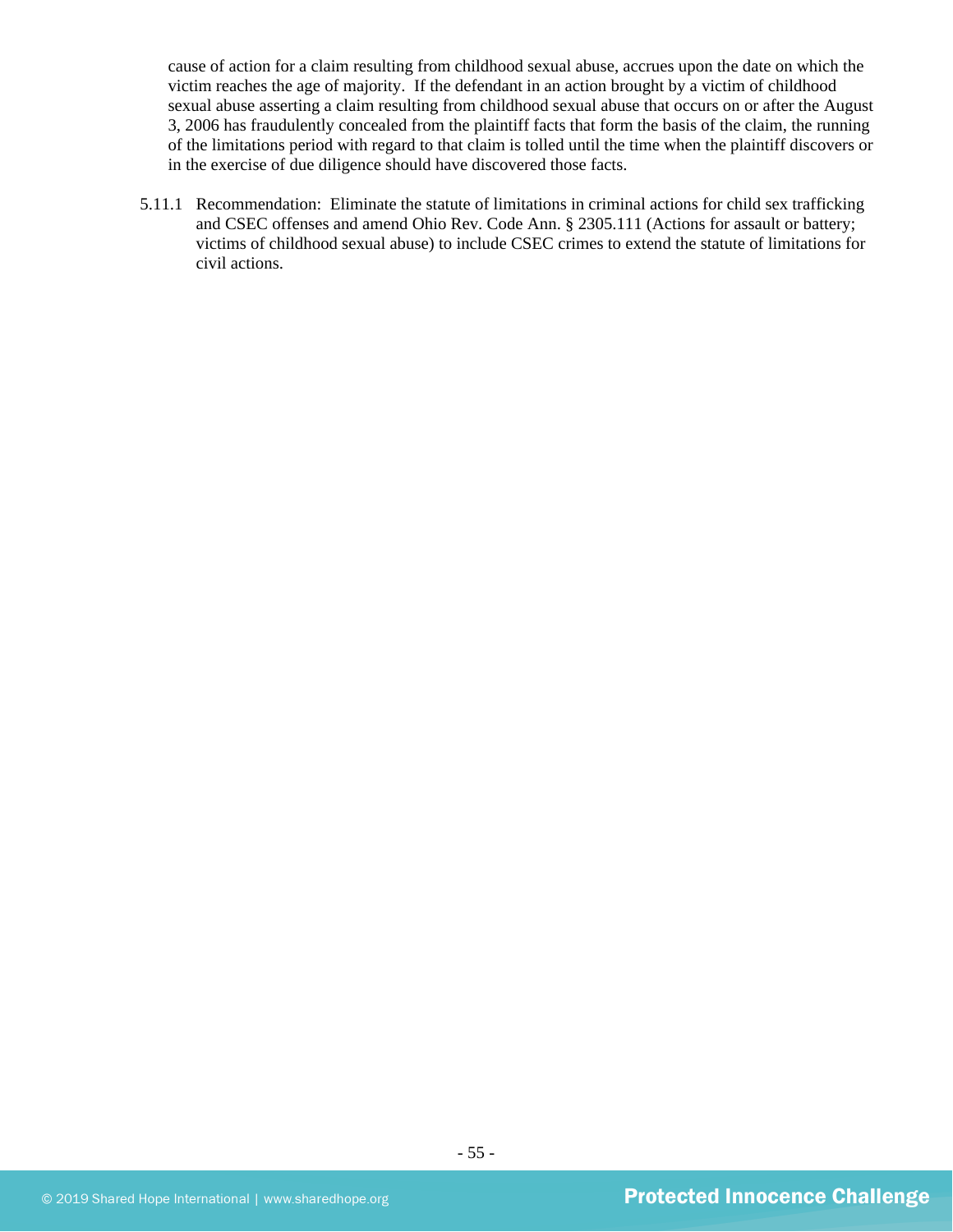cause of action for a claim resulting from childhood sexual abuse, accrues upon the date on which the victim reaches the age of majority. If the defendant in an action brought by a victim of childhood sexual abuse asserting a claim resulting from childhood sexual abuse that occurs on or after the August 3, 2006 has fraudulently concealed from the plaintiff facts that form the basis of the claim, the running of the limitations period with regard to that claim is tolled until the time when the plaintiff discovers or in the exercise of due diligence should have discovered those facts.

5.11.1 Recommendation: Eliminate the statute of limitations in criminal actions for child sex trafficking and CSEC offenses and amend Ohio Rev. Code Ann. § 2305.111 (Actions for assault or battery; victims of childhood sexual abuse) to include CSEC crimes to extend the statute of limitations for civil actions.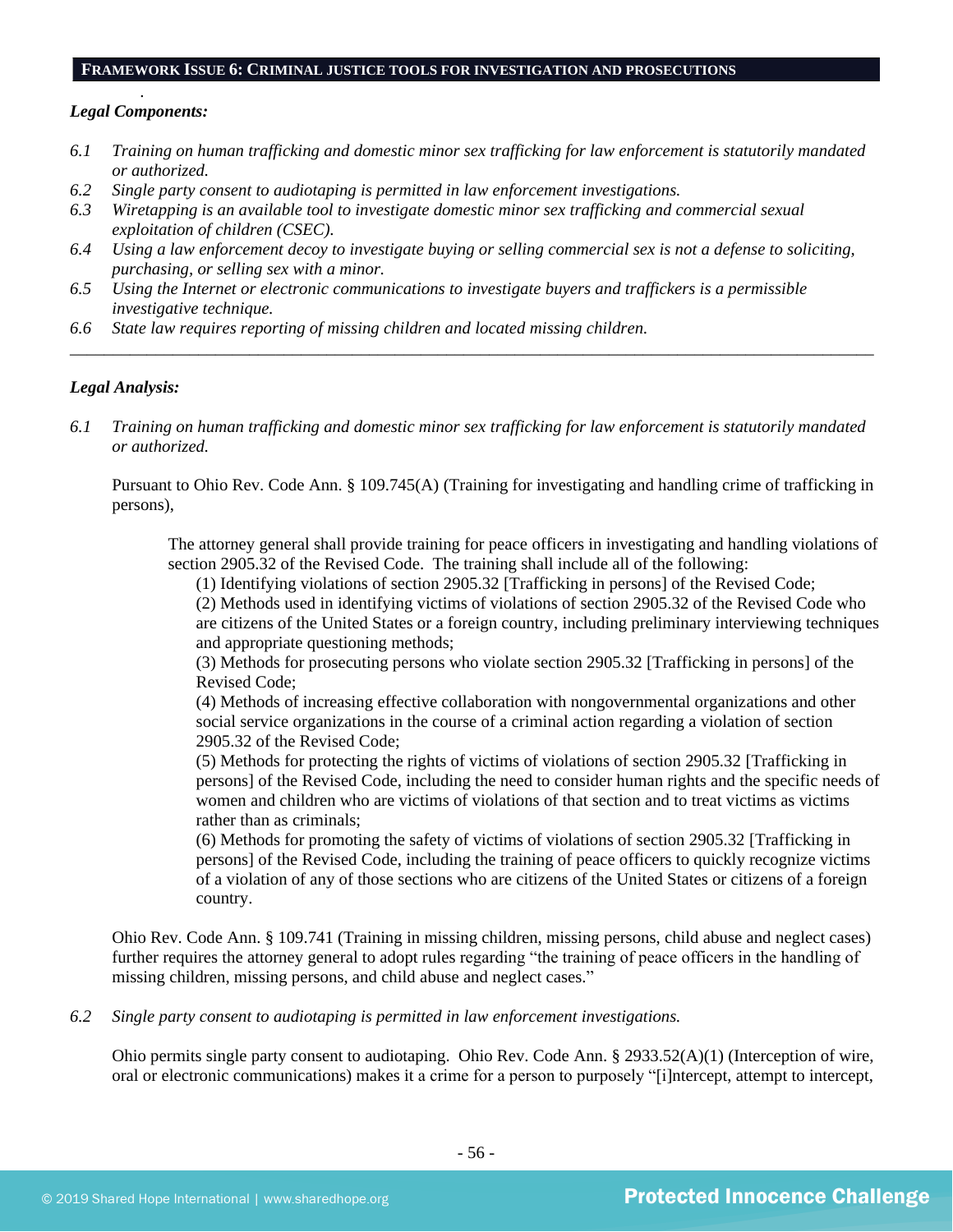#### **FRAMEWORK ISSUE 6: CRIMINAL JUSTICE TOOLS FOR INVESTIGATION AND PROSECUTIONS**

#### . *Legal Components:*

- *6.1 Training on human trafficking and domestic minor sex trafficking for law enforcement is statutorily mandated or authorized.*
- *6.2 Single party consent to audiotaping is permitted in law enforcement investigations.*
- *6.3 Wiretapping is an available tool to investigate domestic minor sex trafficking and commercial sexual exploitation of children (CSEC).*
- *6.4 Using a law enforcement decoy to investigate buying or selling commercial sex is not a defense to soliciting, purchasing, or selling sex with a minor.*
- *6.5 Using the Internet or electronic communications to investigate buyers and traffickers is a permissible investigative technique.*
- *6.6 State law requires reporting of missing children and located missing children.*

#### *Legal Analysis:*

*6.1 Training on human trafficking and domestic minor sex trafficking for law enforcement is statutorily mandated or authorized.*

*\_\_\_\_\_\_\_\_\_\_\_\_\_\_\_\_\_\_\_\_\_\_\_\_\_\_\_\_\_\_\_\_\_\_\_\_\_\_\_\_\_\_\_\_\_\_\_\_\_\_\_\_\_\_\_\_\_\_\_\_\_\_\_\_\_\_\_\_\_\_\_\_\_\_\_\_\_\_\_\_\_\_\_\_\_\_\_\_\_\_\_\_\_\_*

Pursuant to Ohio Rev. Code Ann. § 109.745(A) (Training for investigating and handling crime of trafficking in persons),

The attorney general shall provide training for peace officers in investigating and handling violations of section 2905.32 of the Revised Code. The training shall include all of the following:

(1) Identifying violations of section 2905.32 [Trafficking in persons] of the Revised Code;

(2) Methods used in identifying victims of violations of section 2905.32 of the Revised Code who are citizens of the United States or a foreign country, including preliminary interviewing techniques and appropriate questioning methods;

(3) Methods for prosecuting persons who violate section 2905.32 [Trafficking in persons] of the Revised Code;

(4) Methods of increasing effective collaboration with nongovernmental organizations and other social service organizations in the course of a criminal action regarding a violation of section 2905.32 of the Revised Code;

(5) Methods for protecting the rights of victims of violations of section 2905.32 [Trafficking in persons] of the Revised Code, including the need to consider human rights and the specific needs of women and children who are victims of violations of that section and to treat victims as victims rather than as criminals;

(6) Methods for promoting the safety of victims of violations of section 2905.32 [Trafficking in persons] of the Revised Code, including the training of peace officers to quickly recognize victims of a violation of any of those sections who are citizens of the United States or citizens of a foreign country.

Ohio Rev. Code Ann. § 109.741 (Training in missing children, missing persons, child abuse and neglect cases) further requires the attorney general to adopt rules regarding "the training of peace officers in the handling of missing children, missing persons, and child abuse and neglect cases."

*6.2 Single party consent to audiotaping is permitted in law enforcement investigations.*

Ohio permits single party consent to audiotaping. Ohio Rev. Code Ann. § 2933.52(A)(1) (Interception of wire, oral or electronic communications) makes it a crime for a person to purposely "[i]ntercept, attempt to intercept,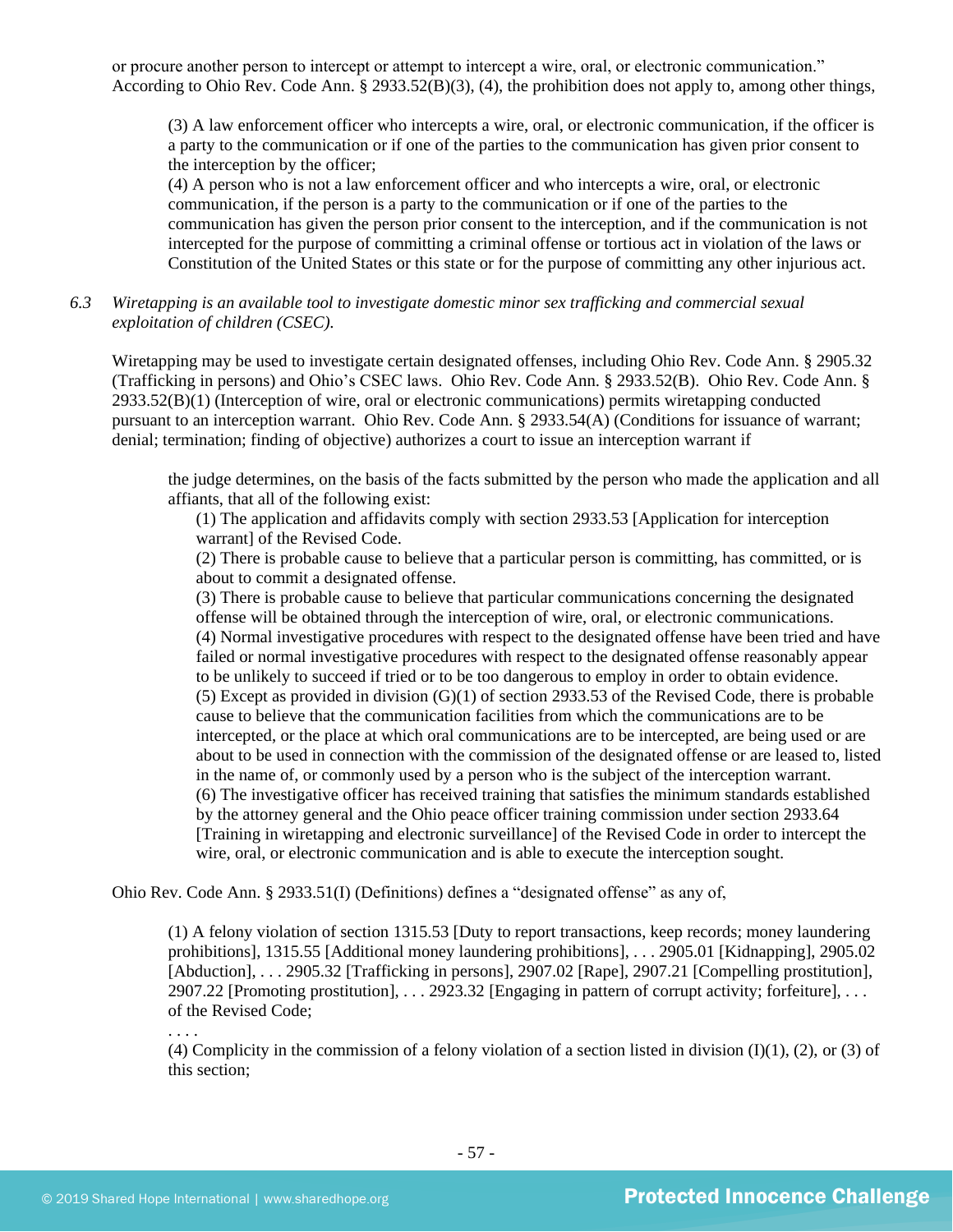or procure another person to intercept or attempt to intercept a wire, oral, or electronic communication." According to Ohio Rev. Code Ann. § 2933.52(B)(3), (4), the prohibition does not apply to, among other things,

(3) A law enforcement officer who intercepts a wire, oral, or electronic communication, if the officer is a party to the communication or if one of the parties to the communication has given prior consent to the interception by the officer;

(4) A person who is not a law enforcement officer and who intercepts a wire, oral, or electronic communication, if the person is a party to the communication or if one of the parties to the communication has given the person prior consent to the interception, and if the communication is not intercepted for the purpose of committing a criminal offense or tortious act in violation of the laws or Constitution of the United States or this state or for the purpose of committing any other injurious act.

*6.3 Wiretapping is an available tool to investigate domestic minor sex trafficking and commercial sexual exploitation of children (CSEC).* 

Wiretapping may be used to investigate certain designated offenses, including Ohio Rev. Code Ann. § 2905.32 (Trafficking in persons) and Ohio's CSEC laws. Ohio Rev. Code Ann. § 2933.52(B). Ohio Rev. Code Ann. § 2933.52(B)(1) (Interception of wire, oral or electronic communications) permits wiretapping conducted pursuant to an interception warrant. Ohio Rev. Code Ann. § 2933.54(A) (Conditions for issuance of warrant; denial; termination; finding of objective) authorizes a court to issue an interception warrant if

the judge determines, on the basis of the facts submitted by the person who made the application and all affiants, that all of the following exist:

(1) The application and affidavits comply with section 2933.53 [Application for interception warrant] of the Revised Code.

(2) There is probable cause to believe that a particular person is committing, has committed, or is about to commit a designated offense.

(3) There is probable cause to believe that particular communications concerning the designated offense will be obtained through the interception of wire, oral, or electronic communications. (4) Normal investigative procedures with respect to the designated offense have been tried and have failed or normal investigative procedures with respect to the designated offense reasonably appear to be unlikely to succeed if tried or to be too dangerous to employ in order to obtain evidence.  $(5)$  Except as provided in division  $(G)(1)$  of section 2933.53 of the Revised Code, there is probable cause to believe that the communication facilities from which the communications are to be intercepted, or the place at which oral communications are to be intercepted, are being used or are about to be used in connection with the commission of the designated offense or are leased to, listed in the name of, or commonly used by a person who is the subject of the interception warrant. (6) The investigative officer has received training that satisfies the minimum standards established by the attorney general and the Ohio peace officer training commission under section 2933.64 [Training in wiretapping and electronic surveillance] of the Revised Code in order to intercept the wire, oral, or electronic communication and is able to execute the interception sought.

Ohio Rev. Code Ann. § 2933.51(I) (Definitions) defines a "designated offense" as any of,

(1) A felony violation of section 1315.53 [Duty to report transactions, keep records; money laundering prohibitions], 1315.55 [Additional money laundering prohibitions], . . . 2905.01 [Kidnapping], 2905.02 [Abduction], . . . 2905.32 [Trafficking in persons], 2907.02 [Rape], 2907.21 [Compelling prostitution], 2907.22 [Promoting prostitution], . . . 2923.32 [Engaging in pattern of corrupt activity; forfeiture], . . . of the Revised Code;

. . . .

(4) Complicity in the commission of a felony violation of a section listed in division  $(I)(1)$ , (2), or (3) of this section;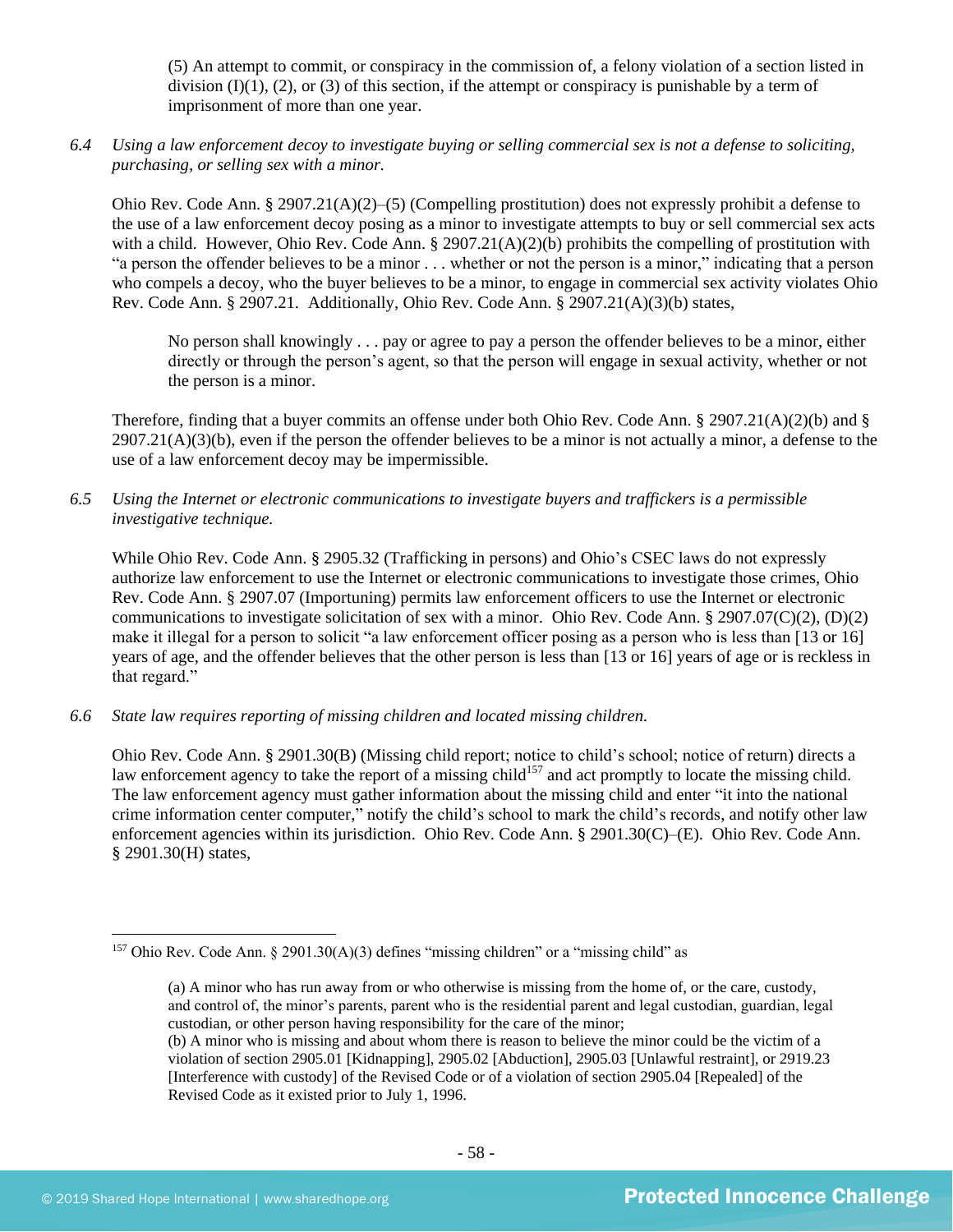(5) An attempt to commit, or conspiracy in the commission of, a felony violation of a section listed in division  $(I)(1)$ ,  $(2)$ , or  $(3)$  of this section, if the attempt or conspiracy is punishable by a term of imprisonment of more than one year.

*6.4 Using a law enforcement decoy to investigate buying or selling commercial sex is not a defense to soliciting, purchasing, or selling sex with a minor.*

Ohio Rev. Code Ann. § 2907.21(A)(2)–(5) (Compelling prostitution) does not expressly prohibit a defense to the use of a law enforcement decoy posing as a minor to investigate attempts to buy or sell commercial sex acts with a child. However, Ohio Rev. Code Ann. § 2907.21(A)(2)(b) prohibits the compelling of prostitution with "a person the offender believes to be a minor . . . whether or not the person is a minor," indicating that a person who compels a decoy, who the buyer believes to be a minor, to engage in commercial sex activity violates Ohio Rev. Code Ann. § 2907.21. Additionally, Ohio Rev. Code Ann. § 2907.21(A)(3)(b) states,

No person shall knowingly . . . pay or agree to pay a person the offender believes to be a minor, either directly or through the person's agent, so that the person will engage in sexual activity, whether or not the person is a minor.

Therefore, finding that a buyer commits an offense under both Ohio Rev. Code Ann. § 2907.21(A)(2)(b) and §  $2907.21(A)(3)(b)$ , even if the person the offender believes to be a minor is not actually a minor, a defense to the use of a law enforcement decoy may be impermissible.

*6.5 Using the Internet or electronic communications to investigate buyers and traffickers is a permissible investigative technique.*

While Ohio Rev. Code Ann. § 2905.32 (Trafficking in persons) and Ohio's CSEC laws do not expressly authorize law enforcement to use the Internet or electronic communications to investigate those crimes, Ohio Rev. Code Ann. § 2907.07 (Importuning) permits law enforcement officers to use the Internet or electronic communications to investigate solicitation of sex with a minor. Ohio Rev. Code Ann. § 2907.07(C)(2), (D)(2) make it illegal for a person to solicit "a law enforcement officer posing as a person who is less than [13 or 16] years of age, and the offender believes that the other person is less than [13 or 16] years of age or is reckless in that regard."

*6.6 State law requires reporting of missing children and located missing children.* 

<span id="page-57-0"></span>Ohio Rev. Code Ann. § 2901.30(B) (Missing child report; notice to child's school; notice of return) directs a law enforcement agency to take the report of a missing child<sup>157</sup> and act promptly to locate the missing child. The law enforcement agency must gather information about the missing child and enter "it into the national crime information center computer," notify the child's school to mark the child's records, and notify other law enforcement agencies within its jurisdiction. Ohio Rev. Code Ann. § 2901.30(C)–(E). Ohio Rev. Code Ann. § 2901.30(H) states,

<sup>&</sup>lt;sup>157</sup> Ohio Rev. Code Ann. § 2901.30(A)(3) defines "missing children" or a "missing child" as

<sup>(</sup>a) A minor who has run away from or who otherwise is missing from the home of, or the care, custody, and control of, the minor's parents, parent who is the residential parent and legal custodian, guardian, legal custodian, or other person having responsibility for the care of the minor;

<sup>(</sup>b) A minor who is missing and about whom there is reason to believe the minor could be the victim of a violation of section 2905.01 [Kidnapping], 2905.02 [Abduction], 2905.03 [Unlawful restraint], or 2919.23 [Interference with custody] of the Revised Code or of a violation of section 2905.04 [Repealed] of the Revised Code as it existed prior to July 1, 1996.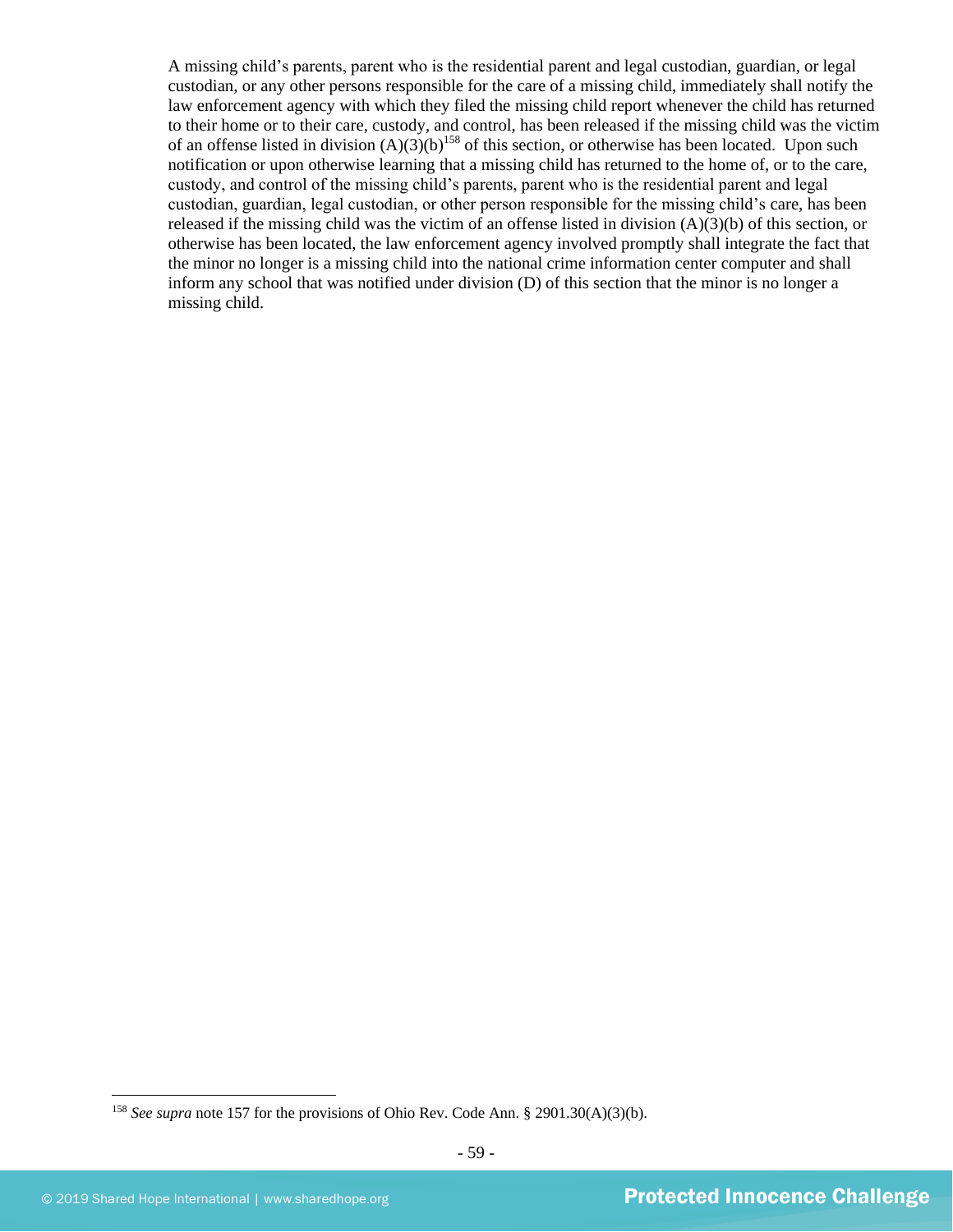A missing child's parents, parent who is the residential parent and legal custodian, guardian, or legal custodian, or any other persons responsible for the care of a missing child, immediately shall notify the law enforcement agency with which they filed the missing child report whenever the child has returned to their home or to their care, custody, and control, has been released if the missing child was the victim of an offense listed in division  $(A)(3)(b)^{158}$  of this section, or otherwise has been located. Upon such notification or upon otherwise learning that a missing child has returned to the home of, or to the care, custody, and control of the missing child's parents, parent who is the residential parent and legal custodian, guardian, legal custodian, or other person responsible for the missing child's care, has been released if the missing child was the victim of an offense listed in division (A)(3)(b) of this section, or otherwise has been located, the law enforcement agency involved promptly shall integrate the fact that the minor no longer is a missing child into the national crime information center computer and shall inform any school that was notified under division (D) of this section that the minor is no longer a missing child.

<sup>158</sup> *See supra* not[e 157](#page-57-0) for the provisions of Ohio Rev. Code Ann. § 2901.30(A)(3)(b).